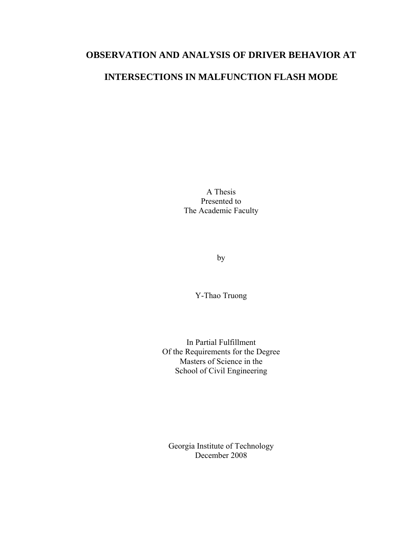# **OBSERVATION AND ANALYSIS OF DRIVER BEHAVIOR AT**

# **INTERSECTIONS IN MALFUNCTION FLASH MODE**

A Thesis Presented to The Academic Faculty

by

Y-Thao Truong

In Partial Fulfillment Of the Requirements for the Degree Masters of Science in the School of Civil Engineering

Georgia Institute of Technology December 2008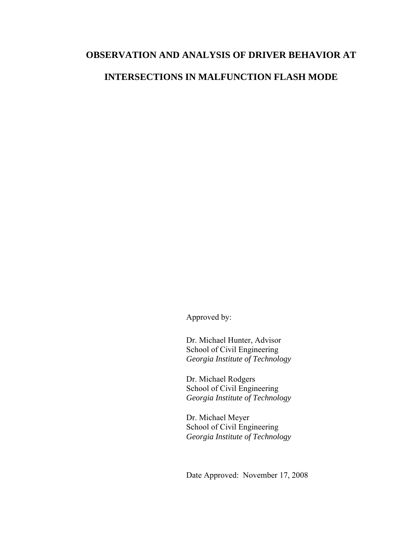## **OBSERVATION AND ANALYSIS OF DRIVER BEHAVIOR AT**

## **INTERSECTIONS IN MALFUNCTION FLASH MODE**

Approved by:

Dr. Michael Hunter, Advisor School of Civil Engineering *Georgia Institute of Technology* 

Dr. Michael Rodgers School of Civil Engineering *Georgia Institute of Technology*

Dr. Michael Meyer School of Civil Engineering *Georgia Institute of Technology*

Date Approved: November 17, 2008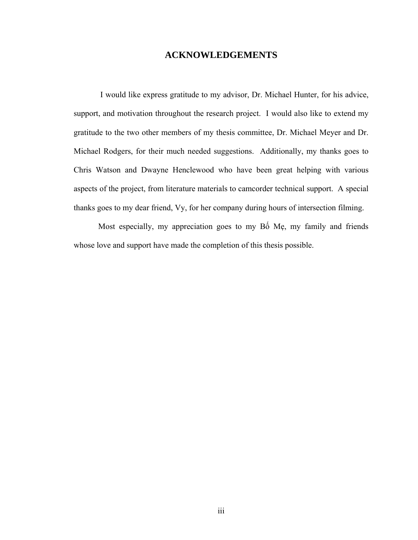## **ACKNOWLEDGEMENTS**

 I would like express gratitude to my advisor, Dr. Michael Hunter, for his advice, support, and motivation throughout the research project. I would also like to extend my gratitude to the two other members of my thesis committee, Dr. Michael Meyer and Dr. Michael Rodgers, for their much needed suggestions. Additionally, my thanks goes to Chris Watson and Dwayne Henclewood who have been great helping with various aspects of the project, from literature materials to camcorder technical support. A special thanks goes to my dear friend, Vy, for her company during hours of intersection filming.

 Most especially, my appreciation goes to my Bố Mẹ, my family and friends whose love and support have made the completion of this thesis possible.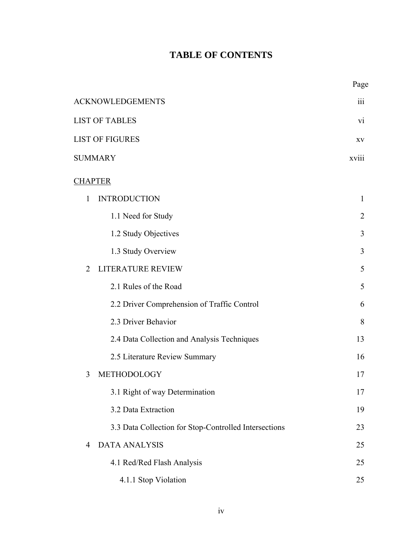# **TABLE OF CONTENTS**

|                                                       | Page      |
|-------------------------------------------------------|-----------|
| <b>ACKNOWLEDGEMENTS</b>                               | 111       |
| <b>LIST OF TABLES</b>                                 | <b>VI</b> |
| <b>LIST OF FIGURES</b>                                | XV        |
| <b>SUMMARY</b>                                        | xviii     |
| <b>CHAPTER</b>                                        |           |
| <b>INTRODUCTION</b><br>1                              | 1         |
| 1.1 Need for Study                                    | 2         |
| 1.2 Study Objectives                                  | 3         |
| 1.3 Study Overview                                    | 3         |
| LITERATURE REVIEW<br>$\overline{2}$                   | 5         |
| 2.1 Rules of the Road                                 | 5         |
| 2.2 Driver Comprehension of Traffic Control           | 6         |
| 2.3 Driver Behavior                                   | 8         |
| 2.4 Data Collection and Analysis Techniques           | 13        |
| 2.5 Literature Review Summary                         | 16        |
| METHODOLOGY<br>3                                      | 17        |
| 3.1 Right of way Determination                        | 17        |
| 3.2 Data Extraction                                   | 19        |
| 3.3 Data Collection for Stop-Controlled Intersections | 23        |
| <b>DATA ANALYSIS</b><br>4                             | 25        |
| 4.1 Red/Red Flash Analysis                            | 25        |
| 4.1.1 Stop Violation                                  | 25        |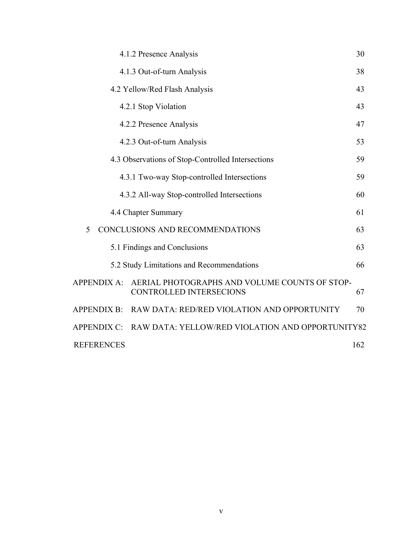|                    | 4.1.2 Presence Analysis                                                         | 30  |
|--------------------|---------------------------------------------------------------------------------|-----|
|                    | 4.1.3 Out-of-turn Analysis                                                      | 38  |
|                    | 4.2 Yellow/Red Flash Analysis                                                   | 43  |
|                    | 4.2.1 Stop Violation                                                            | 43  |
|                    | 4.2.2 Presence Analysis                                                         | 47  |
|                    | 4.2.3 Out-of-turn Analysis                                                      | 53  |
|                    | 4.3 Observations of Stop-Controlled Intersections                               | 59  |
|                    | 4.3.1 Two-way Stop-controlled Intersections                                     | 59  |
|                    | 4.3.2 All-way Stop-controlled Intersections                                     | 60  |
|                    | 4.4 Chapter Summary                                                             | 61  |
| 5                  | CONCLUSIONS AND RECOMMENDATIONS                                                 | 63  |
|                    | 5.1 Findings and Conclusions                                                    | 63  |
|                    | 5.2 Study Limitations and Recommendations                                       | 66  |
| <b>APPENDIX A:</b> | AERIAL PHOTOGRAPHS AND VOLUME COUNTS OF STOP-<br><b>CONTROLLED INTERSECIONS</b> | 67  |
| <b>APPENDIX B:</b> | RAW DATA: RED/RED VIOLATION AND OPPORTUNITY                                     | 70  |
| <b>APPENDIX C:</b> | RAW DATA: YELLOW/RED VIOLATION AND OPPORTUNITY82                                |     |
| <b>REFERENCES</b>  |                                                                                 | 162 |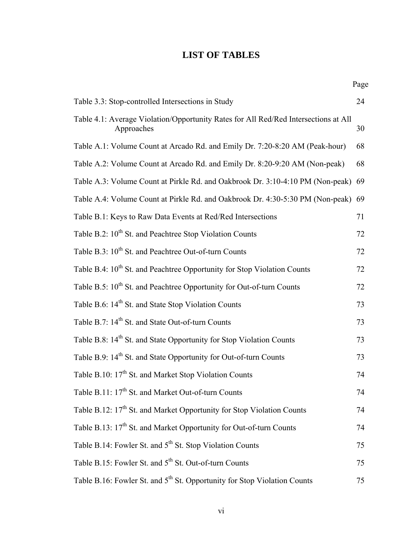## **LIST OF TABLES**

|                                                                                                   | Page |
|---------------------------------------------------------------------------------------------------|------|
| Table 3.3: Stop-controlled Intersections in Study                                                 | 24   |
| Table 4.1: Average Violation/Opportunity Rates for All Red/Red Intersections at All<br>Approaches | 30   |
| Table A.1: Volume Count at Arcado Rd. and Emily Dr. 7:20-8:20 AM (Peak-hour)                      | 68   |
| Table A.2: Volume Count at Arcado Rd. and Emily Dr. 8:20-9:20 AM (Non-peak)                       | 68   |
| Table A.3: Volume Count at Pirkle Rd. and Oakbrook Dr. 3:10-4:10 PM (Non-peak) 69                 |      |
| Table A.4: Volume Count at Pirkle Rd. and Oakbrook Dr. 4:30-5:30 PM (Non-peak) 69                 |      |
| Table B.1: Keys to Raw Data Events at Red/Red Intersections                                       | 71   |
| Table B.2: 10 <sup>th</sup> St. and Peachtree Stop Violation Counts                               | 72   |
| Table B.3: 10 <sup>th</sup> St. and Peachtree Out-of-turn Counts                                  | 72   |
| Table B.4: 10 <sup>th</sup> St. and Peachtree Opportunity for Stop Violation Counts               | 72   |
| Table B.5: 10 <sup>th</sup> St. and Peachtree Opportunity for Out-of-turn Counts                  | 72   |
| Table B.6: 14 <sup>th</sup> St. and State Stop Violation Counts                                   | 73   |
| Table B.7: 14 <sup>th</sup> St. and State Out-of-turn Counts                                      | 73   |
| Table B.8: 14 <sup>th</sup> St. and State Opportunity for Stop Violation Counts                   | 73   |
| Table B.9: 14 <sup>th</sup> St. and State Opportunity for Out-of-turn Counts                      | 73   |
| Table B.10: 17 <sup>th</sup> St. and Market Stop Violation Counts                                 | 74   |
| Table B.11: 17 <sup>th</sup> St. and Market Out-of-turn Counts                                    | 74   |
| Table B.12: 17 <sup>th</sup> St. and Market Opportunity for Stop Violation Counts                 | 74   |
| Table B.13: 17 <sup>th</sup> St. and Market Opportunity for Out-of-turn Counts                    | 74   |
| Table B.14: Fowler St. and 5 <sup>th</sup> St. Stop Violation Counts                              | 75   |
| Table B.15: Fowler St. and 5 <sup>th</sup> St. Out-of-turn Counts                                 | 75   |
| Table B.16: Fowler St. and 5 <sup>th</sup> St. Opportunity for Stop Violation Counts              | 75   |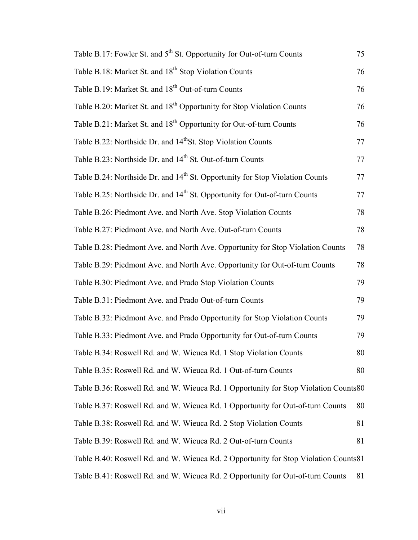| Table B.17: Fowler St. and 5 <sup>th</sup> St. Opportunity for Out-of-turn Counts        | 75 |
|------------------------------------------------------------------------------------------|----|
| Table B.18: Market St. and 18 <sup>th</sup> Stop Violation Counts                        | 76 |
| Table B.19: Market St. and 18 <sup>th</sup> Out-of-turn Counts                           | 76 |
| Table B.20: Market St. and 18 <sup>th</sup> Opportunity for Stop Violation Counts        | 76 |
| Table B.21: Market St. and 18 <sup>th</sup> Opportunity for Out-of-turn Counts           | 76 |
| Table B.22: Northside Dr. and 14 <sup>th</sup> St. Stop Violation Counts                 | 77 |
| Table B.23: Northside Dr. and 14 <sup>th</sup> St. Out-of-turn Counts                    | 77 |
| Table B.24: Northside Dr. and 14 <sup>th</sup> St. Opportunity for Stop Violation Counts | 77 |
| Table B.25: Northside Dr. and 14 <sup>th</sup> St. Opportunity for Out-of-turn Counts    | 77 |
| Table B.26: Piedmont Ave. and North Ave. Stop Violation Counts                           | 78 |
| Table B.27: Piedmont Ave. and North Ave. Out-of-turn Counts                              | 78 |
| Table B.28: Piedmont Ave. and North Ave. Opportunity for Stop Violation Counts           | 78 |
| Table B.29: Piedmont Ave. and North Ave. Opportunity for Out-of-turn Counts              | 78 |
| Table B.30: Piedmont Ave. and Prado Stop Violation Counts                                | 79 |
| Table B.31: Piedmont Ave. and Prado Out-of-turn Counts                                   | 79 |
| Table B.32: Piedmont Ave. and Prado Opportunity for Stop Violation Counts                | 79 |
| Table B.33: Piedmont Ave. and Prado Opportunity for Out-of-turn Counts                   | 79 |
| Table B.34: Roswell Rd. and W. Wieuca Rd. 1 Stop Violation Counts                        | 80 |
| Table B.35: Roswell Rd. and W. Wieuca Rd. 1 Out-of-turn Counts                           | 80 |
| Table B.36: Roswell Rd. and W. Wieuca Rd. 1 Opportunity for Stop Violation Counts80      |    |
| Table B.37: Roswell Rd. and W. Wieuca Rd. 1 Opportunity for Out-of-turn Counts           | 80 |
| Table B.38: Roswell Rd. and W. Wieuca Rd. 2 Stop Violation Counts                        | 81 |
| Table B.39: Roswell Rd. and W. Wieuca Rd. 2 Out-of-turn Counts                           | 81 |
| Table B.40: Roswell Rd. and W. Wieuca Rd. 2 Opportunity for Stop Violation Counts81      |    |
| Table B.41: Roswell Rd. and W. Wieuca Rd. 2 Opportunity for Out-of-turn Counts           | 81 |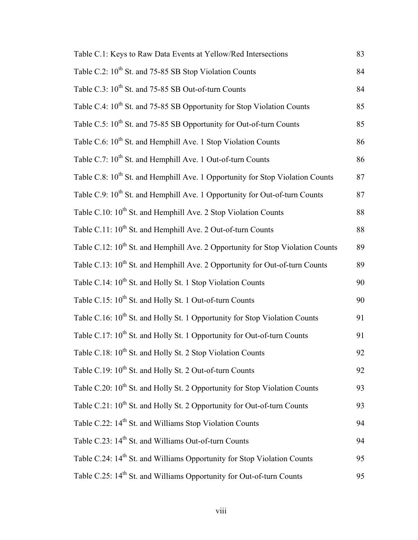| Table C.1: Keys to Raw Data Events at Yellow/Red Intersections                             | 83 |
|--------------------------------------------------------------------------------------------|----|
| Table C.2: 10 <sup>th</sup> St. and 75-85 SB Stop Violation Counts                         | 84 |
| Table C.3: 10 <sup>th</sup> St. and 75-85 SB Out-of-turn Counts                            | 84 |
| Table C.4: 10 <sup>th</sup> St. and 75-85 SB Opportunity for Stop Violation Counts         | 85 |
| Table C.5: 10 <sup>th</sup> St. and 75-85 SB Opportunity for Out-of-turn Counts            | 85 |
| Table C.6: 10 <sup>th</sup> St. and Hemphill Ave. 1 Stop Violation Counts                  | 86 |
| Table C.7: 10 <sup>th</sup> St. and Hemphill Ave. 1 Out-of-turn Counts                     | 86 |
| Table C.8: 10 <sup>th</sup> St. and Hemphill Ave. 1 Opportunity for Stop Violation Counts  | 87 |
| Table C.9: 10 <sup>th</sup> St. and Hemphill Ave. 1 Opportunity for Out-of-turn Counts     | 87 |
| Table C.10: 10 <sup>th</sup> St. and Hemphill Ave. 2 Stop Violation Counts                 | 88 |
| Table C.11: 10 <sup>th</sup> St. and Hemphill Ave. 2 Out-of-turn Counts                    | 88 |
| Table C.12: 10 <sup>th</sup> St. and Hemphill Ave. 2 Opportunity for Stop Violation Counts | 89 |
| Table C.13: 10 <sup>th</sup> St. and Hemphill Ave. 2 Opportunity for Out-of-turn Counts    | 89 |
| Table C.14: 10 <sup>th</sup> St. and Holly St. 1 Stop Violation Counts                     | 90 |
| Table C.15: 10 <sup>th</sup> St. and Holly St. 1 Out-of-turn Counts                        | 90 |
| Table C.16: 10 <sup>th</sup> St. and Holly St. 1 Opportunity for Stop Violation Counts     | 91 |
| Table C.17: 10 <sup>th</sup> St. and Holly St. 1 Opportunity for Out-of-turn Counts        | 91 |
| Table C.18: 10 <sup>th</sup> St. and Holly St. 2 Stop Violation Counts                     | 92 |
| Table C.19: 10 <sup>th</sup> St. and Holly St. 2 Out-of-turn Counts                        | 92 |
| Table C.20: 10 <sup>th</sup> St. and Holly St. 2 Opportunity for Stop Violation Counts     | 93 |
| Table C.21: 10 <sup>th</sup> St. and Holly St. 2 Opportunity for Out-of-turn Counts        | 93 |
| Table C.22: 14 <sup>th</sup> St. and Williams Stop Violation Counts                        | 94 |
| Table C.23: 14 <sup>th</sup> St. and Williams Out-of-turn Counts                           | 94 |
| Table C.24: 14 <sup>th</sup> St. and Williams Opportunity for Stop Violation Counts        | 95 |
| Table C.25: 14 <sup>th</sup> St. and Williams Opportunity for Out-of-turn Counts           | 95 |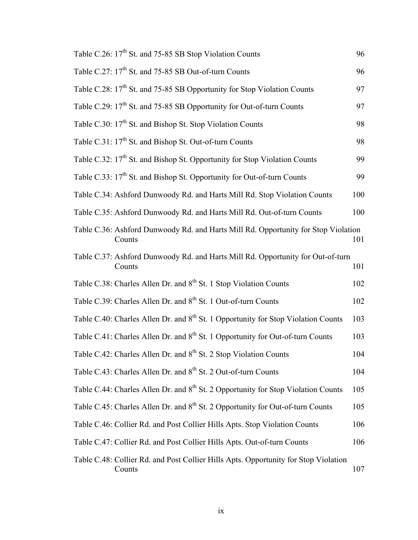| Table C.26: 17 <sup>th</sup> St. and 75-85 SB Stop Violation Counts                           | 96  |
|-----------------------------------------------------------------------------------------------|-----|
| Table C.27: 17 <sup>th</sup> St. and 75-85 SB Out-of-turn Counts                              | 96  |
| Table C.28: 17 <sup>th</sup> St. and 75-85 SB Opportunity for Stop Violation Counts           | 97  |
| Table C.29: 17 <sup>th</sup> St. and 75-85 SB Opportunity for Out-of-turn Counts              | 97  |
| Table C.30: 17 <sup>th</sup> St. and Bishop St. Stop Violation Counts                         | 98  |
| Table C.31: 17 <sup>th</sup> St. and Bishop St. Out-of-turn Counts                            | 98  |
| Table C.32: 17 <sup>th</sup> St. and Bishop St. Opportunity for Stop Violation Counts         | 99  |
| Table C.33: 17 <sup>th</sup> St. and Bishop St. Opportunity for Out-of-turn Counts            | 99  |
| Table C.34: Ashford Dunwoody Rd. and Harts Mill Rd. Stop Violation Counts                     | 100 |
| Table C.35: Ashford Dunwoody Rd. and Harts Mill Rd. Out-of-turn Counts                        | 100 |
| Table C.36: Ashford Dunwoody Rd. and Harts Mill Rd. Opportunity for Stop Violation<br>Counts  | 101 |
| Table C.37: Ashford Dunwoody Rd. and Harts Mill Rd. Opportunity for Out-of-turn<br>Counts     | 101 |
| Table C.38: Charles Allen Dr. and 8 <sup>th</sup> St. 1 Stop Violation Counts                 | 102 |
| Table C.39: Charles Allen Dr. and 8 <sup>th</sup> St. 1 Out-of-turn Counts                    | 102 |
| Table C.40: Charles Allen Dr. and 8 <sup>th</sup> St. 1 Opportunity for Stop Violation Counts | 103 |
| Table C.41: Charles Allen Dr. and 8 <sup>th</sup> St. 1 Opportunity for Out-of-turn Counts    | 103 |
| Table C.42: Charles Allen Dr. and 8 <sup>th</sup> St. 2 Stop Violation Counts                 | 104 |
| Table C.43: Charles Allen Dr. and 8 <sup>th</sup> St. 2 Out-of-turn Counts                    | 104 |
| Table C.44: Charles Allen Dr. and 8 <sup>th</sup> St. 2 Opportunity for Stop Violation Counts | 105 |
| Table C.45: Charles Allen Dr. and 8 <sup>th</sup> St. 2 Opportunity for Out-of-turn Counts    | 105 |
| Table C.46: Collier Rd. and Post Collier Hills Apts. Stop Violation Counts                    | 106 |
| Table C.47: Collier Rd. and Post Collier Hills Apts. Out-of-turn Counts                       | 106 |
| Table C.48: Collier Rd. and Post Collier Hills Apts. Opportunity for Stop Violation<br>Counts | 107 |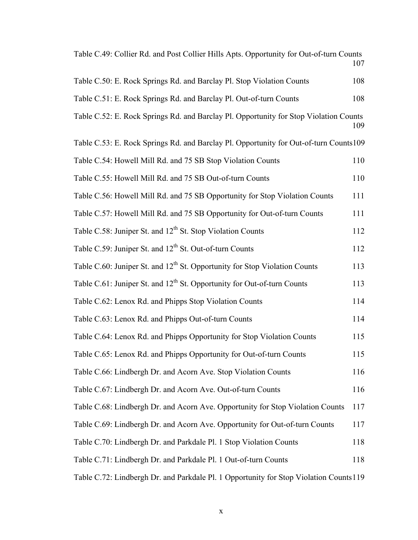| Table C.49: Collier Rd. and Post Collier Hills Apts. Opportunity for Out-of-turn Counts | 107 |
|-----------------------------------------------------------------------------------------|-----|
| Table C.50: E. Rock Springs Rd. and Barclay Pl. Stop Violation Counts                   | 108 |
| Table C.51: E. Rock Springs Rd. and Barclay Pl. Out-of-turn Counts                      | 108 |
| Table C.52: E. Rock Springs Rd. and Barclay Pl. Opportunity for Stop Violation Counts   | 109 |
| Table C.53: E. Rock Springs Rd. and Barclay Pl. Opportunity for Out-of-turn Counts109   |     |
| Table C.54: Howell Mill Rd. and 75 SB Stop Violation Counts                             | 110 |
| Table C.55: Howell Mill Rd. and 75 SB Out-of-turn Counts                                | 110 |
| Table C.56: Howell Mill Rd. and 75 SB Opportunity for Stop Violation Counts             | 111 |
| Table C.57: Howell Mill Rd. and 75 SB Opportunity for Out-of-turn Counts                | 111 |
| Table C.58: Juniper St. and 12 <sup>th</sup> St. Stop Violation Counts                  | 112 |
| Table C.59: Juniper St. and 12 <sup>th</sup> St. Out-of-turn Counts                     | 112 |
| Table C.60: Juniper St. and 12 <sup>th</sup> St. Opportunity for Stop Violation Counts  | 113 |
| Table C.61: Juniper St. and 12 <sup>th</sup> St. Opportunity for Out-of-turn Counts     | 113 |
| Table C.62: Lenox Rd. and Phipps Stop Violation Counts                                  | 114 |
| Table C.63: Lenox Rd. and Phipps Out-of-turn Counts                                     | 114 |
| Table C.64: Lenox Rd. and Phipps Opportunity for Stop Violation Counts                  | 115 |
| Table C.65: Lenox Rd. and Phipps Opportunity for Out-of-turn Counts                     | 115 |
| Table C.66: Lindbergh Dr. and Acorn Ave. Stop Violation Counts                          | 116 |
| Table C.67: Lindbergh Dr. and Acorn Ave. Out-of-turn Counts                             | 116 |
| Table C.68: Lindbergh Dr. and Acorn Ave. Opportunity for Stop Violation Counts          | 117 |
| Table C.69: Lindbergh Dr. and Acorn Ave. Opportunity for Out-of-turn Counts             | 117 |
| Table C.70: Lindbergh Dr. and Parkdale Pl. 1 Stop Violation Counts                      | 118 |
| Table C.71: Lindbergh Dr. and Parkdale Pl. 1 Out-of-turn Counts                         | 118 |
| Table C.72: Lindbergh Dr. and Parkdale Pl. 1 Opportunity for Stop Violation Counts 119  |     |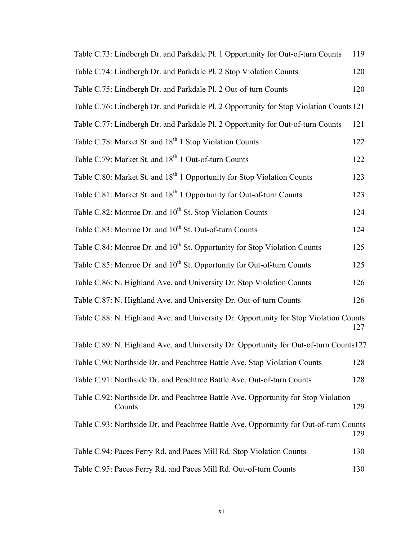| Table C.73: Lindbergh Dr. and Parkdale Pl. 1 Opportunity for Out-of-turn Counts              | 119 |
|----------------------------------------------------------------------------------------------|-----|
| Table C.74: Lindbergh Dr. and Parkdale Pl. 2 Stop Violation Counts                           | 120 |
| Table C.75: Lindbergh Dr. and Parkdale Pl. 2 Out-of-turn Counts                              | 120 |
| Table C.76: Lindbergh Dr. and Parkdale Pl. 2 Opportunity for Stop Violation Counts 121       |     |
| Table C.77: Lindbergh Dr. and Parkdale Pl. 2 Opportunity for Out-of-turn Counts              | 121 |
| Table C.78: Market St. and 18 <sup>th</sup> 1 Stop Violation Counts                          | 122 |
| Table C.79: Market St. and 18 <sup>th</sup> 1 Out-of-turn Counts                             | 122 |
| Table C.80: Market St. and 18 <sup>th</sup> 1 Opportunity for Stop Violation Counts          | 123 |
| Table C.81: Market St. and 18 <sup>th</sup> 1 Opportunity for Out-of-turn Counts             | 123 |
| Table C.82: Monroe Dr. and 10 <sup>th</sup> St. Stop Violation Counts                        | 124 |
| Table C.83: Monroe Dr. and 10 <sup>th</sup> St. Out-of-turn Counts                           | 124 |
| Table C.84: Monroe Dr. and 10 <sup>th</sup> St. Opportunity for Stop Violation Counts        | 125 |
| Table C.85: Monroe Dr. and 10 <sup>th</sup> St. Opportunity for Out-of-turn Counts           | 125 |
| Table C.86: N. Highland Ave. and University Dr. Stop Violation Counts                        | 126 |
| Table C.87: N. Highland Ave. and University Dr. Out-of-turn Counts                           | 126 |
| Table C.88: N. Highland Ave. and University Dr. Opportunity for Stop Violation Counts        | 127 |
| Table C.89: N. Highland Ave. and University Dr. Opportunity for Out-of-turn Counts127        |     |
| Table C.90: Northside Dr. and Peachtree Battle Ave. Stop Violation Counts                    | 128 |
| Table C.91: Northside Dr. and Peachtree Battle Ave. Out-of-turn Counts                       | 128 |
| Table C.92: Northside Dr. and Peachtree Battle Ave. Opportunity for Stop Violation<br>Counts | 129 |
| Table C.93: Northside Dr. and Peachtree Battle Ave. Opportunity for Out-of-turn Counts       | 129 |
| Table C.94: Paces Ferry Rd. and Paces Mill Rd. Stop Violation Counts                         | 130 |
| Table C.95: Paces Ferry Rd. and Paces Mill Rd. Out-of-turn Counts                            | 130 |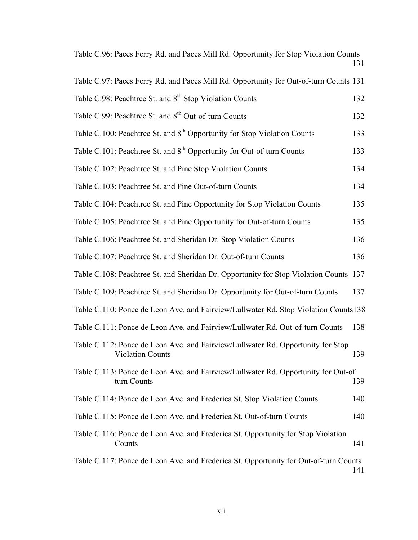Table C.96: Paces Ferry Rd. and Paces Mill Rd. Opportunity for Stop Violation Counts 131

| Table C.97: Paces Ferry Rd. and Paces Mill Rd. Opportunity for Out-of-turn Counts 131                      |     |
|------------------------------------------------------------------------------------------------------------|-----|
| Table C.98: Peachtree St. and 8 <sup>th</sup> Stop Violation Counts                                        | 132 |
| Table C.99: Peachtree St. and 8 <sup>th</sup> Out-of-turn Counts                                           | 132 |
| Table C.100: Peachtree St. and 8 <sup>th</sup> Opportunity for Stop Violation Counts                       | 133 |
| Table C.101: Peachtree St. and 8 <sup>th</sup> Opportunity for Out-of-turn Counts                          | 133 |
| Table C.102: Peachtree St. and Pine Stop Violation Counts                                                  | 134 |
| Table C.103: Peachtree St. and Pine Out-of-turn Counts                                                     | 134 |
| Table C.104: Peachtree St. and Pine Opportunity for Stop Violation Counts                                  | 135 |
| Table C.105: Peachtree St. and Pine Opportunity for Out-of-turn Counts                                     | 135 |
| Table C.106: Peachtree St. and Sheridan Dr. Stop Violation Counts                                          | 136 |
| Table C.107: Peachtree St. and Sheridan Dr. Out-of-turn Counts                                             | 136 |
| Table C.108: Peachtree St. and Sheridan Dr. Opportunity for Stop Violation Counts 137                      |     |
| Table C.109: Peachtree St. and Sheridan Dr. Opportunity for Out-of-turn Counts                             | 137 |
| Table C.110: Ponce de Leon Ave. and Fairview/Lullwater Rd. Stop Violation Counts138                        |     |
| Table C.111: Ponce de Leon Ave. and Fairview/Lullwater Rd. Out-of-turn Counts                              | 138 |
| Table C.112: Ponce de Leon Ave. and Fairview/Lullwater Rd. Opportunity for Stop<br><b>Violation Counts</b> | 139 |
| Table C.113: Ponce de Leon Ave. and Fairview/Lullwater Rd. Opportunity for Out-of<br>turn Counts           | 139 |
| Table C.114: Ponce de Leon Ave. and Frederica St. Stop Violation Counts                                    | 140 |
| Table C.115: Ponce de Leon Ave. and Frederica St. Out-of-turn Counts                                       | 140 |
| Table C.116: Ponce de Leon Ave. and Frederica St. Opportunity for Stop Violation<br>Counts                 | 141 |
| Table C.117: Ponce de Leon Ave. and Frederica St. Opportunity for Out-of-turn Counts                       | 141 |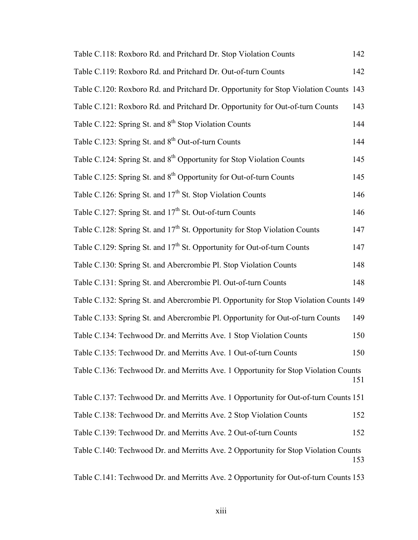| Table C.118: Roxboro Rd. and Pritchard Dr. Stop Violation Counts                       | 142 |
|----------------------------------------------------------------------------------------|-----|
| Table C.119: Roxboro Rd. and Pritchard Dr. Out-of-turn Counts                          | 142 |
| Table C.120: Roxboro Rd. and Pritchard Dr. Opportunity for Stop Violation Counts 143   |     |
| Table C.121: Roxboro Rd. and Pritchard Dr. Opportunity for Out-of-turn Counts          | 143 |
| Table C.122: Spring St. and 8 <sup>th</sup> Stop Violation Counts                      | 144 |
| Table C.123: Spring St. and 8 <sup>th</sup> Out-of-turn Counts                         | 144 |
| Table C.124: Spring St. and 8 <sup>th</sup> Opportunity for Stop Violation Counts      | 145 |
| Table C.125: Spring St. and 8 <sup>th</sup> Opportunity for Out-of-turn Counts         | 145 |
| Table C.126: Spring St. and 17 <sup>th</sup> St. Stop Violation Counts                 | 146 |
| Table C.127: Spring St. and 17 <sup>th</sup> St. Out-of-turn Counts                    | 146 |
| Table C.128: Spring St. and 17 <sup>th</sup> St. Opportunity for Stop Violation Counts | 147 |
| Table C.129: Spring St. and 17 <sup>th</sup> St. Opportunity for Out-of-turn Counts    | 147 |
| Table C.130: Spring St. and Abercrombie Pl. Stop Violation Counts                      | 148 |
| Table C.131: Spring St. and Abercrombie Pl. Out-of-turn Counts                         | 148 |
| Table C.132: Spring St. and Abercrombie Pl. Opportunity for Stop Violation Counts 149  |     |
| Table C.133: Spring St. and Abercrombie Pl. Opportunity for Out-of-turn Counts         | 149 |
| Table C.134: Techwood Dr. and Merritts Ave. 1 Stop Violation Counts                    | 150 |
| Table C.135: Techwood Dr. and Merritts Ave. 1 Out-of-turn Counts                       | 150 |
| Table C.136: Techwood Dr. and Merritts Ave. 1 Opportunity for Stop Violation Counts    | 151 |
| Table C.137: Techwood Dr. and Merritts Ave. 1 Opportunity for Out-of-turn Counts 151   |     |
| Table C.138: Techwood Dr. and Merritts Ave. 2 Stop Violation Counts                    | 152 |
| Table C.139: Techwood Dr. and Merritts Ave. 2 Out-of-turn Counts                       | 152 |
| Table C.140: Techwood Dr. and Merritts Ave. 2 Opportunity for Stop Violation Counts    | 153 |

Table C.141: Techwood Dr. and Merritts Ave. 2 Opportunity for Out-of-turn Counts 153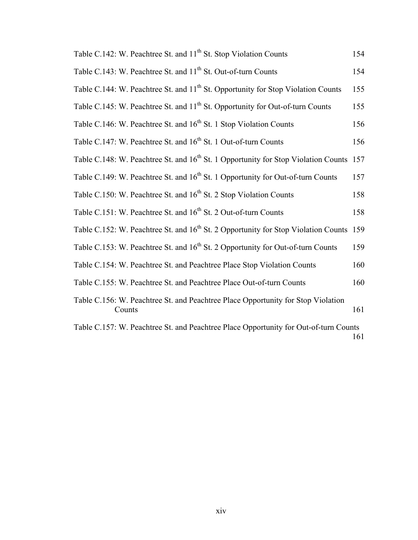| Table C.142: W. Peachtree St. and 11 <sup>th</sup> St. Stop Violation Counts                       | 154 |
|----------------------------------------------------------------------------------------------------|-----|
| Table C.143: W. Peachtree St. and 11 <sup>th</sup> St. Out-of-turn Counts                          | 154 |
| Table C.144: W. Peachtree St. and 11 <sup>th</sup> St. Opportunity for Stop Violation Counts       | 155 |
| Table C.145: W. Peachtree St. and 11 <sup>th</sup> St. Opportunity for Out-of-turn Counts          | 155 |
| Table C.146: W. Peachtree St. and 16 <sup>th</sup> St. 1 Stop Violation Counts                     | 156 |
| Table C.147: W. Peachtree St. and 16 <sup>th</sup> St. 1 Out-of-turn Counts                        | 156 |
| Table C.148: W. Peachtree St. and 16 <sup>th</sup> St. 1 Opportunity for Stop Violation Counts 157 |     |
| Table C.149: W. Peachtree St. and 16 <sup>th</sup> St. 1 Opportunity for Out-of-turn Counts        | 157 |
| Table C.150: W. Peachtree St. and 16 <sup>th</sup> St. 2 Stop Violation Counts                     | 158 |
| Table C.151: W. Peachtree St. and 16 <sup>th</sup> St. 2 Out-of-turn Counts                        | 158 |
| Table C.152: W. Peachtree St. and 16 <sup>th</sup> St. 2 Opportunity for Stop Violation Counts 159 |     |
| Table C.153: W. Peachtree St. and 16 <sup>th</sup> St. 2 Opportunity for Out-of-turn Counts        | 159 |
| Table C.154: W. Peachtree St. and Peachtree Place Stop Violation Counts                            | 160 |
| Table C.155: W. Peachtree St. and Peachtree Place Out-of-turn Counts                               | 160 |
| Table C.156: W. Peachtree St. and Peachtree Place Opportunity for Stop Violation<br>Counts         | 161 |
| Table C.157: W. Peachtree St. and Peachtree Place Opportunity for Out-of-turn Counts               | 161 |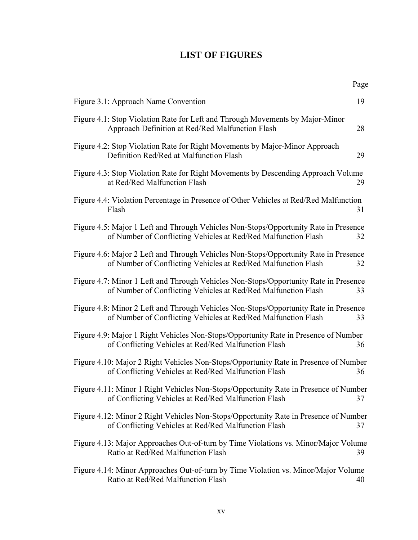# **LIST OF FIGURES**

|                                                                                                                                                        | Page |
|--------------------------------------------------------------------------------------------------------------------------------------------------------|------|
| Figure 3.1: Approach Name Convention                                                                                                                   | 19   |
| Figure 4.1: Stop Violation Rate for Left and Through Movements by Major-Minor<br>Approach Definition at Red/Red Malfunction Flash                      | 28   |
| Figure 4.2: Stop Violation Rate for Right Movements by Major-Minor Approach<br>Definition Red/Red at Malfunction Flash                                 | 29   |
| Figure 4.3: Stop Violation Rate for Right Movements by Descending Approach Volume<br>at Red/Red Malfunction Flash                                      | 29   |
| Figure 4.4: Violation Percentage in Presence of Other Vehicles at Red/Red Malfunction<br>Flash                                                         | 31   |
| Figure 4.5: Major 1 Left and Through Vehicles Non-Stops/Opportunity Rate in Presence<br>of Number of Conflicting Vehicles at Red/Red Malfunction Flash | 32   |
| Figure 4.6: Major 2 Left and Through Vehicles Non-Stops/Opportunity Rate in Presence<br>of Number of Conflicting Vehicles at Red/Red Malfunction Flash | 32   |
| Figure 4.7: Minor 1 Left and Through Vehicles Non-Stops/Opportunity Rate in Presence<br>of Number of Conflicting Vehicles at Red/Red Malfunction Flash | 33   |
| Figure 4.8: Minor 2 Left and Through Vehicles Non-Stops/Opportunity Rate in Presence<br>of Number of Conflicting Vehicles at Red/Red Malfunction Flash | 33   |
| Figure 4.9: Major 1 Right Vehicles Non-Stops/Opportunity Rate in Presence of Number<br>of Conflicting Vehicles at Red/Red Malfunction Flash            | 36   |
| Figure 4.10: Major 2 Right Vehicles Non-Stops/Opportunity Rate in Presence of Number<br>of Conflicting Vehicles at Red/Red Malfunction Flash           | 36   |
| Figure 4.11: Minor 1 Right Vehicles Non-Stops/Opportunity Rate in Presence of Number<br>of Conflicting Vehicles at Red/Red Malfunction Flash           | 37   |
| Figure 4.12: Minor 2 Right Vehicles Non-Stops/Opportunity Rate in Presence of Number<br>of Conflicting Vehicles at Red/Red Malfunction Flash           | 37   |
| Figure 4.13: Major Approaches Out-of-turn by Time Violations vs. Minor/Major Volume<br>Ratio at Red/Red Malfunction Flash                              | 39   |
| Figure 4.14: Minor Approaches Out-of-turn by Time Violation vs. Minor/Major Volume<br>Ratio at Red/Red Malfunction Flash                               | 40   |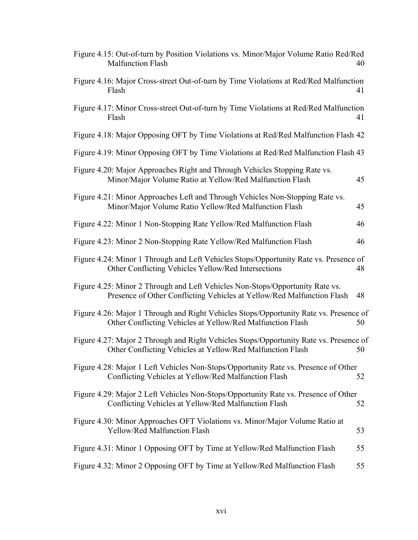| Figure 4.15: Out-of-turn by Position Violations vs. Minor/Major Volume Ratio Red/Red<br><b>Malfunction Flash</b>                                        | 40 |
|---------------------------------------------------------------------------------------------------------------------------------------------------------|----|
| Figure 4.16: Major Cross-street Out-of-turn by Time Violations at Red/Red Malfunction<br>Flash                                                          | 41 |
| Figure 4.17: Minor Cross-street Out-of-turn by Time Violations at Red/Red Malfunction<br>Flash                                                          | 41 |
| Figure 4.18: Major Opposing OFT by Time Violations at Red/Red Malfunction Flash 42                                                                      |    |
| Figure 4.19: Minor Opposing OFT by Time Violations at Red/Red Malfunction Flash 43                                                                      |    |
| Figure 4.20: Major Approaches Right and Through Vehicles Stopping Rate vs.<br>Minor/Major Volume Ratio at Yellow/Red Malfunction Flash                  | 45 |
| Figure 4.21: Minor Approaches Left and Through Vehicles Non-Stopping Rate vs.<br>Minor/Major Volume Ratio Yellow/Red Malfunction Flash                  | 45 |
| Figure 4.22: Minor 1 Non-Stopping Rate Yellow/Red Malfunction Flash                                                                                     | 46 |
| Figure 4.23: Minor 2 Non-Stopping Rate Yellow/Red Malfunction Flash                                                                                     | 46 |
| Figure 4.24: Minor 1 Through and Left Vehicles Stops/Opportunity Rate vs. Presence of<br>Other Conflicting Vehicles Yellow/Red Intersections            | 48 |
| Figure 4.25: Minor 2 Through and Left Vehicles Non-Stops/Opportunity Rate vs.<br>Presence of Other Conflicting Vehicles at Yellow/Red Malfunction Flash | 48 |
| Figure 4.26: Major 1 Through and Right Vehicles Stops/Opportunity Rate vs. Presence of<br>Other Conflicting Vehicles at Yellow/Red Malfunction Flash    | 50 |
| Figure 4.27: Major 2 Through and Right Vehicles Stops/Opportunity Rate vs. Presence of<br>Other Conflicting Vehicles at Yellow/Red Malfunction Flash    | 50 |
| Figure 4.28: Major 1 Left Vehicles Non-Stops/Opportunity Rate vs. Presence of Other<br>Conflicting Vehicles at Yellow/Red Malfunction Flash             | 52 |
| Figure 4.29: Major 2 Left Vehicles Non-Stops/Opportunity Rate vs. Presence of Other<br>Conflicting Vehicles at Yellow/Red Malfunction Flash             | 52 |
| Figure 4.30: Minor Approaches OFT Violations vs. Minor/Major Volume Ratio at<br><b>Yellow/Red Malfunction Flash</b>                                     | 53 |
| Figure 4.31: Minor 1 Opposing OFT by Time at Yellow/Red Malfunction Flash                                                                               | 55 |
| Figure 4.32: Minor 2 Opposing OFT by Time at Yellow/Red Malfunction Flash                                                                               | 55 |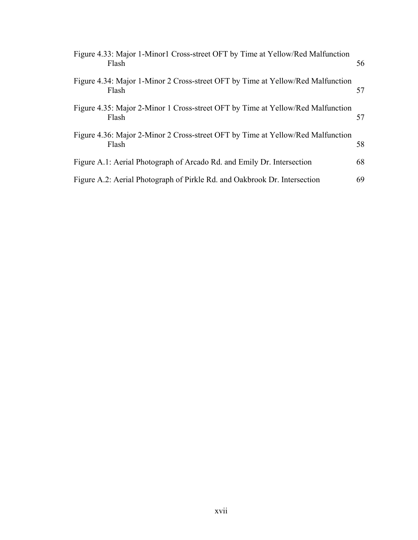| Figure 4.33: Major 1-Minor1 Cross-street OFT by Time at Yellow/Red Malfunction<br>Flash  | 56 |
|------------------------------------------------------------------------------------------|----|
| Figure 4.34: Major 1-Minor 2 Cross-street OFT by Time at Yellow/Red Malfunction<br>Flash | 57 |
| Figure 4.35: Major 2-Minor 1 Cross-street OFT by Time at Yellow/Red Malfunction<br>Flash | 57 |
| Figure 4.36: Major 2-Minor 2 Cross-street OFT by Time at Yellow/Red Malfunction<br>Flash | 58 |
| Figure A.1: Aerial Photograph of Arcado Rd. and Emily Dr. Intersection                   | 68 |
| Figure A.2: Aerial Photograph of Pirkle Rd. and Oakbrook Dr. Intersection                | 69 |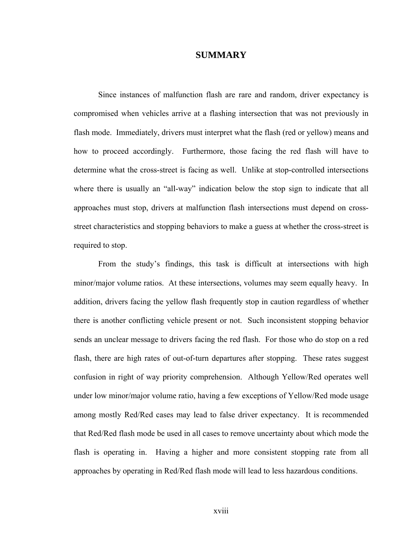## **SUMMARY**

Since instances of malfunction flash are rare and random, driver expectancy is compromised when vehicles arrive at a flashing intersection that was not previously in flash mode. Immediately, drivers must interpret what the flash (red or yellow) means and how to proceed accordingly. Furthermore, those facing the red flash will have to determine what the cross-street is facing as well. Unlike at stop-controlled intersections where there is usually an "all-way" indication below the stop sign to indicate that all approaches must stop, drivers at malfunction flash intersections must depend on crossstreet characteristics and stopping behaviors to make a guess at whether the cross-street is required to stop.

From the study's findings, this task is difficult at intersections with high minor/major volume ratios. At these intersections, volumes may seem equally heavy. In addition, drivers facing the yellow flash frequently stop in caution regardless of whether there is another conflicting vehicle present or not. Such inconsistent stopping behavior sends an unclear message to drivers facing the red flash. For those who do stop on a red flash, there are high rates of out-of-turn departures after stopping. These rates suggest confusion in right of way priority comprehension. Although Yellow/Red operates well under low minor/major volume ratio, having a few exceptions of Yellow/Red mode usage among mostly Red/Red cases may lead to false driver expectancy. It is recommended that Red/Red flash mode be used in all cases to remove uncertainty about which mode the flash is operating in. Having a higher and more consistent stopping rate from all approaches by operating in Red/Red flash mode will lead to less hazardous conditions.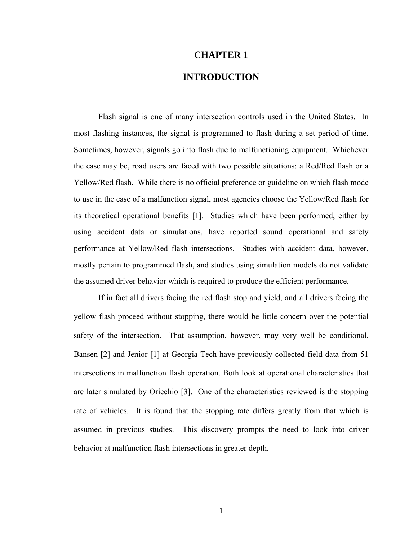## **CHAPTER 1**

## **INTRODUCTION**

 Flash signal is one of many intersection controls used in the United States. In most flashing instances, the signal is programmed to flash during a set period of time. Sometimes, however, signals go into flash due to malfunctioning equipment. Whichever the case may be, road users are faced with two possible situations: a Red/Red flash or a Yellow/Red flash. While there is no official preference or guideline on which flash mode to use in the case of a malfunction signal, most agencies choose the Yellow/Red flash for its theoretical operational benefits [1]. Studies which have been performed, either by using accident data or simulations, have reported sound operational and safety performance at Yellow/Red flash intersections. Studies with accident data, however, mostly pertain to programmed flash, and studies using simulation models do not validate the assumed driver behavior which is required to produce the efficient performance.

If in fact all drivers facing the red flash stop and yield, and all drivers facing the yellow flash proceed without stopping, there would be little concern over the potential safety of the intersection. That assumption, however, may very well be conditional. Bansen [2] and Jenior [1] at Georgia Tech have previously collected field data from 51 intersections in malfunction flash operation. Both look at operational characteristics that are later simulated by Oricchio [3]. One of the characteristics reviewed is the stopping rate of vehicles. It is found that the stopping rate differs greatly from that which is assumed in previous studies. This discovery prompts the need to look into driver behavior at malfunction flash intersections in greater depth.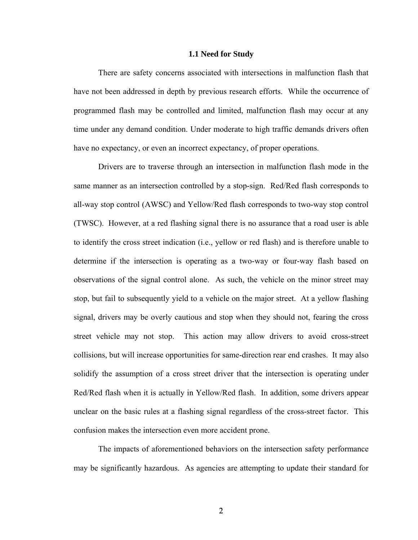#### **1.1 Need for Study**

There are safety concerns associated with intersections in malfunction flash that have not been addressed in depth by previous research efforts. While the occurrence of programmed flash may be controlled and limited, malfunction flash may occur at any time under any demand condition. Under moderate to high traffic demands drivers often have no expectancy, or even an incorrect expectancy, of proper operations.

Drivers are to traverse through an intersection in malfunction flash mode in the same manner as an intersection controlled by a stop-sign. Red/Red flash corresponds to all-way stop control (AWSC) and Yellow/Red flash corresponds to two-way stop control (TWSC). However, at a red flashing signal there is no assurance that a road user is able to identify the cross street indication (i.e., yellow or red flash) and is therefore unable to determine if the intersection is operating as a two-way or four-way flash based on observations of the signal control alone. As such, the vehicle on the minor street may stop, but fail to subsequently yield to a vehicle on the major street. At a yellow flashing signal, drivers may be overly cautious and stop when they should not, fearing the cross street vehicle may not stop. This action may allow drivers to avoid cross-street collisions, but will increase opportunities for same-direction rear end crashes. It may also solidify the assumption of a cross street driver that the intersection is operating under Red/Red flash when it is actually in Yellow/Red flash. In addition, some drivers appear unclear on the basic rules at a flashing signal regardless of the cross-street factor. This confusion makes the intersection even more accident prone.

The impacts of aforementioned behaviors on the intersection safety performance may be significantly hazardous. As agencies are attempting to update their standard for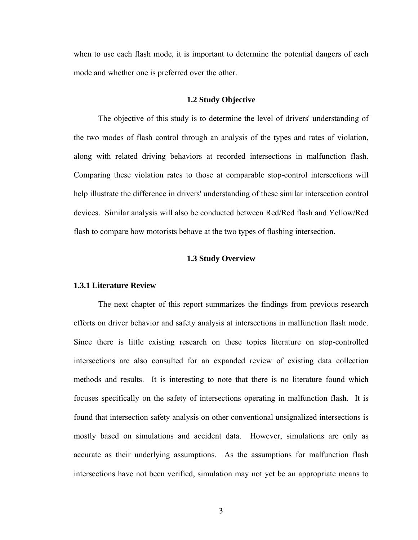when to use each flash mode, it is important to determine the potential dangers of each mode and whether one is preferred over the other.

#### **1.2 Study Objective**

The objective of this study is to determine the level of drivers' understanding of the two modes of flash control through an analysis of the types and rates of violation, along with related driving behaviors at recorded intersections in malfunction flash. Comparing these violation rates to those at comparable stop-control intersections will help illustrate the difference in drivers' understanding of these similar intersection control devices. Similar analysis will also be conducted between Red/Red flash and Yellow/Red flash to compare how motorists behave at the two types of flashing intersection.

## **1.3 Study Overview**

### **1.3.1 Literature Review**

The next chapter of this report summarizes the findings from previous research efforts on driver behavior and safety analysis at intersections in malfunction flash mode. Since there is little existing research on these topics literature on stop-controlled intersections are also consulted for an expanded review of existing data collection methods and results. It is interesting to note that there is no literature found which focuses specifically on the safety of intersections operating in malfunction flash. It is found that intersection safety analysis on other conventional unsignalized intersections is mostly based on simulations and accident data. However, simulations are only as accurate as their underlying assumptions. As the assumptions for malfunction flash intersections have not been verified, simulation may not yet be an appropriate means to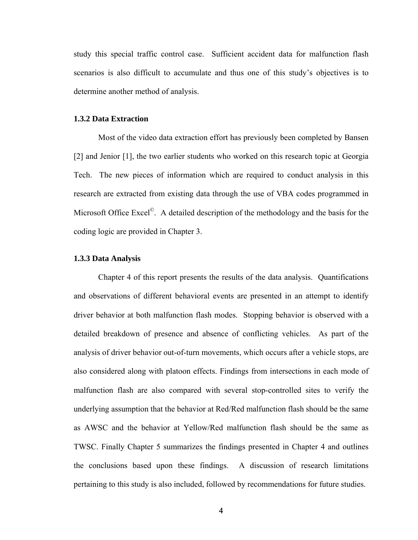study this special traffic control case. Sufficient accident data for malfunction flash scenarios is also difficult to accumulate and thus one of this study's objectives is to determine another method of analysis.

### **1.3.2 Data Extraction**

Most of the video data extraction effort has previously been completed by Bansen [2] and Jenior [1], the two earlier students who worked on this research topic at Georgia Tech. The new pieces of information which are required to conduct analysis in this research are extracted from existing data through the use of VBA codes programmed in Microsoft Office Excel<sup>©</sup>. A detailed description of the methodology and the basis for the coding logic are provided in Chapter 3.

## **1.3.3 Data Analysis**

Chapter 4 of this report presents the results of the data analysis. Quantifications and observations of different behavioral events are presented in an attempt to identify driver behavior at both malfunction flash modes. Stopping behavior is observed with a detailed breakdown of presence and absence of conflicting vehicles. As part of the analysis of driver behavior out-of-turn movements, which occurs after a vehicle stops, are also considered along with platoon effects. Findings from intersections in each mode of malfunction flash are also compared with several stop-controlled sites to verify the underlying assumption that the behavior at Red/Red malfunction flash should be the same as AWSC and the behavior at Yellow/Red malfunction flash should be the same as TWSC. Finally Chapter 5 summarizes the findings presented in Chapter 4 and outlines the conclusions based upon these findings. A discussion of research limitations pertaining to this study is also included, followed by recommendations for future studies.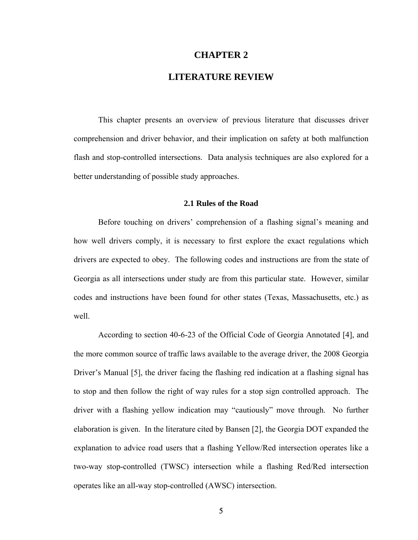## **CHAPTER 2**

## **LITERATURE REVIEW**

This chapter presents an overview of previous literature that discusses driver comprehension and driver behavior, and their implication on safety at both malfunction flash and stop-controlled intersections. Data analysis techniques are also explored for a better understanding of possible study approaches.

## **2.1 Rules of the Road**

Before touching on drivers' comprehension of a flashing signal's meaning and how well drivers comply, it is necessary to first explore the exact regulations which drivers are expected to obey. The following codes and instructions are from the state of Georgia as all intersections under study are from this particular state. However, similar codes and instructions have been found for other states (Texas, Massachusetts, etc.) as well.

According to section 40-6-23 of the Official Code of Georgia Annotated [4], and the more common source of traffic laws available to the average driver, the 2008 Georgia Driver's Manual [5], the driver facing the flashing red indication at a flashing signal has to stop and then follow the right of way rules for a stop sign controlled approach. The driver with a flashing yellow indication may "cautiously" move through. No further elaboration is given. In the literature cited by Bansen [2], the Georgia DOT expanded the explanation to advice road users that a flashing Yellow/Red intersection operates like a two-way stop-controlled (TWSC) intersection while a flashing Red/Red intersection operates like an all-way stop-controlled (AWSC) intersection.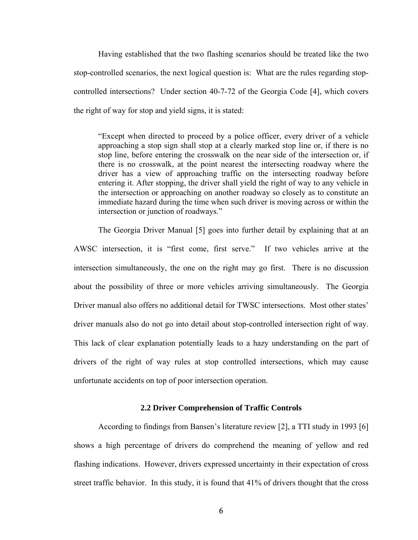Having established that the two flashing scenarios should be treated like the two stop-controlled scenarios, the next logical question is: What are the rules regarding stopcontrolled intersections? Under section 40-7-72 of the Georgia Code [4], which covers the right of way for stop and yield signs, it is stated:

"Except when directed to proceed by a police officer, every driver of a vehicle approaching a stop sign shall stop at a clearly marked stop line or, if there is no stop line, before entering the crosswalk on the near side of the intersection or, if there is no crosswalk, at the point nearest the intersecting roadway where the driver has a view of approaching traffic on the intersecting roadway before entering it. After stopping, the driver shall yield the right of way to any vehicle in the intersection or approaching on another roadway so closely as to constitute an immediate hazard during the time when such driver is moving across or within the intersection or junction of roadways."

The Georgia Driver Manual [5] goes into further detail by explaining that at an AWSC intersection, it is "first come, first serve." If two vehicles arrive at the intersection simultaneously, the one on the right may go first. There is no discussion about the possibility of three or more vehicles arriving simultaneously. The Georgia Driver manual also offers no additional detail for TWSC intersections. Most other states' driver manuals also do not go into detail about stop-controlled intersection right of way. This lack of clear explanation potentially leads to a hazy understanding on the part of drivers of the right of way rules at stop controlled intersections, which may cause unfortunate accidents on top of poor intersection operation.

### **2.2 Driver Comprehension of Traffic Controls**

According to findings from Bansen's literature review [2], a TTI study in 1993 [6] shows a high percentage of drivers do comprehend the meaning of yellow and red flashing indications. However, drivers expressed uncertainty in their expectation of cross street traffic behavior. In this study, it is found that 41% of drivers thought that the cross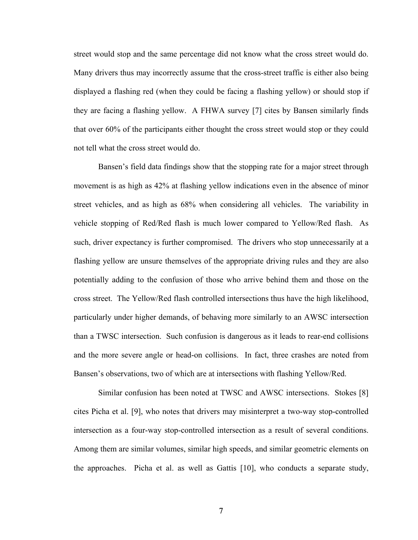street would stop and the same percentage did not know what the cross street would do. Many drivers thus may incorrectly assume that the cross-street traffic is either also being displayed a flashing red (when they could be facing a flashing yellow) or should stop if they are facing a flashing yellow. A FHWA survey [7] cites by Bansen similarly finds that over 60% of the participants either thought the cross street would stop or they could not tell what the cross street would do.

 Bansen's field data findings show that the stopping rate for a major street through movement is as high as 42% at flashing yellow indications even in the absence of minor street vehicles, and as high as 68% when considering all vehicles. The variability in vehicle stopping of Red/Red flash is much lower compared to Yellow/Red flash. As such, driver expectancy is further compromised. The drivers who stop unnecessarily at a flashing yellow are unsure themselves of the appropriate driving rules and they are also potentially adding to the confusion of those who arrive behind them and those on the cross street. The Yellow/Red flash controlled intersections thus have the high likelihood, particularly under higher demands, of behaving more similarly to an AWSC intersection than a TWSC intersection. Such confusion is dangerous as it leads to rear-end collisions and the more severe angle or head-on collisions. In fact, three crashes are noted from Bansen's observations, two of which are at intersections with flashing Yellow/Red.

 Similar confusion has been noted at TWSC and AWSC intersections. Stokes [8] cites Picha et al. [9], who notes that drivers may misinterpret a two-way stop-controlled intersection as a four-way stop-controlled intersection as a result of several conditions. Among them are similar volumes, similar high speeds, and similar geometric elements on the approaches. Picha et al. as well as Gattis [10], who conducts a separate study,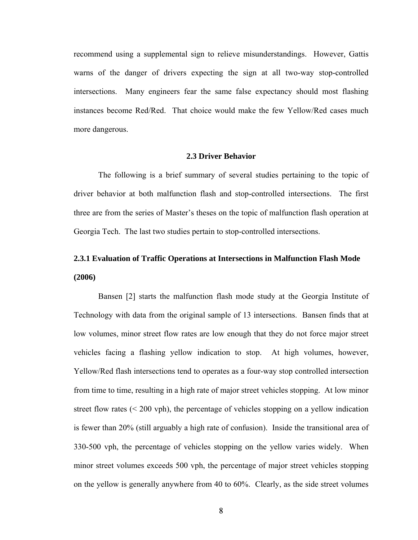recommend using a supplemental sign to relieve misunderstandings. However, Gattis warns of the danger of drivers expecting the sign at all two-way stop-controlled intersections. Many engineers fear the same false expectancy should most flashing instances become Red/Red. That choice would make the few Yellow/Red cases much more dangerous.

## **2.3 Driver Behavior**

The following is a brief summary of several studies pertaining to the topic of driver behavior at both malfunction flash and stop-controlled intersections. The first three are from the series of Master's theses on the topic of malfunction flash operation at Georgia Tech. The last two studies pertain to stop-controlled intersections.

# **2.3.1 Evaluation of Traffic Operations at Intersections in Malfunction Flash Mode (2006)**

Bansen [2] starts the malfunction flash mode study at the Georgia Institute of Technology with data from the original sample of 13 intersections. Bansen finds that at low volumes, minor street flow rates are low enough that they do not force major street vehicles facing a flashing yellow indication to stop. At high volumes, however, Yellow/Red flash intersections tend to operates as a four-way stop controlled intersection from time to time, resulting in a high rate of major street vehicles stopping. At low minor street flow rates  $( $200$  vph), the percentage of vehicles stopping on a yellow indication$ is fewer than 20% (still arguably a high rate of confusion). Inside the transitional area of 330-500 vph, the percentage of vehicles stopping on the yellow varies widely. When minor street volumes exceeds 500 vph, the percentage of major street vehicles stopping on the yellow is generally anywhere from 40 to 60%. Clearly, as the side street volumes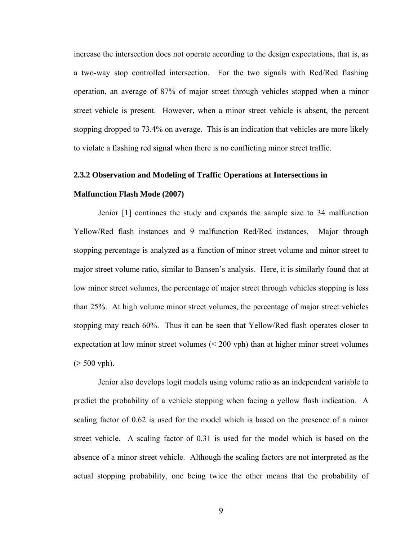increase the intersection does not operate according to the design expectations, that is, as a two-way stop controlled intersection. For the two signals with Red/Red flashing operation, an average of 87% of major street through vehicles stopped when a minor street vehicle is present. However, when a minor street vehicle is absent, the percent stopping dropped to 73.4% on average. This is an indication that vehicles are more likely to violate a flashing red signal when there is no conflicting minor street traffic.

### **2.3.2 Observation and Modeling of Traffic Operations at Intersections in**

#### **Malfunction Flash Mode (2007)**

Jenior [1] continues the study and expands the sample size to 34 malfunction Yellow/Red flash instances and 9 malfunction Red/Red instances. Major through stopping percentage is analyzed as a function of minor street volume and minor street to major street volume ratio, similar to Bansen's analysis. Here, it is similarly found that at low minor street volumes, the percentage of major street through vehicles stopping is less than 25%. At high volume minor street volumes, the percentage of major street vehicles stopping may reach 60%. Thus it can be seen that Yellow/Red flash operates closer to expectation at low minor street volumes (< 200 vph) than at higher minor street volumes  $($  > 500 vph).

Jenior also develops logit models using volume ratio as an independent variable to predict the probability of a vehicle stopping when facing a yellow flash indication. A scaling factor of 0.62 is used for the model which is based on the presence of a minor street vehicle. A scaling factor of 0.31 is used for the model which is based on the absence of a minor street vehicle. Although the scaling factors are not interpreted as the actual stopping probability, one being twice the other means that the probability of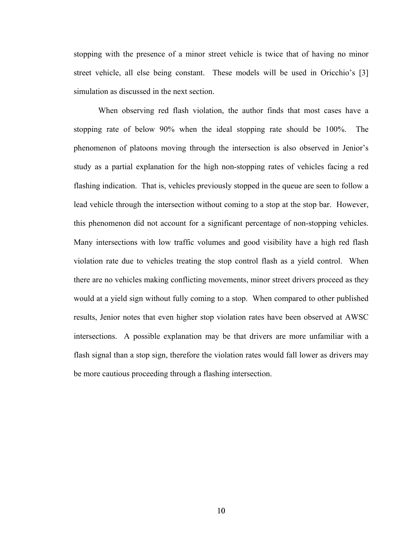stopping with the presence of a minor street vehicle is twice that of having no minor street vehicle, all else being constant. These models will be used in Oricchio's [3] simulation as discussed in the next section.

When observing red flash violation, the author finds that most cases have a stopping rate of below 90% when the ideal stopping rate should be 100%. The phenomenon of platoons moving through the intersection is also observed in Jenior's study as a partial explanation for the high non-stopping rates of vehicles facing a red flashing indication. That is, vehicles previously stopped in the queue are seen to follow a lead vehicle through the intersection without coming to a stop at the stop bar. However, this phenomenon did not account for a significant percentage of non-stopping vehicles. Many intersections with low traffic volumes and good visibility have a high red flash violation rate due to vehicles treating the stop control flash as a yield control. When there are no vehicles making conflicting movements, minor street drivers proceed as they would at a yield sign without fully coming to a stop. When compared to other published results, Jenior notes that even higher stop violation rates have been observed at AWSC intersections. A possible explanation may be that drivers are more unfamiliar with a flash signal than a stop sign, therefore the violation rates would fall lower as drivers may be more cautious proceeding through a flashing intersection.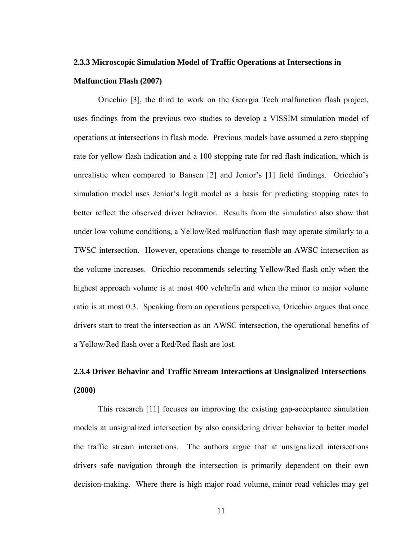# **2.3.3 Microscopic Simulation Model of Traffic Operations at Intersections in Malfunction Flash (2007)**

Oricchio [3], the third to work on the Georgia Tech malfunction flash project, uses findings from the previous two studies to develop a VISSIM simulation model of operations at intersections in flash mode. Previous models have assumed a zero stopping rate for yellow flash indication and a 100 stopping rate for red flash indication, which is unrealistic when compared to Bansen [2] and Jenior's [1] field findings. Oricchio's simulation model uses Jenior's logit model as a basis for predicting stopping rates to better reflect the observed driver behavior. Results from the simulation also show that under low volume conditions, a Yellow/Red malfunction flash may operate similarly to a TWSC intersection. However, operations change to resemble an AWSC intersection as the volume increases. Oricchio recommends selecting Yellow/Red flash only when the highest approach volume is at most 400 veh/hr/ln and when the minor to major volume ratio is at most 0.3. Speaking from an operations perspective, Oricchio argues that once drivers start to treat the intersection as an AWSC intersection, the operational benefits of a Yellow/Red flash over a Red/Red flash are lost.

# **2.3.4 Driver Behavior and Traffic Stream Interactions at Unsignalized Intersections (2000)**

This research [11] focuses on improving the existing gap-acceptance simulation models at unsignalized intersection by also considering driver behavior to better model the traffic stream interactions. The authors argue that at unsignalized intersections drivers safe navigation through the intersection is primarily dependent on their own decision-making. Where there is high major road volume, minor road vehicles may get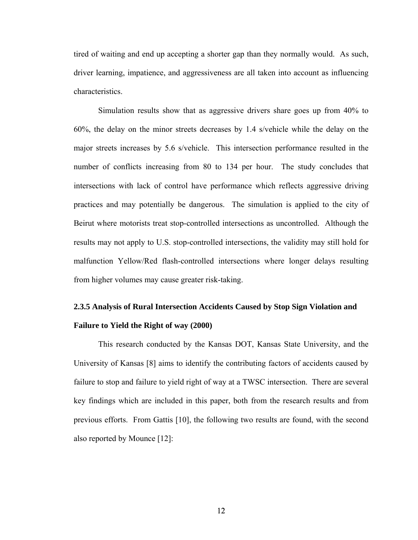tired of waiting and end up accepting a shorter gap than they normally would. As such, driver learning, impatience, and aggressiveness are all taken into account as influencing characteristics.

Simulation results show that as aggressive drivers share goes up from 40% to 60%, the delay on the minor streets decreases by 1.4 s/vehicle while the delay on the major streets increases by 5.6 s/vehicle. This intersection performance resulted in the number of conflicts increasing from 80 to 134 per hour. The study concludes that intersections with lack of control have performance which reflects aggressive driving practices and may potentially be dangerous. The simulation is applied to the city of Beirut where motorists treat stop-controlled intersections as uncontrolled. Although the results may not apply to U.S. stop-controlled intersections, the validity may still hold for malfunction Yellow/Red flash-controlled intersections where longer delays resulting from higher volumes may cause greater risk-taking.

# **2.3.5 Analysis of Rural Intersection Accidents Caused by Stop Sign Violation and Failure to Yield the Right of way (2000)**

This research conducted by the Kansas DOT, Kansas State University, and the University of Kansas [8] aims to identify the contributing factors of accidents caused by failure to stop and failure to yield right of way at a TWSC intersection. There are several key findings which are included in this paper, both from the research results and from previous efforts. From Gattis [10], the following two results are found, with the second also reported by Mounce [12]: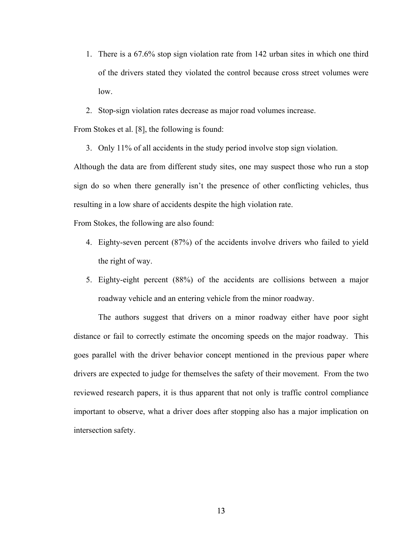- 1. There is a 67.6% stop sign violation rate from 142 urban sites in which one third of the drivers stated they violated the control because cross street volumes were low.
- 2. Stop-sign violation rates decrease as major road volumes increase.

From Stokes et al. [8], the following is found:

3. Only 11% of all accidents in the study period involve stop sign violation.

Although the data are from different study sites, one may suspect those who run a stop sign do so when there generally isn't the presence of other conflicting vehicles, thus resulting in a low share of accidents despite the high violation rate.

From Stokes, the following are also found:

- 4. Eighty-seven percent (87%) of the accidents involve drivers who failed to yield the right of way.
- 5. Eighty-eight percent (88%) of the accidents are collisions between a major roadway vehicle and an entering vehicle from the minor roadway.

The authors suggest that drivers on a minor roadway either have poor sight distance or fail to correctly estimate the oncoming speeds on the major roadway. This goes parallel with the driver behavior concept mentioned in the previous paper where drivers are expected to judge for themselves the safety of their movement. From the two reviewed research papers, it is thus apparent that not only is traffic control compliance important to observe, what a driver does after stopping also has a major implication on intersection safety.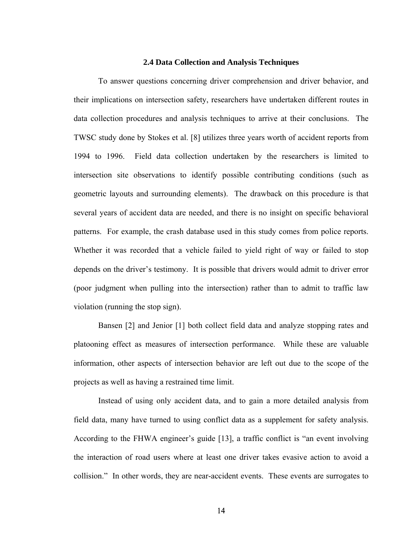### **2.4 Data Collection and Analysis Techniques**

To answer questions concerning driver comprehension and driver behavior, and their implications on intersection safety, researchers have undertaken different routes in data collection procedures and analysis techniques to arrive at their conclusions. The TWSC study done by Stokes et al. [8] utilizes three years worth of accident reports from 1994 to 1996. Field data collection undertaken by the researchers is limited to intersection site observations to identify possible contributing conditions (such as geometric layouts and surrounding elements). The drawback on this procedure is that several years of accident data are needed, and there is no insight on specific behavioral patterns. For example, the crash database used in this study comes from police reports. Whether it was recorded that a vehicle failed to yield right of way or failed to stop depends on the driver's testimony. It is possible that drivers would admit to driver error (poor judgment when pulling into the intersection) rather than to admit to traffic law violation (running the stop sign).

Bansen [2] and Jenior [1] both collect field data and analyze stopping rates and platooning effect as measures of intersection performance. While these are valuable information, other aspects of intersection behavior are left out due to the scope of the projects as well as having a restrained time limit.

 Instead of using only accident data, and to gain a more detailed analysis from field data, many have turned to using conflict data as a supplement for safety analysis. According to the FHWA engineer's guide [13], a traffic conflict is "an event involving the interaction of road users where at least one driver takes evasive action to avoid a collision." In other words, they are near-accident events. These events are surrogates to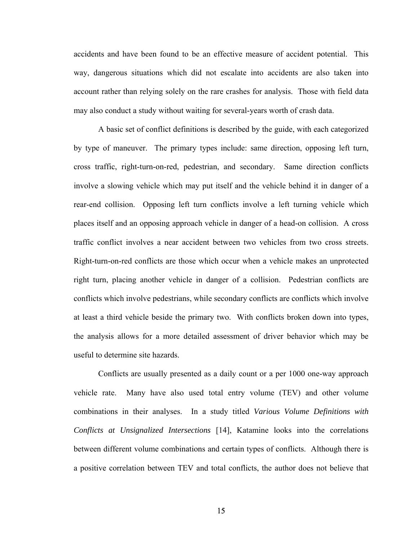accidents and have been found to be an effective measure of accident potential. This way, dangerous situations which did not escalate into accidents are also taken into account rather than relying solely on the rare crashes for analysis. Those with field data may also conduct a study without waiting for several-years worth of crash data.

A basic set of conflict definitions is described by the guide, with each categorized by type of maneuver. The primary types include: same direction, opposing left turn, cross traffic, right-turn-on-red, pedestrian, and secondary. Same direction conflicts involve a slowing vehicle which may put itself and the vehicle behind it in danger of a rear-end collision. Opposing left turn conflicts involve a left turning vehicle which places itself and an opposing approach vehicle in danger of a head-on collision. A cross traffic conflict involves a near accident between two vehicles from two cross streets. Right-turn-on-red conflicts are those which occur when a vehicle makes an unprotected right turn, placing another vehicle in danger of a collision. Pedestrian conflicts are conflicts which involve pedestrians, while secondary conflicts are conflicts which involve at least a third vehicle beside the primary two. With conflicts broken down into types, the analysis allows for a more detailed assessment of driver behavior which may be useful to determine site hazards.

Conflicts are usually presented as a daily count or a per 1000 one-way approach vehicle rate. Many have also used total entry volume (TEV) and other volume combinations in their analyses. In a study titled *Various Volume Definitions with Conflicts at Unsignalized Intersections* [14], Katamine looks into the correlations between different volume combinations and certain types of conflicts. Although there is a positive correlation between TEV and total conflicts, the author does not believe that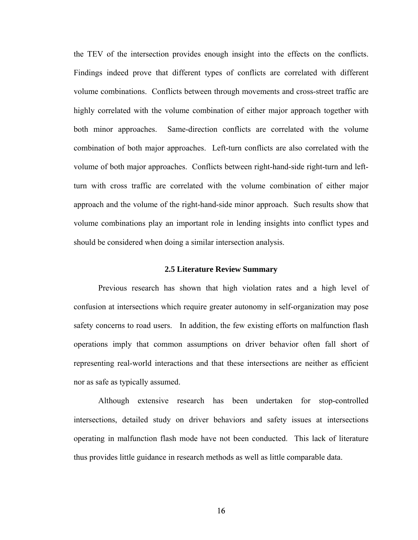the TEV of the intersection provides enough insight into the effects on the conflicts. Findings indeed prove that different types of conflicts are correlated with different volume combinations. Conflicts between through movements and cross-street traffic are highly correlated with the volume combination of either major approach together with both minor approaches. Same-direction conflicts are correlated with the volume combination of both major approaches. Left-turn conflicts are also correlated with the volume of both major approaches. Conflicts between right-hand-side right-turn and leftturn with cross traffic are correlated with the volume combination of either major approach and the volume of the right-hand-side minor approach. Such results show that volume combinations play an important role in lending insights into conflict types and should be considered when doing a similar intersection analysis.

## **2.5 Literature Review Summary**

Previous research has shown that high violation rates and a high level of confusion at intersections which require greater autonomy in self-organization may pose safety concerns to road users. In addition, the few existing efforts on malfunction flash operations imply that common assumptions on driver behavior often fall short of representing real-world interactions and that these intersections are neither as efficient nor as safe as typically assumed.

Although extensive research has been undertaken for stop-controlled intersections, detailed study on driver behaviors and safety issues at intersections operating in malfunction flash mode have not been conducted. This lack of literature thus provides little guidance in research methods as well as little comparable data.

16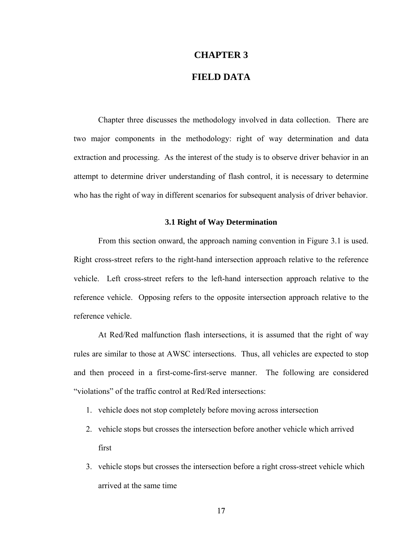## **CHAPTER 3**

## **FIELD DATA**

Chapter three discusses the methodology involved in data collection. There are two major components in the methodology: right of way determination and data extraction and processing. As the interest of the study is to observe driver behavior in an attempt to determine driver understanding of flash control, it is necessary to determine who has the right of way in different scenarios for subsequent analysis of driver behavior.

## **3.1 Right of Way Determination**

From this section onward, the approach naming convention in Figure 3.1 is used. Right cross-street refers to the right-hand intersection approach relative to the reference vehicle. Left cross-street refers to the left-hand intersection approach relative to the reference vehicle. Opposing refers to the opposite intersection approach relative to the reference vehicle.

At Red/Red malfunction flash intersections, it is assumed that the right of way rules are similar to those at AWSC intersections. Thus, all vehicles are expected to stop and then proceed in a first-come-first-serve manner. The following are considered "violations" of the traffic control at Red/Red intersections:

- 1. vehicle does not stop completely before moving across intersection
- 2. vehicle stops but crosses the intersection before another vehicle which arrived first
- 3. vehicle stops but crosses the intersection before a right cross-street vehicle which arrived at the same time

17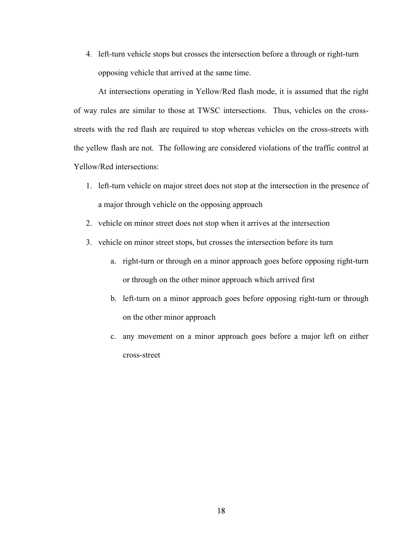4. left-turn vehicle stops but crosses the intersection before a through or right-turn opposing vehicle that arrived at the same time.

At intersections operating in Yellow/Red flash mode, it is assumed that the right of way rules are similar to those at TWSC intersections. Thus, vehicles on the crossstreets with the red flash are required to stop whereas vehicles on the cross-streets with the yellow flash are not. The following are considered violations of the traffic control at Yellow/Red intersections:

- 1. left-turn vehicle on major street does not stop at the intersection in the presence of a major through vehicle on the opposing approach
- 2. vehicle on minor street does not stop when it arrives at the intersection
- 3. vehicle on minor street stops, but crosses the intersection before its turn
	- a. right-turn or through on a minor approach goes before opposing right-turn or through on the other minor approach which arrived first
	- b. left-turn on a minor approach goes before opposing right-turn or through on the other minor approach
	- c. any movement on a minor approach goes before a major left on either cross-street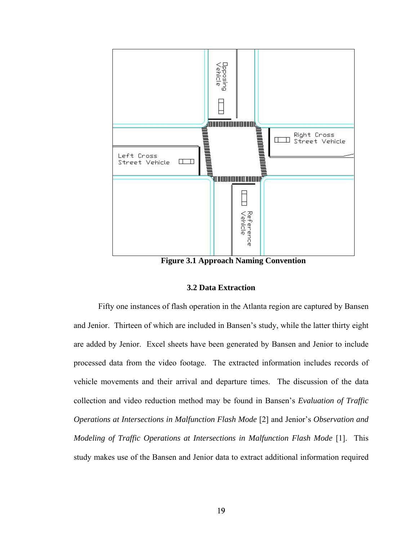

**Figure 3.1 Approach Naming Convention** 

# **3.2 Data Extraction**

Fifty one instances of flash operation in the Atlanta region are captured by Bansen and Jenior. Thirteen of which are included in Bansen's study, while the latter thirty eight are added by Jenior. Excel sheets have been generated by Bansen and Jenior to include processed data from the video footage. The extracted information includes records of vehicle movements and their arrival and departure times. The discussion of the data collection and video reduction method may be found in Bansen's *Evaluation of Traffic Operations at Intersections in Malfunction Flash Mode* [2] and Jenior's *Observation and Modeling of Traffic Operations at Intersections in Malfunction Flash Mode* [1]. This study makes use of the Bansen and Jenior data to extract additional information required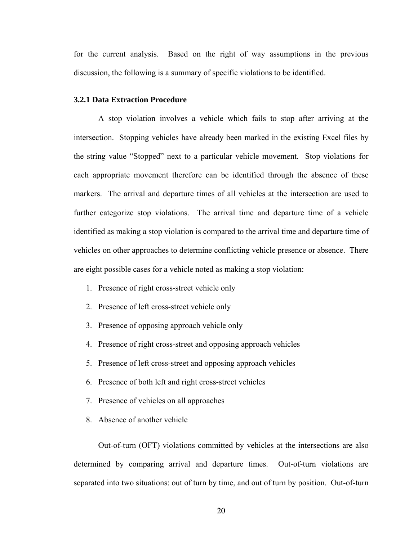for the current analysis. Based on the right of way assumptions in the previous discussion, the following is a summary of specific violations to be identified.

#### **3.2.1 Data Extraction Procedure**

A stop violation involves a vehicle which fails to stop after arriving at the intersection. Stopping vehicles have already been marked in the existing Excel files by the string value "Stopped" next to a particular vehicle movement. Stop violations for each appropriate movement therefore can be identified through the absence of these markers. The arrival and departure times of all vehicles at the intersection are used to further categorize stop violations. The arrival time and departure time of a vehicle identified as making a stop violation is compared to the arrival time and departure time of vehicles on other approaches to determine conflicting vehicle presence or absence. There are eight possible cases for a vehicle noted as making a stop violation:

- 1. Presence of right cross-street vehicle only
- 2. Presence of left cross-street vehicle only
- 3. Presence of opposing approach vehicle only
- 4. Presence of right cross-street and opposing approach vehicles
- 5. Presence of left cross-street and opposing approach vehicles
- 6. Presence of both left and right cross-street vehicles
- 7. Presence of vehicles on all approaches
- 8. Absence of another vehicle

Out-of-turn (OFT) violations committed by vehicles at the intersections are also determined by comparing arrival and departure times. Out-of-turn violations are separated into two situations: out of turn by time, and out of turn by position. Out-of-turn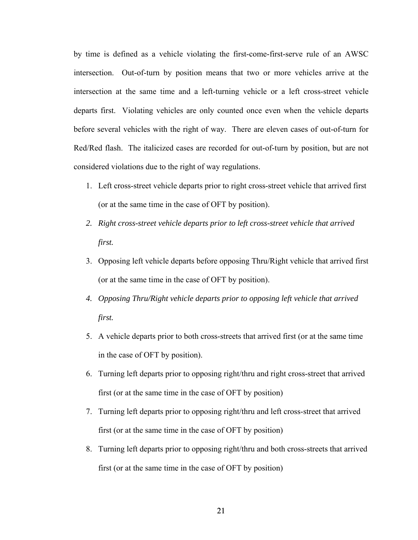by time is defined as a vehicle violating the first-come-first-serve rule of an AWSC intersection. Out-of-turn by position means that two or more vehicles arrive at the intersection at the same time and a left-turning vehicle or a left cross-street vehicle departs first. Violating vehicles are only counted once even when the vehicle departs before several vehicles with the right of way. There are eleven cases of out-of-turn for Red/Red flash. The italicized cases are recorded for out-of-turn by position, but are not considered violations due to the right of way regulations.

- 1. Left cross-street vehicle departs prior to right cross-street vehicle that arrived first (or at the same time in the case of OFT by position).
- *2. Right cross-street vehicle departs prior to left cross-street vehicle that arrived first.*
- 3. Opposing left vehicle departs before opposing Thru/Right vehicle that arrived first (or at the same time in the case of OFT by position).
- *4. Opposing Thru/Right vehicle departs prior to opposing left vehicle that arrived first.*
- 5. A vehicle departs prior to both cross-streets that arrived first (or at the same time in the case of OFT by position).
- 6. Turning left departs prior to opposing right/thru and right cross-street that arrived first (or at the same time in the case of OFT by position)
- 7. Turning left departs prior to opposing right/thru and left cross-street that arrived first (or at the same time in the case of OFT by position)
- 8. Turning left departs prior to opposing right/thru and both cross-streets that arrived first (or at the same time in the case of OFT by position)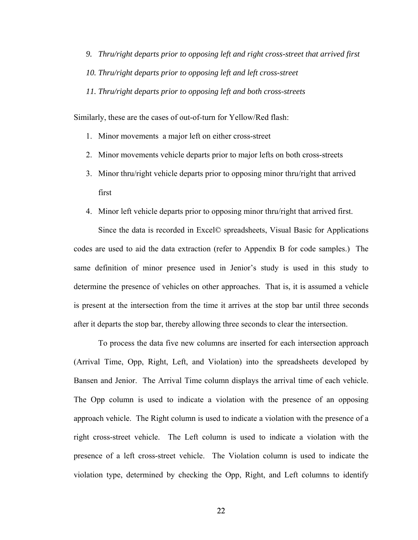*9. Thru/right departs prior to opposing left and right cross-street that arrived first 10. Thru/right departs prior to opposing left and left cross-street 11. Thru/right departs prior to opposing left and both cross-streets* 

Similarly, these are the cases of out-of-turn for Yellow/Red flash:

- 1. Minor movements a major left on either cross-street
- 2. Minor movements vehicle departs prior to major lefts on both cross-streets
- 3. Minor thru/right vehicle departs prior to opposing minor thru/right that arrived first
- 4. Minor left vehicle departs prior to opposing minor thru/right that arrived first.

Since the data is recorded in Excel© spreadsheets, Visual Basic for Applications codes are used to aid the data extraction (refer to Appendix B for code samples.) The same definition of minor presence used in Jenior's study is used in this study to determine the presence of vehicles on other approaches. That is, it is assumed a vehicle is present at the intersection from the time it arrives at the stop bar until three seconds after it departs the stop bar, thereby allowing three seconds to clear the intersection.

To process the data five new columns are inserted for each intersection approach (Arrival Time, Opp, Right, Left, and Violation) into the spreadsheets developed by Bansen and Jenior. The Arrival Time column displays the arrival time of each vehicle. The Opp column is used to indicate a violation with the presence of an opposing approach vehicle. The Right column is used to indicate a violation with the presence of a right cross-street vehicle. The Left column is used to indicate a violation with the presence of a left cross-street vehicle. The Violation column is used to indicate the violation type, determined by checking the Opp, Right, and Left columns to identify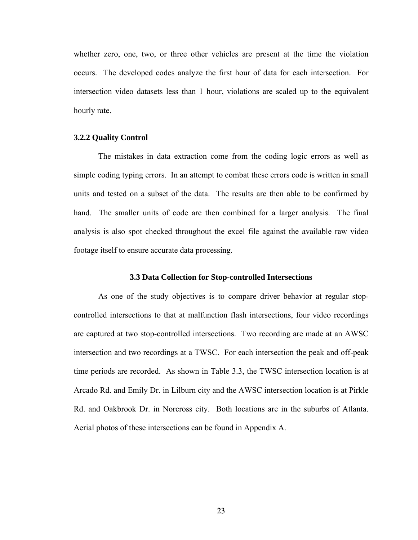whether zero, one, two, or three other vehicles are present at the time the violation occurs. The developed codes analyze the first hour of data for each intersection. For intersection video datasets less than 1 hour, violations are scaled up to the equivalent hourly rate.

## **3.2.2 Quality Control**

The mistakes in data extraction come from the coding logic errors as well as simple coding typing errors. In an attempt to combat these errors code is written in small units and tested on a subset of the data. The results are then able to be confirmed by hand. The smaller units of code are then combined for a larger analysis. The final analysis is also spot checked throughout the excel file against the available raw video footage itself to ensure accurate data processing.

# **3.3 Data Collection for Stop-controlled Intersections**

As one of the study objectives is to compare driver behavior at regular stopcontrolled intersections to that at malfunction flash intersections, four video recordings are captured at two stop-controlled intersections. Two recording are made at an AWSC intersection and two recordings at a TWSC. For each intersection the peak and off-peak time periods are recorded. As shown in Table 3.3, the TWSC intersection location is at Arcado Rd. and Emily Dr. in Lilburn city and the AWSC intersection location is at Pirkle Rd. and Oakbrook Dr. in Norcross city. Both locations are in the suburbs of Atlanta. Aerial photos of these intersections can be found in Appendix A.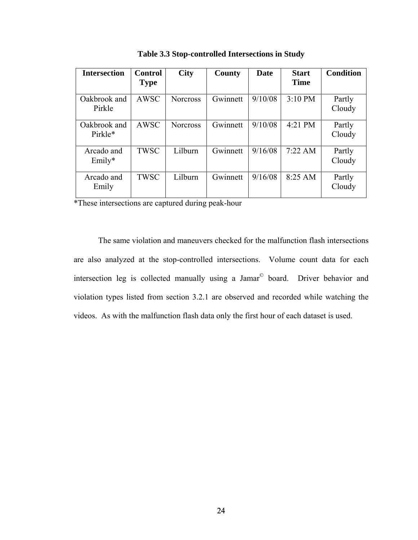| <b>Intersection</b>     | <b>Control</b><br><b>Type</b> | <b>City</b>     | County   | Date    | <b>Start</b><br><b>Time</b> | <b>Condition</b> |
|-------------------------|-------------------------------|-----------------|----------|---------|-----------------------------|------------------|
| Oakbrook and<br>Pirkle  | <b>AWSC</b>                   | <b>Norcross</b> | Gwinnett | 9/10/08 | $3:10$ PM                   | Partly<br>Cloudy |
| Oakbrook and<br>Pirkle* | AWSC                          | <b>Norcross</b> | Gwinnett | 9/10/08 | 4:21 PM                     | Partly<br>Cloudy |
| Arcado and<br>$Emily*$  | <b>TWSC</b>                   | Lilburn         | Gwinnett | 9/16/08 | 7:22 AM                     | Partly<br>Cloudy |
| Arcado and<br>Emily     | <b>TWSC</b>                   | Lilburn         | Gwinnett | 9/16/08 | $8:25$ AM                   | Partly<br>Cloudy |

**Table 3.3 Stop-controlled Intersections in Study** 

\*These intersections are captured during peak-hour

The same violation and maneuvers checked for the malfunction flash intersections are also analyzed at the stop-controlled intersections. Volume count data for each intersection leg is collected manually using a Jamar© board. Driver behavior and violation types listed from section 3.2.1 are observed and recorded while watching the videos. As with the malfunction flash data only the first hour of each dataset is used.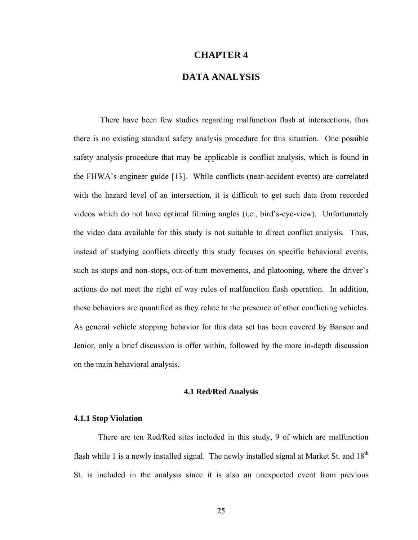# **CHAPTER 4**

# **DATA ANALYSIS**

 There have been few studies regarding malfunction flash at intersections, thus there is no existing standard safety analysis procedure for this situation. One possible safety analysis procedure that may be applicable is conflict analysis, which is found in the FHWA's engineer guide [13]. While conflicts (near-accident events) are correlated with the hazard level of an intersection, it is difficult to get such data from recorded videos which do not have optimal filming angles (i.e., bird's-eye-view). Unfortunately the video data available for this study is not suitable to direct conflict analysis. Thus, instead of studying conflicts directly this study focuses on specific behavioral events, such as stops and non-stops, out-of-turn movements, and platooning, where the driver's actions do not meet the right of way rules of malfunction flash operation. In addition, these behaviors are quantified as they relate to the presence of other conflicting vehicles. As general vehicle stopping behavior for this data set has been covered by Bansen and Jenior, only a brief discussion is offer within, followed by the more in-depth discussion on the main behavioral analysis.

# **4.1 Red/Red Analysis**

### **4.1.1 Stop Violation**

 There are ten Red/Red sites included in this study, 9 of which are malfunction flash while 1 is a newly installed signal. The newly installed signal at Market St. and  $18<sup>th</sup>$ St. is included in the analysis since it is also an unexpected event from previous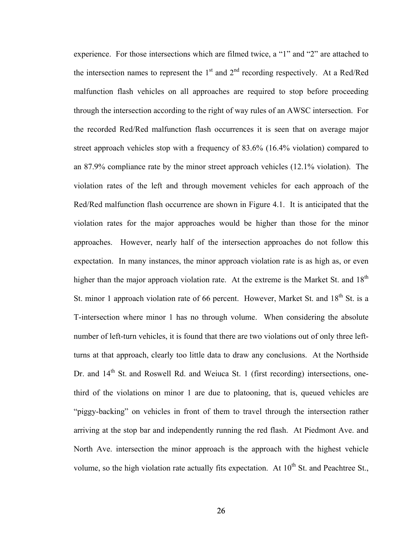experience. For those intersections which are filmed twice, a "1" and "2" are attached to the intersection names to represent the  $1<sup>st</sup>$  and  $2<sup>nd</sup>$  recording respectively. At a Red/Red malfunction flash vehicles on all approaches are required to stop before proceeding through the intersection according to the right of way rules of an AWSC intersection. For the recorded Red/Red malfunction flash occurrences it is seen that on average major street approach vehicles stop with a frequency of 83.6% (16.4% violation) compared to an 87.9% compliance rate by the minor street approach vehicles (12.1% violation). The violation rates of the left and through movement vehicles for each approach of the Red/Red malfunction flash occurrence are shown in Figure 4.1. It is anticipated that the violation rates for the major approaches would be higher than those for the minor approaches. However, nearly half of the intersection approaches do not follow this expectation. In many instances, the minor approach violation rate is as high as, or even higher than the major approach violation rate. At the extreme is the Market St. and  $18<sup>th</sup>$ St. minor 1 approach violation rate of 66 percent. However, Market St. and 18<sup>th</sup> St. is a T-intersection where minor 1 has no through volume. When considering the absolute number of left-turn vehicles, it is found that there are two violations out of only three leftturns at that approach, clearly too little data to draw any conclusions. At the Northside Dr. and 14<sup>th</sup> St. and Roswell Rd. and Weiuca St. 1 (first recording) intersections, onethird of the violations on minor 1 are due to platooning, that is, queued vehicles are "piggy-backing" on vehicles in front of them to travel through the intersection rather arriving at the stop bar and independently running the red flash. At Piedmont Ave. and North Ave. intersection the minor approach is the approach with the highest vehicle volume, so the high violation rate actually fits expectation. At  $10^{th}$  St. and Peachtree St.,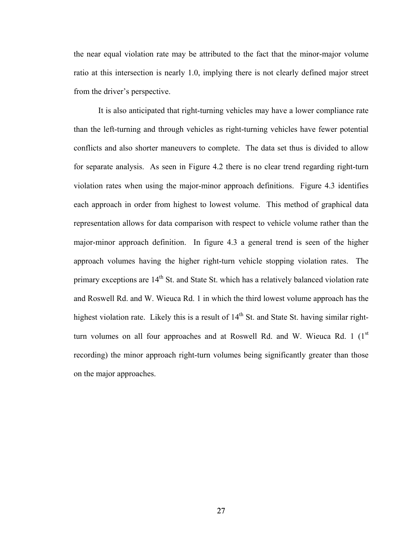the near equal violation rate may be attributed to the fact that the minor-major volume ratio at this intersection is nearly 1.0, implying there is not clearly defined major street from the driver's perspective.

It is also anticipated that right-turning vehicles may have a lower compliance rate than the left-turning and through vehicles as right-turning vehicles have fewer potential conflicts and also shorter maneuvers to complete. The data set thus is divided to allow for separate analysis. As seen in Figure 4.2 there is no clear trend regarding right-turn violation rates when using the major-minor approach definitions. Figure 4.3 identifies each approach in order from highest to lowest volume. This method of graphical data representation allows for data comparison with respect to vehicle volume rather than the major-minor approach definition. In figure 4.3 a general trend is seen of the higher approach volumes having the higher right-turn vehicle stopping violation rates. The primary exceptions are 14<sup>th</sup> St. and State St. which has a relatively balanced violation rate and Roswell Rd. and W. Wieuca Rd. 1 in which the third lowest volume approach has the highest violation rate. Likely this is a result of  $14<sup>th</sup>$  St. and State St. having similar rightturn volumes on all four approaches and at Roswell Rd. and W. Wieuca Rd. 1  $(1<sup>st</sup>$ recording) the minor approach right-turn volumes being significantly greater than those on the major approaches.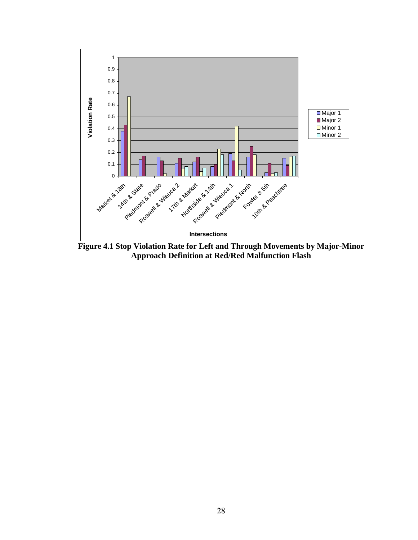

**Figure 4.1 Stop Violation Rate for Left and Through Movements by Major-Minor Approach Definition at Red/Red Malfunction Flash**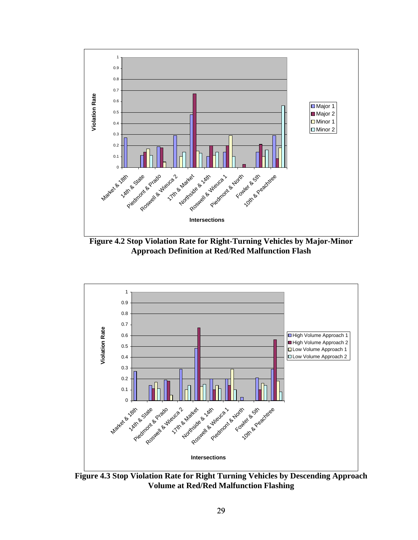

**Figure 4.2 Stop Violation Rate for Right-Turning Vehicles by Major-Minor Approach Definition at Red/Red Malfunction Flash** 



**Figure 4.3 Stop Violation Rate for Right Turning Vehicles by Descending Approach Volume at Red/Red Malfunction Flashing**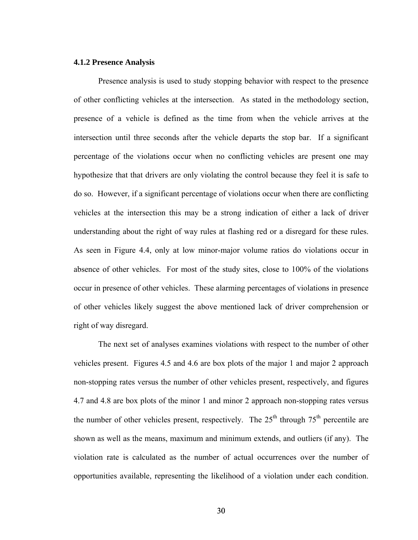## **4.1.2 Presence Analysis**

Presence analysis is used to study stopping behavior with respect to the presence of other conflicting vehicles at the intersection. As stated in the methodology section, presence of a vehicle is defined as the time from when the vehicle arrives at the intersection until three seconds after the vehicle departs the stop bar. If a significant percentage of the violations occur when no conflicting vehicles are present one may hypothesize that that drivers are only violating the control because they feel it is safe to do so. However, if a significant percentage of violations occur when there are conflicting vehicles at the intersection this may be a strong indication of either a lack of driver understanding about the right of way rules at flashing red or a disregard for these rules. As seen in Figure 4.4, only at low minor-major volume ratios do violations occur in absence of other vehicles. For most of the study sites, close to 100% of the violations occur in presence of other vehicles. These alarming percentages of violations in presence of other vehicles likely suggest the above mentioned lack of driver comprehension or right of way disregard.

The next set of analyses examines violations with respect to the number of other vehicles present. Figures 4.5 and 4.6 are box plots of the major 1 and major 2 approach non-stopping rates versus the number of other vehicles present, respectively, and figures 4.7 and 4.8 are box plots of the minor 1 and minor 2 approach non-stopping rates versus the number of other vehicles present, respectively. The  $25<sup>th</sup>$  through  $75<sup>th</sup>$  percentile are shown as well as the means, maximum and minimum extends, and outliers (if any). The violation rate is calculated as the number of actual occurrences over the number of opportunities available, representing the likelihood of a violation under each condition.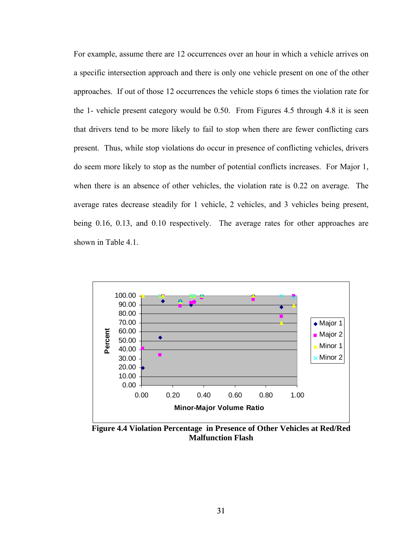For example, assume there are 12 occurrences over an hour in which a vehicle arrives on a specific intersection approach and there is only one vehicle present on one of the other approaches. If out of those 12 occurrences the vehicle stops 6 times the violation rate for the 1- vehicle present category would be 0.50. From Figures 4.5 through 4.8 it is seen that drivers tend to be more likely to fail to stop when there are fewer conflicting cars present. Thus, while stop violations do occur in presence of conflicting vehicles, drivers do seem more likely to stop as the number of potential conflicts increases. For Major 1, when there is an absence of other vehicles, the violation rate is 0.22 on average. The average rates decrease steadily for 1 vehicle, 2 vehicles, and 3 vehicles being present, being 0.16, 0.13, and 0.10 respectively. The average rates for other approaches are shown in Table 4.1.



**Figure 4.4 Violation Percentage in Presence of Other Vehicles at Red/Red Malfunction Flash**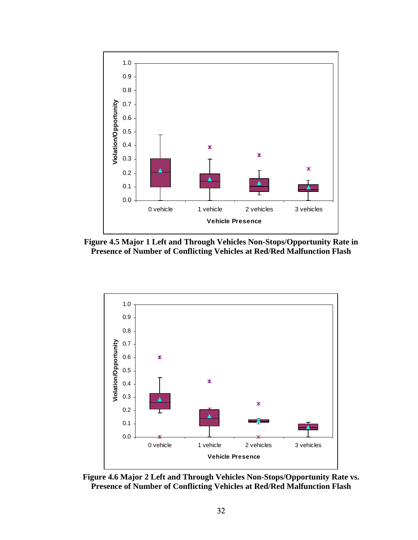





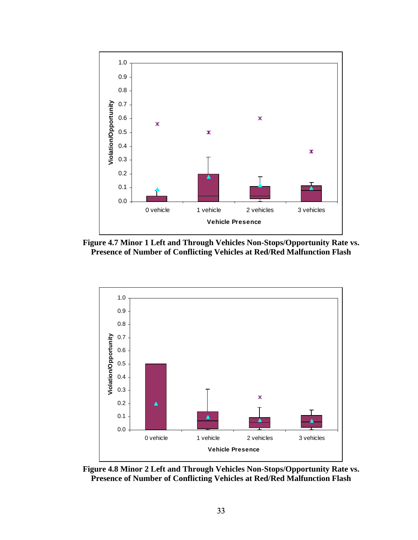





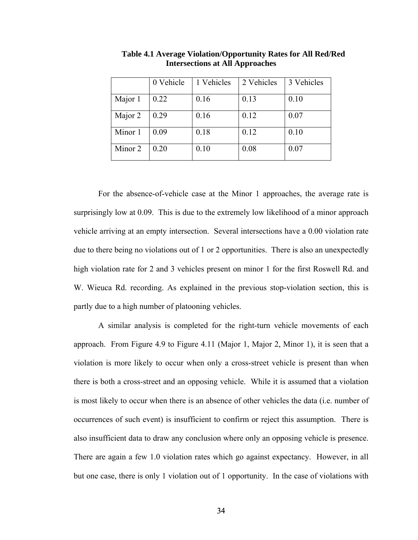|         | 0 Vehicle | 1 Vehicles | 2 Vehicles | 3 Vehicles |
|---------|-----------|------------|------------|------------|
| Major 1 | 0.22      | 0.16       | 0.13       | 0.10       |
| Major 2 | 0.29      | 0.16       | 0.12       | 0.07       |
| Minor 1 | 0.09      | 0.18       | 0.12       | 0.10       |
| Minor 2 | 0.20      | 0.10       | 0.08       | 0.07       |

**Table 4.1 Average Violation/Opportunity Rates for All Red/Red Intersections at All Approaches** 

For the absence-of-vehicle case at the Minor 1 approaches, the average rate is surprisingly low at 0.09. This is due to the extremely low likelihood of a minor approach vehicle arriving at an empty intersection. Several intersections have a 0.00 violation rate due to there being no violations out of 1 or 2 opportunities. There is also an unexpectedly high violation rate for 2 and 3 vehicles present on minor 1 for the first Roswell Rd. and W. Wieuca Rd. recording. As explained in the previous stop-violation section, this is partly due to a high number of platooning vehicles.

A similar analysis is completed for the right-turn vehicle movements of each approach. From Figure 4.9 to Figure 4.11 (Major 1, Major 2, Minor 1), it is seen that a violation is more likely to occur when only a cross-street vehicle is present than when there is both a cross-street and an opposing vehicle. While it is assumed that a violation is most likely to occur when there is an absence of other vehicles the data (i.e. number of occurrences of such event) is insufficient to confirm or reject this assumption. There is also insufficient data to draw any conclusion where only an opposing vehicle is presence. There are again a few 1.0 violation rates which go against expectancy. However, in all but one case, there is only 1 violation out of 1 opportunity. In the case of violations with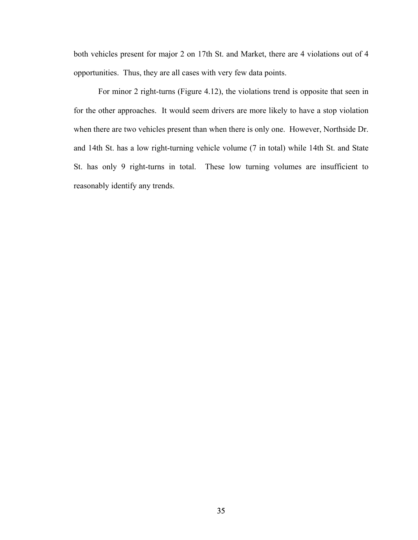both vehicles present for major 2 on 17th St. and Market, there are 4 violations out of 4 opportunities. Thus, they are all cases with very few data points.

For minor 2 right-turns (Figure 4.12), the violations trend is opposite that seen in for the other approaches. It would seem drivers are more likely to have a stop violation when there are two vehicles present than when there is only one. However, Northside Dr. and 14th St. has a low right-turning vehicle volume (7 in total) while 14th St. and State St. has only 9 right-turns in total. These low turning volumes are insufficient to reasonably identify any trends.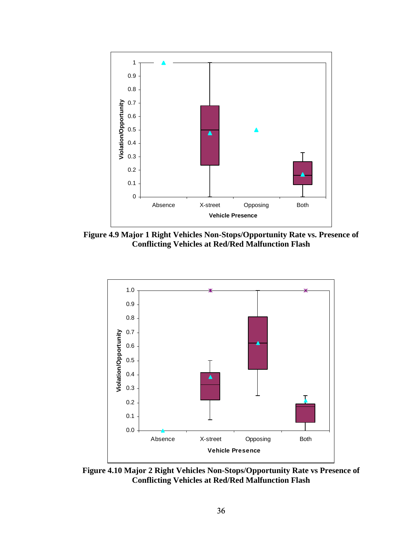

**Figure 4.9 Major 1 Right Vehicles Non-Stops/Opportunity Rate vs. Presence of Conflicting Vehicles at Red/Red Malfunction Flash** 



**Figure 4.10 Major 2 Right Vehicles Non-Stops/Opportunity Rate vs Presence of Conflicting Vehicles at Red/Red Malfunction Flash**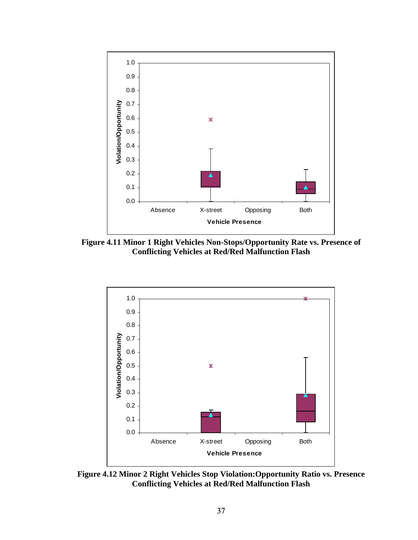

**Figure 4.11 Minor 1 Right Vehicles Non-Stops/Opportunity Rate vs. Presence of Conflicting Vehicles at Red/Red Malfunction Flash** 



**Figure 4.12 Minor 2 Right Vehicles Stop Violation:Opportunity Ratio vs. Presence Conflicting Vehicles at Red/Red Malfunction Flash**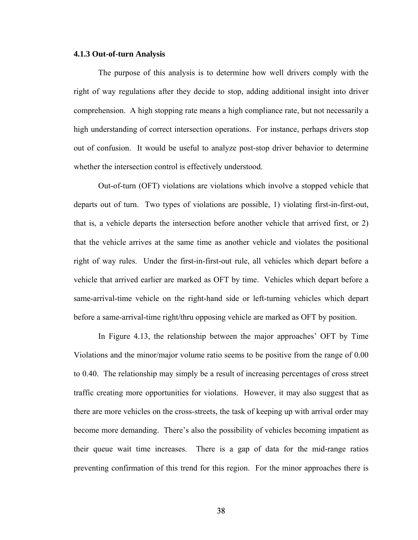# **4.1.3 Out-of-turn Analysis**

The purpose of this analysis is to determine how well drivers comply with the right of way regulations after they decide to stop, adding additional insight into driver comprehension. A high stopping rate means a high compliance rate, but not necessarily a high understanding of correct intersection operations. For instance, perhaps drivers stop out of confusion. It would be useful to analyze post-stop driver behavior to determine whether the intersection control is effectively understood.

Out-of-turn (OFT) violations are violations which involve a stopped vehicle that departs out of turn. Two types of violations are possible, 1) violating first-in-first-out, that is, a vehicle departs the intersection before another vehicle that arrived first, or 2) that the vehicle arrives at the same time as another vehicle and violates the positional right of way rules. Under the first-in-first-out rule, all vehicles which depart before a vehicle that arrived earlier are marked as OFT by time. Vehicles which depart before a same-arrival-time vehicle on the right-hand side or left-turning vehicles which depart before a same-arrival-time right/thru opposing vehicle are marked as OFT by position.

In Figure 4.13, the relationship between the major approaches' OFT by Time Violations and the minor/major volume ratio seems to be positive from the range of 0.00 to 0.40. The relationship may simply be a result of increasing percentages of cross street traffic creating more opportunities for violations. However, it may also suggest that as there are more vehicles on the cross-streets, the task of keeping up with arrival order may become more demanding. There's also the possibility of vehicles becoming impatient as their queue wait time increases. There is a gap of data for the mid-range ratios preventing confirmation of this trend for this region. For the minor approaches there is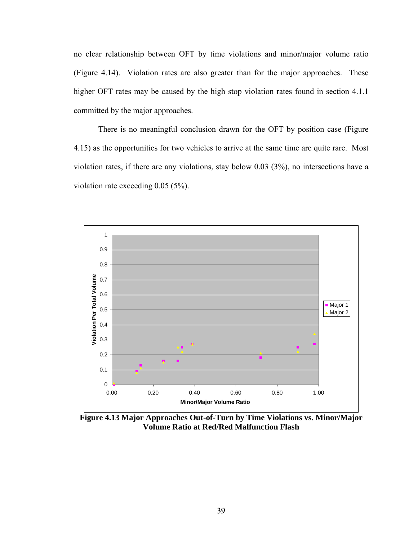no clear relationship between OFT by time violations and minor/major volume ratio (Figure 4.14). Violation rates are also greater than for the major approaches. These higher OFT rates may be caused by the high stop violation rates found in section 4.1.1 committed by the major approaches.

There is no meaningful conclusion drawn for the OFT by position case (Figure 4.15) as the opportunities for two vehicles to arrive at the same time are quite rare. Most violation rates, if there are any violations, stay below 0.03 (3%), no intersections have a violation rate exceeding 0.05 (5%).



**Figure 4.13 Major Approaches Out-of-Turn by Time Violations vs. Minor/Major Volume Ratio at Red/Red Malfunction Flash**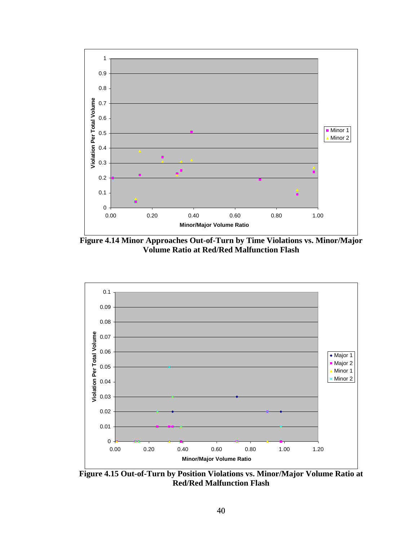

**Figure 4.14 Minor Approaches Out-of-Turn by Time Violations vs. Minor/Major Volume Ratio at Red/Red Malfunction Flash** 



**Figure 4.15 Out-of-Turn by Position Violations vs. Minor/Major Volume Ratio at Red/Red Malfunction Flash**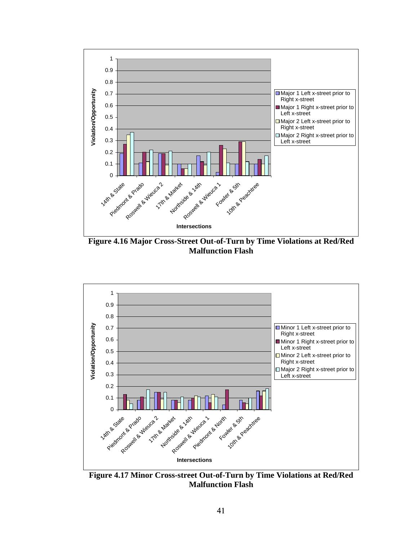

**Figure 4.16 Major Cross-Street Out-of-Turn by Time Violations at Red/Red Malfunction Flash** 



**Figure 4.17 Minor Cross-street Out-of-Turn by Time Violations at Red/Red Malfunction Flash**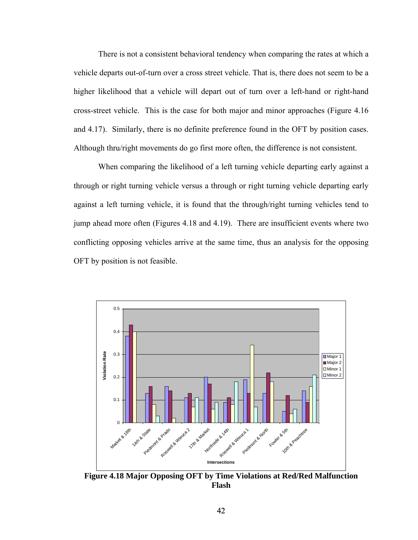There is not a consistent behavioral tendency when comparing the rates at which a vehicle departs out-of-turn over a cross street vehicle. That is, there does not seem to be a higher likelihood that a vehicle will depart out of turn over a left-hand or right-hand cross-street vehicle. This is the case for both major and minor approaches (Figure 4.16 and 4.17). Similarly, there is no definite preference found in the OFT by position cases. Although thru/right movements do go first more often, the difference is not consistent.

When comparing the likelihood of a left turning vehicle departing early against a through or right turning vehicle versus a through or right turning vehicle departing early against a left turning vehicle, it is found that the through/right turning vehicles tend to jump ahead more often (Figures 4.18 and 4.19). There are insufficient events where two conflicting opposing vehicles arrive at the same time, thus an analysis for the opposing OFT by position is not feasible.



**Figure 4.18 Major Opposing OFT by Time Violations at Red/Red Malfunction Flash**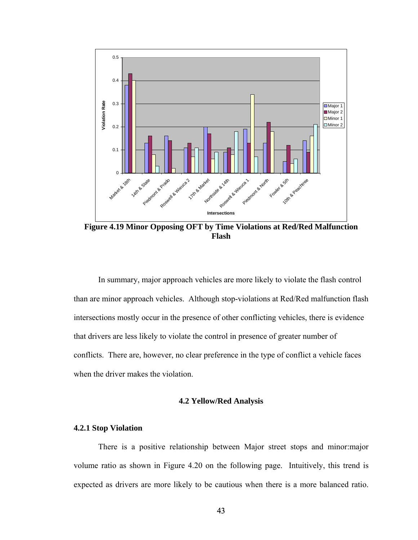

**Figure 4.19 Minor Opposing OFT by Time Violations at Red/Red Malfunction Flash** 

In summary, major approach vehicles are more likely to violate the flash control than are minor approach vehicles. Although stop-violations at Red/Red malfunction flash intersections mostly occur in the presence of other conflicting vehicles, there is evidence that drivers are less likely to violate the control in presence of greater number of conflicts. There are, however, no clear preference in the type of conflict a vehicle faces when the driver makes the violation.

#### **4.2 Yellow/Red Analysis**

# **4.2.1 Stop Violation**

There is a positive relationship between Major street stops and minor:major volume ratio as shown in Figure 4.20 on the following page. Intuitively, this trend is expected as drivers are more likely to be cautious when there is a more balanced ratio.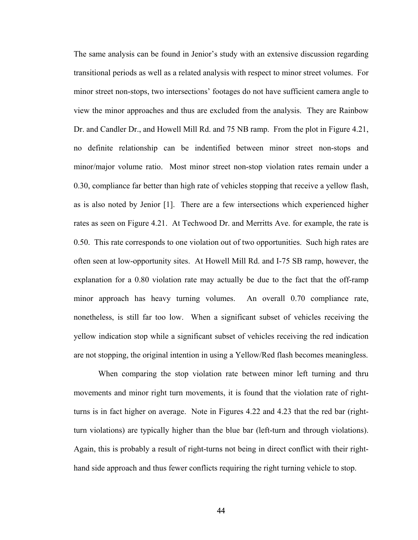The same analysis can be found in Jenior's study with an extensive discussion regarding transitional periods as well as a related analysis with respect to minor street volumes. For minor street non-stops, two intersections' footages do not have sufficient camera angle to view the minor approaches and thus are excluded from the analysis. They are Rainbow Dr. and Candler Dr., and Howell Mill Rd. and 75 NB ramp. From the plot in Figure 4.21, no definite relationship can be indentified between minor street non-stops and minor/major volume ratio. Most minor street non-stop violation rates remain under a 0.30, compliance far better than high rate of vehicles stopping that receive a yellow flash, as is also noted by Jenior [1]. There are a few intersections which experienced higher rates as seen on Figure 4.21. At Techwood Dr. and Merritts Ave. for example, the rate is 0.50. This rate corresponds to one violation out of two opportunities. Such high rates are often seen at low-opportunity sites. At Howell Mill Rd. and I-75 SB ramp, however, the explanation for a 0.80 violation rate may actually be due to the fact that the off-ramp minor approach has heavy turning volumes. An overall 0.70 compliance rate, nonetheless, is still far too low. When a significant subset of vehicles receiving the yellow indication stop while a significant subset of vehicles receiving the red indication are not stopping, the original intention in using a Yellow/Red flash becomes meaningless.

When comparing the stop violation rate between minor left turning and thru movements and minor right turn movements, it is found that the violation rate of rightturns is in fact higher on average. Note in Figures 4.22 and 4.23 that the red bar (rightturn violations) are typically higher than the blue bar (left-turn and through violations). Again, this is probably a result of right-turns not being in direct conflict with their righthand side approach and thus fewer conflicts requiring the right turning vehicle to stop.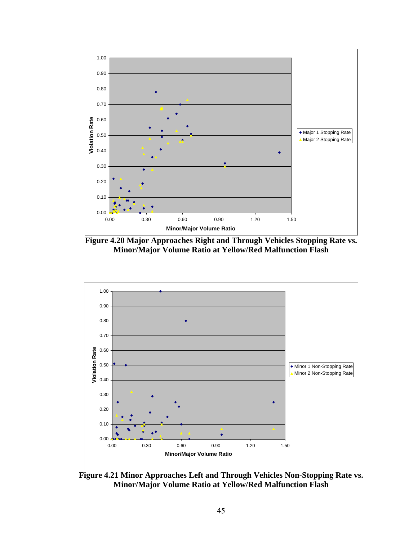

**Figure 4.20 Major Approaches Right and Through Vehicles Stopping Rate vs. Minor/Major Volume Ratio at Yellow/Red Malfunction Flash** 



**Figure 4.21 Minor Approaches Left and Through Vehicles Non-Stopping Rate vs. Minor/Major Volume Ratio at Yellow/Red Malfunction Flash**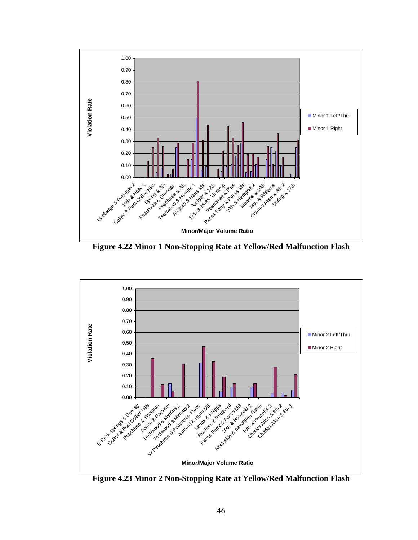

**Figure 4.22 Minor 1 Non-Stopping Rate at Yellow/Red Malfunction Flash** 



**Figure 4.23 Minor 2 Non-Stopping Rate at Yellow/Red Malfunction Flash**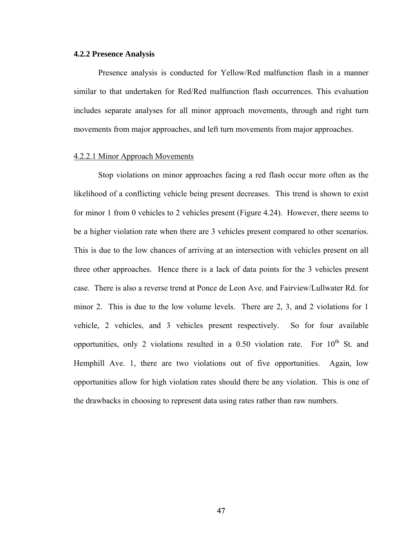## **4.2.2 Presence Analysis**

Presence analysis is conducted for Yellow/Red malfunction flash in a manner similar to that undertaken for Red/Red malfunction flash occurrences. This evaluation includes separate analyses for all minor approach movements, through and right turn movements from major approaches, and left turn movements from major approaches.

## 4.2.2.1 Minor Approach Movements

Stop violations on minor approaches facing a red flash occur more often as the likelihood of a conflicting vehicle being present decreases. This trend is shown to exist for minor 1 from 0 vehicles to 2 vehicles present (Figure 4.24). However, there seems to be a higher violation rate when there are 3 vehicles present compared to other scenarios. This is due to the low chances of arriving at an intersection with vehicles present on all three other approaches. Hence there is a lack of data points for the 3 vehicles present case. There is also a reverse trend at Ponce de Leon Ave. and Fairview/Lullwater Rd. for minor 2. This is due to the low volume levels. There are 2, 3, and 2 violations for 1 vehicle, 2 vehicles, and 3 vehicles present respectively. So for four available opportunities, only 2 violations resulted in a 0.50 violation rate. For  $10^{th}$  St. and Hemphill Ave. 1, there are two violations out of five opportunities. Again, low opportunities allow for high violation rates should there be any violation. This is one of the drawbacks in choosing to represent data using rates rather than raw numbers.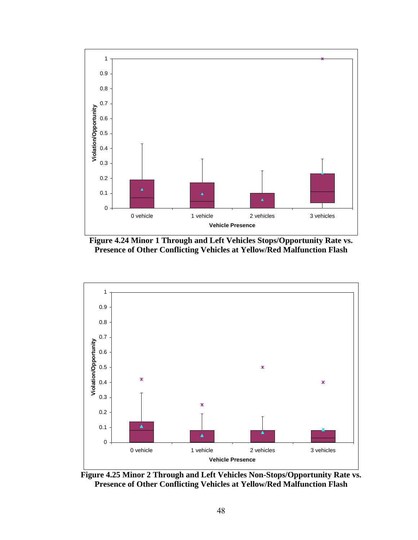





**Figure 4.25 Minor 2 Through and Left Vehicles Non-Stops/Opportunity Rate vs. Presence of Other Conflicting Vehicles at Yellow/Red Malfunction Flash**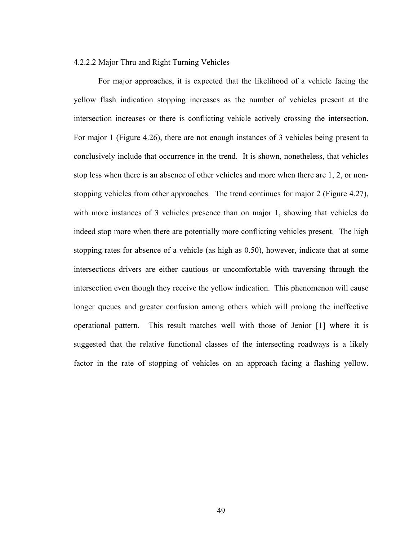#### 4.2.2.2 Major Thru and Right Turning Vehicles

For major approaches, it is expected that the likelihood of a vehicle facing the yellow flash indication stopping increases as the number of vehicles present at the intersection increases or there is conflicting vehicle actively crossing the intersection. For major 1 (Figure 4.26), there are not enough instances of 3 vehicles being present to conclusively include that occurrence in the trend. It is shown, nonetheless, that vehicles stop less when there is an absence of other vehicles and more when there are 1, 2, or nonstopping vehicles from other approaches. The trend continues for major 2 (Figure 4.27), with more instances of 3 vehicles presence than on major 1, showing that vehicles do indeed stop more when there are potentially more conflicting vehicles present. The high stopping rates for absence of a vehicle (as high as 0.50), however, indicate that at some intersections drivers are either cautious or uncomfortable with traversing through the intersection even though they receive the yellow indication. This phenomenon will cause longer queues and greater confusion among others which will prolong the ineffective operational pattern. This result matches well with those of Jenior [1] where it is suggested that the relative functional classes of the intersecting roadways is a likely factor in the rate of stopping of vehicles on an approach facing a flashing yellow.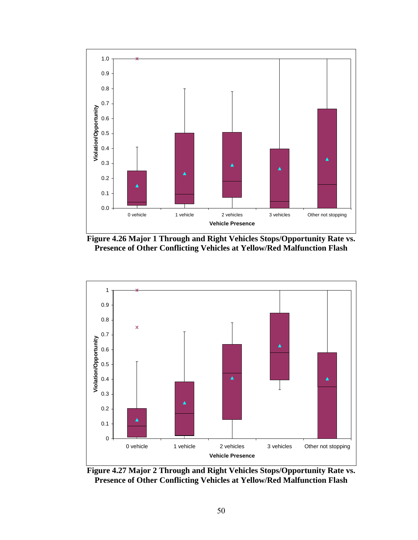





**Figure 4.27 Major 2 Through and Right Vehicles Stops/Opportunity Rate vs. Presence of Other Conflicting Vehicles at Yellow/Red Malfunction Flash**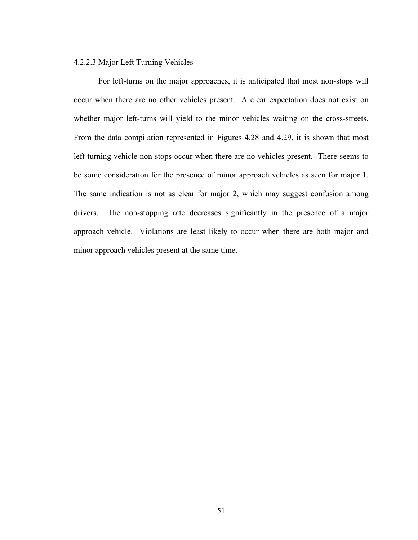# 4.2.2.3 Major Left Turning Vehicles

For left-turns on the major approaches, it is anticipated that most non-stops will occur when there are no other vehicles present. A clear expectation does not exist on whether major left-turns will yield to the minor vehicles waiting on the cross-streets. From the data compilation represented in Figures 4.28 and 4.29, it is shown that most left-turning vehicle non-stops occur when there are no vehicles present. There seems to be some consideration for the presence of minor approach vehicles as seen for major 1. The same indication is not as clear for major 2, which may suggest confusion among drivers. The non-stopping rate decreases significantly in the presence of a major approach vehicle. Violations are least likely to occur when there are both major and minor approach vehicles present at the same time.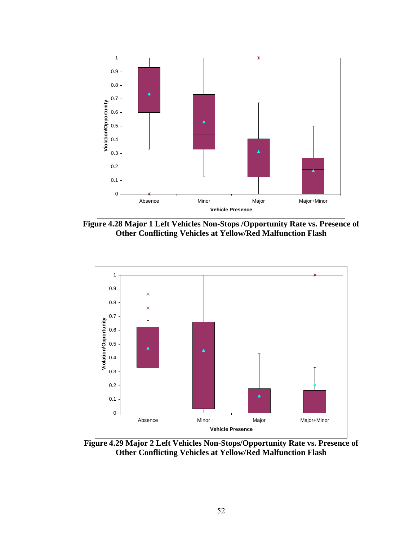

**Figure 4.28 Major 1 Left Vehicles Non-Stops /Opportunity Rate vs. Presence of Other Conflicting Vehicles at Yellow/Red Malfunction Flash** 



**Figure 4.29 Major 2 Left Vehicles Non-Stops/Opportunity Rate vs. Presence of Other Conflicting Vehicles at Yellow/Red Malfunction Flash**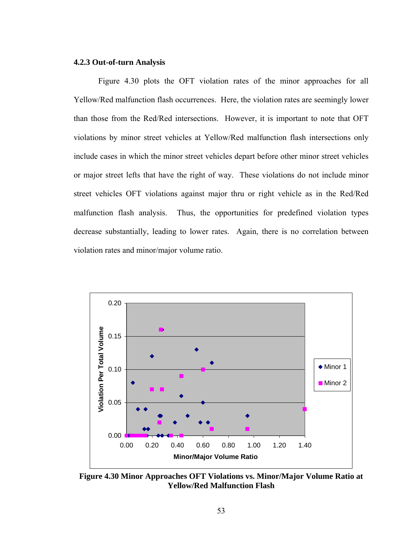# **4.2.3 Out-of-turn Analysis**

Figure 4.30 plots the OFT violation rates of the minor approaches for all Yellow/Red malfunction flash occurrences. Here, the violation rates are seemingly lower than those from the Red/Red intersections. However, it is important to note that OFT violations by minor street vehicles at Yellow/Red malfunction flash intersections only include cases in which the minor street vehicles depart before other minor street vehicles or major street lefts that have the right of way. These violations do not include minor street vehicles OFT violations against major thru or right vehicle as in the Red/Red malfunction flash analysis. Thus, the opportunities for predefined violation types decrease substantially, leading to lower rates. Again, there is no correlation between violation rates and minor/major volume ratio.



**Figure 4.30 Minor Approaches OFT Violations vs. Minor/Major Volume Ratio at Yellow/Red Malfunction Flash**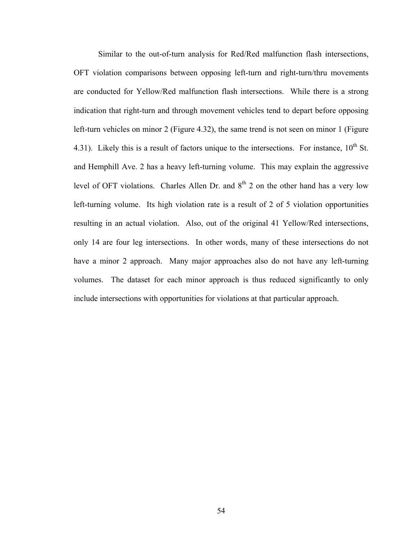Similar to the out-of-turn analysis for Red/Red malfunction flash intersections, OFT violation comparisons between opposing left-turn and right-turn/thru movements are conducted for Yellow/Red malfunction flash intersections. While there is a strong indication that right-turn and through movement vehicles tend to depart before opposing left-turn vehicles on minor 2 (Figure 4.32), the same trend is not seen on minor 1 (Figure 4.31). Likely this is a result of factors unique to the intersections. For instance,  $10^{th}$  St. and Hemphill Ave. 2 has a heavy left-turning volume. This may explain the aggressive level of OFT violations. Charles Allen Dr. and  $8<sup>th</sup>$  2 on the other hand has a very low left-turning volume. Its high violation rate is a result of 2 of 5 violation opportunities resulting in an actual violation. Also, out of the original 41 Yellow/Red intersections, only 14 are four leg intersections. In other words, many of these intersections do not have a minor 2 approach. Many major approaches also do not have any left-turning volumes. The dataset for each minor approach is thus reduced significantly to only include intersections with opportunities for violations at that particular approach.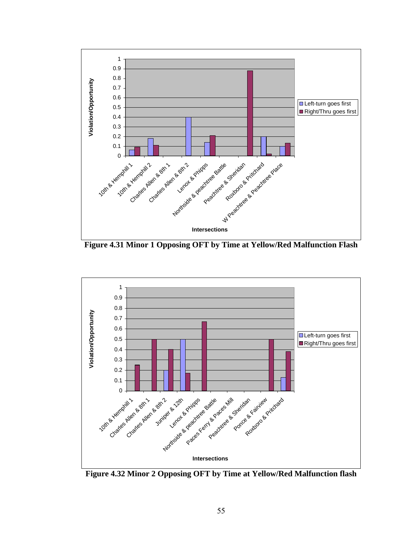

**Figure 4.31 Minor 1 Opposing OFT by Time at Yellow/Red Malfunction Flash** 



**Figure 4.32 Minor 2 Opposing OFT by Time at Yellow/Red Malfunction flash**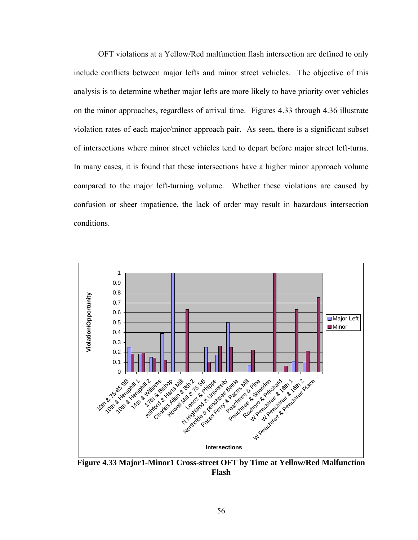OFT violations at a Yellow/Red malfunction flash intersection are defined to only include conflicts between major lefts and minor street vehicles. The objective of this analysis is to determine whether major lefts are more likely to have priority over vehicles on the minor approaches, regardless of arrival time. Figures 4.33 through 4.36 illustrate violation rates of each major/minor approach pair. As seen, there is a significant subset of intersections where minor street vehicles tend to depart before major street left-turns. In many cases, it is found that these intersections have a higher minor approach volume compared to the major left-turning volume. Whether these violations are caused by confusion or sheer impatience, the lack of order may result in hazardous intersection conditions.



**Figure 4.33 Major1-Minor1 Cross-street OFT by Time at Yellow/Red Malfunction Flash**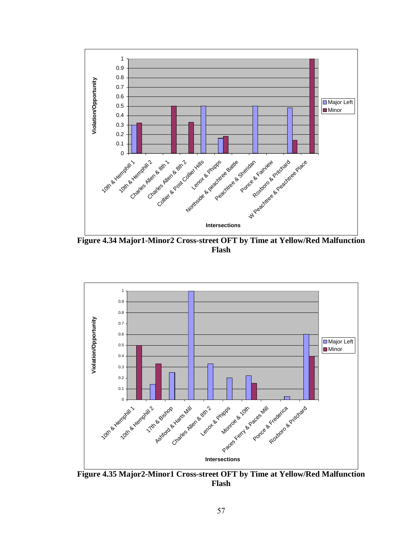

**Figure 4.34 Major1-Minor2 Cross-street OFT by Time at Yellow/Red Malfunction Flash** 



**Figure 4.35 Major2-Minor1 Cross-street OFT by Time at Yellow/Red Malfunction Flash**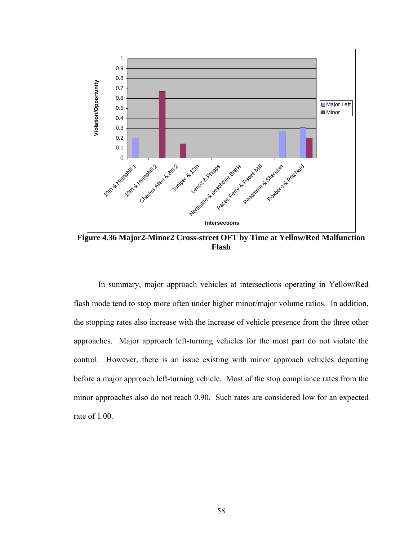

**Figure 4.36 Major2-Minor2 Cross-street OFT by Time at Yellow/Red Malfunction Flash** 

 In summary, major approach vehicles at intersections operating in Yellow/Red flash mode tend to stop more often under higher minor/major volume ratios. In addition, the stopping rates also increase with the increase of vehicle presence from the three other approaches. Major approach left-turning vehicles for the most part do not violate the control. However, there is an issue existing with minor approach vehicles departing before a major approach left-turning vehicle. Most of the stop compliance rates from the minor approaches also do not reach 0.90. Such rates are considered low for an expected rate of 1.00.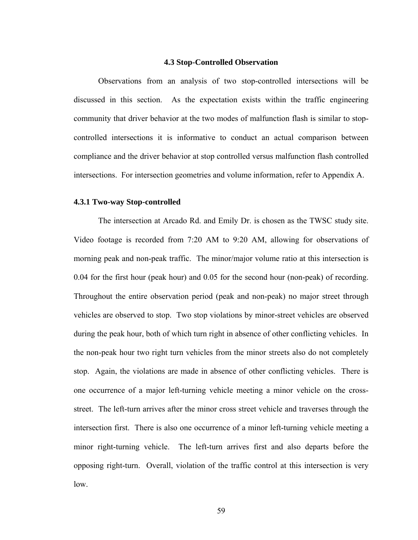#### **4.3 Stop-Controlled Observation**

Observations from an analysis of two stop-controlled intersections will be discussed in this section. As the expectation exists within the traffic engineering community that driver behavior at the two modes of malfunction flash is similar to stopcontrolled intersections it is informative to conduct an actual comparison between compliance and the driver behavior at stop controlled versus malfunction flash controlled intersections. For intersection geometries and volume information, refer to Appendix A.

#### **4.3.1 Two-way Stop-controlled**

The intersection at Arcado Rd. and Emily Dr. is chosen as the TWSC study site. Video footage is recorded from 7:20 AM to 9:20 AM, allowing for observations of morning peak and non-peak traffic. The minor/major volume ratio at this intersection is 0.04 for the first hour (peak hour) and 0.05 for the second hour (non-peak) of recording. Throughout the entire observation period (peak and non-peak) no major street through vehicles are observed to stop. Two stop violations by minor-street vehicles are observed during the peak hour, both of which turn right in absence of other conflicting vehicles. In the non-peak hour two right turn vehicles from the minor streets also do not completely stop. Again, the violations are made in absence of other conflicting vehicles. There is one occurrence of a major left-turning vehicle meeting a minor vehicle on the crossstreet. The left-turn arrives after the minor cross street vehicle and traverses through the intersection first. There is also one occurrence of a minor left-turning vehicle meeting a minor right-turning vehicle. The left-turn arrives first and also departs before the opposing right-turn. Overall, violation of the traffic control at this intersection is very low.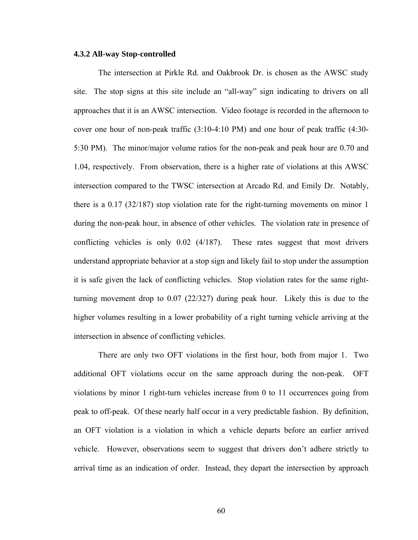#### **4.3.2 All-way Stop-controlled**

The intersection at Pirkle Rd. and Oakbrook Dr. is chosen as the AWSC study site. The stop signs at this site include an "all-way" sign indicating to drivers on all approaches that it is an AWSC intersection. Video footage is recorded in the afternoon to cover one hour of non-peak traffic (3:10-4:10 PM) and one hour of peak traffic (4:30- 5:30 PM). The minor/major volume ratios for the non-peak and peak hour are 0.70 and 1.04, respectively. From observation, there is a higher rate of violations at this AWSC intersection compared to the TWSC intersection at Arcado Rd. and Emily Dr. Notably, there is a 0.17 (32/187) stop violation rate for the right-turning movements on minor 1 during the non-peak hour, in absence of other vehicles. The violation rate in presence of conflicting vehicles is only 0.02 (4/187). These rates suggest that most drivers understand appropriate behavior at a stop sign and likely fail to stop under the assumption it is safe given the lack of conflicting vehicles. Stop violation rates for the same rightturning movement drop to 0.07 (22/327) during peak hour. Likely this is due to the higher volumes resulting in a lower probability of a right turning vehicle arriving at the intersection in absence of conflicting vehicles.

There are only two OFT violations in the first hour, both from major 1. Two additional OFT violations occur on the same approach during the non-peak. OFT violations by minor 1 right-turn vehicles increase from 0 to 11 occurrences going from peak to off-peak. Of these nearly half occur in a very predictable fashion. By definition, an OFT violation is a violation in which a vehicle departs before an earlier arrived vehicle. However, observations seem to suggest that drivers don't adhere strictly to arrival time as an indication of order. Instead, they depart the intersection by approach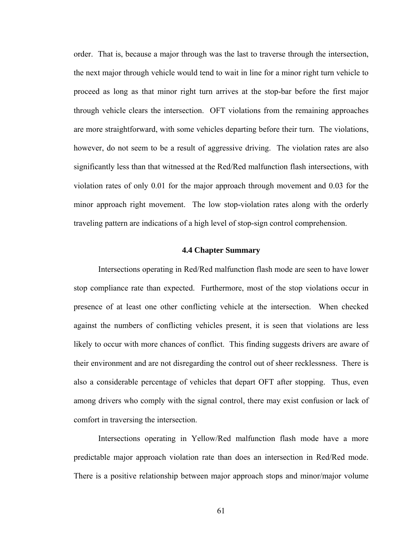order. That is, because a major through was the last to traverse through the intersection, the next major through vehicle would tend to wait in line for a minor right turn vehicle to proceed as long as that minor right turn arrives at the stop-bar before the first major through vehicle clears the intersection. OFT violations from the remaining approaches are more straightforward, with some vehicles departing before their turn. The violations, however, do not seem to be a result of aggressive driving. The violation rates are also significantly less than that witnessed at the Red/Red malfunction flash intersections, with violation rates of only 0.01 for the major approach through movement and 0.03 for the minor approach right movement. The low stop-violation rates along with the orderly traveling pattern are indications of a high level of stop-sign control comprehension.

#### **4.4 Chapter Summary**

Intersections operating in Red/Red malfunction flash mode are seen to have lower stop compliance rate than expected. Furthermore, most of the stop violations occur in presence of at least one other conflicting vehicle at the intersection. When checked against the numbers of conflicting vehicles present, it is seen that violations are less likely to occur with more chances of conflict. This finding suggests drivers are aware of their environment and are not disregarding the control out of sheer recklessness. There is also a considerable percentage of vehicles that depart OFT after stopping. Thus, even among drivers who comply with the signal control, there may exist confusion or lack of comfort in traversing the intersection.

Intersections operating in Yellow/Red malfunction flash mode have a more predictable major approach violation rate than does an intersection in Red/Red mode. There is a positive relationship between major approach stops and minor/major volume

61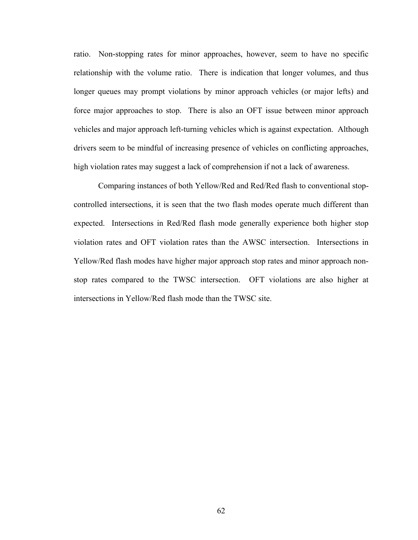ratio. Non-stopping rates for minor approaches, however, seem to have no specific relationship with the volume ratio. There is indication that longer volumes, and thus longer queues may prompt violations by minor approach vehicles (or major lefts) and force major approaches to stop. There is also an OFT issue between minor approach vehicles and major approach left-turning vehicles which is against expectation. Although drivers seem to be mindful of increasing presence of vehicles on conflicting approaches, high violation rates may suggest a lack of comprehension if not a lack of awareness.

Comparing instances of both Yellow/Red and Red/Red flash to conventional stopcontrolled intersections, it is seen that the two flash modes operate much different than expected. Intersections in Red/Red flash mode generally experience both higher stop violation rates and OFT violation rates than the AWSC intersection. Intersections in Yellow/Red flash modes have higher major approach stop rates and minor approach nonstop rates compared to the TWSC intersection. OFT violations are also higher at intersections in Yellow/Red flash mode than the TWSC site.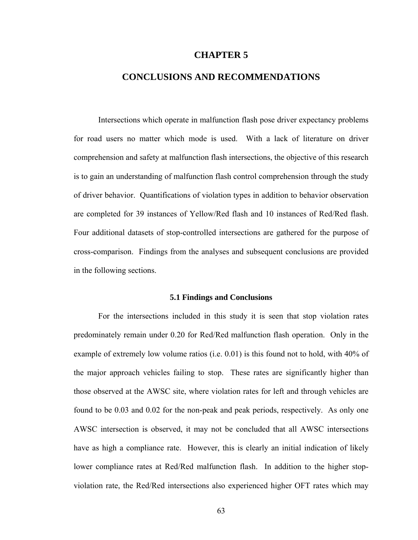#### **CHAPTER 5**

### **CONCLUSIONS AND RECOMMENDATIONS**

Intersections which operate in malfunction flash pose driver expectancy problems for road users no matter which mode is used. With a lack of literature on driver comprehension and safety at malfunction flash intersections, the objective of this research is to gain an understanding of malfunction flash control comprehension through the study of driver behavior. Quantifications of violation types in addition to behavior observation are completed for 39 instances of Yellow/Red flash and 10 instances of Red/Red flash. Four additional datasets of stop-controlled intersections are gathered for the purpose of cross-comparison. Findings from the analyses and subsequent conclusions are provided in the following sections.

#### **5.1 Findings and Conclusions**

For the intersections included in this study it is seen that stop violation rates predominately remain under 0.20 for Red/Red malfunction flash operation. Only in the example of extremely low volume ratios (i.e. 0.01) is this found not to hold, with 40% of the major approach vehicles failing to stop. These rates are significantly higher than those observed at the AWSC site, where violation rates for left and through vehicles are found to be 0.03 and 0.02 for the non-peak and peak periods, respectively. As only one AWSC intersection is observed, it may not be concluded that all AWSC intersections have as high a compliance rate. However, this is clearly an initial indication of likely lower compliance rates at Red/Red malfunction flash. In addition to the higher stopviolation rate, the Red/Red intersections also experienced higher OFT rates which may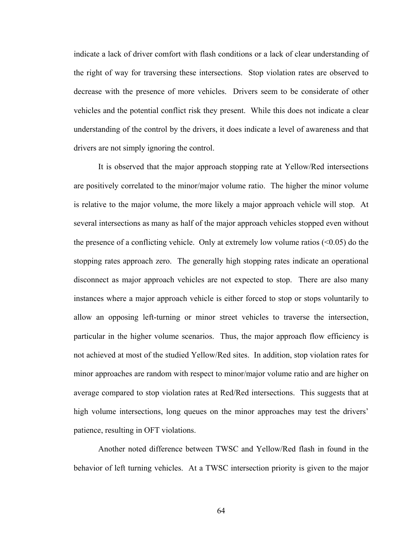indicate a lack of driver comfort with flash conditions or a lack of clear understanding of the right of way for traversing these intersections. Stop violation rates are observed to decrease with the presence of more vehicles. Drivers seem to be considerate of other vehicles and the potential conflict risk they present. While this does not indicate a clear understanding of the control by the drivers, it does indicate a level of awareness and that drivers are not simply ignoring the control.

It is observed that the major approach stopping rate at Yellow/Red intersections are positively correlated to the minor/major volume ratio. The higher the minor volume is relative to the major volume, the more likely a major approach vehicle will stop. At several intersections as many as half of the major approach vehicles stopped even without the presence of a conflicting vehicle. Only at extremely low volume ratios  $(\leq 0.05)$  do the stopping rates approach zero. The generally high stopping rates indicate an operational disconnect as major approach vehicles are not expected to stop. There are also many instances where a major approach vehicle is either forced to stop or stops voluntarily to allow an opposing left-turning or minor street vehicles to traverse the intersection, particular in the higher volume scenarios. Thus, the major approach flow efficiency is not achieved at most of the studied Yellow/Red sites. In addition, stop violation rates for minor approaches are random with respect to minor/major volume ratio and are higher on average compared to stop violation rates at Red/Red intersections. This suggests that at high volume intersections, long queues on the minor approaches may test the drivers' patience, resulting in OFT violations.

Another noted difference between TWSC and Yellow/Red flash in found in the behavior of left turning vehicles. At a TWSC intersection priority is given to the major

64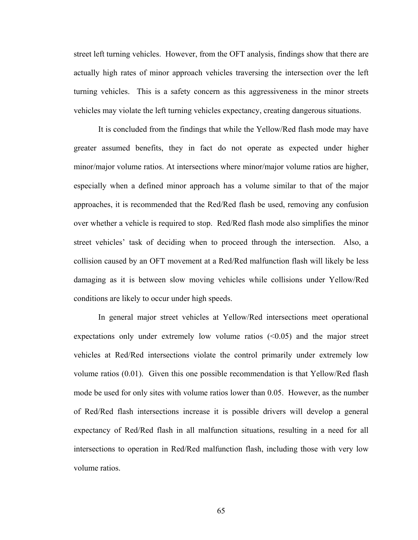street left turning vehicles. However, from the OFT analysis, findings show that there are actually high rates of minor approach vehicles traversing the intersection over the left turning vehicles. This is a safety concern as this aggressiveness in the minor streets vehicles may violate the left turning vehicles expectancy, creating dangerous situations.

It is concluded from the findings that while the Yellow/Red flash mode may have greater assumed benefits, they in fact do not operate as expected under higher minor/major volume ratios. At intersections where minor/major volume ratios are higher, especially when a defined minor approach has a volume similar to that of the major approaches, it is recommended that the Red/Red flash be used, removing any confusion over whether a vehicle is required to stop. Red/Red flash mode also simplifies the minor street vehicles' task of deciding when to proceed through the intersection. Also, a collision caused by an OFT movement at a Red/Red malfunction flash will likely be less damaging as it is between slow moving vehicles while collisions under Yellow/Red conditions are likely to occur under high speeds.

In general major street vehicles at Yellow/Red intersections meet operational expectations only under extremely low volume ratios  $(<0.05$ ) and the major street vehicles at Red/Red intersections violate the control primarily under extremely low volume ratios (0.01). Given this one possible recommendation is that Yellow/Red flash mode be used for only sites with volume ratios lower than 0.05. However, as the number of Red/Red flash intersections increase it is possible drivers will develop a general expectancy of Red/Red flash in all malfunction situations, resulting in a need for all intersections to operation in Red/Red malfunction flash, including those with very low volume ratios.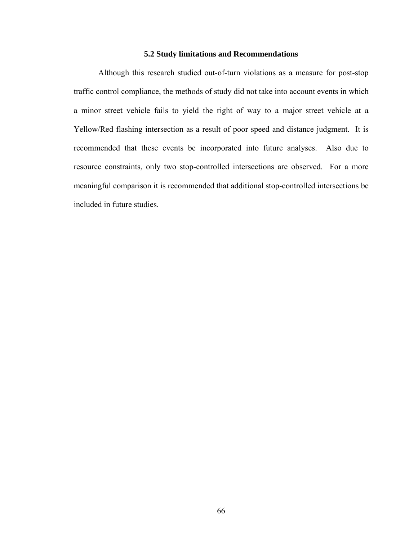#### **5.2 Study limitations and Recommendations**

Although this research studied out-of-turn violations as a measure for post-stop traffic control compliance, the methods of study did not take into account events in which a minor street vehicle fails to yield the right of way to a major street vehicle at a Yellow/Red flashing intersection as a result of poor speed and distance judgment. It is recommended that these events be incorporated into future analyses. Also due to resource constraints, only two stop-controlled intersections are observed. For a more meaningful comparison it is recommended that additional stop-controlled intersections be included in future studies.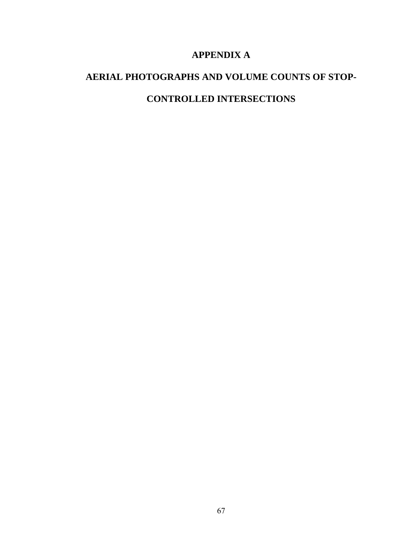# **APPENDIX A**

# **AERIAL PHOTOGRAPHS AND VOLUME COUNTS OF STOP-CONTROLLED INTERSECTIONS**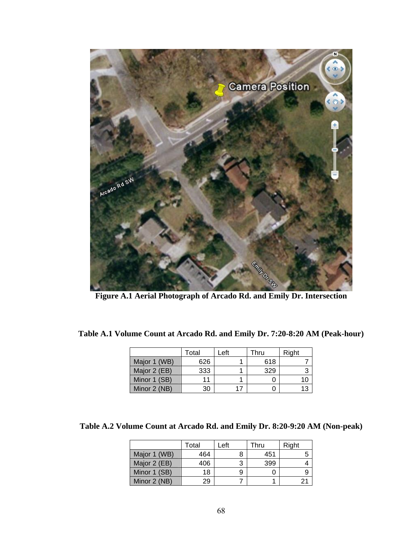

|              | Total | Left | Thru | Right |
|--------------|-------|------|------|-------|
| Major 1 (WB) | 626   |      | 618  |       |
| Major 2 (EB) | 333   |      | 329  |       |
| Minor 1 (SB) | 11    |      |      |       |
| Minor 2 (NB) | 30    | 17   |      |       |

|              | Total | Left | Thru | Right |
|--------------|-------|------|------|-------|
| Major 1 (WB) | 464   | 8    | 451  |       |
| Major 2 (EB) | 406   | 3    | 399  |       |
| Minor 1 (SB) | 18    | 9    |      |       |
| Minor 2 (NB) | 29    |      |      | 21    |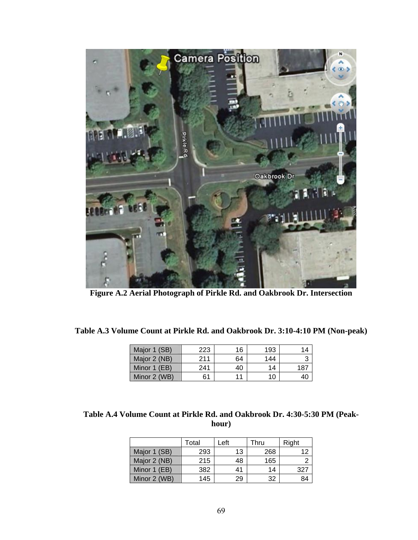

**Figure A.2 Aerial Photograph of Pirkle Rd. and Oakbrook Dr. Intersection** 

| Table A.3 Volume Count at Pirkle Rd. and Oakbrook Dr. 3:10-4:10 PM (Non-peak) |  |  |
|-------------------------------------------------------------------------------|--|--|
|-------------------------------------------------------------------------------|--|--|

| Major 1 (SB) | 223 | 16 | 193 | 14              |
|--------------|-----|----|-----|-----------------|
| Major 2 (NB) | 211 | 64 | 144 |                 |
| Minor 1 (EB) | 241 | 40 | 14  | 18 <sub>l</sub> |
| Minor 2 (WB) | 61  | 11 | 10  |                 |

| Table A.4 Volume Count at Pirkle Rd. and Oakbrook Dr. 4:30-5:30 PM (Peak- |
|---------------------------------------------------------------------------|
| hour)                                                                     |

|              | Total | ∟eft | Thru | Right |
|--------------|-------|------|------|-------|
| Major 1 (SB) | 293   | 13   | 268  | 12    |
| Major 2 (NB) | 215   | 48   | 165  |       |
| Minor 1 (EB) | 382   | 41   | 14   | 327   |
| Minor 2 (WB) | 145   | 29   | 32   | 84    |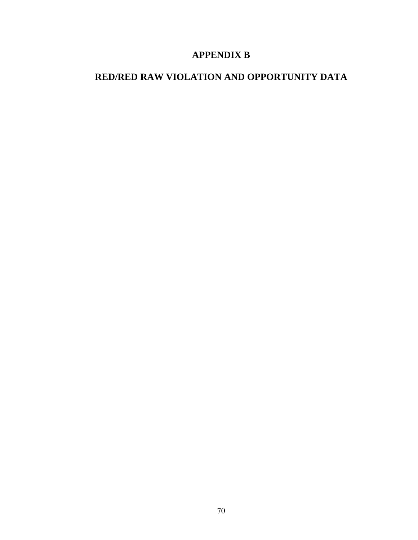### **APPENDIX B**

# **RED/RED RAW VIOLATION AND OPPORTUNITY DATA**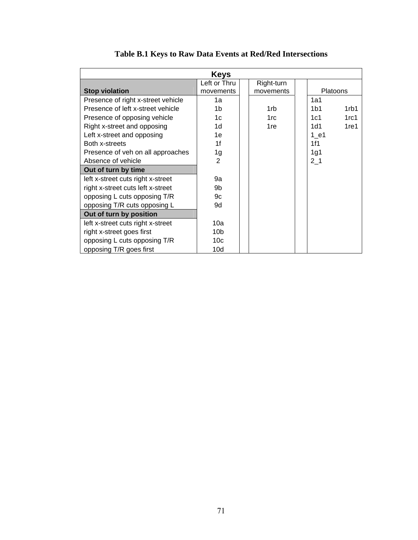|                                    | <b>Keys</b>     |                 |                 |                  |
|------------------------------------|-----------------|-----------------|-----------------|------------------|
|                                    | Left or Thru    | Right-turn      |                 |                  |
| <b>Stop violation</b>              | movements       | movements       |                 | <b>Platoons</b>  |
| Presence of right x-street vehicle | 1a              |                 | 1a1             |                  |
| Presence of left x-street vehicle  | 1b              | 1 <sub>rb</sub> | 1 <sub>b1</sub> | 1rb1             |
| Presence of opposing vehicle       | 1 <sub>c</sub>  | 1 <sub>rc</sub> | 1c1             | 1rc1             |
| Right x-street and opposing        | 1 <sub>d</sub>  | 1 <sub>re</sub> | 1d1             | 1 <sub>ref</sub> |
| Left x-street and opposing         | 1e              |                 | $1$ e1          |                  |
| Both x-streets                     | 1f              |                 | 1f1             |                  |
| Presence of veh on all approaches  | 1g              |                 | 1g1             |                  |
| Absence of vehicle                 | 2               |                 | $2-1$           |                  |
| Out of turn by time                |                 |                 |                 |                  |
| left x-street cuts right x-street  | 9a              |                 |                 |                  |
| right x-street cuts left x-street  | 9b              |                 |                 |                  |
| opposing L cuts opposing T/R       | 9с              |                 |                 |                  |
| opposing T/R cuts opposing L       | 9d              |                 |                 |                  |
| Out of turn by position            |                 |                 |                 |                  |
| left x-street cuts right x-street  | 10a             |                 |                 |                  |
| right x-street goes first          | 10 <sub>b</sub> |                 |                 |                  |
| opposing L cuts opposing T/R       | 10 <sub>c</sub> |                 |                 |                  |
| opposing T/R goes first            | 10d             |                 |                 |                  |

# **Table B.1 Keys to Raw Data Events at Red/Red Intersections**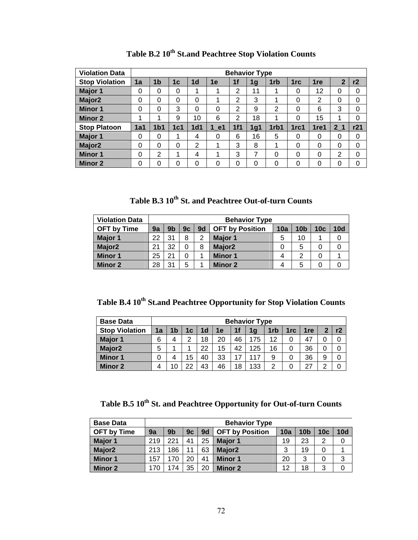| <b>Violation Data</b> | <b>Behavior Type</b> |                 |                |                 |          |     |     |                 |      |                 |                |          |  |
|-----------------------|----------------------|-----------------|----------------|-----------------|----------|-----|-----|-----------------|------|-----------------|----------------|----------|--|
| <b>Stop Violation</b> | 1a                   | 1 <sub>b</sub>  | 1 <sub>c</sub> | 1 <sub>d</sub>  | 1e       | 1f  | 1g  | 1 <sub>rb</sub> | 1rc  | 1 <sub>re</sub> | $\overline{2}$ | r2       |  |
| Major 1               | 0                    | 0               | 0              | 1               | 1        | 2   | 11  | 1               | 0    | 12              | 0              | 0        |  |
| Major <sub>2</sub>    | 0                    | 0               | $\Omega$       | 0               | 1        | 2   | 3   | 1               | 0    | $\overline{2}$  | $\Omega$       | $\Omega$ |  |
| <b>Minor 1</b>        | 0                    | 0               | 3              | $\Omega$        | 0        | 2   | 9   | 2               | 0    | 6               | 3              | 0        |  |
| <b>Minor 2</b>        | 1                    | 4               | 9              | 10              | 6        | 2   | 18  | 1               | 0    | 15              | 1              | 0        |  |
| <b>Stop Platoon</b>   | 1a1                  | 1 <sub>b1</sub> | 1c1            | 1 <sub>d1</sub> | 1 e1     | 1f1 | 1q1 | 1rb1            | 1rc1 | 1re1            | 2 <sub>1</sub> | r21      |  |
| Major 1               | 0                    | 0               |                | 4               | 0        | 6   | 16  | 5               | 0    | 0               | 0              | 0        |  |
| Major <sub>2</sub>    | 0                    | $\Omega$        | $\Omega$       | 2               | 1        | 3   | 8   | 1               | 0    | $\Omega$        | $\Omega$       | 0        |  |
| <b>Minor 1</b>        | 0                    | 2               | 1              | 4               | 1        | 3   | 7   | 0               | 0    | 0               | 2              | 0        |  |
| <b>Minor 2</b>        | 0                    | 0               | 0              | 0               | $\Omega$ | 0   | 0   | 0               | 0    | 0               | 0              | 0        |  |

**Table B.2 10th St.and Peachtree Stop Violation Counts** 

Table B.3  $10^{th}$  St. and Peachtree Out-of-turn Counts

| <b>Violation Data</b> |    | <b>Behavior Type</b> |    |    |                        |     |                 |                 |     |  |
|-----------------------|----|----------------------|----|----|------------------------|-----|-----------------|-----------------|-----|--|
| <b>OFT by Time</b>    | 9a | 9b                   | 9c | 9d | <b>OFT by Position</b> | 10a | 10 <sub>b</sub> | 10 <sub>c</sub> | 10d |  |
| Major 1               | 22 | 31                   | 8  | 2  | Major 1                | 5   | 10              |                 |     |  |
| Major <sub>2</sub>    | 21 | 32                   |    | 8  | Major <sub>2</sub>     |     | 5               |                 |     |  |
| <b>Minor 1</b>        | 25 | 21                   |    |    | <b>Minor 1</b>         |     | റ               |                 |     |  |
| <b>Minor 2</b>        | 28 | 31                   | 5  |    | Minor 2                |     | 5               |                 |     |  |

Table B.4 10<sup>th</sup> St.and Peachtree Opportunity for Stop Violation Counts

| <b>Base Data</b>      | <b>Behavior Type</b> |    |    |                |    |    |                |                 |                 |     |    |    |
|-----------------------|----------------------|----|----|----------------|----|----|----------------|-----------------|-----------------|-----|----|----|
| <b>Stop Violation</b> | 1a                   | 1b | 1c | 1 <sub>d</sub> | 1e | 1f | 1 <sub>g</sub> | 1 <sub>rb</sub> | 1 <sub>rc</sub> | 1re | כי | r2 |
| Major 1               | 6                    |    | ◠  | 18             | 20 | 46 | 175            | 12              | 0               | 47  |    |    |
| Major <sub>2</sub>    | 5                    |    |    | 22             | 15 | 42 | 125            | 16              | 0               | 36  | 0  |    |
| <b>Minor 1</b>        | 0                    |    | 15 | 40             | 33 |    | 117            | 9               | 0               | 36  | 9  |    |
| <b>Minor 2</b>        | 4                    |    | 22 | 43             | 46 | 18 | 133            | っ               | 0               | 27  | ◠  |    |

Table B.5 10<sup>th</sup> St. and Peachtree Opportunity for Out-of-turn Counts

| <b>Base Data</b>   |     | <b>Behavior Type</b> |    |                |                        |     |                 |                 |     |  |  |  |  |
|--------------------|-----|----------------------|----|----------------|------------------------|-----|-----------------|-----------------|-----|--|--|--|--|
| <b>OFT by Time</b> | 9a  | 9 <sub>b</sub>       | 9c | 9 <sub>d</sub> | <b>OFT by Position</b> | 10a | 10 <sub>b</sub> | 10 <sub>c</sub> | 10d |  |  |  |  |
| Major 1            | 219 | 221                  | 41 | 25             | <b>Major 1</b>         | 19  | 23              | 2               |     |  |  |  |  |
| Major <sub>2</sub> | 213 | 186                  | 11 | 63             | Major <sub>2</sub>     | 3   | 19              |                 |     |  |  |  |  |
| <b>Minor 1</b>     | 157 | 170                  | 20 | 41             | <b>Minor 1</b>         | 20  | 3               | 0               | 3   |  |  |  |  |
| <b>Minor 2</b>     | 170 | 74                   | 35 | 20             | Minor 2                | 12  | 18              | 3               |     |  |  |  |  |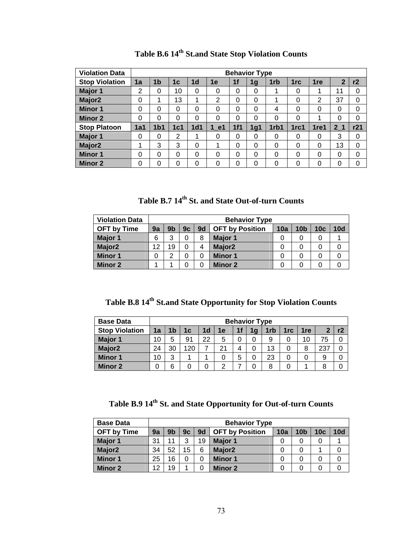| <b>Violation Data</b> |             |                 |                |                 |          |     | <b>Behavior Type</b> |      |                 |                 |                |     |
|-----------------------|-------------|-----------------|----------------|-----------------|----------|-----|----------------------|------|-----------------|-----------------|----------------|-----|
| <b>Stop Violation</b> | 1a          | 1 <sub>b</sub>  | 1 <sub>c</sub> | 1 <sub>d</sub>  | 1e       | 1f  | 1g                   | 1rb  | 1 <sub>rc</sub> | 1 <sub>re</sub> | $\overline{2}$ | r2  |
| Major 1               | 2           | 0               | 10             | $\Omega$        | 0        | 0   | 0                    | 1    | 0               | 1               | 11             | 0   |
| Major <sub>2</sub>    | $\mathbf 0$ | 1               | 13             | 1               | 2        | 0   | $\mathbf{0}$         | 1    | 0               | 2               | 37             | 0   |
| <b>Minor 1</b>        | 0           | 0               | 0              | $\Omega$        | 0        | 0   | 0                    | 4    | 0               | 0               | 0              | 0   |
| <b>Minor 2</b>        | 0           | 0               | 0              | $\Omega$        | 0        | 0   | 0                    | 0    | 0               | ٠               | 0              | 0   |
| <b>Stop Platoon</b>   | 1a1         | 1 <sub>b1</sub> | 1c1            | 1 <sub>d1</sub> | 1 e1     | 1f1 | 1g1                  | 1rb1 | 1rc1            | 1re1            | 2 <sub>1</sub> | r21 |
| Major 1               | 0           | 0               | $\overline{2}$ |                 | 0        | 0   | 0                    | 0    | 0               | 0               | 3              | 0   |
| Major <sub>2</sub>    | 1           | 3               | 3              | $\Omega$        | 1        | 0   | 0                    | 0    | 0               | $\Omega$        | 13             | 0   |
| <b>Minor 1</b>        | 0           | 0               | $\Omega$       | $\Omega$        | $\Omega$ | 0   | 0                    | 0    | 0               | $\Omega$        | 0              | 0   |
| <b>Minor 2</b>        | 0           | $\Omega$        | 0              | $\Omega$        | 0        | 0   | 0                    | 0    | 0               | 0               | 0              | 0   |

| Table B.6 14 <sup>th</sup> St.and State Stop Violation Counts |  |  |  |
|---------------------------------------------------------------|--|--|--|
|---------------------------------------------------------------|--|--|--|

Table B.7 14<sup>th</sup> St. and State Out-of-turn Counts

| <b>Violation Data</b> |    | <b>Behavior Type</b>                                                                                            |  |   |                    |  |  |  |  |  |  |  |
|-----------------------|----|-----------------------------------------------------------------------------------------------------------------|--|---|--------------------|--|--|--|--|--|--|--|
| <b>OFT by Time</b>    | 9a | 10 <sub>c</sub><br>9d<br>10a<br><b>10d</b><br><b>OFT by Position</b><br>10 <sub>b</sub><br>9 <sub>b</sub><br>9c |  |   |                    |  |  |  |  |  |  |  |
| Major 1               | 6  | າ                                                                                                               |  | 8 | Major 1            |  |  |  |  |  |  |  |
| Major <sub>2</sub>    | 12 | 19                                                                                                              |  | 4 | Major <sub>2</sub> |  |  |  |  |  |  |  |
| <b>Minor 1</b>        | 0  | ⌒                                                                                                               |  |   | <b>Minor 1</b>     |  |  |  |  |  |  |  |
| <b>Minor 2</b>        |    |                                                                                                                 |  |   | <b>Minor 2</b>     |  |  |  |  |  |  |  |

Table B.8 14<sup>th</sup> St.and State Opportunity for Stop Violation Counts

| <b>Base Data</b>      |    | <b>Behavior Type</b>                                                    |     |    |    |   |  |    |  |    |     |  |  |
|-----------------------|----|-------------------------------------------------------------------------|-----|----|----|---|--|----|--|----|-----|--|--|
| <b>Stop Violation</b> | 1a | 1f<br>1 <sub>d</sub><br>1rb<br>1b<br>r2<br>1rc<br>1е<br>1re<br>1c<br>1q |     |    |    |   |  |    |  |    |     |  |  |
| Major 1               | 10 | 5                                                                       | 91  | 22 | 5  |   |  | 9  |  | 10 | 75  |  |  |
| Major <sub>2</sub>    | 24 | 30                                                                      | 120 |    | 21 |   |  | 13 |  | 8  | 237 |  |  |
| <b>Minor 1</b>        | 10 | 3                                                                       |     |    | 0  | b |  | 23 |  |    | 9   |  |  |
| <b>Minor 2</b>        |    |                                                                         |     |    | っ  |   |  | 8  |  |    |     |  |  |

**Table B.9 14th St. and State Opportunity for Out-of-turn Counts** 

| <b>Base Data</b>   |    |                                                                                                     |    |    | <b>Behavior Type</b> |  |  |   |  |  |  |
|--------------------|----|-----------------------------------------------------------------------------------------------------|----|----|----------------------|--|--|---|--|--|--|
| <b>OFT by Time</b> | 9a | 9d<br><b>10d</b><br>10c<br>9 <sub>b</sub><br><b>OFT by Position</b><br>10a<br>10 <sub>b</sub><br>9c |    |    |                      |  |  |   |  |  |  |
| <b>Major 1</b>     | 31 | 11                                                                                                  | 3  | 19 | Major 1              |  |  | 0 |  |  |  |
| Major <sub>2</sub> | 34 | 52                                                                                                  | 15 | 6  | Major <sub>2</sub>   |  |  |   |  |  |  |
| <b>Minor 1</b>     | 25 | 16                                                                                                  |    |    | <b>Minor 1</b>       |  |  | 0 |  |  |  |
| <b>Minor 2</b>     | 12 | 19                                                                                                  |    |    | Minor 2              |  |  | 0 |  |  |  |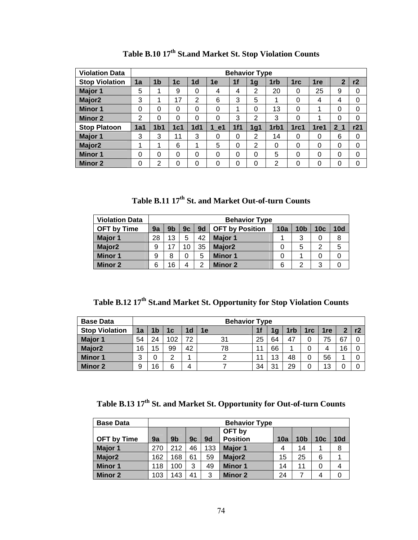| <b>Violation Data</b> |     |                                                                                                                               |          |                 |          |     | <b>Behavior Type</b> |      |      |      |                |     |
|-----------------------|-----|-------------------------------------------------------------------------------------------------------------------------------|----------|-----------------|----------|-----|----------------------|------|------|------|----------------|-----|
| <b>Stop Violation</b> | 1a  | 1 <sub>b</sub><br>1f<br>$\overline{2}$<br>r2<br>1 <sub>d</sub><br>1e<br>1 <sub>rb</sub><br>1re<br>1 <sub>c</sub><br>1rc<br>1g |          |                 |          |     |                      |      |      |      |                |     |
| Major 1               | 5   | 1                                                                                                                             | 9        | $\Omega$        | 4        | 4   | $\overline{2}$       | 20   | 0    | 25   | 9              | 0   |
| Major <sub>2</sub>    | 3   | 1                                                                                                                             | 17       | 2               | 6        | 3   | 5                    | 1    | 0    | 4    | 4              | 0   |
| <b>Minor 1</b>        | 0   | 0                                                                                                                             | 0        | $\Omega$        | 0        | 1   | $\Omega$             | 13   | 0    | ٠    | 0              | 0   |
| <b>Minor 2</b>        | 2   | 0                                                                                                                             | 0        | $\Omega$        | 0        | 3   | $\overline{2}$       | 3    | 0    | 4    | 0              | 0   |
| <b>Stop Platoon</b>   | 1a1 | 1 <sub>b1</sub>                                                                                                               | 1c1      | 1 <sub>d1</sub> | 1 e1     | 1f1 | 1q1                  | 1rb1 | 1rc1 | 1re1 | 2 <sub>1</sub> | r21 |
| Major 1               | 3   | 3                                                                                                                             | 11       | 3               | 0        | 0   | $\overline{2}$       | 14   | 0    | 0    | 6              | 0   |
| Major <sub>2</sub>    | 1   | 1                                                                                                                             | 6        |                 | 5        | 0   | $\overline{2}$       | 0    | 0    | 0    | 0              | 0   |
| <b>Minor 1</b>        | 0   | 0                                                                                                                             | $\Omega$ | $\Omega$        | $\Omega$ | 0   | 0                    | 5    | 0    | 0    | 0              | 0   |
| <b>Minor 2</b>        | 0   | $\overline{2}$                                                                                                                | 0        | $\Omega$        | 0        | 0   | 0                    | 2    | 0    | 0    | 0              | 0   |

**Table B.10 17th St.and Market St. Stop Violation Counts** 

**Table B.11 17th St. and Market Out-of-turn Counts** 

| <b>Violation Data</b> |    | <b>Behavior Type</b>                                                                                     |    |    |                    |   |   |   |   |  |  |  |
|-----------------------|----|----------------------------------------------------------------------------------------------------------|----|----|--------------------|---|---|---|---|--|--|--|
| <b>OFT by Time</b>    | 9a | 9d<br>10 <sub>c</sub><br>10a<br>9 <sub>b</sub><br><b>OFT by Position</b><br>10 <sub>b</sub><br>10d<br>9c |    |    |                    |   |   |   |   |  |  |  |
| Major 1               | 28 | 13                                                                                                       | 5  | 42 | Major 1            |   | 3 | 0 | 8 |  |  |  |
| Major <sub>2</sub>    | 9  | 17                                                                                                       | 10 | 35 | Major <sub>2</sub> |   | 5 | 2 | 5 |  |  |  |
| <b>Minor 1</b>        | 9  | 8                                                                                                        |    | 5  | <b>Minor 1</b>     |   |   | 0 | 0 |  |  |  |
| Minor 2               | 6  | 16                                                                                                       |    | ົ  | Minor 2            | 6 | ◠ | 3 |   |  |  |  |

**Table B.12 17th St.and Market St. Opportunity for Stop Violation Counts** 

| <b>Base Data</b>      |    |    |        |    | <b>Behavior Type</b> |    |    |     |                 |     |              |  |
|-----------------------|----|----|--------|----|----------------------|----|----|-----|-----------------|-----|--------------|--|
| <b>Stop Violation</b> | 1a | 1b | 1с     | 1d | 1e                   | 1f |    | 1rb | 1 <sub>rc</sub> | 1re | $\mathbf{2}$ |  |
| <b>Major 1</b>        | 54 | 24 | 102    | 72 | 31                   | 25 | 64 | 47  |                 | 75  | 67           |  |
| Major <sub>2</sub>    | 16 | 15 | 99     | 42 | 78                   | 11 | 66 |     |                 |     | 16           |  |
| <b>Minor 1</b>        | 3  | 0  | っ<br>_ |    | っ                    |    | 13 | 48  | 0               | 56  |              |  |
| <b>Minor 2</b>        | 9  | 16 | 6      |    |                      | 34 | o, | 29  |                 | 13  |              |  |

**Table B.13 17th St. and Market St. Opportunity for Out-of-turn Counts** 

| <b>Base Data</b>   |     | <b>Behavior Type</b> |    |     |                    |     |                 |                 |     |  |  |  |  |
|--------------------|-----|----------------------|----|-----|--------------------|-----|-----------------|-----------------|-----|--|--|--|--|
|                    |     | OFT by               |    |     |                    |     |                 |                 |     |  |  |  |  |
| <b>OFT</b> by Time | 9a  | 9 <sub>b</sub>       | 9c | 9d  | <b>Position</b>    | 10a | 10 <sub>b</sub> | 10 <sub>c</sub> | 10d |  |  |  |  |
| Major 1            | 270 | 212                  | 46 | 133 | <b>Major 1</b>     | 4   | 14              |                 | 8   |  |  |  |  |
| Major <sub>2</sub> | 162 | 168                  | 61 | 59  | Major <sub>2</sub> | 15  | 25              | 6               |     |  |  |  |  |
| <b>Minor 1</b>     | 118 | 100                  | 3  | 49  | <b>Minor 1</b>     | 14  | 11              | 0               | 4   |  |  |  |  |
| <b>Minor 2</b>     | 103 | 143                  | 41 | 3   | <b>Minor 2</b>     | 24  |                 | 4               |     |  |  |  |  |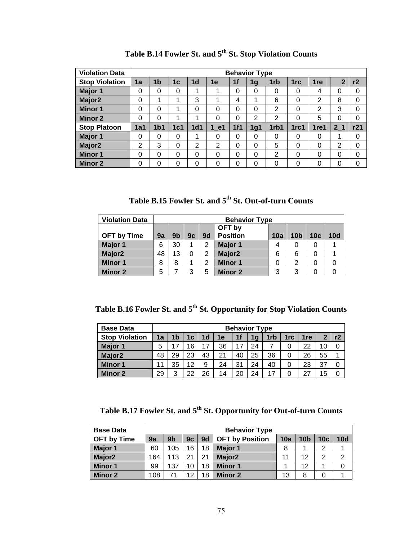| <b>Violation Data</b> |          |                 |          |                 |          |     | <b>Behavior Type</b> |      |                 |                 |                |     |
|-----------------------|----------|-----------------|----------|-----------------|----------|-----|----------------------|------|-----------------|-----------------|----------------|-----|
| <b>Stop Violation</b> | 1a       | 1 <sub>b</sub>  | 1c       | 1 <sub>d</sub>  | 1e       | 1f  | 1g                   | 1rb  | 1 <sub>rc</sub> | 1 <sub>re</sub> | $\mathbf 2$    | r2  |
| Major 1               | $\Omega$ | 0               | $\Omega$ | 1               | 1        | 0   | 0                    | 0    | 0               | 4               | 0              | 0   |
| Major <sub>2</sub>    | 0        | 1               |          | 3               | 1        | 4   | 1                    | 6    | 0               | 2               | 8              | 0   |
| <b>Minor 1</b>        | 0        | 0               |          | 0               | 0        | 0   | 0                    | 2    | 0               | 2               | 3              | 0   |
| <b>Minor 2</b>        | 0        | 0               |          |                 | $\Omega$ | 0   | $\overline{2}$       | 2    | 0               | 5               | 0              | 0   |
| <b>Stop Platoon</b>   | 1a1      | 1 <sub>b1</sub> | 1c1      | 1 <sub>d1</sub> | 1 e1     | 1f1 | 1g1                  | 1rb1 | 1rc1            | 1re1            | 2 <sub>1</sub> | r21 |
| Major 1               | 0        | 0               | 0        |                 | 0        | 0   | 0                    | 0    | 0               | 0               | 1              | 0   |
| Major <sub>2</sub>    | 2        | 3               | 0        | 2               | 2        | 0   | 0                    | 5    | 0               | $\Omega$        | 2              | 0   |
| <b>Minor 1</b>        | 0        | 0               | 0        | 0               | $\Omega$ | 0   | 0                    | 2    | 0               | $\Omega$        | 0              | 0   |
| <b>Minor 2</b>        | 0        | 0               | 0        | 0               | $\Omega$ | 0   | 0                    | 0    | 0               | 0               | 0              | 0   |

Table B.14 Fowler St. and 5<sup>th</sup> St. Stop Violation Counts

Table B.15 Fowler St. and 5<sup>th</sup> St. Out-of-turn Counts

| <b>Violation Data</b> |    | <b>Behavior Type</b> |    |                |                    |     |                 |     |     |  |  |  |  |
|-----------------------|----|----------------------|----|----------------|--------------------|-----|-----------------|-----|-----|--|--|--|--|
|                       |    | OFT by               |    |                |                    |     |                 |     |     |  |  |  |  |
| <b>OFT by Time</b>    | 9a | 9 <sub>b</sub>       | 9c | 9 <sub>d</sub> | <b>Position</b>    | 10a | 10 <sub>b</sub> | 10c | 10d |  |  |  |  |
| Major 1               | 6  | 30                   | 1  | 2              | <b>Major 1</b>     | 4   | 0               | 0   |     |  |  |  |  |
| Major <sub>2</sub>    | 48 | 13                   | 0  | 2              | Major <sub>2</sub> | 6   | 6               | 0   |     |  |  |  |  |
| <b>Minor 1</b>        | 8  | 8                    | 1  | 2              | <b>Minor 1</b>     | 0   | 2               | 0   | 0   |  |  |  |  |
| <b>Minor 2</b>        | 5  |                      | 3  | 5              | <b>Minor 2</b>     | 3   | 3               | 0   |     |  |  |  |  |

Table B.16 Fowler St. and 5<sup>th</sup> St. Opportunity for Stop Violation Counts

| <b>Base Data</b>      |    |    |    |    |    |     | <b>Behavior Type</b> |     |     |     |    |    |
|-----------------------|----|----|----|----|----|-----|----------------------|-----|-----|-----|----|----|
| <b>Stop Violation</b> | 1a | 1b | 1c | 1d | 1e | 1f  | 1g                   | 1rb | 1rc | 1re | 2  | r2 |
| <b>Major 1</b>        | 5  | ⇁  | 16 | 17 | 36 | -17 | 24                   |     | 0   | 22  | 10 |    |
| Major <sub>2</sub>    | 48 | 29 | 23 | 43 | 21 | 40  | 25                   | 36  | 0   | 26  | 55 | Α  |
| <b>Minor 1</b>        |    | 35 | 12 | 9  | 24 | 31  | 24                   | 40  | 0   | 23  | 37 |    |
| <b>Minor 2</b>        | 29 | າ  | 22 | 26 | 14 | 20  | 24                   | 17  |     | 27  | 15 |    |

Table B.17 Fowler St. and 5<sup>th</sup> St. Opportunity for Out-of-turn Counts

| <b>Base Data</b>   |     |                |    |    | <b>Behavior Type</b>   |     |                 |                 |                |
|--------------------|-----|----------------|----|----|------------------------|-----|-----------------|-----------------|----------------|
| <b>OFT by Time</b> | 9a  | 9 <sub>b</sub> | 9c | 9d | <b>OFT by Position</b> | 10a | 10 <sub>b</sub> | 10 <sub>c</sub> | 10d            |
| Major 1            | 60  | 105            | 16 | 18 | <b>Major 1</b>         | 8   | ◢               | 2               |                |
| Major <sub>2</sub> | 164 | 113            | 21 | 21 | Major <sub>2</sub>     | 11  | 12              | 2               | $\overline{2}$ |
| <b>Minor 1</b>     | 99  | 137            | 10 | 18 | <b>Minor 1</b>         |     | 12              |                 | 0              |
| Minor 2            | 108 |                | 12 | 18 | <b>Minor 2</b>         | 13  | 8               | 0               |                |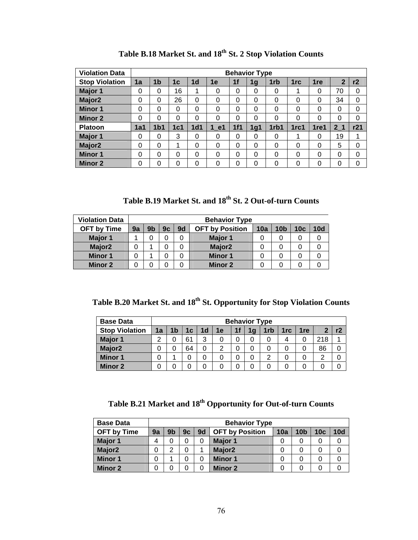| <b>Violation Data</b> |            |                 |     |                 |      |                | <b>Behavior Type</b> |      |                 |                 |                |     |
|-----------------------|------------|-----------------|-----|-----------------|------|----------------|----------------------|------|-----------------|-----------------|----------------|-----|
| <b>Stop Violation</b> | 1a         | 1b              | 1c  | 1 <sub>d</sub>  | 1e   | 1 <sub>f</sub> | 1g                   | 1rb  | 1 <sub>rc</sub> | 1 <sub>re</sub> | $\mathbf{2}$   | r2  |
| <b>Major 1</b>        | 0          | 0               | 16  | 1.              | 0    | 0              | 0                    | 0    |                 | 0               | 70             | 0   |
| Major <sub>2</sub>    | 0          | 0               | 26  | $\Omega$        | 0    | 0              | 0                    | 0    | 0               | 0               | 34             | 0   |
| <b>Minor 1</b>        | 0          | 0               | 0   | $\Omega$        | 0    | 0              | 0                    | 0    | 0               | 0               | 0              | 0   |
| <b>Minor 2</b>        | 0          | 0               | 0   | $\Omega$        | 0    | 0              | $\Omega$             | 0    | 0               | 0               | 0              | 0   |
| <b>Platoon</b>        | <b>1a1</b> | 1 <sub>b1</sub> | 1c1 | 1 <sub>d1</sub> | 1 e1 | 1f1            | 1g1                  | 1rb1 | 1rc1            | 1re1            | 2 <sub>1</sub> | r21 |
| Major 1               | 0          | 0               | 3   | $\Omega$        | 0    | 0              | 0                    | 0    |                 | 0               | 19             |     |
| Major <sub>2</sub>    | 0          | 0               | 1   | $\Omega$        | 0    | $\Omega$       | 0                    | 0    | 0               | 0               | 5              | 0   |
| <b>Minor 1</b>        | 0          | 0               | 0   | $\Omega$        | 0    | 0              | 0                    | 0    | 0               | 0               | 0              | 0   |
| <b>Minor 2</b>        | 0          | 0               | 0   | $\Omega$        | 0    | 0              | 0                    | 0    | 0               | 0               | 0              | 0   |

**Table B.18 Market St. and 18th St. 2 Stop Violation Counts** 

**Table B.19 Market St. and 18th St. 2 Out-of-turn Counts** 

| <b>Violation Data</b> |    |                                                                                         |  |  | <b>Behavior Type</b> |  |  |   |  |  |  |  |  |
|-----------------------|----|-----------------------------------------------------------------------------------------|--|--|----------------------|--|--|---|--|--|--|--|--|
| <b>OFT by Time</b>    | 9a | 9b<br>9d<br>10c<br><b>OFT by Position</b><br>10a<br>10 <sub>b</sub><br><b>10d</b><br>9c |  |  |                      |  |  |   |  |  |  |  |  |
| Major 1               |    |                                                                                         |  |  | <b>Major 1</b>       |  |  | 0 |  |  |  |  |  |
| Major <sub>2</sub>    |    |                                                                                         |  |  | Major <sub>2</sub>   |  |  | 0 |  |  |  |  |  |
| <b>Minor 1</b>        |    |                                                                                         |  |  | <b>Minor 1</b>       |  |  | 0 |  |  |  |  |  |
| Minor 2               |    |                                                                                         |  |  | <b>Minor 2</b>       |  |  |   |  |  |  |  |  |

**Table B.20 Market St. and 18th St. Opportunity for Stop Violation Counts** 

| <b>Base Data</b>      |    |                                        |    |                |    |                | <b>Behavior Type</b> |     |                 |     |     |    |
|-----------------------|----|----------------------------------------|----|----------------|----|----------------|----------------------|-----|-----------------|-----|-----|----|
| <b>Stop Violation</b> | 1a | 1 <sub>b</sub>                         | 1c | 1 <sub>d</sub> | 1e | 1 <sub>f</sub> | 1q                   | 1rb | 1 <sub>rc</sub> | 1re | о   | r2 |
| <b>Major 1</b>        | ົ  |                                        | 61 | 3              | 0  | 0              | 0                    |     |                 | 0   | 218 |    |
| Major <sub>2</sub>    |    | 86<br>64<br>0<br>0<br>っ<br>0<br>0<br>U |    |                |    |                |                      |     |                 |     |     |    |
| <b>Minor 1</b>        |    |                                        |    | 0              |    | 0              | 0                    |     |                 | 0   | າ   |    |
| <b>Minor 2</b>        |    |                                        |    |                |    |                |                      |     |                 |     |     |    |

# Table B.21 Market and 18<sup>th</sup> Opportunity for Out-of-turn Counts

| <b>Base Data</b>   |    |    |    |    | <b>Behavior Type</b>   |     |                 |     |     |
|--------------------|----|----|----|----|------------------------|-----|-----------------|-----|-----|
| <b>OFT by Time</b> | 9a | 9b | 9c | 9d | <b>OFT by Position</b> | 10a | 10 <sub>b</sub> | 10c | 10d |
| Major 1            | 4  |    | 0  |    | <b>Major 1</b>         |     |                 | 0   |     |
| Major <sub>2</sub> | 0  | ◠  | 0  |    | Major <sub>2</sub>     |     |                 | 0   |     |
| <b>Minor 1</b>     | 0  |    |    |    | <b>Minor 1</b>         |     |                 | 0   |     |
| <b>Minor 2</b>     | 0  |    |    |    | <b>Minor 2</b>         |     |                 | 0   |     |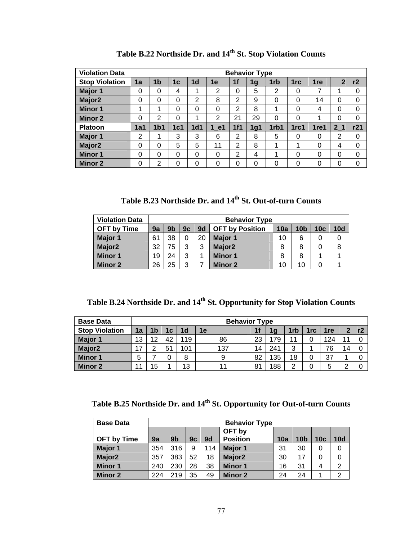| <b>Violation Data</b> |     |                 |          |                 |                |                | <b>Behavior Type</b> |                 |      |                 |                |     |
|-----------------------|-----|-----------------|----------|-----------------|----------------|----------------|----------------------|-----------------|------|-----------------|----------------|-----|
| <b>Stop Violation</b> | 1a  | 1b              | 1c       | 1 <sub>d</sub>  | 1e             | 1f             | 1g                   | 1 <sub>rb</sub> | 1rc  | 1 <sub>re</sub> | $\mathbf{2}$   | r2  |
| Major 1               | 0   | 0               | 4        |                 | $\overline{2}$ | 0              | 5                    | 2               | 0    | 7               | 1              | 0   |
| Major <sub>2</sub>    | 0   | 0               | $\Omega$ | $\overline{2}$  | 8              | $\overline{2}$ | 9                    | 0               | 0    | 14              | 0              | 0   |
| <b>Minor 1</b>        | 1   | 4               | 0        | $\Omega$        | 0              | 2              | 8                    | 1               | 0    | 4               | 0              | 0   |
| <b>Minor 2</b>        | 0   | 2               | 0        |                 | 2              | 21             | 29                   | 0               | 0    | 4               | 0              | 0   |
| Platoon               | 1a1 | 1 <sub>b1</sub> | 1c1      | 1 <sub>d1</sub> | 1 e1           | 1f1            | 1 <sub>g1</sub>      | 1rb1            | 1rc1 | 1re1            | 2 <sub>1</sub> | r21 |
| Major 1               | 2   |                 | 3        | 3               | 6              | 2              | 8                    | 5               | 0    | 0               | $\overline{2}$ | 0   |
| Major <sub>2</sub>    | 0   | 0               | 5        | 5               | 11             | 2              | 8                    | 1               |      | $\Omega$        | 4              | 0   |
| <b>Minor 1</b>        | 0   | 0               | 0        | 0               | 0              | 2              | 4                    | 1               | 0    | 0               | 0              | 0   |
| <b>Minor 2</b>        | 0   | 2               | 0        | 0               | 0              | 0              | 0                    | 0               | 0    | 0               | 0              | 0   |

Table B.22 Northside Dr. and 14<sup>th</sup> St. Stop Violation Counts

**Table B.23 Northside Dr. and 14th St. Out-of-turn Counts** 

| <b>Violation Data</b> |    |    |    |    | <b>Behavior Type</b>   |     |                 |                 |     |
|-----------------------|----|----|----|----|------------------------|-----|-----------------|-----------------|-----|
| <b>OFT by Time</b>    | 9a | 9b | 9c | 9d | <b>OFT by Position</b> | 10a | 10 <sub>b</sub> | 10 <sub>c</sub> | 10d |
| <b>Major 1</b>        | 61 | 38 | 0  | 20 | Major 1                | 10  | 6               | 0               | 0   |
| Major <sub>2</sub>    | 32 | 75 | 3  | 3  | Major <sub>2</sub>     | 8   | 8               | 0               | 8   |
| <b>Minor 1</b>        | 19 | 24 | 3  |    | <b>Minor 1</b>         | 8   | 8               |                 |     |
| Minor 2               | 26 | 25 | 3  |    | <b>Minor 2</b>         | 10  | 10              | 0               |     |

Table B.24 Northside Dr. and 14<sup>th</sup> St. Opportunity for Stop Violation Counts

| <b>Base Data</b>      |    |    |    |     | <b>Behavior Type</b> |    |                |     |     |            |    |    |
|-----------------------|----|----|----|-----|----------------------|----|----------------|-----|-----|------------|----|----|
| <b>Stop Violation</b> | 1a | ۱b | 1c | 1d  | 1е                   | 1f | 1 <sub>a</sub> | 1rb | 1rc | <b>1re</b> | n  | r2 |
| <b>Major 1</b>        | 13 | 12 | 42 | 119 | 86                   | 23 |                | 44  | 0   | 124        |    |    |
| <b>Major2</b>         | 17 | ◠  | 51 | 101 | 137                  | 14 | 241            | 3   |     | 76         | 14 |    |
| Minor 1               | 5  |    | 0  | 8   |                      | 82 | 135            | 18  | 0   | 37         |    |    |
| <b>Minor 2</b>        | 11 | 15 |    | 13  |                      | 81 | 188            | ◠   | 0   | b          |    |    |

Table B.25 Northside Dr. and 14<sup>th</sup> St. Opportunity for Out-of-turn Counts

| <b>Base Data</b>   |     |                |    |     | <b>Behavior Type</b> |     |                 |                 |                |
|--------------------|-----|----------------|----|-----|----------------------|-----|-----------------|-----------------|----------------|
|                    |     |                |    |     | OFT by               |     |                 |                 |                |
| <b>OFT</b> by Time | 9a  | 9 <sub>b</sub> | 9c | 9d  | <b>Position</b>      | 10a | 10 <sub>b</sub> | 10 <sub>c</sub> | 10d            |
| Major 1            | 354 | 316            | 9  | 114 | <b>Major 1</b>       | 31  | 30              | 0               | 0              |
| Major <sub>2</sub> | 357 | 383            | 52 | 18  | Major <sub>2</sub>   | 30  | 17              | 0               | 0              |
| <b>Minor 1</b>     | 240 | 230            | 28 | 38  | <b>Minor 1</b>       | 16  | 31              | 4               | $\overline{2}$ |
| <b>Minor 2</b>     | 224 | 219            | 35 | 49  | <b>Minor 2</b>       | 24  | 24              |                 | 2              |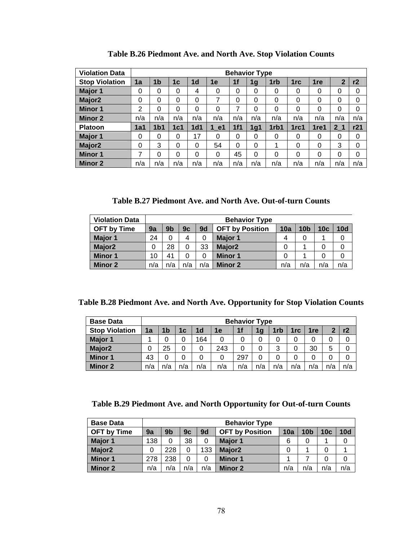| <b>Violation Data</b> |          |                 |          |                 |      |          | <b>Behavior Type</b> |                 |      |                 |                |          |
|-----------------------|----------|-----------------|----------|-----------------|------|----------|----------------------|-----------------|------|-----------------|----------------|----------|
| <b>Stop Violation</b> | 1a       | 1 <sub>b</sub>  | 1c       | 1 <sub>d</sub>  | 1e   | 1f       | 1g                   | 1 <sub>rb</sub> | 1rc  | 1 <sub>re</sub> | $\mathbf{2}$   | r2       |
| Major 1               | 0        | 0               | $\Omega$ | 4               | 0    | 0        | 0                    | 0               | 0    | 0               | 0              | 0        |
| Major <sub>2</sub>    | 0        | 0               | $\Omega$ | $\Omega$        | 7    | 0        | $\Omega$             | 0               | 0    | 0               | $\Omega$       | $\Omega$ |
| <b>Minor 1</b>        | 2        | 0               | 0        | 0               | 0    | 7        | 0                    | 0               | 0    | 0               | 0              | 0        |
| <b>Minor 2</b>        | n/a      | n/a             | n/a      | n/a             | n/a  | n/a      | n/a                  | n/a             | n/a  | n/a             | n/a            | n/a      |
| <b>Platoon</b>        | 1a1      | 1 <sub>b1</sub> | 1c1      | 1 <sub>d1</sub> | 1 e1 | 1f1      | 1g1                  | 1rb1            | 1rc1 | 1re1            | 2 <sub>1</sub> | r21      |
| Major 1               | 0        | 0               | $\Omega$ | 17              | 0    | 0        | 0                    | 0               | 0    | 0               | 0              | 0        |
| Major <sub>2</sub>    | $\Omega$ | 3               | $\Omega$ | $\Omega$        | 54   | $\Omega$ | $\Omega$             | 1               | 0    | 0               | 3              | 0        |
| <b>Minor 1</b>        | 7        | 0               | 0        | 0               | 0    | 45       | $\Omega$             | 0               | 0    | 0               | 0              | 0        |
| <b>Minor 2</b>        | n/a      | n/a             | n/a      | n/a             | n/a  | n/a      | n/a                  | n/a             | n/a  | n/a             | n/a            | n/a      |

**Table B.26 Piedmont Ave. and North Ave. Stop Violation Counts** 

**Table B.27 Piedmont Ave. and North Ave. Out-of-turn Counts** 

| <b>Violation Data</b> |     |     |     |     | <b>Behavior Type</b>   |     |                 |     |     |
|-----------------------|-----|-----|-----|-----|------------------------|-----|-----------------|-----|-----|
| <b>OFT by Time</b>    | 9a  | 9b  | 9c  | 9d  | <b>OFT by Position</b> | 10a | 10 <sub>b</sub> | 10c | 10d |
| Major 1               | 24  |     | 4   | 0   | Major 1                | 4   |                 |     |     |
| Major <sub>2</sub>    | 0   | 28  | 0   | 33  | Major <sub>2</sub>     | 0   |                 | 0   |     |
| <b>Minor 1</b>        | 10  | 41  | 0   | 0   | <b>Minor 1</b>         | 0   |                 | 0   |     |
| <b>Minor 2</b>        | n/a | n/a | n/a | n/a | Minor 2                | n/a | n/a             | n/a | n/a |

**Table B.28 Piedmont Ave. and North Ave. Opportunity for Stop Violation Counts** 

| <b>Base Data</b>      |     |     |     |                |     | <b>Behavior Type</b> |     |     |                 |                 |     |     |
|-----------------------|-----|-----|-----|----------------|-----|----------------------|-----|-----|-----------------|-----------------|-----|-----|
| <b>Stop Violation</b> | 1a  | 1b  | 1c  | 1 <sub>d</sub> | 1e  | 1f                   | 1g  | 1rb | 1 <sub>rc</sub> | 1 <sub>re</sub> | כי  | r2  |
| Major 1               |     | 0   |     | 164            | 0   |                      | 0   |     | 0               |                 | 0   |     |
| Major <sub>2</sub>    | 0   | 25  |     | 0              | 243 | 0                    | 0   | 3   | 0               | 30              | 5   |     |
| <b>Minor 1</b>        | 43  | 0   |     | 0              | 0   | 297                  | 0   |     | 0               |                 | 0   |     |
| <b>Minor 2</b>        | n/a | n/a | n/a | n/a            | n/a | n/a                  | n/a | n/a | n/a             | n/a             | n/a | n/a |

### **Table B.29 Piedmont Ave. and North Opportunity for Out-of-turn Counts**

| <b>Base Data</b>   |     |                |     |     | <b>Behavior Type</b>   |     |                 |     |     |
|--------------------|-----|----------------|-----|-----|------------------------|-----|-----------------|-----|-----|
| <b>OFT by Time</b> | 9a  | 9 <sub>b</sub> | 9c  | 9d  | <b>OFT by Position</b> | 10a | 10 <sub>b</sub> | 10c | 10d |
| Major 1            | 138 |                | 38  |     | Major 1                | 6   | 0               |     |     |
| Major <sub>2</sub> | 0   | 228            | 0   | 133 | Major <sub>2</sub>     |     |                 |     |     |
| <b>Minor 1</b>     | 278 | 238            | 0   | 0   | Minor 1                |     |                 |     |     |
| <b>Minor 2</b>     | n/a | n/a            | n/a | n/a | <b>Minor 2</b>         | n/a | n/a             | n/a | n/a |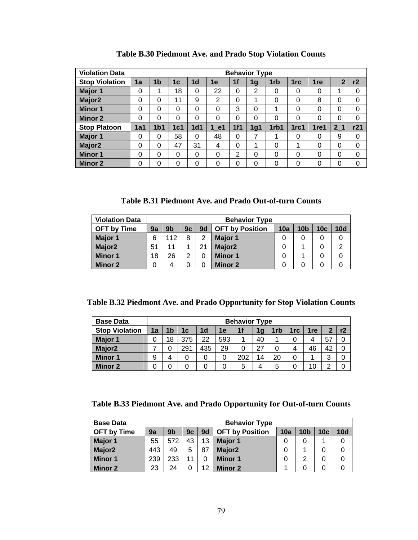| <b>Violation Data</b> |     |                 |                |                 |      |                | <b>Behavior Type</b> |                 |                 |                 |                |     |
|-----------------------|-----|-----------------|----------------|-----------------|------|----------------|----------------------|-----------------|-----------------|-----------------|----------------|-----|
| <b>Stop Violation</b> | 1a  | 1 <sub>b</sub>  | 1 <sub>c</sub> | 1 <sub>d</sub>  | 1e   | 1f             | 1g                   | 1 <sub>rb</sub> | 1 <sub>rc</sub> | 1 <sub>re</sub> | $\overline{2}$ | r2  |
| Major 1               | 0   | 4               | 18             | 0               | 22   | 0              | 2                    | 0               | 0               | 0               | 1              | 0   |
| Major <sub>2</sub>    | 0   | 0               | 11             | 9               | 2    | 0              | 1                    | 0               | 0               | 8               | $\Omega$       | 0   |
| <b>Minor 1</b>        | 0   | 0               | 0              | $\Omega$        | 0    | 3              | 0                    | 1               | 0               | 0               | 0              | 0   |
| <b>Minor 2</b>        | 0   | 0               | 0              | 0               | 0    | 0              | 0                    | 0               | 0               | 0               | 0              | 0   |
| <b>Stop Platoon</b>   | 1a1 | 1 <sub>b1</sub> | 1c1            | 1 <sub>d1</sub> | 1 e1 | 1f1            | 1 <sub>g1</sub>      | 1rb1            | 1rc1            | 1re1            | 2 <sub>1</sub> | r21 |
| Major 1               | 0   | 0               | 58             | 0               | 48   | 0              | 7                    | 1               | 0               | 0               | 9              | 0   |
| Major <sub>2</sub>    | 0   | 0               | 47             | 31              | 4    | 0              | 1                    | 0               |                 | 0               | 0              | 0   |
| <b>Minor 1</b>        | 0   | 0               | $\Omega$       | $\Omega$        | 0    | $\overline{2}$ | 0                    | 0               | 0               | 0               | 0              | 0   |
| <b>Minor 2</b>        | 0   | 0               | $\Omega$       | $\Omega$        | 0    | 0              | 0                    | $\Omega$        | 0               | 0               | 0              | 0   |

**Table B.30 Piedmont Ave. and Prado Stop Violation Counts** 

**Table B.31 Piedmont Ave. and Prado Out-of-turn Counts** 

| <b>Violation Data</b> |    |                                                                                                          |   |    | <b>Behavior Type</b> |  |  |   |                |  |  |  |  |
|-----------------------|----|----------------------------------------------------------------------------------------------------------|---|----|----------------------|--|--|---|----------------|--|--|--|--|
| <b>OFT by Time</b>    | 9a | 9d<br>9 <sub>b</sub><br>10 <sub>c</sub><br><b>OFT by Position</b><br>10a<br>10 <sub>b</sub><br>10d<br>9c |   |    |                      |  |  |   |                |  |  |  |  |
| Major 1               | 6  | 112                                                                                                      | 8 | 2  | Major 1              |  |  | 0 |                |  |  |  |  |
| Major <sub>2</sub>    | 51 |                                                                                                          |   | 21 | Major <sub>2</sub>   |  |  | 0 | $\overline{2}$ |  |  |  |  |
| <b>Minor 1</b>        | 18 | 26                                                                                                       | っ | 0  | <b>Minor 1</b>       |  |  | 0 | 0              |  |  |  |  |
| <b>Minor 2</b>        | 0  |                                                                                                          | 0 |    | Minor 2              |  |  |   |                |  |  |  |  |

**Table B.32 Piedmont Ave. and Prado Opportunity for Stop Violation Counts** 

| <b>Base Data</b>      |    |                                                   |    |                |    | <b>Behavior Type</b> |                |     |                 |     |    |    |  |  |
|-----------------------|----|---------------------------------------------------|----|----------------|----|----------------------|----------------|-----|-----------------|-----|----|----|--|--|
| <b>Stop Violation</b> | 1a | 1 <sub>b</sub>                                    | 1c | 1 <sub>d</sub> | 1e | 1f                   | 1 <sub>g</sub> | 1rb | 1 <sub>rc</sub> | 1re | כי | r2 |  |  |
| Major 1               |    | 22<br>40<br>375<br>593<br>18<br>57<br>4           |    |                |    |                      |                |     |                 |     |    |    |  |  |
| Major <sub>2</sub>    |    | 29<br>27<br>435<br>46<br>291<br>42<br>0<br>4<br>0 |    |                |    |                      |                |     |                 |     |    |    |  |  |
| <b>Minor 1</b>        | 9  | 4                                                 |    |                | 0  | 202                  | 14             | 20  | 0               |     | 3  | 0  |  |  |
| <b>Minor 2</b>        |    | 10<br>◠<br>5<br>5<br>4                            |    |                |    |                      |                |     |                 |     |    |    |  |  |

### **Table B.33 Piedmont Ave. and Prado Opportunity for Out-of-turn Counts**

| <b>Base Data</b>   |     |                |    |    | <b>Behavior Type</b>   |     |                 |     |     |
|--------------------|-----|----------------|----|----|------------------------|-----|-----------------|-----|-----|
| <b>OFT by Time</b> | 9a  | 9 <sub>b</sub> | 9c | 9d | <b>OFT by Position</b> | 10a | 10 <sub>b</sub> | 10c | 10d |
| Major 1            | 55  | 572            | 43 | 13 | <b>Major 1</b>         |     |                 |     |     |
| Major <sub>2</sub> | 443 | 49             | 5  | 87 | Major <sub>2</sub>     |     |                 |     |     |
| <b>Minor 1</b>     | 239 | 233            | 11 |    | <b>Minor 1</b>         |     | 2               | 0   |     |
| <b>Minor 2</b>     | 23  | 24             | 0  | 12 | <b>Minor 2</b>         |     |                 |     |     |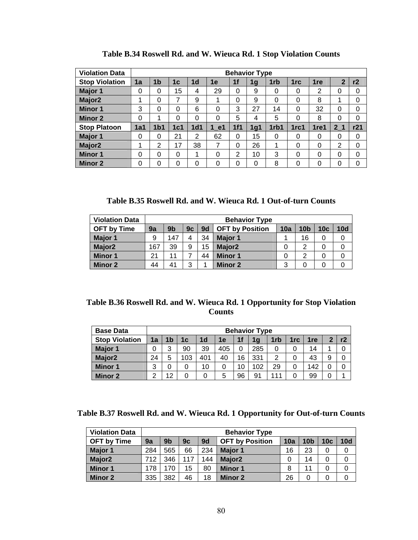| <b>Violation Data</b> |     |                 |     |                 |          |     | <b>Behavior Type</b> |      |      |                  |                |     |
|-----------------------|-----|-----------------|-----|-----------------|----------|-----|----------------------|------|------|------------------|----------------|-----|
| <b>Stop Violation</b> | 1a  | 1b              | 1c  | 1 <sub>d</sub>  | 1e       | 1f  | 1g                   | 1rb  | 1rc  | 1 <sub>re</sub>  | $\mathbf{2}$   | r2  |
| <b>Major 1</b>        | 0   | 0               | 15  | 4               | 29       | 0   | 9                    | 0    | 0    | 2                | 0              | 0   |
| Major <sub>2</sub>    | 1   | 0               | 7   | 9               | 1        | 0   | 9                    | 0    | 0    | 8                | 1              | 0   |
| <b>Minor 1</b>        | 3   | 0               | 0   | 6               | 0        | 3   | 27                   | 14   | 0    | 32               | 0              | 0   |
| <b>Minor 2</b>        | 0   | 1               | 0   | $\Omega$        | 0        | 5   | 4                    | 5    | 0    | 8                | 0              | 0   |
| <b>Stop Platoon</b>   | 1a1 | 1 <sub>b1</sub> | 1c1 | 1 <sub>d1</sub> | 1 e1     | 1f1 | 1g1                  | 1rb1 | 1rc1 | 1 <sub>ref</sub> | 2 <sub>1</sub> | r21 |
| Major 1               | 0   | 0               | 21  | 2               | 62       | 0   | 15                   | 0    | 0    | 0                | 0              | 0   |
| Major <sub>2</sub>    | 1   | 2               | 17  | 38              | 7        | 0   | 26                   | 1    | 0    | 0                | 2              | 0   |
| <b>Minor 1</b>        | 0   | 0               | 0   | 4               | $\Omega$ | 2   | 10                   | 3    | 0    | 0                | 0              | 0   |
| <b>Minor 2</b>        | 0   | 0               | 0   | $\Omega$        | 0        | 0   | 0                    | 8    | 0    | 0                | 0              | 0   |

**Table B.34 Roswell Rd. and W. Wieuca Rd. 1 Stop Violation Counts** 

**Table B.35 Roswell Rd. and W. Wieuca Rd. 1 Out-of-turn Counts** 

| <b>Violation Data</b> |     |                                                                                                                      |   |    | <b>Behavior Type</b> |   |    |   |  |  |  |  |  |
|-----------------------|-----|----------------------------------------------------------------------------------------------------------------------|---|----|----------------------|---|----|---|--|--|--|--|--|
| <b>OFT by Time</b>    | 9a  | 10d<br>9 <sub>b</sub><br>10 <sub>c</sub><br>9c<br>10 <sub>b</sub><br>9 <sub>d</sub><br><b>OFT by Position</b><br>10a |   |    |                      |   |    |   |  |  |  |  |  |
| Major 1               | 9   | 147                                                                                                                  | 4 | 34 | <b>Major 1</b>       |   | 16 | 0 |  |  |  |  |  |
| Major <sub>2</sub>    | 167 | 39                                                                                                                   | 9 | 15 | Major <sub>2</sub>   |   | ົ  | 0 |  |  |  |  |  |
| <b>Minor 1</b>        | 21  | 11                                                                                                                   | ⇁ | 44 | <b>Minor 1</b>       |   | ◠  |   |  |  |  |  |  |
| <b>Minor 2</b>        | 44  | 41                                                                                                                   | 3 |    | <b>Minor 2</b>       | 3 |    | 0 |  |  |  |  |  |

### **Table B.36 Roswell Rd. and W. Wieuca Rd. 1 Opportunity for Stop Violation Counts**

| <b>Base Data</b>      |    |                                                              |    |                |    |    | <b>Behavior Type</b> |                 |     |     |   |    |  |  |
|-----------------------|----|--------------------------------------------------------------|----|----------------|----|----|----------------------|-----------------|-----|-----|---|----|--|--|
| <b>Stop Violation</b> | 1a | 1 <sub>b</sub>                                               | 1с | 1 <sub>d</sub> | 1е | 1f | 1 <sub>g</sub>       | 1 <sub>rb</sub> | 1rc | 1re | 2 | r2 |  |  |
| Major 1               | 0  | 39<br>285<br>0<br>3<br>405<br>90<br>14<br>0<br>0             |    |                |    |    |                      |                 |     |     |   |    |  |  |
| Major <sub>2</sub>    | 24 | 331<br>43<br>0<br>401<br>103<br>40<br>16<br>9<br>5<br>っ<br>0 |    |                |    |    |                      |                 |     |     |   |    |  |  |
| <b>Minor 1</b>        | 3  | 0                                                            |    | 10             | 0  | 10 | 102                  | 29              | 0   | 142 | 0 | 0  |  |  |
| <b>Minor 2</b>        | ົ  | 12<br>96<br>111<br>99<br>0<br>91<br>5<br>0                   |    |                |    |    |                      |                 |     |     |   |    |  |  |

**Table B.37 Roswell Rd. and W. Wieuca Rd. 1 Opportunity for Out-of-turn Counts** 

| <b>Violation Data</b> |     |                |     |     | <b>Behavior Type</b>   |     |                 |                 |     |
|-----------------------|-----|----------------|-----|-----|------------------------|-----|-----------------|-----------------|-----|
| <b>OFT by Time</b>    | 9a  | 9 <sub>b</sub> | 9c  | 9d  | <b>OFT by Position</b> | 10a | 10 <sub>b</sub> | 10 <sub>c</sub> | 10d |
| <b>Major 1</b>        | 284 | 565            | 66  | 234 | <b>Major 1</b>         | 16  | 23              |                 | 0   |
| Major <sub>2</sub>    | 712 | 346            | 117 | 144 | Major <sub>2</sub>     |     | 14              |                 | 0   |
| <b>Minor 1</b>        | 178 | 170            | 15  | 80  | <b>Minor 1</b>         | 8   | 11              |                 | 0   |
| <b>Minor 2</b>        | 335 | 382            | 46  | 18  | <b>Minor 2</b>         | 26  | 0               |                 | 0   |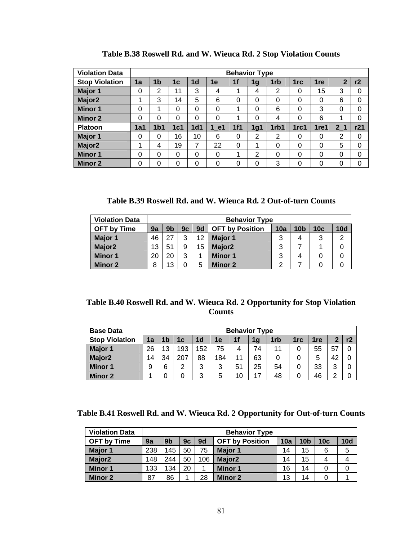| <b>Violation Data</b> |          |                 |     |                 |      |          | <b>Behavior Type</b> |                 |                 |      |                |     |
|-----------------------|----------|-----------------|-----|-----------------|------|----------|----------------------|-----------------|-----------------|------|----------------|-----|
| <b>Stop Violation</b> | 1a       | 1 <sub>b</sub>  | 1c  | 1 <sub>d</sub>  | 1е   | 1f       | 1g                   | 1 <sub>rb</sub> | 1 <sub>rc</sub> | 1re  | $\overline{2}$ | r2  |
| Major 1               | 0        | $\overline{2}$  | 11  | 3               | 4    | 1        | 4                    | $\overline{2}$  | 0               | 15   | 3              | 0   |
| Major <sub>2</sub>    |          | 3               | 14  | 5               | 6    | 0        | 0                    | 0               | 0               | 0    | 6              | 0   |
| <b>Minor 1</b>        | $\Omega$ | 4               | 0   | 0               | 0    | 1        | 0                    | 6               | $\Omega$        | 3    | 0              | 0   |
| <b>Minor 2</b>        | 0        | 0               | 0   | 0               | 0    | 1        | 0                    | 4               | 0               | 6    | 1              | 0   |
| <b>Platoon</b>        | 1a1      | 1 <sub>b1</sub> | 1c1 | 1 <sub>d1</sub> | 1 e1 | 1f1      | 1 <sub>g1</sub>      | 1rb1            | 1rc1            | 1re1 | 2 <sub>1</sub> | r21 |
| Major 1               | 0        | 0               | 16  | 10              | 6    | 0        | 2                    | 2               | $\Omega$        | 0    | 2              | 0   |
| Major <sub>2</sub>    | 1        | 4               | 19  | 7               | 22   | $\Omega$ | 1                    | $\Omega$        | $\Omega$        | 0    | 5              | 0   |
| <b>Minor 1</b>        | 0        | 0               | 0   | 0               | 0    | 1        | $\overline{2}$       | 0               | 0               | 0    | 0              | 0   |
| <b>Minor 2</b>        | 0        | 0               | 0   | 0               | 0    | 0        | 0                    | 3               | 0               | 0    | 0              | 0   |

**Table B.38 Roswell Rd. and W. Wieuca Rd. 2 Stop Violation Counts** 

**Table B.39 Roswell Rd. and W. Wieuca Rd. 2 Out-of-turn Counts** 

| <b>Violation Data</b> |    |                |    |    | <b>Behavior Type</b>   |     |                 |                 |     |
|-----------------------|----|----------------|----|----|------------------------|-----|-----------------|-----------------|-----|
| <b>OFT by Time</b>    | 9a | 9 <sub>b</sub> | 9c | 9d | <b>OFT by Position</b> | 10a | 10 <sub>b</sub> | 10 <sub>c</sub> | 10d |
| Major 1               | 46 | 27             | ર  | 12 | Major 1                | 3   | 4               | 3               | 2   |
| Major <sub>2</sub>    | 13 | 51             | 9  | 15 | Major <sub>2</sub>     | 3   |                 |                 |     |
| <b>Minor 1</b>        | 20 | 20             | ົ  |    | Minor 1                | 3   | 4               |                 |     |
| <b>Minor 2</b>        | 8  | 13             |    | 5  | Minor 2                | ◠   |                 |                 |     |

### **Table B.40 Roswell Rd. and W. Wieuca Rd. 2 Opportunity for Stop Violation Counts**

| <b>Base Data</b>      |    |    |     |                |     |    | <b>Behavior Type</b> |     |     |                 |        |  |
|-----------------------|----|----|-----|----------------|-----|----|----------------------|-----|-----|-----------------|--------|--|
| <b>Stop Violation</b> | 1a | 1b | 1c  | 1 <sub>d</sub> | 1e  | 1f | 1 <sub>g</sub>       | 1rb | 1rc | 1 <sub>re</sub> |        |  |
| Major 1               | 26 | 13 | 193 | 152            | 75  | 4  | 74                   | 11  |     | 55              | 57     |  |
| Major <sub>2</sub>    | 14 | 34 | 207 | 88             | 184 | 11 | 63                   | 0   |     | 5               | 42     |  |
| <b>Minor 1</b>        | 9  | 6  | 2   | 3              | 3   | 51 | 25                   | 54  |     | 33              | $\sim$ |  |
| <b>Minor 2</b>        |    |    |     | 3              | 5   | 10 | 17                   | 48  |     | 46              |        |  |

**Table B.41 Roswell Rd. and W. Wieuca Rd. 2 Opportunity for Out-of-turn Counts** 

| <b>Violation Data</b> |     |                |    |     | <b>Behavior Type</b>   |     |                 |     |            |
|-----------------------|-----|----------------|----|-----|------------------------|-----|-----------------|-----|------------|
| <b>OFT by Time</b>    | 9a  | 9 <sub>b</sub> | 9c | 9d  | <b>OFT by Position</b> | 10a | 10 <sub>b</sub> | 10c | <b>10d</b> |
| <b>Major 1</b>        | 238 | 145            | 50 | 75  | <b>Major 1</b>         | 14  | 15              | 6   | 5          |
| Major <sub>2</sub>    | 148 | 244            | 50 | 106 | Major <sub>2</sub>     | 14  | 15              | 4   | 4          |
| <b>Minor 1</b>        | 133 | 134            | 20 |     | <b>Minor 1</b>         | 16  | 14              | 0   | 0          |
| <b>Minor 2</b>        | 87  | 86             |    | 28  | <b>Minor 2</b>         | 13  | 14              | 0   |            |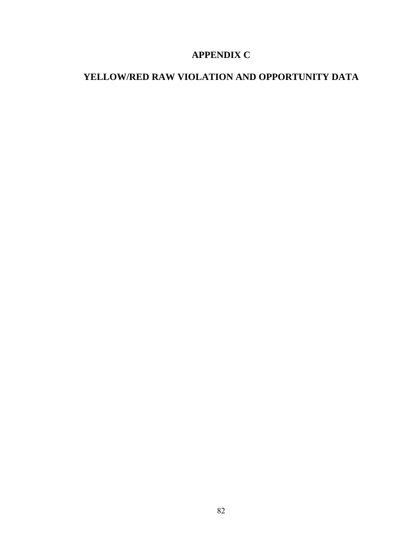# **APPENDIX C**

# **YELLOW/RED RAW VIOLATION AND OPPORTUNITY DATA**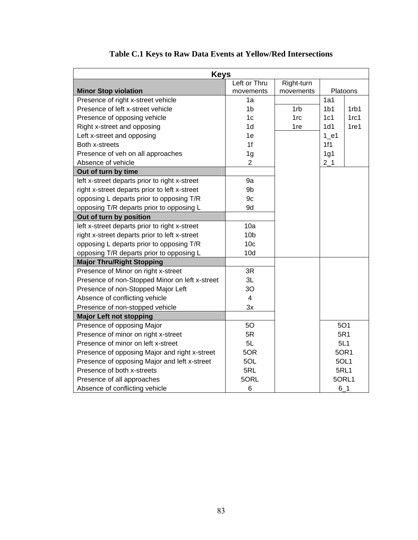| <b>Keys</b>                                    |                 |            |                 |                  |
|------------------------------------------------|-----------------|------------|-----------------|------------------|
|                                                | Left or Thru    | Right-turn |                 |                  |
| <b>Minor Stop violation</b>                    | movements       | movements  |                 | Platoons         |
| Presence of right x-street vehicle             | 1a              |            | 1a1             |                  |
| Presence of left x-street vehicle              | 1 <sub>b</sub>  | 1rb        | 1 <sub>b1</sub> | 1rb1             |
| Presence of opposing vehicle                   | 1 <sub>c</sub>  | 1rc        | 1c1             | 1rc1             |
| Right x-street and opposing                    | 1 <sub>d</sub>  | 1re        | 1d1             | 1 <sub>re1</sub> |
| Left x-street and opposing                     | 1e              |            | $1$ e1          |                  |
| Both x-streets                                 | 1f              |            | 1f1             |                  |
| Presence of veh on all approaches              | 1 <sub>g</sub>  |            | 1g1             |                  |
| Absence of vehicle                             | $\overline{2}$  |            | $2-1$           |                  |
| Out of turn by time                            |                 |            |                 |                  |
| left x-street departs prior to right x-street  | 9a              |            |                 |                  |
| right x-street departs prior to left x-street  | 9b              |            |                 |                  |
| opposing L departs prior to opposing T/R       | 9c              |            |                 |                  |
| opposing T/R departs prior to opposing L       | 9d              |            |                 |                  |
| Out of turn by position                        |                 |            |                 |                  |
| left x-street departs prior to right x-street  | 10a             |            |                 |                  |
| right x-street departs prior to left x-street  | 10 <sub>b</sub> |            |                 |                  |
| opposing L departs prior to opposing T/R       | 10 <sub>c</sub> |            |                 |                  |
| opposing T/R departs prior to opposing L       | 10d             |            |                 |                  |
| <b>Major Thru/Right Stopping</b>               |                 |            |                 |                  |
| Presence of Minor on right x-street            | 3R              |            |                 |                  |
| Presence of non-Stopped Minor on left x-street | 3L              |            |                 |                  |
| Presence of non-Stopped Major Left             | 30              |            |                 |                  |
| Absence of conflicting vehicle                 | $\overline{4}$  |            |                 |                  |
| Presence of non-stopped vehicle                | 3x              |            |                 |                  |
| <b>Major Left not stopping</b>                 |                 |            |                 |                  |
| Presence of opposing Major                     | 50              |            |                 | <b>5O1</b>       |
| Presence of minor on right x-street            | 5R              |            |                 | 5R1              |
| Presence of minor on left x-street             | 5L              |            |                 | 5L1              |
| Presence of opposing Major and right x-street  | 5OR             |            |                 | 50R1             |
| Presence of opposing Major and left x-street   | 5OL             |            |                 | 5OL1             |
| Presence of both x-streets                     | 5RL             |            |                 | <b>5RL1</b>      |
| Presence of all approaches                     | 5ORL            |            | 5ORL1           |                  |
| Absence of conflicting vehicle                 | 6               |            | 6 1             |                  |

### **Table C.1 Keys to Raw Data Events at Yellow/Red Intersections**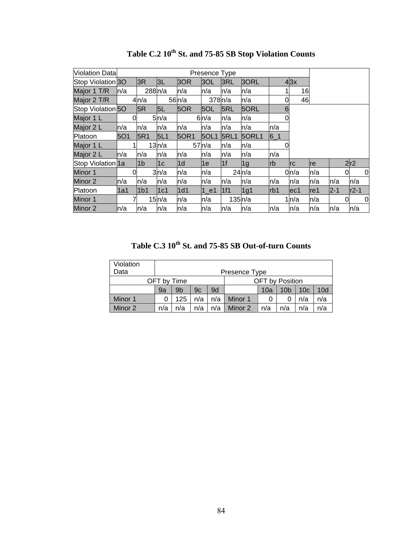| <b>Violation Data</b>        |      |                    |       |       | Presence Type |             |                 |           |           |      |         |        |   |
|------------------------------|------|--------------------|-------|-------|---------------|-------------|-----------------|-----------|-----------|------|---------|--------|---|
| Stop Violation 30            |      | 3R                 | 3L    | 3OR   | 3OL           | 3RL         | 30RL            |           | 43x       |      |         |        |   |
| Major 1 T/R                  | ln/a | 288 <sub>n/a</sub> |       | n/a   | n/a           | n/a         | n/a             |           | 16        |      |         |        |   |
| Major 2 T/R                  |      | 4n/a               |       | 56n/a | 378n/a        |             | ln/a            | 0         | 46        |      |         |        |   |
| Stop Violation <sub>50</sub> |      | 5R                 | 5L    | 5OR   | 5OL           | 5RL         | 5ORL            | 6         |           |      |         |        |   |
| Major 1 L                    | O    |                    | 5n/a  |       | 6n/a          | n/a         | n/a             | 0         |           |      |         |        |   |
| Major 2 L                    | ln/a | n/a                | n/a   | n/a   | n/a           | n/a         | n/a             | n/a       |           |      |         |        |   |
| Platoon                      | 501  | 5R1                | 5L1   | 50R1  | <b>50L1</b>   | <b>5RL1</b> | 5ORL1           | $6-1$     |           |      |         |        |   |
| Major 1 L                    |      |                    | 13n/a |       | 57h/a         | n/a         | n/a             |           |           |      |         |        |   |
| Major 2 L                    | ln/a | n/a                | n/a   | n/a   | n/a           | n/a         | n/a             | n/a       |           |      |         |        |   |
| Stop Violation 1a            |      | 1 <sub>b</sub>     | 1c    | l1d   | 1е            | 1f          | 1g              | <b>rb</b> | <b>rc</b> | re   |         | 2r2    |   |
| Minor 1                      | 0l   |                    | 3n/a  | n/a   | n/a           |             | 24n/a           |           | 0n/a      | n/a  |         | 0      | 0 |
| Minor 2                      | ln/a | n/a                | n/a   | n/a   | n/a           | n/a         | n/a             | n/a       | n/a       | n/a  | n/a     | n/a    |   |
| Platoon                      | 1a1  | 1 <sub>b1</sub>    | 1c1   | 1d1   | $1$ e1        | 11f1        | 1 <sub>g1</sub> | rb1       | lec1      | lre1 | $2 - 1$ | $r2-1$ |   |
| Minor 1                      |      |                    | 15n/a | n/a   | n/a           | 135n/a      |                 |           | 1n/a      | n/a  |         | 0      | 0 |
| Minor 2                      | ln/a | n/a                | n/a   | n/a   | ln/a          | n/a         | n/a             | n/a       | n/a       | n/a  | n/a     | n/a    |   |

Table C.2  $10^{th}$  St. and 75-85 SB Stop Violation Counts

Table C.3  $10^{th}$  St. and 75-85 SB Out-of-turn Counts

| Violation |     |                                                                                |     |     |         |   |  |     |     |  |  |  |
|-----------|-----|--------------------------------------------------------------------------------|-----|-----|---------|---|--|-----|-----|--|--|--|
| Data      |     | Presence Type                                                                  |     |     |         |   |  |     |     |  |  |  |
|           |     | <b>OFT</b> by Position<br>OFT by Time                                          |     |     |         |   |  |     |     |  |  |  |
|           | 9a  | 9 <sub>b</sub><br>10d<br>9c<br>10a<br>10 <sub>c</sub><br>9d<br>10 <sub>b</sub> |     |     |         |   |  |     |     |  |  |  |
| Minor 1   |     | 125                                                                            | n/a | n/a | Minor 1 | 0 |  | n/a | n/a |  |  |  |
| Minor 2   | n/a | n/a<br>n/a<br>Minor 2<br>n/a<br>n/a<br>n/a<br>n/a<br>n/a                       |     |     |         |   |  |     |     |  |  |  |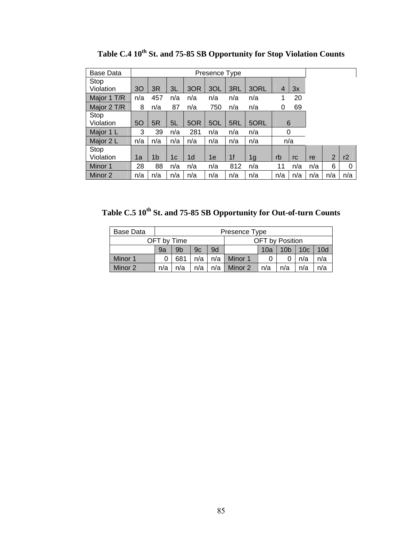| <b>Base Data</b> |     |     |     |                |     |                |                |                |     |     |     |     |
|------------------|-----|-----|-----|----------------|-----|----------------|----------------|----------------|-----|-----|-----|-----|
| Stop             |     |     |     |                |     |                |                |                |     |     |     |     |
| Violation        | 30  | 3R  | 3L  | 3OR            | 3OL | 3RL            | 3ORL           | $\overline{4}$ | 3x  |     |     |     |
| Major 1 T/R      | n/a | 457 | n/a | n/a            | n/a | n/a            | n/a            | 1              | 20  |     |     |     |
| Major 2 T/R      | 8   | n/a | 87  | n/a            | 750 | n/a            | n/a            | 0              | 69  |     |     |     |
| Stop             |     |     |     |                |     |                |                |                |     |     |     |     |
| Violation        | 50  | 5R  | 5L  | 5OR            | 5OL | 5RL            | 5ORL           |                | 6   |     |     |     |
| Major 1 L        | 3   | 39  | n/a | 281            | n/a | n/a            | n/a            |                | 0   |     |     |     |
| Major 2 L        | n/a | n/a | n/a | n/a            | n/a | n/a            | n/a            |                | n/a |     |     |     |
| Stop             |     |     |     |                |     |                |                |                |     |     |     |     |
| Violation        | 1a  | 1b  | 1c  | 1 <sub>d</sub> | 1e  | 1 <sub>f</sub> | 1 <sub>g</sub> | rb             | rc  | re  | 2   | r2  |
| Minor 1          | 28  | 88  | n/a | n/a            | n/a | 812            | n/a            | 11             | n/a | n/a | 6   | 0   |
| Minor 2          | n/a | n/a | n/a | n/a            | n/a | n/a            | n/a            | n/a            | n/a | n/a | n/a | n/a |

Table C.4 10<sup>th</sup> St. and 75-85 SB Opportunity for Stop Violation Counts

Table C.5 10<sup>th</sup> St. and 75-85 SB Opportunity for Out-of-turn Counts

| Base Data |     |                                                          |     |     | Presence Type         |                 |     |     |     |  |  |
|-----------|-----|----------------------------------------------------------|-----|-----|-----------------------|-----------------|-----|-----|-----|--|--|
|           |     | OFT by Position<br>OFT by Time<br>10 <sub>b</sub><br>10a |     |     |                       |                 |     |     |     |  |  |
|           | 9a  | 9 <sub>b</sub>                                           | 9c  | 9d  |                       | 10 <sub>c</sub> | 10d |     |     |  |  |
| Minor 1   |     | 681                                                      | n/a | n/a | Minor 1               |                 |     | n/a | n/a |  |  |
| Minor 2   | n/a | n/a                                                      | n/a | n/a | Minor 2<br>n/a<br>n/a |                 |     | n/a | n/a |  |  |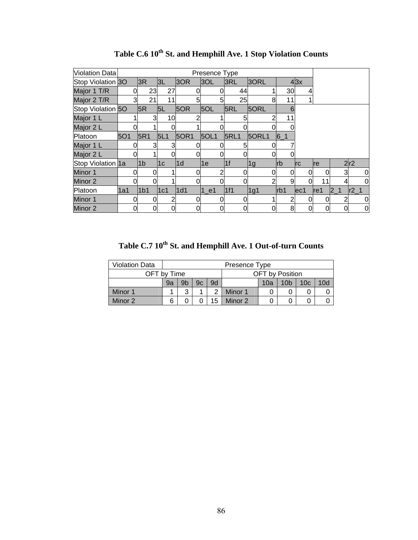| Violation Data    |     |   |                 |     |          |               | Presence Type |             |   |       |                 |     |      |    |     |             |
|-------------------|-----|---|-----------------|-----|----------|---------------|---------------|-------------|---|-------|-----------------|-----|------|----|-----|-------------|
| Stop Violation 3O |     |   | 3R              | 3L  |          | 3OR           | 3OL           | 3RL         |   | 30RL  |                 | 43x |      |    |     |             |
| Major 1 T/R       |     | 0 | 23              |     | 27       |               |               | 44          |   |       | 30              | 4   |      |    |     |             |
| Major 2 T/R       |     | 3 | 21              |     | 11       |               | 5             | 25          |   | 8     | 11              |     |      |    |     |             |
| Stop Violation 50 |     |   | 5R              | 5L  |          | 5OR           | 5OL           | 5RL         |   | 5ORL  | 6               |     |      |    |     |             |
| Major 1 L         |     |   | 3               |     | 10       |               |               |             |   |       |                 |     |      |    |     |             |
| Major 2 L         |     |   |                 |     |          |               |               |             |   |       |                 |     |      |    |     |             |
| Platoon           | 5O1 |   | 5R1             | 5L1 |          | 50R1          | 5OL1          | <b>5RL1</b> |   | 5ORL1 | $6-1$           |     |      |    |     |             |
| Major 1 L         |     |   | 3               |     | 3        |               |               |             | 5 |       |                 |     |      |    |     |             |
| Major 2 L         |     |   |                 |     |          |               |               |             |   |       |                 |     |      |    |     |             |
| Stop Violation 1a |     |   | 1 <sub>b</sub>  | 1c  |          | $\mathsf{Id}$ | 1e            | 1f          |   | 1g    | <b>rb</b>       | Irc | Ire  |    | 2r2 |             |
| Minor 1           |     |   |                 |     |          |               |               |             |   | 0     |                 | 0   | 0    |    | 3   | $\mathbf 0$ |
| Minor 2           |     |   |                 |     |          |               |               |             |   | ⌒     | 9               | ი   | 11   |    |     | $\Omega$    |
| Platoon           | 1a1 |   | 1 <sub>b1</sub> | 1c1 |          | 1d1           | $1$ e1        | 1f1         |   | 1g1   | rb <sub>1</sub> | ec1 | lref | 21 |     | r2          |
| Minor 1           |     | 0 |                 |     | 2        |               |               |             |   |       |                 | 0   | 0    | 2  |     | 0           |
| Minor 2           |     | 0 | 0               |     | $\Omega$ |               |               |             | 0 |       | 8               | 0   | 0    |    |     | 0           |

Table C.6  $10^{\text{th}}$  St. and Hemphill Ave. 1 Stop Violation Counts

Table C.7 10<sup>th</sup> St. and Hemphill Ave. 1 Out-of-turn Counts

| <b>Violation Data</b> |    |    |    |    | Presence Type                                    |                        |  |  |  |  |  |  |  |
|-----------------------|----|----|----|----|--------------------------------------------------|------------------------|--|--|--|--|--|--|--|
| OFT by Time           |    |    |    |    |                                                  | <b>OFT</b> by Position |  |  |  |  |  |  |  |
|                       | 9a | 9b | 9c | 9d | 10d<br>10 <sub>c</sub><br>10 <sub>b</sub><br>10a |                        |  |  |  |  |  |  |  |
| Minor 1               | າ  |    |    |    |                                                  |                        |  |  |  |  |  |  |  |
| Minor 2               |    |    |    | 5  | Minor 2                                          |                        |  |  |  |  |  |  |  |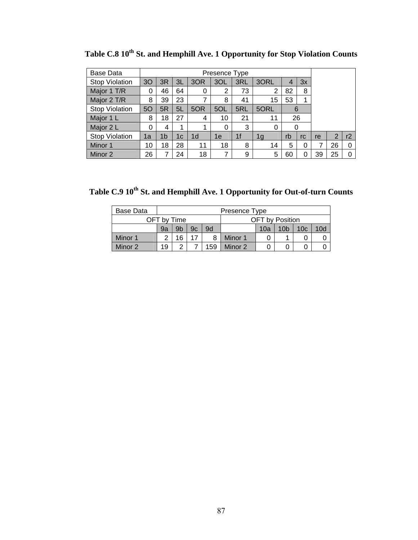| Base Data             |    |                |    |                | Presence Type |                |                |    |    |    |    |    |  |  |  |  |  |
|-----------------------|----|----------------|----|----------------|---------------|----------------|----------------|----|----|----|----|----|--|--|--|--|--|
| <b>Stop Violation</b> | 30 | 3R             | 3L | 3OR            | 3OL           | 3RL            | 3ORL           | 4  | 3x |    |    |    |  |  |  |  |  |
| Major 1 T/R           | 0  | 46             | 64 | 0              | 2             | 73             | $\overline{2}$ | 82 | 8  |    |    |    |  |  |  |  |  |
| Major 2 T/R           | 8  | 39             | 23 |                | 8             | 41             | 15             | 53 | 1  |    |    |    |  |  |  |  |  |
| <b>Stop Violation</b> | 5O | 5R             | 5L | 5OR            | 5OL           | 5RL            | 5ORL           | 6  |    |    |    |    |  |  |  |  |  |
| Major 1 L             | 8  | 18             | 27 | 4              | 10            | 21             | 11             | 26 |    |    |    |    |  |  |  |  |  |
| Major 2 L             | 0  | 4              | 1  |                | 0             | 3              | 0              | 0  |    |    |    |    |  |  |  |  |  |
| <b>Stop Violation</b> | 1a | 1b             | 1c | 1 <sub>d</sub> | 1e            | 1 <sub>f</sub> | 1g             | rb | rc | re | 2  | r2 |  |  |  |  |  |
| Minor 1               | 10 | 18             | 28 | 11             | 18            | 8              | 14             | 5  | 0  |    | 26 | 0  |  |  |  |  |  |
| Minor 2               | 26 | $\overline{7}$ | 24 | 18             | 7             | 9              | 5              | 60 | 0  | 39 | 25 | 0  |  |  |  |  |  |

Table C.8 10<sup>th</sup> St. and Hemphill Ave. 1 Opportunity for Stop Violation Counts

Table C.9 10<sup>th</sup> St. and Hemphill Ave. 1 Opportunity for Out-of-turn Counts

| Base Data |             |    |    |     | Presence Type |                 |     |  |  |  |  |
|-----------|-------------|----|----|-----|---------------|-----------------|-----|--|--|--|--|
|           | OFT by Time |    |    |     |               | OFT by Position |     |  |  |  |  |
|           | 9a          | 9b | 9c | 9d  |               | 10 <sub>c</sub> | 10d |  |  |  |  |
| Minor 1   | ◠           | 16 |    |     | Minor 1       | 0               |     |  |  |  |  |
| Minor 2   | 19          | っ  |    | 159 | Minor 2<br>0  |                 |     |  |  |  |  |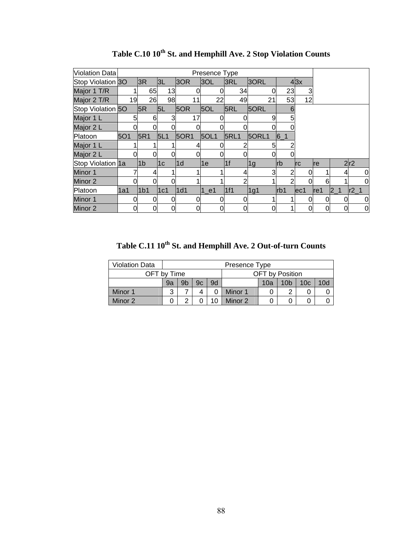| Violation Data    |     |                 |                |               | Presence Type |             |       |                  |            |     |                |     |
|-------------------|-----|-----------------|----------------|---------------|---------------|-------------|-------|------------------|------------|-----|----------------|-----|
| Stop Violation 3O |     | 3R              | 3L             | 3OR           | 3OL           | 3RL         | 3ORL  |                  | 43x        |     |                |     |
| Major 1 T/R       |     | 65              | 13             |               |               | 34          | 0     | 23               | 3          |     |                |     |
| Major 2 T/R       | 19  | 26              | 98             | 11            | 22            | 49          | 21    | 53               | 12         |     |                |     |
| Stop Violation 50 |     | 5R              | 5L             | 5OR           | 5OL           | 5RL         | 5ORL  | 6                |            |     |                |     |
| Major 1 L         | 5   | 6               |                | 17            |               |             |       |                  |            |     |                |     |
| Major 2 L         |     |                 |                |               |               |             |       |                  |            |     |                |     |
| Platoon           | 501 | 5R1             | 5L1            | 50R1          | <b>5OL1</b>   | <b>5RL1</b> | 5ORL1 | $6-1$            |            |     |                |     |
| Major 1 L         |     |                 |                |               |               |             |       |                  |            |     |                |     |
| Major 2 L         |     |                 |                |               |               |             |       |                  |            |     |                |     |
| Stop Violation 1a |     | 1 <sub>b</sub>  | 1 <sub>c</sub> | $\mathsf{1d}$ | 1e            | 1f          | 1g    | Irb              | <b>Irc</b> | re  |                | 2r2 |
| Minor 1           |     | 4               |                |               |               |             | 3     |                  | 0          |     |                | 0   |
| Minor 2           |     |                 |                |               |               | ⌒           |       | 2                | 0          | 6   |                | 0   |
| Platoon           | 1a1 | 1 <sub>b1</sub> | 1c1            | 1d1           | $1$ e1        | 11f1        | 1g1   | r <sub>b</sub> 1 | ec1        | re1 | 2 <sub>1</sub> | r2  |
| Minor 1           |     | 0               |                |               |               |             |       |                  | 0          | 0   | 0              | 0   |
| Minor 2           |     | 0               | 0              | 0             |               | 0           |       |                  | 0          | 0   | 0              | 0   |

Table C.10  $10^{th}$  St. and Hemphill Ave. 2 Stop Violation Counts

Table C.11  $10^{th}$  St. and Hemphill Ave. 2 Out-of-turn Counts

| <b>Violation Data</b> | Presence Type                  |    |    |    |                                                  |  |   |  |  |  |
|-----------------------|--------------------------------|----|----|----|--------------------------------------------------|--|---|--|--|--|
|                       | OFT by Position<br>OFT by Time |    |    |    |                                                  |  |   |  |  |  |
|                       | 9a                             | 9b | 9c | 9d | 10d<br>10 <sub>c</sub><br>10 <sub>b</sub><br>10a |  |   |  |  |  |
| Minor 1               | 3                              |    |    |    | Minor 1                                          |  | ◠ |  |  |  |
| Minor 2               |                                | ົ  |    |    | Minor 2                                          |  |   |  |  |  |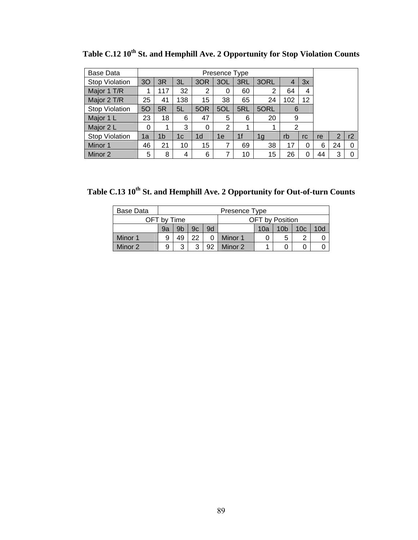| Base Data             |    |                |     |                |                |                |      |     |                |    |                |    |
|-----------------------|----|----------------|-----|----------------|----------------|----------------|------|-----|----------------|----|----------------|----|
| <b>Stop Violation</b> | 30 | 3R             | 3L  | 3OR            | 3OL            | 3RL            | 3ORL | 4   | 3x             |    |                |    |
| Major 1 T/R           |    | 117            | 32  | 2              | 0              | 60             | 2    | 64  | $\overline{4}$ |    |                |    |
| Major 2 T/R           | 25 | 41             | 138 | 15             | 38             | 65             | 24   | 102 | 12             |    |                |    |
| <b>Stop Violation</b> | 50 | 5R             | 5L  | 5OR            | 5OL            | 5RL            | 5ORL | 6   |                |    |                |    |
| Major 1 L             | 23 | 18             | 6   | 47             | 5              | 6              | 20   | 9   |                |    |                |    |
| Major 2 L             | 0  | 1              | 3   | 0              | $\overline{2}$ | 1              |      | 2   |                |    |                |    |
| <b>Stop Violation</b> | 1a | 1 <sub>b</sub> | 1c  | 1 <sub>d</sub> | 1e             | 1 <sub>f</sub> | 1g   | rb  | rc.            | re | $\overline{2}$ | r2 |
| Minor 1               | 46 | 21             | 10  | 15             | 7              | 69             | 38   | 17  |                | 6  | 24             |    |
| Minor 2               | 5  | 8              | 4   | 6              | 7              | 10             | 15   | 26  | 0              | 44 | 3              |    |

Table C.12 10<sup>th</sup> St. and Hemphill Ave. 2 Opportunity for Stop Violation Counts

Table C.13 10<sup>th</sup> St. and Hemphill Ave. 2 Opportunity for Out-of-turn Counts

| Base Data |             | Presence Type  |    |    |                 |     |                 |                 |                 |  |  |  |
|-----------|-------------|----------------|----|----|-----------------|-----|-----------------|-----------------|-----------------|--|--|--|
|           | OFT by Time |                |    |    | OFT by Position |     |                 |                 |                 |  |  |  |
|           | 9a          | 9 <sub>b</sub> | 9c | 9d |                 | 10a | 10 <sub>b</sub> | 10 <sub>c</sub> | 10 <sub>d</sub> |  |  |  |
| Minor 1   | 9           | 49             | 22 |    | Minor 1         |     | 5               | ◠               |                 |  |  |  |
| Minor 2   | 9           | 3              |    | 92 | Minor 2         |     |                 |                 |                 |  |  |  |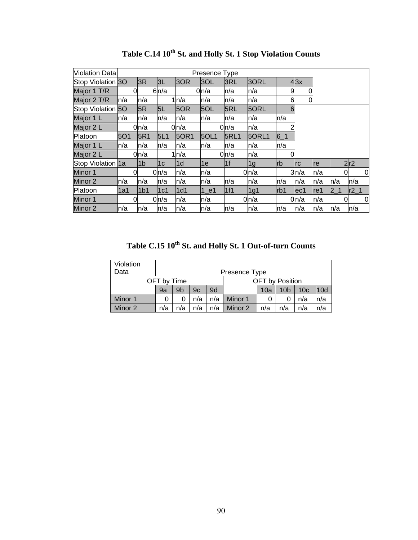| <b>Violation Data</b> |      |                  |       |             | Presence Type |             |                  |            |            |      |         |   |          |
|-----------------------|------|------------------|-------|-------------|---------------|-------------|------------------|------------|------------|------|---------|---|----------|
| Stop Violation 30     |      | 3R               | 3L    | 3OR         | 3OL           | 3RL         | 3ORL             |            | 43x        |      |         |   |          |
| Major 1 T/R           | 0    |                  | 6n/a  |             | 0n/a          | n/a         | n/a              | 9          | 0          |      |         |   |          |
| Major 2 T/R           | ln/a | n/a              |       | 1n/a        | n/a           | n/a         | n/a              | 6          | 0          |      |         |   |          |
| Stop Violation 50     |      | 5R               | 5L    | 5OR         | 5OL           | 5RL         | 5ORL             | 6          |            |      |         |   |          |
| Major 1 L             | ln/a | n/a              | n/a   | n/a         | n/a           | ln/a        | n/a              | ln/a       |            |      |         |   |          |
| Major 2 L             |      | 0 <sub>n/a</sub> |       | 0 n/a       |               | 0n/a        | n/a              |            |            |      |         |   |          |
| Platoon               | 501  | 5R1              | 5L1   | <b>50R1</b> | 5OL1          | <b>5RL1</b> | 50RL1            | $6 - 1$    |            |      |         |   |          |
| Major 1 L             | ln/a | n/a              | n/a   | n/a         | n/a           | n/a         | n/a              | n/a        |            |      |         |   |          |
| Major 2 L             |      | 0n/a             |       | 1ln/a       |               | 0n/a        | n/a              | 0          |            |      |         |   |          |
| Stop Violation 1a     |      | l1b              | 1c    | l1d         | 1e            | 1f          | 1 <sub>g</sub>   | <b>lrb</b> | <b>Irc</b> | Ire  |         |   | 2r2      |
| Minor 1               | 0    |                  | 0n/a  | n/a         | n/a           |             | 0 n/a            |            | 3n/a       | n/a  |         | 0 | 0        |
| Minor 2               | ln/a | n/a              | n/a   | n/a         | n/a           | n/a         | n/a              | n/a        | n/a        | ln/a | n/a     |   | n/a      |
| Platoon               | l1a1 | 1 <sub>b1</sub>  | 1c1   | 1d1         | 1 e1          | 1f1         | 1g1              | Irb1       | lec1       | lref | $2 - 1$ |   | $r2_1$   |
| Minor 1               | 0    |                  | 0ln/a | n/a         | n/a           |             | 0 <sub>n/a</sub> |            | 0n/a       | n/a  |         | 0 | $\Omega$ |
| Minor 2               | ln/a | n/a              | n/a   | n/a         | n/a           | n/a         | n/a              | ln/a       | n/a        | ln/a | ln/a    |   | n/a      |

Table C.14  $10^{th}$  St. and Holly St. 1 Stop Violation Counts

Table C.15  $10^{th}$  St. and Holly St. 1 Out-of-turn Counts

| Violation<br>Data | Presence Type |                                       |     |     |         |                 |     |     |     |  |  |
|-------------------|---------------|---------------------------------------|-----|-----|---------|-----------------|-----|-----|-----|--|--|
|                   |               | <b>OFT</b> by Position<br>OFT by Time |     |     |         |                 |     |     |     |  |  |
|                   | 9a            | 9b                                    | 9c  | 9d  |         | 10 <sub>c</sub> | 10d |     |     |  |  |
| Minor 1           | O             |                                       | n/a | n/a | Minor 1 | 0               |     | n/a | n/a |  |  |
| Minor 2           | n/a           | n/a                                   | n/a | n/a | Minor 2 | n/a             | n/a | n/a | n/a |  |  |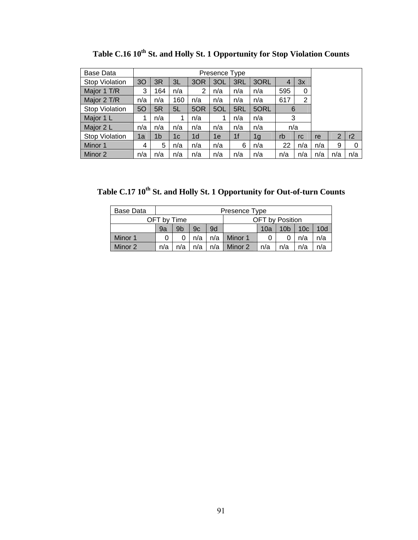| Base Data             |                |                |     |                | Presence Type |                |      |     |     |     |     |     |
|-----------------------|----------------|----------------|-----|----------------|---------------|----------------|------|-----|-----|-----|-----|-----|
| Stop Violation        | 3 <sub>O</sub> | 3R             | 3L  | 3OR            | 3OL           | 3RL            | 3ORL | 4   | 3x  |     |     |     |
| Major 1 T/R           | 3              | 164            | n/a | 2              | n/a           | n/a            | n/a  | 595 | 0   |     |     |     |
| Major 2 T/R           | n/a            | n/a            | 160 | n/a            | n/a           | n/a            | n/a  | 617 | 2   |     |     |     |
| <b>Stop Violation</b> | 5O             | 5R             | 5L  | 5OR            | 5OL           | 5RL            | 5ORL | 6   |     |     |     |     |
| Major 1 L             | 1              | n/a            |     | n/a            | 1             | n/a            | n/a  | 3   |     |     |     |     |
| Major 2 L             | n/a            | n/a            | n/a | n/a            | n/a           | n/a            | n/a  | n/a |     |     |     |     |
| <b>Stop Violation</b> | 1a             | 1 <sub>b</sub> | 1c  | 1 <sub>d</sub> | 1e            | 1 <sup>f</sup> | 1g   | rb  | rc  | re  | 2   | r2  |
| Minor 1               | 4              | 5              | n/a | n/a            | n/a           | 6              | n/a  | 22  | n/a | n/a | 9   | 0   |
| Minor 2               | n/a            | n/a            | n/a | n/a            | n/a           | n/a            | n/a  | n/a | n/a | n/a | n/a | n/a |

Table C.16 10<sup>th</sup> St. and Holly St. 1 Opportunity for Stop Violation Counts

Table C.17 10<sup>th</sup> St. and Holly St. 1 Opportunity for Out-of-turn Counts

| Base Data |                                                                                      |  |     |     | Presence Type |  |                        |     |     |  |
|-----------|--------------------------------------------------------------------------------------|--|-----|-----|---------------|--|------------------------|-----|-----|--|
|           | OFT by Time                                                                          |  |     |     |               |  | <b>OFT</b> by Position |     |     |  |
|           | 9 <sub>b</sub><br>10 <sub>c</sub><br>10 <sub>b</sub><br>10d<br>9d<br>9c<br>9a<br>10a |  |     |     |               |  |                        |     |     |  |
| Minor 1   |                                                                                      |  | n/a | n/a | Minor 1       |  |                        | n/a | n/a |  |
| Minor 2   | n/a<br>n/a<br>n/a<br>Minor 2<br>n/a<br>n/a<br>n/a<br>n/a<br>n/a                      |  |     |     |               |  |                        |     |     |  |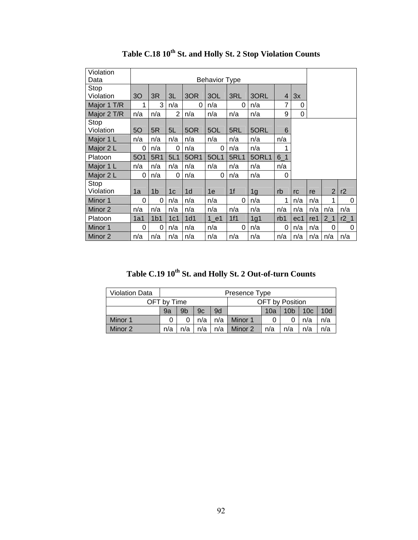| Violation<br>Data  |             |                 |                |                | <b>Behavior Type</b> |             |                |                |     |     |                |           |
|--------------------|-------------|-----------------|----------------|----------------|----------------------|-------------|----------------|----------------|-----|-----|----------------|-----------|
| Stop               |             |                 |                |                |                      |             |                |                |     |     |                |           |
| Violation          | 30          | 3R              | 3L             | 3OR            | 3OL                  | 3RL         | 3ORL           | $\overline{4}$ | 3x  |     |                |           |
| Major 1 T/R        | $\mathbf 1$ | 3               | n/a            | $\Omega$       | n/a                  | 0           | n/a            | 7              | 0   |     |                |           |
| Major 2 T/R        | n/a         | n/a             | $\overline{2}$ | n/a            | n/a                  | n/a         | n/a            | 9              | 0   |     |                |           |
| Stop<br>Violation  | 50          | 5R              | 5L             | 5OR            | 5OL                  | 5RL         | 5ORL           | 6              |     |     |                |           |
| Major 1 L          | n/a         | n/a             | n/a            | n/a            | n/a                  | n/a         | n/a            | n/a            |     |     |                |           |
| Major 2 L          | 0           | n/a             | 0              | n/a            | 0                    | n/a         | n/a            | 1              |     |     |                |           |
| Platoon            | <b>5O1</b>  | 5R1             | 5L1            | 50R1           | 5OL1                 | <b>5RL1</b> | 5ORL1          | $6-1$          |     |     |                |           |
| Major 1 L          | n/a         | n/a             | n/a            | n/a            | n/a                  | n/a         | n/a            | n/a            |     |     |                |           |
| Major 2 L          | 0           | n/a             | 0              | n/a            | 0                    | n/a         | n/a            | 0              |     |     |                |           |
| Stop               |             |                 |                |                |                      |             |                |                |     |     |                |           |
| Violation          | 1a          | 1 <sub>b</sub>  | 1 <sub>c</sub> | 1 <sub>d</sub> | 1e                   | 1f          | 1 <sub>g</sub> | rb             | rc  | re  | $\overline{2}$ | r2        |
| Minor 1            | 0           | 0               | n/a            | n/a            | n/a                  | $\Omega$    | n/a            | 1              | n/a | n/a | 1              | 0         |
| Minor 2            | n/a         | n/a             | n/a            | n/a            | n/a                  | n/a         | n/a            | n/a            | n/a | n/a | n/a            | n/a       |
| Platoon            | 1a1         | 1 <sub>b1</sub> | 1c1            | 1d1            | $1$ e1               | 1f1         | 1g1            | rb1            | ec1 | re1 | 2 <sub>1</sub> | $r2_{-1}$ |
| Minor 1            | 0           | 0               | n/a            | n/a            | n/a                  | 0           | n/a            | 0              | n/a | n/a | 0              | 0         |
| Minor <sub>2</sub> | n/a         | n/a             | n/a            | n/a            | n/a                  | n/a         | n/a            | n/a            | n/a | n/a | n/a            | n/a       |

Table C.18  $10^{th}$  St. and Holly St. 2 Stop Violation Counts

Table C.19  $10^{th}$  St. and Holly St. 2 Out-of-turn Counts

| <b>Violation Data</b> |                                                                     |                                                                    |  |  | Presence Type |  |                        |  |  |  |  |
|-----------------------|---------------------------------------------------------------------|--------------------------------------------------------------------|--|--|---------------|--|------------------------|--|--|--|--|
|                       | OFT by Time                                                         |                                                                    |  |  |               |  | <b>OFT</b> by Position |  |  |  |  |
|                       | 9a                                                                  | 10c<br>10d<br>9 <sub>b</sub><br>10 <sub>b</sub><br>9d<br>10a<br>9c |  |  |               |  |                        |  |  |  |  |
| Minor 1               |                                                                     | $n/a$  <br>Minor 1<br>n/a<br>n/a<br>n/a                            |  |  |               |  |                        |  |  |  |  |
| Minor 2               | n/a<br>$n/a$  <br>n/a<br>n/a<br>n/a<br>n/a<br>Minor 2<br>η/a<br>n/a |                                                                    |  |  |               |  |                        |  |  |  |  |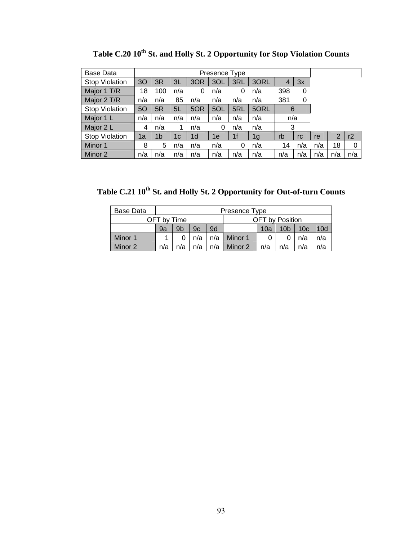| <b>Base Data</b>      |     |     |     |     | Presence Type |     |      |     |     |     |                |          |
|-----------------------|-----|-----|-----|-----|---------------|-----|------|-----|-----|-----|----------------|----------|
| <b>Stop Violation</b> | 30  | 3R  | 3L  | 3OR | 3OL           | 3RL | 3ORL | 4   | 3x  |     |                |          |
| Major 1 T/R           | 18  | 100 | n/a | 0   | n/a           | 0   | n/a  | 398 | 0   |     |                |          |
| Major 2 T/R           | n/a | n/a | 85  | n/a | n/a           | n/a | n/a  | 381 | 0   |     |                |          |
| <b>Stop Violation</b> | 50  | 5R  | 5L  | 5OR | 5OL           | 5RL | 5ORL | 6   |     |     |                |          |
| Major 1 L             | n/a | n/a | n/a | n/a | n/a           | n/a | n/a  | n/a |     |     |                |          |
| Major 2 L             | 4   | n/a |     | n/a | 0             | n/a | n/a  | 3   |     |     |                |          |
| <b>Stop Violation</b> | 1a  | 1b  | 1c  | 1d  | 1e            | 1f  | 1g   | rb  | rc  | re  | $\overline{2}$ | r2       |
| Minor 1               | 8   | 5   | n/a | n/a | n/a           | 0   | n/a  | 14  | n/a | n/a | 18             | $\Omega$ |
| Minor 2               | n/a | n/a | n/a | n/a | n/a           | n/a | n/a  | n/a | n/a | n/a | n/a            | n/a      |

Table C.20 10<sup>th</sup> St. and Holly St. 2 Opportunity for Stop Violation Counts

Table C.21  $10^{th}$  St. and Holly St. 2 Opportunity for Out-of-turn Counts

| Base Data |                                                                 |                                                                    |     |     | Presence Type |  |                 |     |     |  |  |
|-----------|-----------------------------------------------------------------|--------------------------------------------------------------------|-----|-----|---------------|--|-----------------|-----|-----|--|--|
|           | OFT by Time                                                     |                                                                    |     |     |               |  | OFT by Position |     |     |  |  |
|           | 9a                                                              | 9 <sub>b</sub><br>10c<br>10d<br>9d<br>10 <sub>b</sub><br>9c<br>10a |     |     |               |  |                 |     |     |  |  |
| Minor 1   |                                                                 |                                                                    | n/a | n/a | Minor 1       |  |                 | n/a | n/a |  |  |
| Minor 2   | n/a<br>n/a<br>n/a<br>Minor 2<br>n/a<br>n/a<br>n/a<br>n/a<br>n/a |                                                                    |     |     |               |  |                 |     |     |  |  |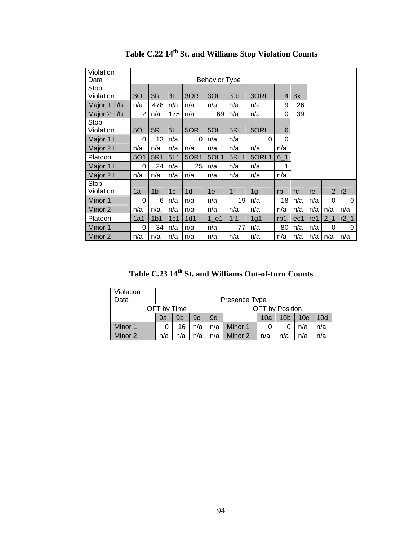| Violation<br>Data  |                |                 |                |                | <b>Behavior Type</b> |                |                |                |     |     |                |        |
|--------------------|----------------|-----------------|----------------|----------------|----------------------|----------------|----------------|----------------|-----|-----|----------------|--------|
| Stop               |                |                 |                |                |                      |                |                |                |     |     |                |        |
| Violation          | 30             | 3R              | 3L             | 3OR            | 3OL                  | 3RL            | 3ORL           | $\overline{4}$ | 3x  |     |                |        |
| Major 1 T/R        | n/a            | 478             | n/a            | n/a            | n/a                  | n/a            | n/a            | 9              | 26  |     |                |        |
| Major 2 T/R        | $\overline{2}$ | n/a             | 175            | n/a            | 69                   | n/a            | n/a            | 0              | 39  |     |                |        |
| Stop<br>Violation  | 50             | 5R              | 5L             | 5OR            | 5OL                  | 5RL            | 5ORL           | 6              |     |     |                |        |
| Major 1 L          | 0              | 13              | n/a            | 0              | n/a                  | n/a            | 0              | 0              |     |     |                |        |
| Major 2 L          | n/a            | n/a             | n/a            | n/a            | n/a                  | n/a            | n/a            | n/a            |     |     |                |        |
| Platoon            | 5O1            | 5R1             | 5L1            | 50R1           | 5OL1                 | <b>5RL1</b>    | 5ORL1          | $6-1$          |     |     |                |        |
| Major 1 L          | $\Omega$       | 24              | n/a            | 25             | n/a                  | n/a            | n/a            | 1              |     |     |                |        |
| Major 2 L          | n/a            | n/a             | n/a            | n/a            | n/a                  | n/a            | n/a            | n/a            |     |     |                |        |
| Stop<br>Violation  | 1a             | 1 <sub>b</sub>  | 1 <sub>c</sub> | 1 <sub>d</sub> | 1e                   | 1 <sup>f</sup> | 1 <sub>g</sub> | rb             | rc  | re  | $\overline{2}$ | r2     |
| Minor 1            | 0              | 6               | n/a            | n/a            | n/a                  | 19             | n/a            | 18             | n/a | n/a | 0              | 0      |
| Minor <sub>2</sub> | n/a            | n/a             | n/a            | n/a            | n/a                  | n/a            | n/a            | n/a            | n/a | n/a | n/a            | n/a    |
| Platoon            | 1a1            | 1 <sub>b1</sub> | 1c1            | 1d1            | $1$ e1               | 1f1            | 1g1            | rb1            | ec1 | re1 | 2 <sub>1</sub> | $r2_1$ |
| Minor 1            | 0              | 34              | n/a            | n/a            | n/a                  | 77             | n/a            | 80             | n/a | n/a | 0              | 0      |
| Minor 2            | n/a            | n/a             | n/a            | n/a            | n/a                  | n/a            | n/a            | n/a            | n/a | n/a | n/a            | n/a    |

**Table C.22 14th St. and Williams Stop Violation Counts** 

Table C.23 14<sup>th</sup> St. and Williams Out-of-turn Counts

| Violation<br>Data |     |                                                                                |  |  | Presence Type |  |  |  |  |  |  |  |  |
|-------------------|-----|--------------------------------------------------------------------------------|--|--|---------------|--|--|--|--|--|--|--|--|
|                   |     | <b>OFT</b> by Position<br>OFT by Time                                          |  |  |               |  |  |  |  |  |  |  |  |
|                   | 9a  | 10d<br>9 <sub>b</sub><br>9d<br>10 <sub>c</sub><br>10a<br>9с<br>10 <sub>b</sub> |  |  |               |  |  |  |  |  |  |  |  |
| Minor 1           |     | Minor 1<br>n/a<br>n/a<br>n/a<br>16<br>n/a<br>0                                 |  |  |               |  |  |  |  |  |  |  |  |
| Minor 2           | n/a | Minor 2<br>n/a<br>n/a<br>n/a<br>n/a<br>n/a<br>n/a<br>n/a                       |  |  |               |  |  |  |  |  |  |  |  |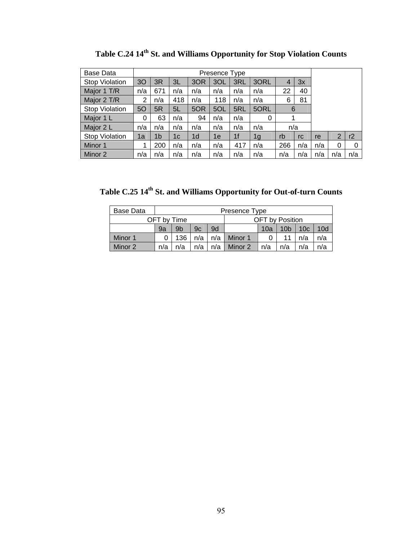| Base Data             |     |                |     |                | Presence Type |                |      |     |     |     |     |     |
|-----------------------|-----|----------------|-----|----------------|---------------|----------------|------|-----|-----|-----|-----|-----|
| Stop Violation        | 3O  | 3R             | 3L  | 3OR            | 3OL           | 3RL            | 3ORL | 4   | 3x  |     |     |     |
| Major 1 T/R           | n/a | 671            | n/a | n/a            | n/a           | n/a            | n/a  | 22  | 40  |     |     |     |
| Major 2 T/R           | 2   | n/a            | 418 | n/a            | 118           | n/a            | n/a  | 6   | 81  |     |     |     |
| <b>Stop Violation</b> | 5O  | 5R             | 5L  | 5OR            | 5OL           | 5RL            | 5ORL | 6   |     |     |     |     |
| Major 1 L             | 0   | 63             | n/a | 94             | n/a           | n/a            | 0    | 1   |     |     |     |     |
| Major 2 L             | n/a | n/a            | n/a | n/a            | n/a           | n/a            | n/a  | n/a |     |     |     |     |
| <b>Stop Violation</b> | 1a  | 1 <sub>b</sub> | 1c  | 1 <sub>d</sub> | 1e            | 1 <sub>f</sub> | 1g   | rb  | rc  | re  | 2   | r2  |
| Minor 1               | 1   | 200            | n/a | n/a            | n/a           | 417            | n/a  | 266 | n/a | n/a | 0   | 0   |
| Minor 2               | n/a | n/a            | n/a | n/a            | n/a           | n/a            | n/a  | n/a | n/a | n/a | n/a | n/a |

Table C.24 14<sup>th</sup> St. and Williams Opportunity for Stop Violation Counts

Table C.25 14<sup>th</sup> St. and Williams Opportunity for Out-of-turn Counts

| Base Data |             |                                                                    |     |     | Presence Type |                 |  |     |     |  |  |
|-----------|-------------|--------------------------------------------------------------------|-----|-----|---------------|-----------------|--|-----|-----|--|--|
|           | OFT bv Time |                                                                    |     |     |               | OFT by Position |  |     |     |  |  |
|           | 9a          | 9d<br>9b<br>10 <sub>c</sub><br>9c<br>10d<br>10 <sub>b</sub><br>10a |     |     |               |                 |  |     |     |  |  |
| Minor 1   |             | 136                                                                | n/a | n/a | Minor 1       |                 |  | n/a | n/a |  |  |
| Minor 2   | n/a         | n/a<br>Minor 2<br>n/a<br>n/a<br>n/a<br>n/a<br>n/a<br>n/a           |     |     |               |                 |  |     |     |  |  |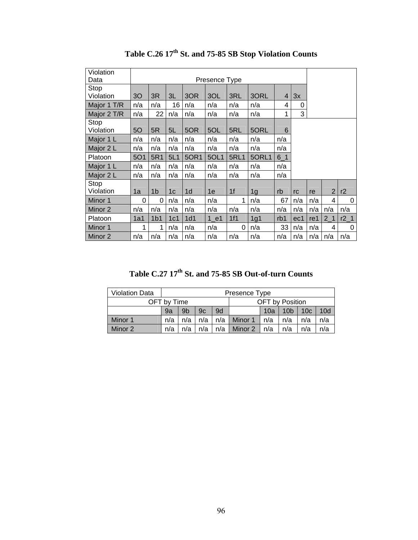| 30         | 3R              | 3L             | 3OR            | 3OL    | 3RL         | 3ORL           | $\overline{4}$ | 3x  |     |                |           |
|------------|-----------------|----------------|----------------|--------|-------------|----------------|----------------|-----|-----|----------------|-----------|
| n/a        | n/a             | 16             | n/a            | n/a    | n/a         | n/a            | 4              | 0   |     |                |           |
| n/a        | 22              | n/a            | n/a            | n/a    | n/a         | n/a            | 1              | 3   |     |                |           |
| 50         | 5R              | 5L             | 5OR            | 5OL    | 5RL         | 5ORL           | 6              |     |     |                |           |
| n/a        | n/a             | n/a            | n/a            | n/a    | n/a         | n/a            | n/a            |     |     |                |           |
| n/a        | n/a             | n/a            | n/a            | n/a    | n/a         | n/a            | n/a            |     |     |                |           |
| <b>5O1</b> | 5R1             | 5L1            | 50R1           | 5OL1   | <b>5RL1</b> | 5ORL1          | $6-1$          |     |     |                |           |
| n/a        | n/a             | n/a            | n/a            | n/a    | n/a         | n/a            | n/a            |     |     |                |           |
| n/a        | n/a             | n/a            | n/a            | n/a    | n/a         | n/a            | n/a            |     |     |                |           |
| 1a         | 1 <sub>b</sub>  | 1 <sub>c</sub> | 1 <sub>d</sub> | 1e     | 1f          | 1 <sub>g</sub> | rb             | rc  | re  | $\overline{2}$ | r2        |
| 0          | 0               | n/a            | n/a            | n/a    | 1           | n/a            | 67             | n/a | n/a | 4              | 0         |
| n/a        | n/a             | n/a            | n/a            | n/a    | n/a         | n/a            | n/a            | n/a | n/a | n/a            | n/a       |
| 1a1        | 1 <sub>b1</sub> | 1c1            | 1d1            | $1$ e1 | 1f1         | 1g1            | rb1            | ec1 | re1 | 2 <sub>1</sub> | $r2_{-1}$ |
| 1          | 1               | n/a            | n/a            | n/a    | 0           | n/a            | 33             | n/a | n/a | 4              | 0         |
| n/a        | n/a             | n/a            | n/a            | n/a    | n/a         | n/a            | n/a            | n/a | n/a | n/a            | n/a       |
|            |                 |                |                |        |             | Presence Type  |                |     |     |                |           |

Table C.26 17<sup>th</sup> St. and 75-85 SB Stop Violation Counts

Table C.27 17<sup>th</sup> St. and 75-85 SB Out-of-turn Counts

| <b>Violation Data</b> |                                                                 |                                                                    |  |  | Presence Type |                 |  |  |  |  |  |
|-----------------------|-----------------------------------------------------------------|--------------------------------------------------------------------|--|--|---------------|-----------------|--|--|--|--|--|
|                       | OFT by Time                                                     |                                                                    |  |  |               | OFT by Position |  |  |  |  |  |
|                       | 9a                                                              | 10c<br>10d<br>9 <sub>b</sub><br>9d<br>10 <sub>b</sub><br>9c<br>10a |  |  |               |                 |  |  |  |  |  |
| Minor 1               | n/a                                                             | n/a<br>n/a<br>Minor 1<br>n/a<br>n/a<br>n/a<br>n/a<br>n/a           |  |  |               |                 |  |  |  |  |  |
| Minor 2               | n/a<br>n/a<br>n/a<br>n/a<br>Minor 2<br>n/a<br>n/a<br>n/a<br>n/a |                                                                    |  |  |               |                 |  |  |  |  |  |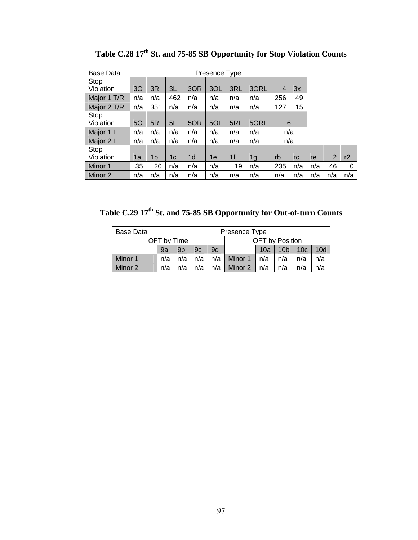| <b>Base Data</b> |     |                |     |                |     |                |      |                |     |     |                |     |
|------------------|-----|----------------|-----|----------------|-----|----------------|------|----------------|-----|-----|----------------|-----|
| Stop             |     |                |     |                |     |                |      |                |     |     |                |     |
| Violation        | 30  | 3R             | 3L  | 3OR            | 3OL | 3RL            | 3ORL | $\overline{4}$ | 3x  |     |                |     |
| Major 1 T/R      | n/a | n/a            | 462 | n/a            | n/a | n/a            | n/a  | 256            | 49  |     |                |     |
| Major 2 T/R      | n/a | 351            | n/a | n/a            | n/a | n/a            | n/a  | 127            | 15  |     |                |     |
| Stop             |     |                |     |                |     |                |      |                |     |     |                |     |
| Violation        | 5O  | 5R             | 5L  | 5OR            | 5OL | 5RL            | 5ORL | 6              |     |     |                |     |
| Major 1 L        | n/a | n/a            | n/a | n/a            | n/a | n/a            | n/a  | n/a            |     |     |                |     |
| Major 2 L        | n/a | n/a            | n/a | n/a            | n/a | n/a            | n/a  | n/a            |     |     |                |     |
| Stop             |     |                |     |                |     |                |      |                |     |     |                |     |
| Violation        | 1a  | 1 <sub>b</sub> | 1c  | 1 <sub>d</sub> | 1e  | 1 <sub>f</sub> | 1g   | rb             | rc  | re  | $\overline{2}$ | r2  |
| Minor 1          | 35  | 20             | n/a | n/a            | n/a | 19             | n/a  | 235            | n/a | n/a | 46             | 0   |
| Minor 2          | n/a | n/a            | n/a | n/a            | n/a | n/a            | n/a  | n/a            | n/a | n/a | n/a            | n/a |

Table C.28 17<sup>th</sup> St. and 75-85 SB Opportunity for Stop Violation Counts

Table C.29 17<sup>th</sup> St. and 75-85 SB Opportunity for Out-of-turn Counts

| Base Data |     | Presence Type                                              |     |     |         |     |     |     |     |  |  |  |
|-----------|-----|------------------------------------------------------------|-----|-----|---------|-----|-----|-----|-----|--|--|--|
|           |     | OFT by Position<br>OFT by Time                             |     |     |         |     |     |     |     |  |  |  |
|           | 9a  | 9d<br>$10b$   10 $c$<br>9 <sub>b</sub><br>9c<br>10d<br>10a |     |     |         |     |     |     |     |  |  |  |
| Minor 1   | n/a | n/a                                                        | n/a | n/a | Minor 1 | n/a | n/a | n/a | n/a |  |  |  |
| Minor 2   | n/a | n/a<br>n/a<br>n/a<br>n/a<br>Minor 2<br>n/a<br>n/a<br>n/a   |     |     |         |     |     |     |     |  |  |  |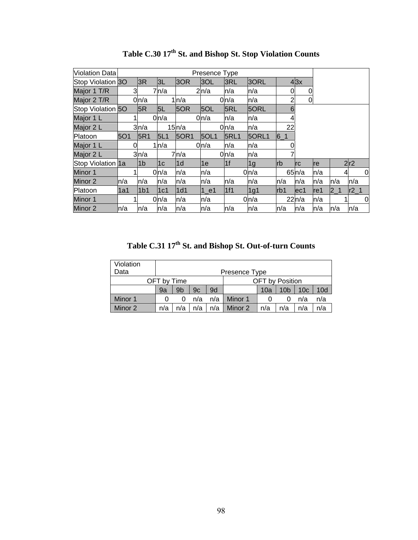| Violation Data    |      |                 |                |       | Presence Type |             |       |              |                   |      |         |        |
|-------------------|------|-----------------|----------------|-------|---------------|-------------|-------|--------------|-------------------|------|---------|--------|
| Stop Violation 3O |      | 3R              | 3L             | 3OR   | 3OL           | 3RL         | 3ORL  |              | $4 \times 3$      |      |         |        |
| Major 1 T/R       | 3    |                 | 7n/a           |       | 2n/a          | n/a         | n/a   | <sub>0</sub> | 0                 |      |         |        |
| Major 2 T/R       |      | 0n/a            |                | 1ln/a |               | 0n/a        | n/a   | 2            | 0                 |      |         |        |
| Stop Violation 50 |      | 5R              | 5L             | 5OR   | 5OL           | 5RL         | 5ORL  | 6            |                   |      |         |        |
| Major 1 L         |      |                 | 0ln/a          |       | 0n/a          | n/a         | n/a   | 4            |                   |      |         |        |
| Major 2 L         |      | 3n/a            |                | 15n/a |               | 0ln/a       | n/a   | 22           |                   |      |         |        |
| Platoon           | 5O1  | 5R1             | 5L1            | 50R1  | 5OL1          | <b>5RL1</b> | 5ORL1 | $6 - 1$      |                   |      |         |        |
| Major 1 L         | 0    |                 | 1ln/a          |       | $0 \mid n/a$  | n/a         | ln/a  |              |                   |      |         |        |
| Major 2 L         |      | 3n/a            |                | 7n/a  |               | 0n/a        | n/a   |              |                   |      |         |        |
| Stop Violation 1a |      | l1b             | 1 <sub>c</sub> | l1d   | 1e            | 1f          | 1g    | <b>lrb</b>   | <b>Irc</b>        | Ire  |         | 2r2    |
| Minor 1           |      |                 | 0n/a           | n/a   | n/a           |             | 0n/a  |              | 65 <sub>h/a</sub> | n/a  |         | 0<br>4 |
| Minor 2           | ln/a | n/a             | n/a            | n/a   | n/a           | n/a         | n/a   | ln/a         | n/a               | n/a  | n/a     | n/a    |
| Platoon           | l1a1 | 1 <sub>b1</sub> | 1c1            | 1d1   | $1$ e1        | 1f1         | 1g1   | Irb1         | lec1              | lre1 | $2 - 1$ | $r2_1$ |
| Minor 1           |      |                 | 0ln/a          | n/a   | n/a           |             | 0 n/a |              | 22n/a             | n/a  |         | 0      |
| Minor 2           | ln/a | n/a             | n/a            | n/a   | n/a           | n/a         | n/a   | n/a          | ln/a              | n/a  | ln/a    | ln/a   |

Table C.30  $17<sup>th</sup>$  St. and Bishop St. Stop Violation Counts

Table C.31 17<sup>th</sup> St. and Bishop St. Out-of-turn Counts

| Violation |     |                                                          |     |     |         |     |                 |                 |                 |  |  |  |  |
|-----------|-----|----------------------------------------------------------|-----|-----|---------|-----|-----------------|-----------------|-----------------|--|--|--|--|
| Data      |     | Presence Type                                            |     |     |         |     |                 |                 |                 |  |  |  |  |
|           |     | OFT by Position<br>OFT by Time                           |     |     |         |     |                 |                 |                 |  |  |  |  |
|           | 9a  | 9b                                                       | 9c  | 9d  |         | 10a | 10 <sub>b</sub> | 10 <sub>c</sub> | 10 <sub>d</sub> |  |  |  |  |
| Minor 1   |     |                                                          | n/a | n/a | Minor 1 |     |                 | n/a             | n/a             |  |  |  |  |
| Minor 2   | n/a | Minor 2<br>n/a<br>n/a<br>n/a<br>n/a<br>n/a<br>n/a<br>n/a |     |     |         |     |                 |                 |                 |  |  |  |  |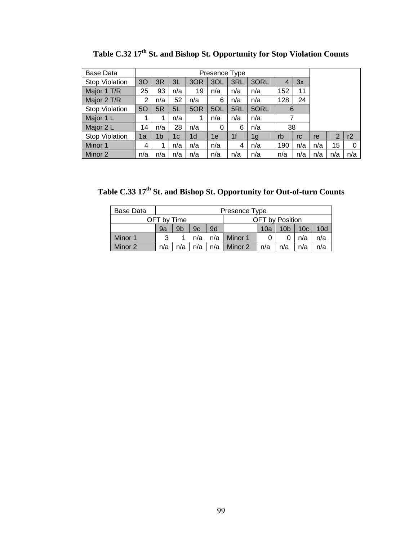| Base Data             |     |                |     |                |     |                |      |                |     |                       |   |    |  |  |  |
|-----------------------|-----|----------------|-----|----------------|-----|----------------|------|----------------|-----|-----------------------|---|----|--|--|--|
| <b>Stop Violation</b> | 30  | 3R             | 3L  | 3OR            | 3OL | 3RL            | 3ORL | $\overline{4}$ | 3x  |                       |   |    |  |  |  |
| Major 1 T/R           | 25  | 93             | n/a | 19             | n/a | n/a            | n/a  | 152            | 11  |                       |   |    |  |  |  |
| Major 2 T/R           | 2   | n/a            | 52  | n/a            | 6   | n/a            | n/a  | 128            | 24  |                       |   |    |  |  |  |
| <b>Stop Violation</b> | 50  | 5R             | 5L  | 5OR            | 5OL | 5RL            | 5ORL | 6              |     |                       |   |    |  |  |  |
| Major 1 L             |     |                | n/a | 1              | n/a | n/a            | n/a  | 7              |     |                       |   |    |  |  |  |
| Major 2 L             | 14  | n/a            | 28  | n/a            | 0   | 6              | n/a  | 38             |     |                       |   |    |  |  |  |
| <b>Stop Violation</b> | 1a  | 1 <sub>b</sub> | 1c  | 1 <sub>d</sub> | 1e  | 1 <sup>f</sup> | 1g   | rb             | rc  | re                    | 2 | r2 |  |  |  |
| Minor 1               | 4   |                | n/a | n/a            | n/a | 4              | n/a  | 190            | n/a | 15<br>$\Omega$<br>n/a |   |    |  |  |  |
| Minor 2               | n/a | n/a            | n/a | n/a            | n/a | n/a            | n/a  | n/a            | n/a | n/a<br>n/a<br>n/a     |   |    |  |  |  |

Table C.32 17<sup>th</sup> St. and Bishop St. Opportunity for Stop Violation Counts

**Table C.33 17th St. and Bishop St. Opportunity for Out-of-turn Counts** 

| Base Data |     | Presence Type                         |     |       |               |     |                 |                 |     |  |  |  |
|-----------|-----|---------------------------------------|-----|-------|---------------|-----|-----------------|-----------------|-----|--|--|--|
|           |     | <b>OFT</b> by Position<br>OFT by Time |     |       |               |     |                 |                 |     |  |  |  |
|           | 9a  | 9 <sub>b</sub>                        | 9c  | 9d    |               | 10a | 10 <sub>b</sub> | 10 <sub>c</sub> | 10d |  |  |  |
| Minor 1   |     |                                       | n/a |       | n/a I Minor 1 |     |                 | n/a             | n/a |  |  |  |
| Minor 2   | n/a | n/a                                   | n/a | $n/a$ | Minor 2       | n/a | n/a             | n/a             | n/a |  |  |  |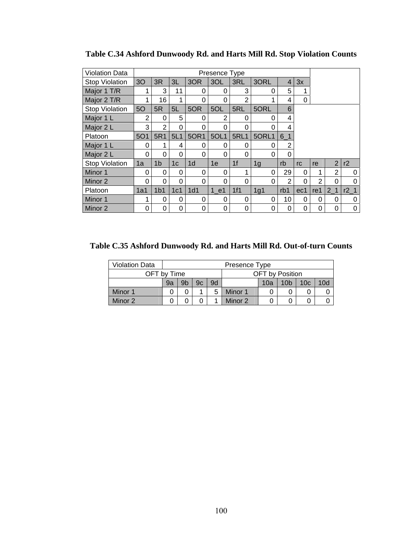| <b>Violation Data</b> |                |                 |                |                | Presence Type |                |       |       |     |                |                |                 |
|-----------------------|----------------|-----------------|----------------|----------------|---------------|----------------|-------|-------|-----|----------------|----------------|-----------------|
| <b>Stop Violation</b> | 3 <sub>O</sub> | 3R              | 3L             | 3OR            | 3OL           | 3RL            | 3ORL  | 4'    | 3x  |                |                |                 |
| Major 1 T/R           | 1              | 3               | 11             | 0              | 0             | 3              | 0     | 5     |     |                |                |                 |
| Major 2 T/R           |                | 16              | 1              | 0              | 0             | $\overline{2}$ |       | 4     | 0   |                |                |                 |
| <b>Stop Violation</b> | 5O             | 5R              | 5L             | 5OR            | 5OL           | 5RL            | 5ORL  | 6     |     |                |                |                 |
| Major 1 L             | 2              | 0               | 5              | 0              | 2             | 0              | 0     | 4     |     |                |                |                 |
| Major 2 L             | 3              | 2               | 0              | 0              | 0             | 0              | 0     | 4     |     |                |                |                 |
| Platoon               | <b>5O1</b>     | 5R1             | 5L1            | 50R1           | 5OL1          | <b>5RL1</b>    | 5ORL1 | $6-1$ |     |                |                |                 |
| Major 1 L             | 0              | 1               | 4              | 0              | 0             | 0              | 0     | 2     |     |                |                |                 |
| Major 2 L             | 0              | 0               | 0              | 0              | 0             | 0              | 0     | 0     |     |                |                |                 |
| <b>Stop Violation</b> | 1a             | 1 <sub>b</sub>  | 1 <sub>c</sub> | 1 <sub>d</sub> | 1e            | 1 <sub>f</sub> | 1g    | rb    | rc  | re             | $\overline{2}$ | r2              |
| Minor 1               | 0              | 0               | $\Omega$       | $\Omega$       | 0             | 1              | 0     | 29    | 0   | 1              | 2              | 0               |
| Minor 2               | 0              | 0               | 0              | 0              | 0             | 0              | 0     | 2     | 0   | $\overline{2}$ | $\Omega$       | 0               |
| Platoon               | 1a1            | 1 <sub>b1</sub> | 1c1            | 1d1            | 1 e1          | 1f1            | 1g1   | rb1   | ec1 | re1            | 2 <sub>1</sub> | r2 <sub>1</sub> |
| Minor 1               | 1              | 0               | 0              | 0              | 0             | 0              | 0     | 10    | 0   | 0              | 0              | $\Omega$        |
| Minor 2               | 0              | 0               | 0              | 0              | 0             | 0              | 0     | 0     | 0   | $\Omega$       | 0              | 0               |

**Table C.34 Ashford Dunwoody Rd. and Harts Mill Rd. Stop Violation Counts** 

**Table C.35 Ashford Dunwoody Rd. and Harts Mill Rd. Out-of-turn Counts** 

| <b>Violation Data</b> |    | Presence Type                         |    |    |         |     |                 |                 |     |  |  |  |
|-----------------------|----|---------------------------------------|----|----|---------|-----|-----------------|-----------------|-----|--|--|--|
|                       |    | <b>OFT</b> by Position<br>OFT by Time |    |    |         |     |                 |                 |     |  |  |  |
|                       | 9a | 9 <sub>b</sub>                        | 9c | 9d |         | 10a | 10 <sub>b</sub> | 10 <sub>c</sub> | 10d |  |  |  |
| Minor 1               |    | 0                                     |    | 5  | Minor 1 |     |                 |                 |     |  |  |  |
| Minor 2<br>Minor 2    |    |                                       |    |    |         |     |                 |                 |     |  |  |  |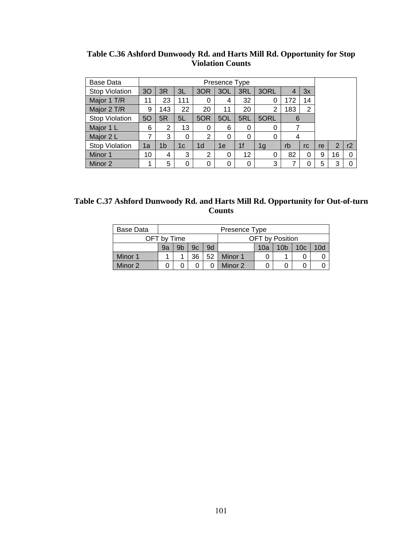| Base Data             |    |                |     |                | Presence Type |                |                |     |    |    |                |    |
|-----------------------|----|----------------|-----|----------------|---------------|----------------|----------------|-----|----|----|----------------|----|
| <b>Stop Violation</b> | 30 | 3R             | 3L  | 3OR            | 3OL           | 3RL            | 3ORL           | 4   | 3x |    |                |    |
| Major 1 T/R           | 11 | 23             | 111 | 0              | 4             | 32             | 0              | 172 | 14 |    |                |    |
| Major 2 T/R           | 9  | 143            | 22  | 20             | 11            | 20             | 2              | 183 | 2  |    |                |    |
| <b>Stop Violation</b> | 5O | 5R             | 5L  | 5OR            | 5OL           | 5RL            | 5ORL           | 6   |    |    |                |    |
| Major 1 L             | 6  | 2              | 13  | 0              | 6             | 0              | 0              |     |    |    |                |    |
| Major 2 L             | 7  | 3              | 0   | $\overline{2}$ | $\Omega$      | $\Omega$       | 0              | 4   |    |    |                |    |
| <b>Stop Violation</b> | 1a | 1 <sub>b</sub> | 1c  | 1 <sub>d</sub> | 1е            | 1 <sub>f</sub> | 1 <sub>g</sub> | rb  | rc | re | $\overline{2}$ | r2 |
| Minor 1               | 10 | 4              | 3   | 2              | 0             | 12             | 0              | 82  | 0  | 9  | 16             | 0  |
| Minor 2               | 1  | 5              | 0   | 0              | 0             | 0              | 3              |     | 0  | 5  | 3              | 0  |

**Table C.36 Ashford Dunwoody Rd. and Harts Mill Rd. Opportunity for Stop Violation Counts** 

| Table C.37 Ashford Dunwoody Rd. and Harts Mill Rd. Opportunity for Out-of-turn |
|--------------------------------------------------------------------------------|
| <b>Counts</b>                                                                  |

| Base Data | Presence Type |                                |    |    |         |     |                 |                 |     |  |  |  |
|-----------|---------------|--------------------------------|----|----|---------|-----|-----------------|-----------------|-----|--|--|--|
|           |               | OFT by Position<br>OFT by Time |    |    |         |     |                 |                 |     |  |  |  |
|           | 9a            | 9b                             | 9с | 9d |         | 10a | 10 <sub>b</sub> | 10 <sub>c</sub> | 10d |  |  |  |
| Minor 1   |               |                                | 36 | 52 | Minor 1 |     |                 |                 |     |  |  |  |
| Minor 2   |               |                                |    |    | Minor 2 |     |                 |                 |     |  |  |  |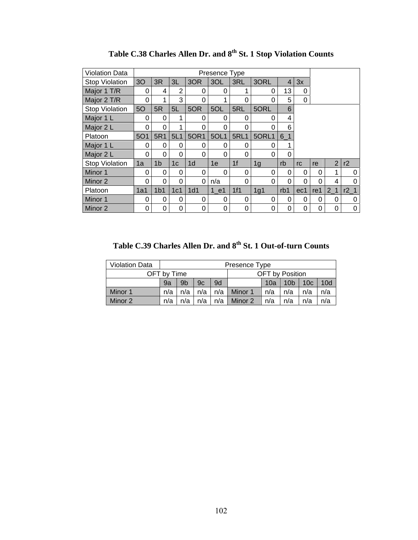| <b>Violation Data</b> |                |                 |                 |                |      |                |          |                |          |          |                |        |
|-----------------------|----------------|-----------------|-----------------|----------------|------|----------------|----------|----------------|----------|----------|----------------|--------|
| <b>Stop Violation</b> | 3 <sub>O</sub> | 3R              | 3L              | 3OR            | 3OL  | 3RL            | 3ORL     | $\overline{4}$ | 3x       |          |                |        |
| Major 1 T/R           | 0              | 4               | 2               | 0              | 0    | 1              | 0        | 13             | 0        |          |                |        |
| Major 2 T/R           | 0              |                 | 3               | 0              | 1    | 0              | 0        | 5              | 0        |          |                |        |
| <b>Stop Violation</b> | 5O             | 5R              | 5L              | 5OR            | 5OL  | 5RL            | 5ORL     | 6              |          |          |                |        |
| Major 1 L             | 0              | $\Omega$        | 1               | 0              | 0    | 0              | $\Omega$ | 4              |          |          |                |        |
| Major 2 L             | 0              | 0               | 1               | 0              | 0    | 0              | 0        | 6              |          |          |                |        |
| Platoon               | <b>5O1</b>     | 5R1             | 5L1             | 50R1           | 5OL1 | <b>5RL1</b>    | 5ORL1    | $6-1$          |          |          |                |        |
| Major 1 L             | 0              | 0               | 0               | 0              | 0    | 0              | $\Omega$ | 1              |          |          |                |        |
| Major 2 L             | 0              | 0               | 0               | 0              | 0    | 0              | 0        | 0              |          |          |                |        |
| <b>Stop Violation</b> | 1a             | 1 <sub>b</sub>  | 1 <sub>c</sub>  | 1 <sub>d</sub> | 1e   | 1 <sup>f</sup> | 1g       | rb             | rc       | re       | $\overline{2}$ | r2     |
| Minor 1               | 0              | 0               | 0               | $\Omega$       | 0    | 0              | 0        | 0              | 0        | 0        | 1              | 0      |
| Minor 2               | 0              | 0               | 0               | 0              | n/a  | 0              | $\Omega$ | 0              | $\Omega$ | $\Omega$ | 4              | O      |
| Platoon               | 1a1            | 1 <sub>b1</sub> | 1c <sub>1</sub> | 1d1            | 1 e1 | 1f1            | 1g1      | rb1            | ec1      | re1      | 2 <sub>1</sub> | $r2_1$ |
| Minor 1               | 0              | 0               | 0               | 0              | 0    | 0              | 0        | 0              | 0        | 0        | 0              | 0      |
| Minor 2               | 0              | 0               | 0               | 0              | 0    | 0              | 0        | 0              | 0        | 0        | 0              | 0      |

Table C.38 Charles Allen Dr. and  $8^{th}$  St. 1 Stop Violation Counts

Table C.39 Charles Allen Dr. and 8<sup>th</sup> St. 1 Out-of-turn Counts

| <b>Violation Data</b> |             |     |     |     | Presence Type |                 |                 |                 |     |
|-----------------------|-------------|-----|-----|-----|---------------|-----------------|-----------------|-----------------|-----|
|                       | OFT by Time |     |     |     |               | OFT by Position |                 |                 |     |
|                       | 9a          | 9b  | 9c  | 9d  |               | 10a             | 10 <sub>b</sub> | 10 <sub>c</sub> | 10d |
| Minor 1               | n/a         | n/a | n/a | n/a | Minor 1       | n/a             | n/a             | n/a             | n/a |
| Minor 2               | n/a         | η/a | n/a | n/a | Minor 2       | n/a             | n/a             | n/a             | n/a |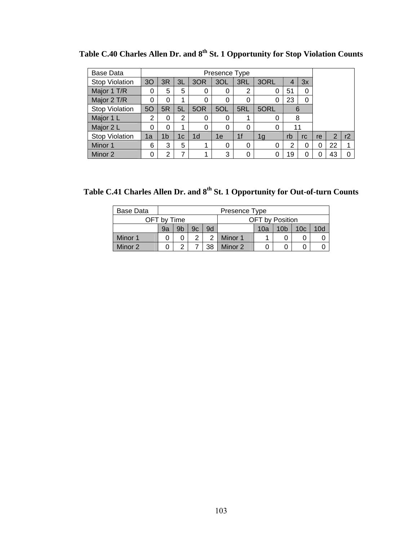| <b>Base Data</b>      |                                                                                 |    |    |                | Presence Type |     |                |    |    |    |    |    |
|-----------------------|---------------------------------------------------------------------------------|----|----|----------------|---------------|-----|----------------|----|----|----|----|----|
| <b>Stop Violation</b> | 30                                                                              | 3R | ЗL | 3OR            | 3OL           | 3RL | 3ORL           |    | 3x |    |    |    |
| Major 1 T/R           | 5<br>5<br>0<br>2<br>51<br>0<br>0<br>0                                           |    |    |                |               |     |                |    |    |    |    |    |
| Major 2 T/R           | 23<br>0<br>0<br>0<br>0<br>0<br>0                                                |    |    |                |               |     |                |    |    |    |    |    |
| <b>Stop Violation</b> | 50                                                                              | 6  |    |                |               |     |                |    |    |    |    |    |
| Major 1 L             | 5ORL<br>5L<br>5RL<br>5R<br>5OR<br>5OL<br>2<br>2<br>0<br>8<br>$\Omega$<br>0<br>0 |    |    |                |               |     |                |    |    |    |    |    |
| Major 2 L             | 0                                                                               | 0  |    | $\Omega$       | O             | 0   | 0              | 11 |    |    |    |    |
| <b>Stop Violation</b> | 1b<br>1a<br>1с                                                                  |    |    | 1 <sub>d</sub> | 1e            | 1f  | 1 <sub>g</sub> | rb | rc | re | 2  | r2 |
| Minor 1               | 5<br>6<br>3                                                                     |    |    |                | 0             | 0   | 0              | 2  | 0  | 0  | 22 |    |
| Minor 2               | 0                                                                               | 2  | 7  |                | 3             | 0   |                | 19 | 0  |    | 43 |    |

Table C.40 Charles Allen Dr. and  $8^{th}$  St. 1 Opportunity for Stop Violation Counts

Table C.41 Charles Allen Dr. and 8<sup>th</sup> St. 1 Opportunity for Out-of-turn Counts

| Base Data |             |    |    |    | Presence Type |                        |                 |                 |     |
|-----------|-------------|----|----|----|---------------|------------------------|-----------------|-----------------|-----|
|           | OFT by Time |    |    |    |               | <b>OFT</b> by Position |                 |                 |     |
|           | 9a          | 9b | 9c | 9d |               | 10a                    | 10 <sub>b</sub> | 10 <sub>c</sub> | 10d |
| Minor 1   |             |    |    | っ  | Minor 1       |                        |                 |                 |     |
| Minor 2   |             | າ  |    | 38 | Minor 2       |                        |                 |                 |     |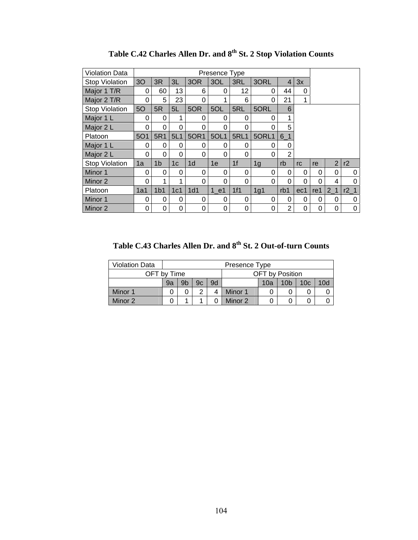| <b>Violation Data</b> |                |                 |                 |                 | Presence Type |                |          |                |          |          |                |                 |
|-----------------------|----------------|-----------------|-----------------|-----------------|---------------|----------------|----------|----------------|----------|----------|----------------|-----------------|
| <b>Stop Violation</b> | 3 <sub>O</sub> | 3R              | 3L              | 3OR             | 3OL           | 3RL            | 3ORL     | 4              | 3x       |          |                |                 |
| Major 1 T/R           | 0              | 60              | 13              | 6               | 0             | 12             | 0        | 44             | 0        |          |                |                 |
| Major 2 T/R           | 0              | 5               | 23              | 0               |               | 6              | 0        | 21             | 1        |          |                |                 |
| <b>Stop Violation</b> | 5O             | 5R              | 5L              | 5OR             | 5OL           | 5RL            | 5ORL     | 6              |          |          |                |                 |
| Major 1 L             | 0              | $\Omega$        | 1               | $\Omega$        | 0             | 0              | $\Omega$ | 1              |          |          |                |                 |
| Major 2 L             | 0              | 0               | 0               | 0               | 0             | 0              | 0        | 5              |          |          |                |                 |
| Platoon               | <b>5O1</b>     | 5R1             | 5L1             | 50R1            | 5OL1          | <b>5RL1</b>    | 5ORL1    | $6-1$          |          |          |                |                 |
| Major 1 L             | 0              | $\Omega$        | 0               | 0               | 0             | 0              | $\Omega$ | 0              |          |          |                |                 |
| Major 2 L             | 0              | 0               | 0               | 0               | 0             | 0              | 0        | $\overline{2}$ |          |          |                |                 |
| <b>Stop Violation</b> | 1a             | 1 <sub>b</sub>  | 1 <sub>c</sub>  | 1 <sub>d</sub>  | 1e            | 1 <sup>f</sup> | 1g       | rb             | rc       | re       | $\overline{2}$ | r2              |
| Minor 1               | 0              | $\Omega$        | 0               | 0               | 0             | 0              | $\Omega$ | 0              | 0        | $\Omega$ | $\Omega$       | 0               |
| Minor 2               | 0              | 1               | 1               | 0               | 0             | 0              | 0        | 0              | $\Omega$ | $\Omega$ | 4              | ი               |
| Platoon               | 1a1            | 1 <sub>b1</sub> | 1c <sub>1</sub> | 1 <sub>d1</sub> | 1 e1          | 1f1            | 1g1      | rb1            | ec1      | re1      | 2 <sub>1</sub> | r2 <sub>1</sub> |
| Minor 1               | 0              | 0               | 0               | 0               | 0             | 0              | $\Omega$ | 0              | 0        | 0        | 0              | 0               |
| Minor 2               | 0              | 0               | 0               | 0               | 0             | 0              | 0        | $\overline{2}$ | 0        | 0        | 0              | 0               |

Table C.42 Charles Allen Dr. and  $8^{th}$  St. 2 Stop Violation Counts

Table C.43 Charles Allen Dr. and 8<sup>th</sup> St. 2 Out-of-turn Counts

| <b>Violation Data</b> |    |    |    |    | Presence Type |     |                 |                 |     |
|-----------------------|----|----|----|----|---------------|-----|-----------------|-----------------|-----|
| OFT by Time           |    |    |    |    |               |     | OFT by Position |                 |     |
|                       | 9a | 9b | 9c | 9d |               | 10a | 10 <sub>b</sub> | 10 <sub>c</sub> | 10d |
| Minor 1               |    |    | ⌒  |    | Minor 1       |     |                 |                 |     |
| Minor 2               |    |    |    |    | Minor 2       |     |                 |                 |     |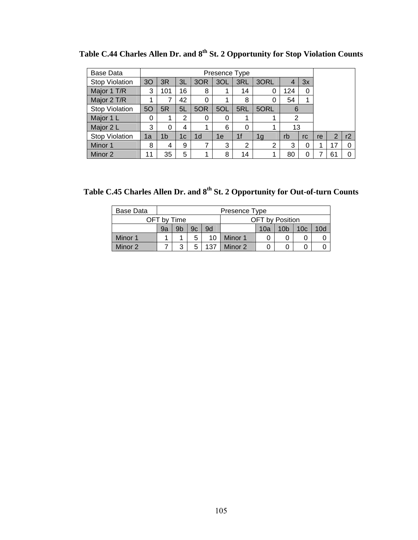| <b>Base Data</b>      |                                                                          |    |    |                | Presence Type |                |                |    |          |    |    |    |
|-----------------------|--------------------------------------------------------------------------|----|----|----------------|---------------|----------------|----------------|----|----------|----|----|----|
| <b>Stop Violation</b> | 3O                                                                       | 3R | 3L | 3OR            | 3OL           | 3RL            | 3ORL           |    | 3x       |    |    |    |
| Major 1 T/R           | 16<br>3<br>8<br>101<br>124<br>0<br>14<br>0                               |    |    |                |               |                |                |    |          |    |    |    |
| Major 2 T/R           | 42<br>54<br>8<br>1<br>0<br>0                                             |    |    |                |               |                |                |    |          |    |    |    |
| <b>Stop Violation</b> | 50                                                                       |    |    |                |               |                |                |    |          |    |    |    |
| Major 1 L             | 5L<br>5ORL<br>5R<br>5RL<br>5OR<br>5OL<br>6<br>2<br>2<br>0<br>0<br>0<br>1 |    |    |                |               |                |                |    |          |    |    |    |
| Major 2 L             | 3                                                                        | 0  | 4  |                | 6             | 0              | 1              | 13 |          |    |    |    |
| <b>Stop Violation</b> | 1a                                                                       | 1b | 1c | 1 <sub>d</sub> | 1e            | 1 <sub>f</sub> | 1 <sub>g</sub> | rb | rc       | re | 2  | r2 |
| Minor 1               | 8                                                                        | 4  | 9  |                | 3             | 2              | 2              | 3  | $\Omega$ |    | 17 |    |
| Minor 2               | 11                                                                       | 35 | 5  |                | 8             | 14             | 1              | 80 | 0        |    | 61 |    |

Table C.44 Charles Allen Dr. and  $8^{th}$  St. 2 Opportunity for Stop Violation Counts

Table C.45 Charles Allen Dr. and 8<sup>th</sup> St. 2 Opportunity for Out-of-turn Counts

| Base Data |    |             |    |     | Presence Type |                 |                 |                 |     |
|-----------|----|-------------|----|-----|---------------|-----------------|-----------------|-----------------|-----|
|           |    | OFT by Time |    |     |               | OFT by Position |                 |                 |     |
|           | 9a | 9b          | 9c | 9d  |               | 10a             | 10 <sub>b</sub> | 10 <sub>c</sub> | 10d |
| Minor 1   |    |             |    | 10  | Minor 1       |                 |                 |                 |     |
| Minor 2   |    | 3           |    | 137 | Minor 2       |                 |                 |                 |     |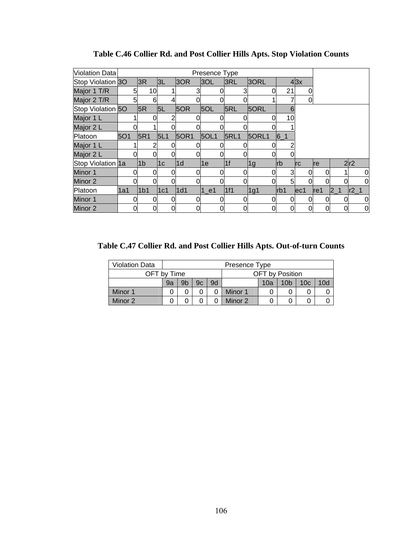| Violation Data    |     |   |                 |                |               | Presence Type |     |             |       |           |            |      |                         |     |          |
|-------------------|-----|---|-----------------|----------------|---------------|---------------|-----|-------------|-------|-----------|------------|------|-------------------------|-----|----------|
| Stop Violation 3O |     |   | 3R              | 3L             | 3OR           | 3OL           | 3RL |             | 30RL  |           | 43x        |      |                         |     |          |
| Major 1 T/R       |     | 5 | 10              |                |               |               |     |             | O     | 21        | Ω          |      |                         |     |          |
| Major 2 T/R       |     | 5 | 6               |                |               |               |     |             |       |           | 0          |      |                         |     |          |
| Stop Violation 50 |     |   | 5R              | 5L             | 5OR           | 5OL           | 5RL |             | 5ORL  | 6         |            |      |                         |     |          |
| Major 1 L         |     |   |                 |                |               |               |     |             |       | 10        |            |      |                         |     |          |
| Major 2 L         |     |   |                 |                |               |               |     |             |       |           |            |      |                         |     |          |
| Platoon           | 5O1 |   | 5R1             | 5L1            | 50R1          | 5OL1          |     | <b>5RL1</b> | 5ORL1 | $6-1$     |            |      |                         |     |          |
| Major 1 L         |     |   |                 |                |               |               |     |             |       |           |            |      |                         |     |          |
| Major 2 L         |     |   |                 |                |               |               |     |             |       |           |            |      |                         |     |          |
| Stop Violation 1a |     |   | 1 <sub>b</sub>  | 1 <sub>c</sub> | $\mathsf{1d}$ | 1e            | 1f  |             | 1g    | <b>rb</b> | <b>Irc</b> | Ire  |                         | 2r2 |          |
| Minor 1           |     | 0 |                 |                |               |               |     |             | 0     | 3         | 0          | 0    |                         |     | 0        |
| Minor 2           |     |   |                 | $\Omega$       |               |               |     |             |       | 5         | 0          |      |                         |     | $\Omega$ |
| Platoon           | 1a1 |   | 1 <sub>b1</sub> | 1c1            | 1d1           | $1$ e1        | 1f1 |             | 1g1   | rb1       | ec1        | lref | $\vert 2 \vert 1 \vert$ |     | r2       |
| Minor 1           |     | 0 | 0               |                |               |               |     |             | 0     | $\Omega$  | 0          | 0    |                         | 0   | 0        |
| Minor 2           |     | 0 |                 | $\Omega$       |               |               |     | 0           |       | 0         | 0          | 0    |                         |     | 0        |

**Table C.46 Collier Rd. and Post Collier Hills Apts. Stop Violation Counts** 

**Table C.47 Collier Rd. and Post Collier Hills Apts. Out-of-turn Counts** 

| <b>Violation Data</b> |                                                                          |  |  |  | Presence Type |  |                        |  |  |  |  |
|-----------------------|--------------------------------------------------------------------------|--|--|--|---------------|--|------------------------|--|--|--|--|
| OFT by Time           |                                                                          |  |  |  |               |  | <b>OFT</b> by Position |  |  |  |  |
|                       | 9b<br>10 <sub>c</sub><br>10 <sub>b</sub><br>10d<br>9d<br>9a<br>9c<br>10a |  |  |  |               |  |                        |  |  |  |  |
| Minor 1               |                                                                          |  |  |  | Minor 1       |  |                        |  |  |  |  |
| Minor 2               |                                                                          |  |  |  | Minor 2       |  |                        |  |  |  |  |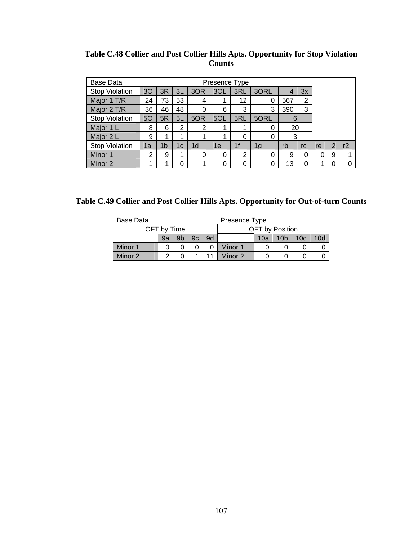| Base Data             |                                                                                                  |    |    |          | Presence Type  |                |      |    |    |   |   |  |
|-----------------------|--------------------------------------------------------------------------------------------------|----|----|----------|----------------|----------------|------|----|----|---|---|--|
| <b>Stop Violation</b> | 30                                                                                               | 3R | 3L | 3OR      | 3OL            | 3RL            | 3ORL |    | 3x |   |   |  |
| Major 1 T/R           | 73<br>53<br>2<br>12<br>567<br>24<br>4<br>1                                                       |    |    |          |                |                |      |    |    |   |   |  |
| Major 2 T/R           | 48<br>3<br>36<br>46<br>3<br>390<br>$\Omega$<br>6<br>3                                            |    |    |          |                |                |      |    |    |   |   |  |
| <b>Stop Violation</b> | 5O                                                                                               |    |    |          |                |                |      |    |    |   |   |  |
| Major 1 L             | 5L<br>5RL<br>5ORL<br>5R<br>5OR<br>5OL<br>6<br>20<br>$\overline{2}$<br>2<br>8<br>6<br>0<br>1<br>1 |    |    |          |                |                |      |    |    |   |   |  |
| Major 2 L             | 9                                                                                                | 1  | 1  |          | 1              | 0              | 0    | 3  |    |   |   |  |
| <b>Stop Violation</b> | 1 <sub>d</sub><br>1 <sub>f</sub><br>1 <sub>b</sub><br>rb<br>1e<br>1c<br>1g<br>1a<br>rc           |    |    | re       | $\overline{2}$ | r2             |      |    |    |   |   |  |
| Minor 1               | 2                                                                                                | 9  | 1  | $\Omega$ | 0              | $\overline{2}$ | 0    | 9  | 0  | 0 | 9 |  |
| Minor 2               |                                                                                                  | 4  | 0  |          | 0              | 0              | 0    | 13 |    | 4 | C |  |

**Table C.48 Collier and Post Collier Hills Apts. Opportunity for Stop Violation Counts** 

**Table C.49 Collier and Post Collier Hills Apts. Opportunity for Out-of-turn Counts** 

| <b>Base Data</b> |             |    |    |    | Presence Type |                 |                 |                 |     |
|------------------|-------------|----|----|----|---------------|-----------------|-----------------|-----------------|-----|
|                  | OFT by Time |    |    |    |               | OFT by Position |                 |                 |     |
|                  | 9a          | 9b | 9c | 9d |               | 10a             | 10 <sub>b</sub> | 10 <sub>c</sub> | 10d |
| Minor 1          |             |    |    |    | Minor 1       |                 |                 |                 |     |
| Minor 2          | ົ           |    |    |    | Minor 2       |                 |                 |                 |     |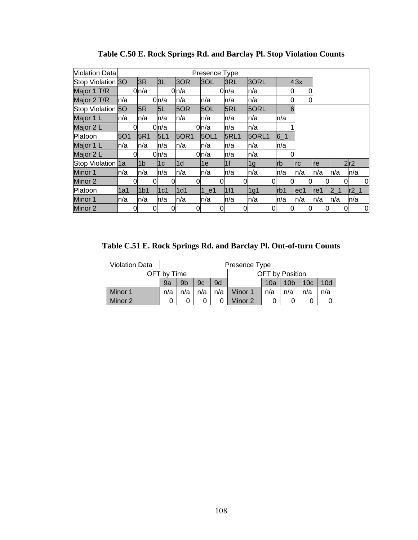| Violation Data    |            |   |                 |      |   |               | Presence Type |   |                |   |              |            |   |            |   |      |         |   |        |   |
|-------------------|------------|---|-----------------|------|---|---------------|---------------|---|----------------|---|--------------|------------|---|------------|---|------|---------|---|--------|---|
| Stop Violation 3O |            |   | 3R              | 3L   |   | 3OR           | 3OL           |   | 3RL            |   | 3ORL         |            |   | 43x        |   |      |         |   |        |   |
| Major 1 T/R       |            |   | $0 \mid n/a$    |      |   | 0ln/a         |               |   | 0ln/a          |   | n/a          |            | 0 |            | 0 |      |         |   |        |   |
| Major 2 T/R       | ln/a       |   |                 | 0n/a |   | n/a           | n/a           |   | n/a            |   | n/a          |            | 0 |            | 0 |      |         |   |        |   |
| Stop Violation 50 |            |   | 5R              | 5L   |   | 5OR           | 5OL           |   | <b>5RL</b>     |   | 5ORL         |            | 6 |            |   |      |         |   |        |   |
| Major 1 L         | ln/a       |   | ln/a            | ln/a |   | n/a           | ln/a          |   | ln/a           |   | n/a          | ln/a       |   |            |   |      |         |   |        |   |
| Major 2 L         |            | 0 |                 | 0n/a |   |               | 0n/a          |   | n/a            |   | n/a          |            |   |            |   |      |         |   |        |   |
| Platoon           | <b>5O1</b> |   | 5R1             | 5L1  |   | <b>50R1</b>   | 50L1          |   | <b>5RL1</b>    |   | <b>50RL1</b> | $6 - 1$    |   |            |   |      |         |   |        |   |
| Major 1 L         | ln/a       |   | ln/a            | n/a  |   | n/a           | n/a           |   | ln/a           |   | n/a          | ln/a       |   |            |   |      |         |   |        |   |
| Major 2 L         |            | 0 |                 | 0n/a |   |               | 0n/a          |   | n/a            |   | n/a          |            |   |            |   |      |         |   |        |   |
| Stop Violation 1a |            |   | l1b             | 1c   |   | $\mathsf{Id}$ | 1е            |   | 1 <sub>f</sub> |   | 1g           | <b>lrb</b> |   | <b>Irc</b> |   | Ire  |         |   | 2r2    |   |
| Minor 1           | ln/a       |   | ln/a            | n/a  |   | n/a           | n/a           |   | n/a            |   | n/a          | ln/a       |   | n/a        |   | ln/a | ln/a    |   | ln/a   |   |
| Minor 2           |            | Ω |                 |      |   |               |               |   |                |   | Ω            |            | 0 |            |   |      |         |   |        | 0 |
| Platoon           | 1a1        |   | 1 <sub>b1</sub> | 1c1  |   | 1d1           | $1$ e1        |   | 1f1            |   | 1g1          | Irb1       |   | ec1        |   | lref | $2 - 1$ |   | $r2_1$ |   |
| Minor 1           | ln/a       |   | ln/a            | ln/a |   | n/a           | ln/a          |   | ln/a           |   | n/a          | ln/a       |   | n/a        |   | ln/a | ln/a    |   | ln/a   |   |
| Minor 2           |            | 0 |                 |      | 0 |               |               | 0 |                | 0 | 0            |            | 0 |            | 0 |      |         | 0 |        | 0 |

**Table C.50 E. Rock Springs Rd. and Barclay Pl. Stop Violation Counts** 

**Table C.51 E. Rock Springs Rd. and Barclay Pl. Out-of-turn Counts** 

| <b>Violation Data</b> |     | Presence Type                                                                  |     |     |         |     |     |     |     |  |  |  |  |
|-----------------------|-----|--------------------------------------------------------------------------------|-----|-----|---------|-----|-----|-----|-----|--|--|--|--|
|                       |     | OFT by Time<br>OFT by Position                                                 |     |     |         |     |     |     |     |  |  |  |  |
|                       | 9a  | 9d<br>9 <sub>b</sub><br>10 <sub>d</sub><br>10c<br>10 <sub>b</sub><br>9c<br>10a |     |     |         |     |     |     |     |  |  |  |  |
| Minor 1               | n/a | n/a                                                                            | n/a | n/a | Minor 1 | n/a | n/a | n/a | n/a |  |  |  |  |
| Minor 2               |     | Minor 2<br>0                                                                   |     |     |         |     |     |     |     |  |  |  |  |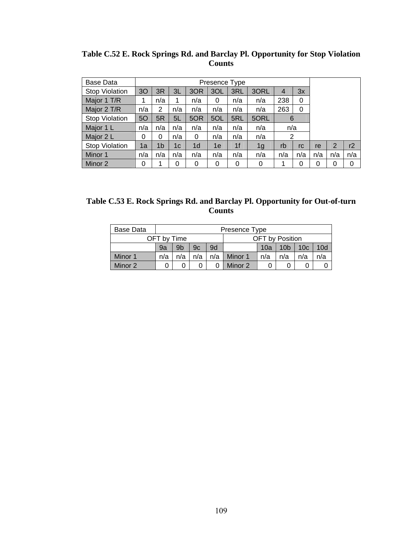| Base Data             |     |     |     |     | Presence Type |                |      |                |     |     |                |          |
|-----------------------|-----|-----|-----|-----|---------------|----------------|------|----------------|-----|-----|----------------|----------|
| <b>Stop Violation</b> | 30  | 3R  | 3L  | 3OR | 3OL           | 3RL            | 3ORL | $\overline{4}$ | 3x  |     |                |          |
| Major 1 T/R           |     | n/a |     | n/a | 0             | n/a            | n/a  | 238            | 0   |     |                |          |
| Major 2 T/R           | n/a | 2   | n/a | n/a | n/a           | n/a            | n/a  | 263            | 0   |     |                |          |
| Stop Violation        | 50  | 5R  | 5L  | 5OR | 5OL           | 5RL            | 5ORL | 6              |     |     |                |          |
| Major 1 L             | n/a | n/a | n/a | n/a | n/a           | n/a            | n/a  | n/a            |     |     |                |          |
| Major 2 L             | 0   | 0   | n/a | 0   | n/a           | n/a            | n/a  | 2              |     |     |                |          |
| <b>Stop Violation</b> | 1a  | 1b  | 1c  | 1d  | 1e            | 1 <sub>f</sub> | 1g   | rb             | rc  | re  | $\overline{2}$ | r2       |
| Minor 1               | n/a | n/a | n/a | n/a | n/a           | n/a            | n/a  | n/a            | n/a | n/a | n/a            | n/a      |
| Minor 2               | 0   |     | 0   | 0   | 0             | 0              | 0    |                |     | 0   | 0              | $\Omega$ |

**Table C.52 E. Rock Springs Rd. and Barclay Pl. Opportunity for Stop Violation Counts** 

| Table C.53 E. Rock Springs Rd. and Barclay Pl. Opportunity for Out-of-turn |
|----------------------------------------------------------------------------|
| <b>Counts</b>                                                              |

| Base Data |     | Presence Type                                                      |     |     |         |     |     |     |     |  |  |  |  |
|-----------|-----|--------------------------------------------------------------------|-----|-----|---------|-----|-----|-----|-----|--|--|--|--|
|           |     | OFT by Position<br>OFT by Time                                     |     |     |         |     |     |     |     |  |  |  |  |
|           | 9a  | 9b<br>9d<br>10a<br>10 <sub>b</sub><br>10d<br>9c<br>10 <sub>c</sub> |     |     |         |     |     |     |     |  |  |  |  |
| Minor 1   | n/a | n/a                                                                | n/a | n/a | Minor 1 | n/a | n/a | n/a | n/a |  |  |  |  |
| Minor 2   |     | Minor 2                                                            |     |     |         |     |     |     |     |  |  |  |  |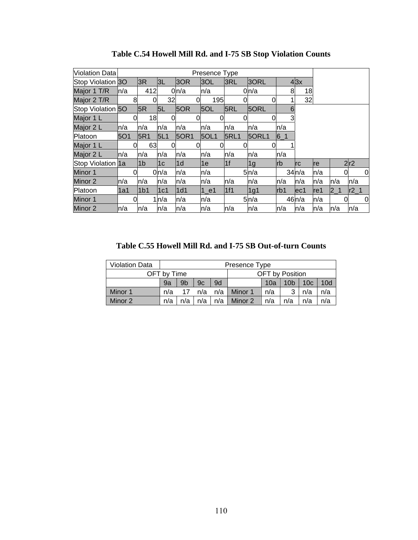| Violation Data    |            |          |      |          |             | Presence Type     |                |       |       |            |     |         |    |        |
|-------------------|------------|----------|------|----------|-------------|-------------------|----------------|-------|-------|------------|-----|---------|----|--------|
| Stop Violation 30 |            |          | 3R   | 3L       | 3OR         | 3OL               | 3RL            | 3ORL  |       | 43x        |     |         |    |        |
| Major 1 T/R       | ln/a       |          | 412  |          | 0n/a        | n/a               |                | 0n/a  | 8     | 18         |     |         |    |        |
| Major 2 T/R       |            | 8        | 0    | 32       |             | 195               |                | 0     |       | 32         |     |         |    |        |
| Stop Violation 50 |            |          | 5R   | 5L       | 5OR         | 5OL               | 5RL            | 5ORL  | 6     |            |     |         |    |        |
| Major 1 L         |            | 0        | 18   | 0l       |             |                   |                |       | 3     |            |     |         |    |        |
| Major 2 L         | ln/a       |          | n/a  | n/a      | n/a         | n/a               | n/a            | n/a   | ln/a  |            |     |         |    |        |
| Platoon           | <b>5O1</b> |          | 5R1  | 5L1      | <b>50R1</b> | 50L1              | <b>5RL1</b>    | 5ORL1 | $6-1$ |            |     |         |    |        |
| Major 1 L         |            | 0        | 63   | $\Omega$ |             |                   |                | 0     |       |            |     |         |    |        |
| Major 2 L         | ln/a       |          | n/a  | n/a      | n/a         | n/a               | n/a            | n/a   | ln/a  |            |     |         |    |        |
| Stop Violation 1a |            |          | l1b  | 1c       | l1d         | 1е                | 1 <sub>f</sub> | 1g    | Irb   | <b>Irc</b> | Ire |         |    | 2r2    |
| Minor 1           |            | $\Omega$ |      | 0n/a     | n/a         | n/a               |                | 5n/a  |       | 34n/a      | n/a |         | 0l | 0      |
| Minor 2           | ln/a       |          | n/a  | n/a      | n/a         | n/a               | n/a            | n/a   | ln/a  | n/a        | n/a | n/a     |    | n/a    |
| Platoon           | l1a1       |          | l1b1 | 1c1      | 1d1         | $1$ <sup>e1</sup> | 1f1            | 1g1   | lrb1  | lec1       | re1 | $2 - 1$ |    | $r2_1$ |
| Minor 1           |            | 0        |      | 1ln/a    | n/a         | n/a               |                | 5n/a  |       | 46n/a      | n/a |         | 0  | 0      |
| Minor 2           | ln/a       |          | n/a  | n/a      | n/a         | n/a               | n/a            | n/a   | ln/a  | ln/a       | n/a | ln/a    |    | ln/a   |

**Table C.54 Howell Mill Rd. and I-75 SB Stop Violation Counts** 

**Table C.55 Howell Mill Rd. and I-75 SB Out-of-turn Counts** 

| <b>Violation Data</b> |     | Presence Type                                                                  |     |     |         |     |   |     |     |  |  |  |  |
|-----------------------|-----|--------------------------------------------------------------------------------|-----|-----|---------|-----|---|-----|-----|--|--|--|--|
|                       |     | OFT by Position<br>OFT by Time                                                 |     |     |         |     |   |     |     |  |  |  |  |
|                       | 9a  | 10d<br>9 <sub>b</sub><br>9d<br>9c<br>10 <sub>b</sub><br>10 <sub>c</sub><br>10a |     |     |         |     |   |     |     |  |  |  |  |
| Minor 1               | n/a | 17                                                                             | n/a | n/a | Minor 1 | n/a | 3 | n/a | n/a |  |  |  |  |
| Minor 2               | n/a | n/a<br>n/a<br>n/a<br>Minor 2<br>n/a<br>n/a<br>n/a<br>n/a                       |     |     |         |     |   |     |     |  |  |  |  |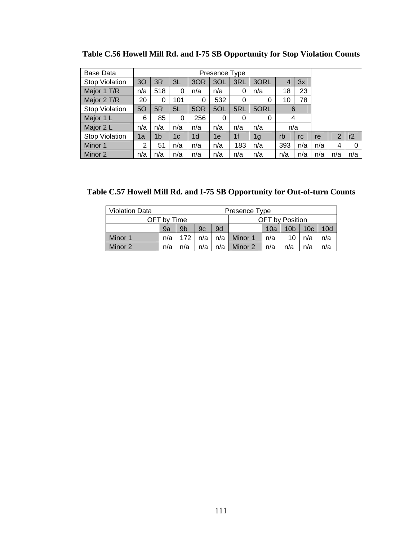| <b>Base Data</b>      |                |     |     |                | Presence Type |                |                |     |     |     |     |     |
|-----------------------|----------------|-----|-----|----------------|---------------|----------------|----------------|-----|-----|-----|-----|-----|
| <b>Stop Violation</b> | 3 <sub>O</sub> | 3R  | 3L  | 3OR            | 3OL           | 3RL            | 3ORL           | 4   | 3x  |     |     |     |
| Major 1 T/R           | n/a            | 518 | 0   | n/a            | n/a           | 0              | n/a            | 18  | 23  |     |     |     |
| Major 2 T/R           | 20             | 0   | 101 | 0              | 532           | 0              | 0              | 10  | 78  |     |     |     |
| <b>Stop Violation</b> | 5O             | 5R  | 5L  | 5OR            | 5OL           | 5RL            | 5ORL           | 6   |     |     |     |     |
| Major 1 L             | 6              | 85  | 0   | 256            | 0             | 0              | 0              | 4   |     |     |     |     |
| Major 2 L             | n/a            | n/a | n/a | n/a            | n/a           | n/a            | n/a            | n/a |     |     |     |     |
| <b>Stop Violation</b> | 1a             | 1b  | 1c  | 1 <sub>d</sub> | 1e            | 1 <sub>f</sub> | 1 <sub>g</sub> | rb  | rc  | re  | 2   | r2  |
| Minor 1               | 2              | 51  | n/a | n/a            | n/a           | 183            | n/a            | 393 | n/a | n/a | 4   | 0   |
| Minor 2               | n/a            | n/a | n/a | n/a            | n/a           | n/a            | n/a            | n/a | n/a | n/a | n/a | n/a |

**Table C.56 Howell Mill Rd. and I-75 SB Opportunity for Stop Violation Counts** 

**Table C.57 Howell Mill Rd. and I-75 SB Opportunity for Out-of-turn Counts** 

| <b>Violation Data</b> |     | Presence Type                                                                  |     |     |         |     |    |     |     |  |  |  |  |
|-----------------------|-----|--------------------------------------------------------------------------------|-----|-----|---------|-----|----|-----|-----|--|--|--|--|
|                       |     | OFT by Position<br>OFT bv Time                                                 |     |     |         |     |    |     |     |  |  |  |  |
|                       | 9a  | 10d<br>9 <sub>b</sub><br>9c<br>9d<br>10 <sub>b</sub><br>10 <sub>c</sub><br>10a |     |     |         |     |    |     |     |  |  |  |  |
| Minor 1               | n/a | 172                                                                            | n/a | n/a | Minor 1 | n/a | 10 | n/a | n/a |  |  |  |  |
| Minor 2               | n/a | n/a<br>n/a<br>n/a<br>n/a<br>n/a<br>Minor 2<br>n/a<br>n/a                       |     |     |         |     |    |     |     |  |  |  |  |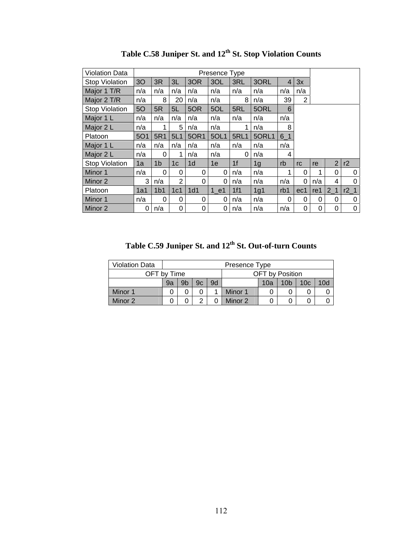| Violation Data        | Presence Type  |                 |                |                 |      |             |                |       |                |     |                |                 |
|-----------------------|----------------|-----------------|----------------|-----------------|------|-------------|----------------|-------|----------------|-----|----------------|-----------------|
| <b>Stop Violation</b> | 3 <sub>O</sub> | 3R              | 3L             | 3OR             | 3OL  | 3RL         | 3ORL           | 4     | 3x             |     |                |                 |
| Major 1 T/R           | n/a            | n/a             | n/a            | n/a             | n/a  | n/a         | n/a            | n/a   | n/a            |     |                |                 |
| Major 2 T/R           | n/a            | 8               | 20             | n/a             | n/a  | 8           | n/a            | 39    | $\overline{2}$ |     |                |                 |
| Stop Violation        | 50             | 5R              | 5L             | 5OR             | 5OL  | 5RL         | 5ORL           | 6     |                |     |                |                 |
| Major 1 L             | n/a            | n/a             | n/a            | n/a             | n/a  | n/a         | n/a            | n/a   |                |     |                |                 |
| Major 2 L             | n/a            | 1               | 5              | n/a             | n/a  |             | n/a            | 8     |                |     |                |                 |
| Platoon               | <b>5O1</b>     | 5R1             | 5L1            | 50R1            | 5OL1 | <b>5RL1</b> | 5ORL1          | $6-1$ |                |     |                |                 |
| Major 1 L             | n/a            | n/a             | n/a            | n/a             | n/a  | n/a         | n/a            | n/a   |                |     |                |                 |
| Major 2 L             | n/a            | 0               | 1              | n/a             | n/a  | 0           | n/a            | 4     |                |     |                |                 |
| <b>Stop Violation</b> | 1a             | 1 <sub>b</sub>  | 1 <sub>c</sub> | 1 <sub>d</sub>  | 1e   | 1f          | 1 <sub>g</sub> | rb    | rc             | re  | $\overline{2}$ | r2              |
| Minor 1               | n/a            | $\Omega$        | 0              | 0               | 0    | n/a         | n/a            | 1     | $\Omega$       | 1   | 0              | 0               |
| Minor 2               | 3              | n/a             | 2              | 0               | 0    | n/a         | n/a            | n/a   | 0              | n/a | 4              | 0               |
| Platoon               | 1a1            | 1 <sub>b1</sub> | 1c1            | 1 <sub>d1</sub> | 1 e1 | 1f1         | 1g1            | rb1   | ec1            | re1 | 2 <sub>1</sub> | r2 <sub>1</sub> |
| Minor 1               | n/a            | 0               | 0              | 0               | 0    | n/a         | n/a            | 0     | 0              | 0   | 0              | 0               |
| Minor 2               | 0              | n/a             | 0              | 0               | 0    | n/a         | n/a            | n/a   | 0              | 0   | 0              | 0               |

Table C.58 Juniper St. and  $12^{th}$  St. Stop Violation Counts

**Table C.59 Juniper St. and 12th St. Out-of-turn Counts** 

| <b>Violation Data</b> |    | Presence Type                                                                  |  |  |         |  |  |  |  |  |  |  |
|-----------------------|----|--------------------------------------------------------------------------------|--|--|---------|--|--|--|--|--|--|--|
| OFT by Time           |    | <b>OFT</b> by Position                                                         |  |  |         |  |  |  |  |  |  |  |
|                       | 9a | 10d<br>9 <sub>b</sub><br>10 <sub>c</sub><br>10 <sub>b</sub><br>9c<br>9d<br>10a |  |  |         |  |  |  |  |  |  |  |
| Minor 1               |    |                                                                                |  |  | Minor 1 |  |  |  |  |  |  |  |
| Minor 2               |    | Minor 2<br>$\sqrt{2}$<br>0                                                     |  |  |         |  |  |  |  |  |  |  |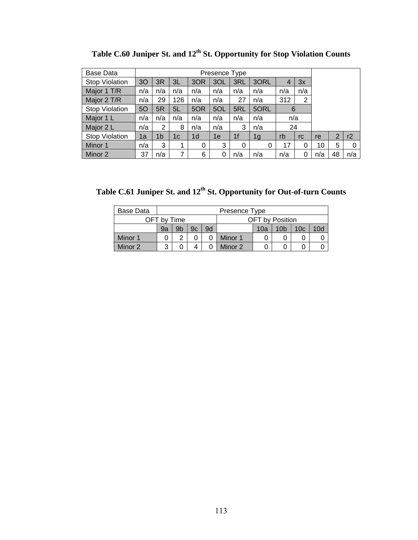| Base Data             |     |                |     |                | Presence Type |                |      |                |                |     |    |     |
|-----------------------|-----|----------------|-----|----------------|---------------|----------------|------|----------------|----------------|-----|----|-----|
| <b>Stop Violation</b> | 30  | 3R             | 3L  | 3OR            | 3OL           | 3RL            | 3ORL | $\overline{4}$ | 3x             |     |    |     |
| Major 1 T/R           | n/a | n/a            | n/a | n/a            | n/a           | n/a            | n/a  | n/a            | n/a            |     |    |     |
| Major 2 T/R           | n/a | 29             | 126 | n/a            | n/a           | 27             | n/a  | 312            | $\overline{2}$ |     |    |     |
| <b>Stop Violation</b> | 50  | 5R             | 5L  | 5OR            | 5OL           | 5RL            | 5ORL | 6              |                |     |    |     |
| Major 1 L             | n/a | n/a            | n/a | n/a            | n/a           | n/a            | n/a  | n/a            |                |     |    |     |
| Major 2 L             | n/a | 2              | 8   | n/a            | n/a           | 3              | n/a  | 24             |                |     |    |     |
| <b>Stop Violation</b> | 1a  | 1 <sub>b</sub> | 1c  | 1 <sub>d</sub> | 1e            | 1 <sub>f</sub> | 1g   | rb             | rc             | re  | 2  | r2  |
| Minor 1               | n/a | 3              |     | 0              | 3             | $\Omega$       | 0    | 17             | 0              | 10  | 5  | 0   |
| Minor 2               | 37  | n/a            | 7   | 6              | 0             | n/a            | n/a  | n/a            | 0              | n/a | 48 | n/a |

Table C.60 Juniper St. and 12<sup>th</sup> St. Opportunity for Stop Violation Counts

Table C.61 Juniper St. and 12<sup>th</sup> St. Opportunity for Out-of-turn Counts

| Base Data |    | Presence Type                                          |  |  |         |  |  |  |  |  |  |  |  |
|-----------|----|--------------------------------------------------------|--|--|---------|--|--|--|--|--|--|--|--|
|           |    | <b>OFT</b> by Position<br>OFT by Time                  |  |  |         |  |  |  |  |  |  |  |  |
|           | 9a | 10d<br>9d<br>9b<br>10 <sub>b</sub><br>10c<br>9c<br>10a |  |  |         |  |  |  |  |  |  |  |  |
| Minor 1   |    | 2                                                      |  |  | Minor 1 |  |  |  |  |  |  |  |  |
| Minor 2   | 3  | Minor 2<br>4                                           |  |  |         |  |  |  |  |  |  |  |  |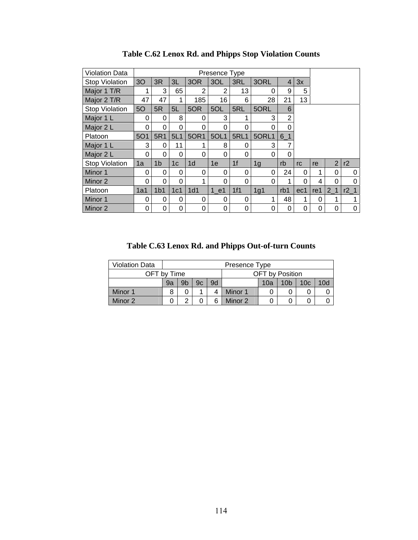| <b>Violation Data</b> |                |                 |                |                | Presence Type  |             |          |                |          |     |                |        |
|-----------------------|----------------|-----------------|----------------|----------------|----------------|-------------|----------|----------------|----------|-----|----------------|--------|
| <b>Stop Violation</b> | 3 <sub>O</sub> | 3R              | 3L             | 3OR            | 3OL            | 3RL         | 3ORL     | $\overline{4}$ | 3x       |     |                |        |
| Major 1 T/R           | 1              | 3               | 65             | 2              | $\overline{2}$ | 13          | 0        | 9              | 5        |     |                |        |
| Major 2 T/R           | 47             | 47              | 1              | 185            | 16             | 6           | 28       | 21             | 13       |     |                |        |
| Stop Violation        | <b>50</b>      | 5R              | 5L             | 5OR            | 5OL            | 5RL         | 5ORL     | 6              |          |     |                |        |
| Major 1 L             | $\Omega$       | 0               | 8              | 0              | 3              | 1           | 3        | $\overline{2}$ |          |     |                |        |
| Major 2 L             | $\mathbf 0$    | 0               | 0              | 0              | 0              | 0           | 0        | 0              |          |     |                |        |
| Platoon               | <b>5O1</b>     | 5R1             | 5L1            | <b>50R1</b>    | 5OL1           | <b>5RL1</b> | 5ORL1    | $6-1$          |          |     |                |        |
| Major 1 L             | 3              | 0               | 11             | 1              | 8              | 0           | 3        | 7              |          |     |                |        |
| Major 2 L             | 0              | 0               | 0              | 0              | 0              | 0           | 0        | 0              |          |     |                |        |
| <b>Stop Violation</b> | 1a             | 1 <sub>b</sub>  | 1 <sub>c</sub> | 1 <sub>d</sub> | 1e             | 1f          | 1g       | rb             | rc       | re  | $\overline{2}$ | r2     |
| Minor 1               | $\Omega$       | 0               | 0              | 0              | 0              | 0           | $\Omega$ | 24             | 0        | 1   | 0              | 0      |
| Minor 2               | $\Omega$       | 0               | 0              | 1              | 0              | 0           | 0        | 1              | $\Omega$ | 4   | 0              | ∩      |
| Platoon               | 1a1            | 1 <sub>b1</sub> | 1c1            | 1d1            | 1 e1           | 1f1         | 1g1      | rb1            | ec1      | re1 | 2 <sub>1</sub> | $r2_1$ |
| Minor 1               | $\Omega$       | 0               | 0              | 0              | 0              | 0           |          | 48             | 1        | 0   | 1              |        |
| Minor 2               | 0              | 0               | 0              | 0              | 0              | 0           | 0        | 0              | 0        | 0   | 0              | 0      |

**Table C.62 Lenox Rd. and Phipps Stop Violation Counts** 

**Table C.63 Lenox Rd. and Phipps Out-of-turn Counts** 

| <b>Violation Data</b> |         |                                                                    |  |  | Presence Type |  |                 |  |  |  |
|-----------------------|---------|--------------------------------------------------------------------|--|--|---------------|--|-----------------|--|--|--|
| OFT by Time           |         |                                                                    |  |  |               |  | OFT by Position |  |  |  |
|                       | 9a      | 10d<br>9b<br>9d<br>10 <sub>c</sub><br>10 <sub>b</sub><br>9c<br>10a |  |  |               |  |                 |  |  |  |
| Minor 1               |         | Minor 1                                                            |  |  |               |  |                 |  |  |  |
| Minor 2               | Minor 2 |                                                                    |  |  |               |  |                 |  |  |  |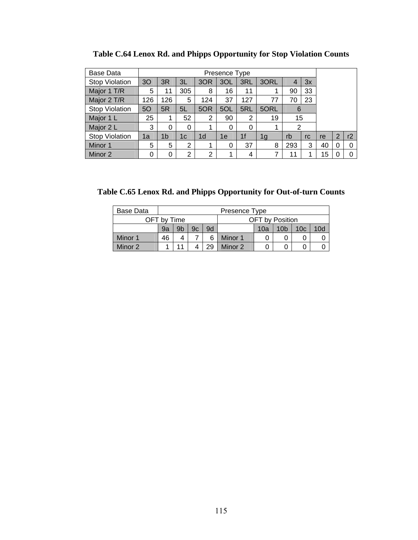| Base Data             |     |          |                |                | Presence Type |                |                |     |    |    |                |    |
|-----------------------|-----|----------|----------------|----------------|---------------|----------------|----------------|-----|----|----|----------------|----|
| <b>Stop Violation</b> | 3O  | 3R       | 3L             | 3OR            | 3OL           | 3RL            | 3ORL           | 4   | 3x |    |                |    |
| Major 1 T/R           | 5   | 11       | 305            | 8              | 16            | 11             | 1              | 90  | 33 |    |                |    |
| Major 2 T/R           | 126 | 126      | 5              | 124            | 37            | 127            | 77             | 70  | 23 |    |                |    |
| <b>Stop Violation</b> | 50  | 5R       | 5L             | 5OR            | 5OL           | 5RL            | 5ORL           | 6   |    |    |                |    |
| Major 1 L             | 25  |          | 52             | 2              | 90            | $\overline{2}$ | 19             | 15  |    |    |                |    |
| Major 2 L             | 3   | $\Omega$ | 0              |                | 0             | 0              | 1              | 2   |    |    |                |    |
| <b>Stop Violation</b> | 1a  | 1b       | 1c             | 1 <sub>d</sub> | 1e            | 1 <sup>f</sup> | 1 <sub>g</sub> | rb  | rc | re | $\overline{2}$ | r2 |
| Minor 1               | 5   | 5        | $\overline{2}$ |                | 0             | 37             | 8              | 293 | 3  | 40 | 0              | 0  |
| Minor 2               | 0   | 0        | $\overline{2}$ | $\overline{2}$ | $\mathbf 1$   | 4              |                | 11  | 1  | 15 | 0              | 0  |

**Table C.64 Lenox Rd. and Phipps Opportunity for Stop Violation Counts** 

**Table C.65 Lenox Rd. and Phipps Opportunity for Out-of-turn Counts** 

| Base Data |               |                                                                    |  |   | Presence Type |                        |  |  |  |  |
|-----------|---------------|--------------------------------------------------------------------|--|---|---------------|------------------------|--|--|--|--|
|           | OFT by Time   |                                                                    |  |   |               | <b>OFT</b> by Position |  |  |  |  |
|           | 9a            | 9d<br>9b<br>10d<br>10 <sub>b</sub><br>9c<br>10 <sub>c</sub><br>10a |  |   |               |                        |  |  |  |  |
| Minor 1   | 46            | 4                                                                  |  | 6 | Minor 1       |                        |  |  |  |  |
| Minor 2   | Minor 2<br>29 |                                                                    |  |   |               |                        |  |  |  |  |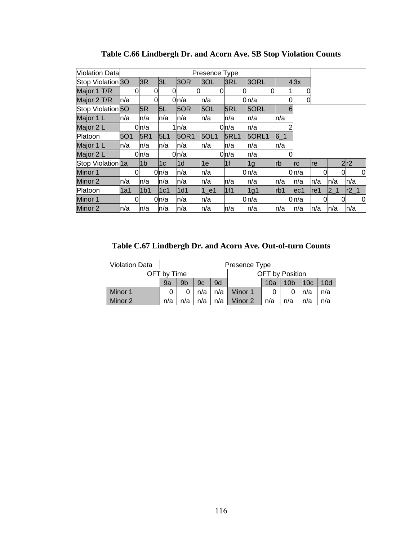| <b>Violation Data</b>        |      |                    |                |       | Presence Type |                |       |           |      |      |         |                |
|------------------------------|------|--------------------|----------------|-------|---------------|----------------|-------|-----------|------|------|---------|----------------|
| Stop Violation 30            |      | 3R                 | 3L             | 3OR   | 3OL           | 3RL            | 3ORL  |           | 4 3x |      |         |                |
| Major 1 T/R                  | Ω    | 0                  |                |       |               | Ω              | 0     |           | 0    |      |         |                |
| Major 2 T/R                  | ln/a |                    |                | 0n/a  | n/a           |                | 0n/a  | 0         | 0    |      |         |                |
| Stop Violation <sub>50</sub> |      | 5R                 | 5L             | 5OR   | 5OL           | 5RL            | 5ORL  | 6         |      |      |         |                |
| Major 1 L                    | ln/a | n/a                | n/a            | n/a   | n/a           | n/a            | n/a   | n/a       |      |      |         |                |
| Major 2 L                    |      | 0 <sub>l</sub> n/a |                | 1ln/a |               | 0n/a           | n/a   |           |      |      |         |                |
| Platoon                      | 5O1  | 5R1                | 5L1            | 50R1  | <b>5OL1</b>   | <b>5RL1</b>    | 5ORL1 | $6-1$     |      |      |         |                |
| Major 1 L                    | ln/a | n/a                | n/a            | n/a   | n/a           | n/a            | n/a   | n/a       |      |      |         |                |
| Major 2 L                    |      | 0 <sub>l</sub> n/a |                | 0n/a  |               | 0n/a           | n/a   |           |      |      |         |                |
| Stop Violation 1a            |      | 1 <sub>b</sub>     | 1 <sub>c</sub> | l1d   | 1e            | 1 <sub>f</sub> | 1g    | <b>rb</b> | Irc  | Ire  |         | 2r2            |
| Minor 1                      | 0l   |                    | 0ln/a          | n/a   | n/a           |                | 0n/a  |           | 0n/a | 0l   |         | 0              |
| Minor 2                      | ln/a | n/a                | n/a            | n/a   | n/a           | n/a            | ln/a  | n/a       | ln/a | n/a  | ln/a    | n/a            |
| Platoon                      | 1a1  | 1 <sub>b1</sub>    | 1c1            | 1d1   | 1 e1          | 1f1            | 1g1   | lrb1      | ec1  | lre1 | $2 - 1$ | $r2_1$         |
| Minor 1                      | 0    |                    | 0n/a           | n/a   | n/a           |                | 0n/a  |           | 0n/a | 0l   |         | $\overline{0}$ |
| Minor 2                      | ln/a | n/a                | n/a            | ln/a  | n/a           | n/a            | n/a   | ln/a      | n/a  | n/a  | ln/a    | n/a            |

**Table C.66 Lindbergh Dr. and Acorn Ave. SB Stop Violation Counts** 

**Table C.67 Lindbergh Dr. and Acorn Ave. Out-of-turn Counts** 

| <b>Violation Data</b> |                                                                     |                                                                                |  |  | Presence Type |  |                        |  |     |  |
|-----------------------|---------------------------------------------------------------------|--------------------------------------------------------------------------------|--|--|---------------|--|------------------------|--|-----|--|
|                       | OFT by Time                                                         |                                                                                |  |  |               |  | <b>OFT</b> by Position |  |     |  |
|                       | 9a                                                                  | 9b<br>10 <sub>c</sub><br>10 <sub>d</sub><br>9d<br>10 <sub>b</sub><br>10a<br>9c |  |  |               |  |                        |  |     |  |
| Minor 1               | n/a<br>n/a<br>Minor 1<br>n/a                                        |                                                                                |  |  |               |  |                        |  | n/a |  |
| Minor 2               | $n/a$  <br>n/a<br>Minor 2<br>n/a<br>n/a<br>n/a<br>n/a<br>n/a<br>n/a |                                                                                |  |  |               |  |                        |  |     |  |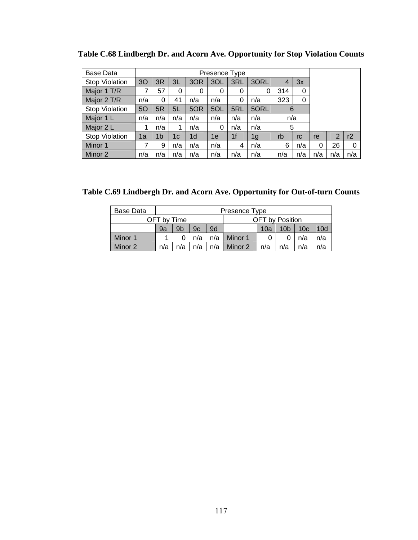| Base Data             |     |                |     |                | Presence Type |                |      |     |     |     |                |     |
|-----------------------|-----|----------------|-----|----------------|---------------|----------------|------|-----|-----|-----|----------------|-----|
| <b>Stop Violation</b> | 30  | 3R             | 3L  | 3OR            | 3OL           | 3RL            | 3ORL | 4   | 3x  |     |                |     |
| Major 1 T/R           |     | 57             | 0   | 0              | 0             | 0              | 0    | 314 | 0   |     |                |     |
| Major 2 T/R           | n/a | 0              | 41  | n/a            | n/a           | 0              | n/a  | 323 | 0   |     |                |     |
| <b>Stop Violation</b> | 50  | 5R             | 5L  | 5OR            | 5OL           | 5RL            | 5ORL | 6   |     |     |                |     |
| Major 1 L             | n/a | n/a            | n/a | n/a            | n/a           | n/a            | n/a  | n/a |     |     |                |     |
| Major 2 L             |     | n/a            | 1   | n/a            | 0             | n/a            | n/a  | 5   |     |     |                |     |
| <b>Stop Violation</b> | 1a  | 1 <sub>b</sub> | 1с  | 1 <sub>d</sub> | 1e            | 1 <sub>f</sub> | 1g   | rb  | rc  | re  | $\overline{2}$ | r2  |
| Minor 1               |     | 9              | n/a | n/a            | n/a           | 4              | n/a  | 6   | n/a | 0   | 26             | 0   |
| Minor 2               | n/a | n/a            | n/a | n/a            | n/a           | n/a            | n/a  | n/a | n/a | n/a | n/a            | n/a |

**Table C.68 Lindbergh Dr. and Acorn Ave. Opportunity for Stop Violation Counts** 

**Table C.69 Lindbergh Dr. and Acorn Ave. Opportunity for Out-of-turn Counts** 

| Base Data |                                                                   |     |     |  | Presence Type         |     |                        |     |     |
|-----------|-------------------------------------------------------------------|-----|-----|--|-----------------------|-----|------------------------|-----|-----|
|           | OFT by Time                                                       |     |     |  |                       |     | <b>OFT</b> by Position |     |     |
|           | 9d<br>9 <sub>b</sub><br>10c<br>10 <sub>b</sub><br>9c<br>9a<br>10a |     |     |  |                       |     |                        |     |     |
| Minor 1   |                                                                   |     |     |  | $n/a$ $n/a$   Minor 1 |     |                        | n/a | n/a |
| Minor 2   | n/a                                                               | n/a | n/a |  | $n/a$   Minor 2       | n/a | n/a                    | n/a | n/a |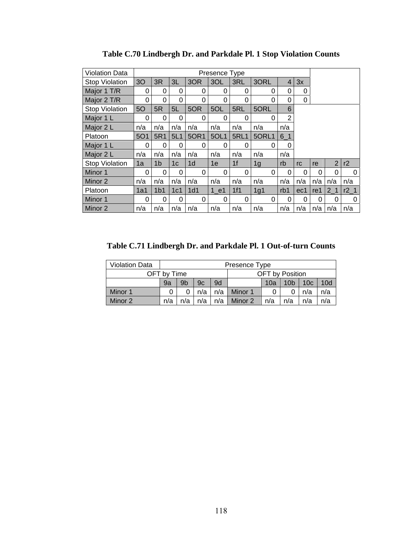| <b>Violation Data</b> |                |                 |                |                | Presence Type |                |          |                |          |          |                |        |
|-----------------------|----------------|-----------------|----------------|----------------|---------------|----------------|----------|----------------|----------|----------|----------------|--------|
| <b>Stop Violation</b> | 3 <sub>O</sub> | 3R              | 3L             | 3OR            | 3OL           | 3RL            | 3ORL     | $\overline{4}$ | 3x       |          |                |        |
| Major 1 T/R           | 0              | 0               | 0              | 0              | 0             | 0              | 0        | 0              | 0        |          |                |        |
| Major 2 T/R           | 0              | 0               | 0              | 0              | 0             | 0              | $\Omega$ | 0              | 0        |          |                |        |
| <b>Stop Violation</b> | 5O             | 5R              | 5L             | 5OR            | 5OL           | 5RL            | 5ORL     | 6              |          |          |                |        |
| Major 1 L             | 0              | 0               | 0              | 0              | 0             | 0              | 0        | $\overline{2}$ |          |          |                |        |
| Major 2 L             | n/a            | n/a             | n/a            | n/a            | n/a           | n/a            | n/a      | n/a            |          |          |                |        |
| Platoon               | <b>5O1</b>     | 5R1             | 5L1            | 50R1           | 5OL1          | <b>5RL1</b>    | 5ORL1    | $6-1$          |          |          |                |        |
| Major 1 L             | $\Omega$       | 0               | 0              | 0              | 0             | $\Omega$       | $\Omega$ | 0              |          |          |                |        |
| Major 2 L             | n/a            | n/a             | n/a            | n/a            | n/a           | n/a            | n/a      | n/a            |          |          |                |        |
| <b>Stop Violation</b> | 1a             | 1 <sub>b</sub>  | 1 <sub>c</sub> | 1 <sub>d</sub> | 1e            | 1 <sup>f</sup> | 1g       | rb             | rc       | re       | $\overline{2}$ | r2     |
| Minor 1               | 0              | 0               | 0              | 0              | 0             | 0              | 0        | 0              | 0        | 0        | 0              | 0      |
| Minor 2               | n/a            | n/a             | n/a            | n/a            | n/a           | n/a            | n/a      | n/a            | n/a      | n/a      | n/a            | n/a    |
| Platoon               | 1a1            | 1 <sub>b1</sub> | 1c1            | 1d1            | 1 e1          | 1f1            | 1g1      | rb1            | ec1      | re1      | 2 <sub>1</sub> | $r2_1$ |
| Minor 1               | 0              | 0               | 0              | 0              | 0             | 0              | 0        | 0              | $\Omega$ | $\Omega$ | 0              | 0      |
| Minor 2               | n/a            | n/a             | n/a            | n/a            | n/a           | n/a            | n/a      | n/a            | n/a      | n/a      | n/a            | n/a    |

**Table C.70 Lindbergh Dr. and Parkdale Pl. 1 Stop Violation Counts** 

**Table C.71 Lindbergh Dr. and Parkdale Pl. 1 Out-of-turn Counts** 

| <b>Violation Data</b> |                                                                 |                                                                    |  |  | Presence Type |  |                        |  |     |  |  |
|-----------------------|-----------------------------------------------------------------|--------------------------------------------------------------------|--|--|---------------|--|------------------------|--|-----|--|--|
|                       | OFT bv Time                                                     |                                                                    |  |  |               |  | <b>OFT</b> by Position |  |     |  |  |
|                       | 9a                                                              | 9b<br>9d<br>10 <sub>c</sub><br>10d<br>10 <sub>b</sub><br>10a<br>9c |  |  |               |  |                        |  |     |  |  |
| Minor 1               | n/a<br>Minor 1<br>n/a<br>n/a                                    |                                                                    |  |  |               |  |                        |  | n/a |  |  |
| Minor 2               | n/a<br>n/a<br>Minor 2<br>n/a<br>n/a<br>n/a<br>n/a<br>n/a<br>n/a |                                                                    |  |  |               |  |                        |  |     |  |  |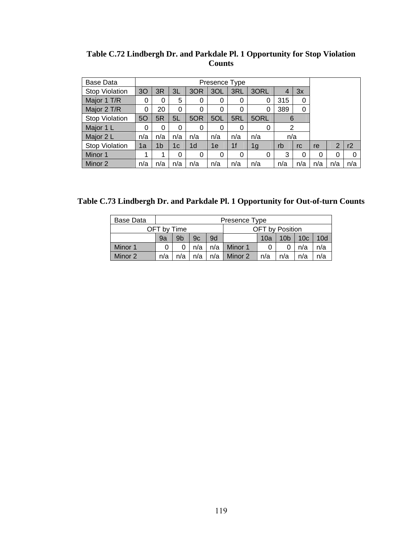| Base Data             |     |     |     |                | Presence Type |                |      |                |     |     |     |     |
|-----------------------|-----|-----|-----|----------------|---------------|----------------|------|----------------|-----|-----|-----|-----|
| Stop Violation        | 30  | 3R  | 3L  | 3OR            | 3OL           | 3RL            | 3ORL | 4              | 3x  |     |     |     |
| Major 1 T/R           | 0   | 0   | 5   | 0              | 0             | 0              | 0    | 315            | 0   |     |     |     |
| Major 2 T/R           | 0   | 20  | 0   | 0              | 0             | 0              | 0    | 389            | 0   |     |     |     |
| <b>Stop Violation</b> | 50  | 5R  | 5L  | 5OR            | 5OL           | 5RL            | 5ORL | 6              |     |     |     |     |
| Major 1 L             | 0   | 0   | 0   | 0              | 0             | 0              | 0    | $\overline{2}$ |     |     |     |     |
| Major 2 L             | n/a | n/a | n/a | n/a            | n/a           | n/a            | n/a  | n/a            |     |     |     |     |
| <b>Stop Violation</b> | 1a  | 1b  | 1c  | 1 <sub>d</sub> | 1e            | 1 <sup>f</sup> | 1g   | rb             | rc  | re  | 2   | r2  |
| Minor 1               |     |     | 0   | 0              | 0             | 0              | 0    | 3              | 0   | 0   | 0   | 0   |
| Minor 2               | n/a | n/a | n/a | n/a            | n/a           | n/a            | n/a  | n/a            | n/a | n/a | n/a | n/a |

**Table C.72 Lindbergh Dr. and Parkdale Pl. 1 Opportunity for Stop Violation Counts** 

**Table C.73 Lindbergh Dr. and Parkdale Pl. 1 Opportunity for Out-of-turn Counts** 

| Base Data |                                                          |                                                                    |     |     | Presence Type |  |                        |     |     |
|-----------|----------------------------------------------------------|--------------------------------------------------------------------|-----|-----|---------------|--|------------------------|-----|-----|
|           | OFT by Time                                              |                                                                    |     |     |               |  | <b>OFT</b> by Position |     |     |
|           | 9a                                                       | 9 <sub>b</sub><br>9d<br>10 <sub>b</sub><br>10c<br>10d<br>9c<br>10a |     |     |               |  |                        |     |     |
| Minor 1   |                                                          |                                                                    | n/a | n/a | Minor 1       |  |                        | n/a | n/a |
| Minor 2   | n/a<br>n/a<br>Minor 2<br>n/a<br>n/a<br>n/a<br>n/a<br>n/a |                                                                    |     |     |               |  |                        |     | n/a |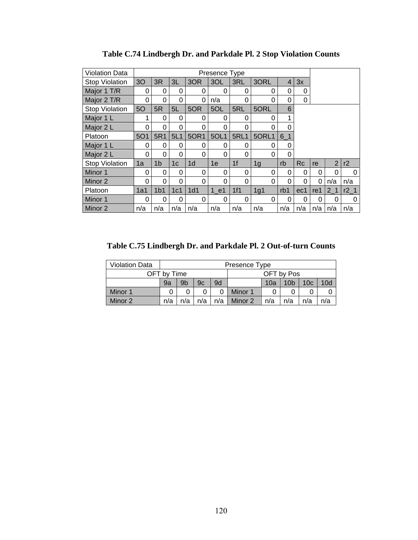| <b>Violation Data</b> |                |                 |                |                | Presence Type |                |                |                |           |          |                |        |
|-----------------------|----------------|-----------------|----------------|----------------|---------------|----------------|----------------|----------------|-----------|----------|----------------|--------|
| <b>Stop Violation</b> | 3 <sub>O</sub> | 3R              | 3L             | 3OR            | 3OL           | 3RL            | 3ORL           | $\overline{4}$ | 3x        |          |                |        |
| Major 1 T/R           | 0              | 0               | 0              | 0              | 0             | 0              | 0              | 0              | 0         |          |                |        |
| Major 2 T/R           | 0              | 0               | 0              | 0              | n/a           | 0              | 0              | 0              | 0         |          |                |        |
| <b>Stop Violation</b> | 5O             | 5R              | 5L             | 5OR            | 5OL           | 5RL            | 5ORL           | 6              |           |          |                |        |
| Major 1 L             | 1              | 0               | 0              | 0              | 0             | 0              | 0              | 1              |           |          |                |        |
| Major 2 L             | 0              | 0               | 0              | 0              | 0             | 0              | 0              | 0              |           |          |                |        |
| Platoon               | <b>5O1</b>     | 5R1             | 5L1            | 50R1           | 5OL1          | <b>5RL1</b>    | 5ORL1          | $6-1$          |           |          |                |        |
| Major 1 L             | 0              | $\Omega$        | 0              | $\Omega$       | 0             | 0              | $\Omega$       | 0              |           |          |                |        |
| Major 2 L             | 0              | 0               | 0              | 0              | 0             | 0              | 0              | 0              |           |          |                |        |
| <b>Stop Violation</b> | 1a             | 1 <sub>b</sub>  | 1 <sub>c</sub> | 1 <sub>d</sub> | 1e            | 1 <sup>f</sup> | 1 <sub>g</sub> | rb             | <b>Rc</b> | re       | $\overline{2}$ | r2     |
| Minor 1               | 0              | 0               | 0              | 0              | 0             | 0              | 0              | 0              | 0         | 0        | 0              | 0      |
| Minor 2               | 0              | 0               | 0              | $\Omega$       | 0             | 0              | $\Omega$       | 0              | $\Omega$  | $\Omega$ | n/a            | n/a    |
| Platoon               | 1a1            | 1 <sub>b1</sub> | 1c1            | 1d1            | 1 e1          | 1f1            | 1g1            | rb1            | ec1       | re1      | 2 <sub>1</sub> | $r2_1$ |
| Minor 1               | 0              | $\Omega$        | 0              | 0              | 0             | $\Omega$       | 0              | 0              | $\Omega$  | $\Omega$ | 0              | 0      |
| Minor 2               | n/a            | n/a             | n/a            | n/a            | n/a           | n/a            | n/a            | n/a            | n/a       | n/a      | n/a            | n/a    |

**Table C.74 Lindbergh Dr. and Parkdale Pl. 2 Stop Violation Counts** 

**Table C.75 Lindbergh Dr. and Parkdale Pl. 2 Out-of-turn Counts** 

| <b>Violation Data</b> |     |                           |     |                                                | Presence Type                                    |  |  |  |  |  |  |  |
|-----------------------|-----|---------------------------|-----|------------------------------------------------|--------------------------------------------------|--|--|--|--|--|--|--|
|                       |     | OFT by Pos<br>OFT by Time |     |                                                |                                                  |  |  |  |  |  |  |  |
|                       | 9a  | 9b                        | 9c  | 9d                                             | 10 <sub>b</sub><br>10d<br>10 <sub>c</sub><br>10a |  |  |  |  |  |  |  |
| Minor 1               |     |                           |     | Minor 1                                        |                                                  |  |  |  |  |  |  |  |
| Minor 2               | n/a | n/a                       | n/a | $n/a$  <br>Minor 2<br>n/a<br>n/a<br>n/a<br>n/a |                                                  |  |  |  |  |  |  |  |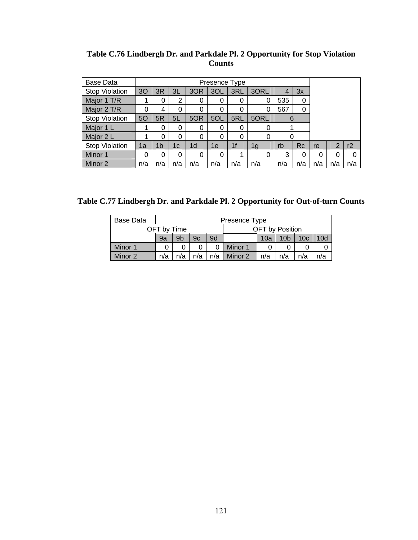| Base Data             |     |                |                |                | Presence Type |                |      |     |           |     |     |     |
|-----------------------|-----|----------------|----------------|----------------|---------------|----------------|------|-----|-----------|-----|-----|-----|
| <b>Stop Violation</b> | 30  | 3R             | 3L             | 3OR            | 3OL           | 3RL            | 3ORL |     | 3x        |     |     |     |
| Major 1 T/R           |     | 0              | $\overline{2}$ | 0              | 0             | 0              | 0    | 535 | 0         |     |     |     |
| Major 2 T/R           | 0   | 4              | 0              | 0              | 0             | 0              | 0    | 567 | 0         |     |     |     |
| <b>Stop Violation</b> | 50  | 5R             | 5L             | 5OR            | 5OL           | 5RL            | 5ORL | 6   |           |     |     |     |
| Major 1 L             |     | 0              | 0              | 0              | 0             | 0              | 0    |     |           |     |     |     |
| Major 2 L             |     | 0              | 0              | 0              | $\Omega$      | $\Omega$       | 0    |     |           |     |     |     |
| Stop Violation        | 1a  | 1 <sub>b</sub> | 1c             | 1 <sub>d</sub> | 1e            | 1 <sub>f</sub> | 1g   | rb  | <b>Rc</b> | re  | 2   | r2  |
| Minor 1               | 0   | 0              | 0              | 0              | 0             |                | 0    | 3   | 0         | 0   | 0   |     |
| Minor 2               | n/a | n/a            | n/a            | n/a            | n/a           | n/a            | n/a  | n/a | n/a       | n/a | n/a | n/a |

**Table C.76 Lindbergh Dr. and Parkdale Pl. 2 Opportunity for Stop Violation Counts** 

**Table C.77 Lindbergh Dr. and Parkdale Pl. 2 Opportunity for Out-of-turn Counts** 

| Base Data |             |                |     |     | Presence Type                                    |  |                        |  |  |  |  |
|-----------|-------------|----------------|-----|-----|--------------------------------------------------|--|------------------------|--|--|--|--|
|           | OFT by Time |                |     |     |                                                  |  | <b>OFT</b> by Position |  |  |  |  |
|           | 9a          | 9 <sub>b</sub> | 9c  | 9d  | 10 <sub>b</sub><br>10 <sub>c</sub><br>10d<br>10a |  |                        |  |  |  |  |
| Minor 1   |             |                |     |     | Minor 1                                          |  |                        |  |  |  |  |
| Minor 2   | n/a         | n/a            | n/a | n/a | Minor 2<br>n/a<br>n/a<br>n/a<br>n/a              |  |                        |  |  |  |  |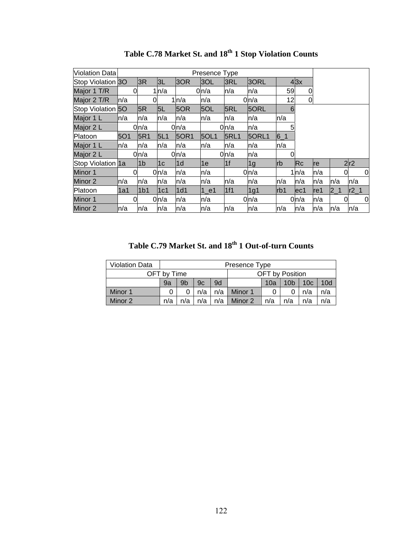| <b>Violation Data</b> |            |                  |                |                  | Presence Type |             |                  |            |              |      |         |   |        |
|-----------------------|------------|------------------|----------------|------------------|---------------|-------------|------------------|------------|--------------|------|---------|---|--------|
| Stop Violation 30     |            | 3R               | 3L             | 3OR              | 3OL           | 3RL         | 30RL             |            | 43x          |      |         |   |        |
| Major 1 T/R           | 0          |                  | 1n/a           |                  | 0n/a          | n/a         | n/a              | 59         | 0            |      |         |   |        |
| Major 2 T/R           | ln/a       | 0                |                | $1 \, h/a$       | n/a           |             | 0 <sub>n/a</sub> | 12         | 0            |      |         |   |        |
| Stop Violation 50     |            | 5R               | 5L             | 5OR              | 5OL           | 5RL         | 5ORL             | 6          |              |      |         |   |        |
| Major 1 L             | ln/a       | n/a              | n/a            | n/a              | n/a           | n/a         | n/a              | n/a        |              |      |         |   |        |
| Major 2 L             |            | 0 <sub>n/a</sub> |                | 0 <sub>n/a</sub> |               | 0n/a        | n/a              | 5          |              |      |         |   |        |
| Platoon               | <b>5O1</b> | 5R1              | 5L1            | <b>50R1</b>      | 5OL1          | <b>5RL1</b> | 50RL1            | $6 - 1$    |              |      |         |   |        |
| Major 1 L             | ln/a       | ln/a             | n/a            | n/a              | n/a           | n/a         | n/a              | n/a        |              |      |         |   |        |
| Major 2 L             |            | 0n/a             |                | 0n/a             |               | 0n/a        | n/a              |            |              |      |         |   |        |
| Stop Violation 1a     |            | 1 <sub>b</sub>   | 1 <sub>c</sub> | l1d              | 1e            | 1f          | 1 <sub>g</sub>   | <b>lrb</b> | Re           | Ire  |         |   | 2r2    |
| Minor 1               | 0          |                  | 0n/a           | n/a              | n/a           |             | 0n/a             |            | $1 \mid n/a$ | n/a  |         | 0 | 0      |
| Minor 2               | ln/a       | n/a              | n/a            | n/a              | n/a           | n/a         | n/a              | ln/a       | n/a          | ln/a | n/a     |   | n/a    |
| Platoon               | l1a1       | 1 <sub>b1</sub>  | 1c1            | 1d1              | $1$ e1        | 1f1         | 1g1              | rb1        | ec1          | re1  | $2 - 1$ |   | $r2_1$ |
| Minor 1               | 0          |                  | 0ln/a          | n/a              | n/a           |             | 0 n/a            |            | 0n/a         | n/a  |         | 0 | 0      |
| Minor 2               | ln/a       | n/a              | n/a            | n/a              | n/a           | n/a         | n/a              | ln/a       | n/a          | ln/a | ln/a    |   | n/a    |

**Table C.78 Market St. and 18th 1 Stop Violation Counts** 

**Table C.79 Market St. and 18th 1 Out-of-turn Counts** 

| <b>Violation Data</b> |             |                |     |     | Presence Type                                                |  |                 |  |  |  |  |  |
|-----------------------|-------------|----------------|-----|-----|--------------------------------------------------------------|--|-----------------|--|--|--|--|--|
|                       | OFT by Time |                |     |     |                                                              |  | OFT by Position |  |  |  |  |  |
|                       | 9a          | 9 <sub>b</sub> | 9c  | 9d  | 10 <sub>d</sub><br>10 <sub>c</sub><br>10 <sub>b</sub><br>10a |  |                 |  |  |  |  |  |
| Minor 1               |             |                | n/a | n/a | Minor 1<br>n/a<br>n/a                                        |  |                 |  |  |  |  |  |
| Minor 2               | n/a         | n/a            | n/a | n/a | Minor 2<br>n/a<br>n/a<br>η/a<br>n/a                          |  |                 |  |  |  |  |  |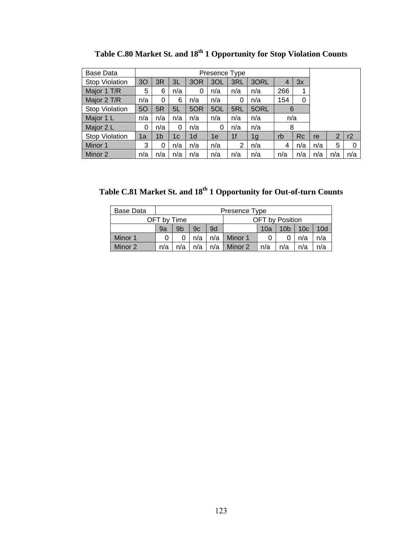| Base Data             |     |                |     |                | Presence Type |                |      |                |           |     |     |     |
|-----------------------|-----|----------------|-----|----------------|---------------|----------------|------|----------------|-----------|-----|-----|-----|
| <b>Stop Violation</b> | 30  | 3R             | 3L  | 3OR            | 3OL           | 3RL            | 3ORL | $\overline{4}$ | 3x        |     |     |     |
| Major 1 T/R           | 5   | 6              | n/a | 0              | n/a           | n/a            | n/a  | 266            |           |     |     |     |
| Major 2 T/R           | n/a | 0              | 6   | n/a            | n/a           | 0              | n/a  | 154            | 0         |     |     |     |
| <b>Stop Violation</b> | 50  | 5R             | 5L  | 5OR            | 5OL           | 5RL            | 5ORL | 6              |           |     |     |     |
| Major 1 L             | n/a | n/a            | n/a | n/a            | n/a           | n/a            | n/a  | n/a            |           |     |     |     |
| Major 2 L             | 0   | n/a            | 0   | n/a            | 0             | n/a            | n/a  | 8              |           |     |     |     |
| Stop Violation        | 1a  | 1 <sub>b</sub> | 1c  | 1 <sub>d</sub> | 1е            | 1 <sub>f</sub> | 1g   | rb             | <b>Rc</b> | re  | 2   | r2  |
| Minor 1               | 3   | 0              | n/a | n/a            | n/a           | 2              | n/a  | 4              | n/a       | n/a | 5   | 0   |
| Minor 2               | n/a | n/a            | n/a | n/a            | n/a           | n/a            | n/a  | n/a            | n/a       | n/a | n/a | n/a |

**Table C.80 Market St. and 18th 1 Opportunity for Stop Violation Counts** 

**Table C.81 Market St. and 18th 1 Opportunity for Out-of-turn Counts** 

| Base Data |                                                          |                                                                    |  |  | Presence Type |  |                        |     |     |  |
|-----------|----------------------------------------------------------|--------------------------------------------------------------------|--|--|---------------|--|------------------------|-----|-----|--|
|           | OFT by Time                                              |                                                                    |  |  |               |  | <b>OFT</b> by Position |     |     |  |
|           | 9a                                                       | 10d<br>9b<br>9d<br>10 <sub>b</sub><br>10 <sub>c</sub><br>9c<br>10a |  |  |               |  |                        |     |     |  |
| Minor 1   | n/a<br>n/a<br>Minor 1<br>n/a                             |                                                                    |  |  |               |  |                        | n/a |     |  |
| Minor 2   | n/a<br>Minor 2<br>n/a<br>n/a<br>n/a<br>n/a<br>n/a<br>n/a |                                                                    |  |  |               |  |                        |     | n/a |  |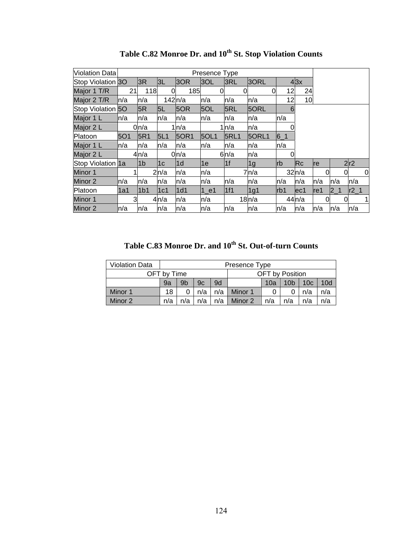| Violation Data    |      |                  |          |                  | Presence Type |             |                |            |                        |      |         |   |        |
|-------------------|------|------------------|----------|------------------|---------------|-------------|----------------|------------|------------------------|------|---------|---|--------|
| Stop Violation 30 |      | 3R               | 3L       | 3OR              | 3OL           | 3RL         | 3ORL           |            | $4 \times 3$           |      |         |   |        |
| Major 1 T/R       | 21   | 118              | $\Omega$ | 185              |               |             | 0              | 12         | 24                     |      |         |   |        |
| Major 2 T/R       | ln/a | n/a              | 142n/a   |                  | n/a           | n/a         | n/a            | 12         | 10                     |      |         |   |        |
| Stop Violation 50 |      | 5R               | 5L       | 5OR              | 5OL           | 5RL         | 5ORL           | 6          |                        |      |         |   |        |
| Major 1 L         | ln/a | n/a              | n/a      | n/a              | n/a           | n/a         | n/a            | n/a        |                        |      |         |   |        |
| Major 2 L         |      | 0 <sub>n/a</sub> |          | 1ln/a            |               | 1n/a        | n/a            |            |                        |      |         |   |        |
| Platoon           | 5O1  | 5R1              | 5L1      | 50R1             | 5OL1          | <b>5RL1</b> | 5ORL1          | $6 - 1$    |                        |      |         |   |        |
| Major 1 L         | ln/a | n/a              | n/a      | n/a              | n/a           | n/a         | n/a            | n/a        |                        |      |         |   |        |
| Major 2 L         |      | 4n/a             |          | 0 <sub>n/a</sub> |               | 6n/a        | n/a            |            |                        |      |         |   |        |
| Stop Violation 1a |      | l1b              | 1c       | l1d              | 1e            | 1f          | 1 <sub>g</sub> | <b>lrb</b> | $\overline{\text{Rc}}$ | Ire  |         |   | 2r2    |
| Minor 1           |      |                  | 2n/a     | n/a              | n/a           |             | 7n/a           |            | 32n/a                  |      |         | 0 | 0      |
| Minor 2           | ln/a | n/a              | n/a      | n/a              | n/a           | n/a         | n/a            | n/a        | n/a                    | n/a  | n/a     |   | n/a    |
| Platoon           | 1a1  | 1 <sub>b1</sub>  | 1c1      | 1d1              | $1$ _e1       | 1f1         | 1g1            | Irb1       | lec1                   | lref | $2 - 1$ |   | $r2_1$ |
| Minor 1           | 3    |                  | 4ln/a    | n/a              | n/a           |             | 18n/a          |            | 44n/a                  |      |         | 0 | 1      |
| Minor 2           | ln/a | n/a              | n/a      | n/a              | n/a           | n/a         | n/a            | ln/a       | n/a                    | ln/a | n/a     |   | n/a    |

Table C.82 Monroe Dr. and  $10^{th}$  St. Stop Violation Counts

Table C.83 Monroe Dr. and 10<sup>th</sup> St. Out-of-turn Counts

| <b>Violation Data</b> |             |     |     |     | Presence Type                                    |  |                        |  |  |  |  |  |
|-----------------------|-------------|-----|-----|-----|--------------------------------------------------|--|------------------------|--|--|--|--|--|
|                       | OFT bv Time |     |     |     |                                                  |  | <b>OFT</b> by Position |  |  |  |  |  |
|                       | 9a          | 9b  | 9c  | 9d  | 10d<br>10 <sub>b</sub><br>10 <sub>c</sub><br>10a |  |                        |  |  |  |  |  |
| Minor 1               | 18          |     | n/a | n/a | Minor 1<br>n/a<br>n/a                            |  |                        |  |  |  |  |  |
| Minor 2               | n/a         | n/a | n/a | n/a | n/a<br>Minor 2<br>n/a<br>n/a<br>n/a              |  |                        |  |  |  |  |  |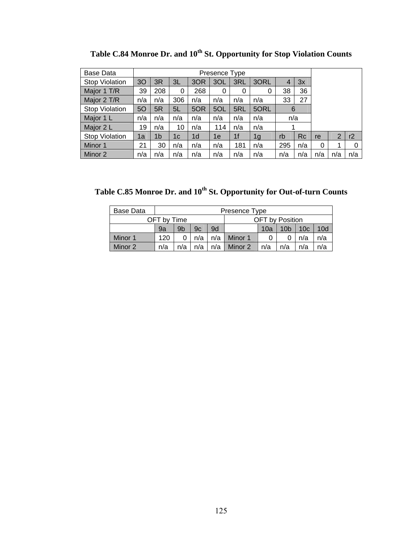| Base Data             |                |                |          |                | Presence Type |                |                |     |     |     |     |     |
|-----------------------|----------------|----------------|----------|----------------|---------------|----------------|----------------|-----|-----|-----|-----|-----|
| Stop Violation        | 3 <sub>O</sub> | 3R             | 3L       | 3OR            | 3OL           | 3RL            | 3ORL           | 4   | 3x  |     |     |     |
| Major 1 T/R           | 39             | 208            | $\Omega$ | 268            | 0             | 0              | 0              | 38  | 36  |     |     |     |
| Major 2 T/R           | n/a            | n/a            | 306      | n/a            | n/a           | n/a            | n/a            | 33  | 27  |     |     |     |
| <b>Stop Violation</b> | 5O             | 5R             | 5L       | 5OR            | 5OL           | 5RL            | 5ORL           | 6   |     |     |     |     |
| Major 1 L             | n/a            | n/a            | n/a      | n/a            | n/a           | n/a            | n/a            | n/a |     |     |     |     |
| Major 2 L             | 19             | n/a            | 10       | n/a            | 114           | n/a            | n/a            |     |     |     |     |     |
| <b>Stop Violation</b> | 1a             | 1 <sub>b</sub> | 1c       | 1 <sub>d</sub> | 1e            | 1 <sub>f</sub> | 1 <sub>g</sub> | rb  | Rc  | re  | 2   | r2  |
| Minor 1               | 21             | 30             | n/a      | n/a            | n/a           | 181            | n/a            | 295 | n/a | 0   | 1   | 0   |
| Minor 2               | n/a            | n/a            | n/a      | n/a            | n/a           | n/a            | n/a            | n/a | n/a | n/a | n/a | n/a |

Table C.84 Monroe Dr. and 10<sup>th</sup> St. Opportunity for Stop Violation Counts

Table C.85 Monroe Dr. and 10<sup>th</sup> St. Opportunity for Out-of-turn Counts

| <b>Base Data</b> |                                                          |                              |    |    | Presence Type                                    |                 |  |  |     |  |  |  |
|------------------|----------------------------------------------------------|------------------------------|----|----|--------------------------------------------------|-----------------|--|--|-----|--|--|--|
|                  | OFT by Time                                              |                              |    |    |                                                  | OFT by Position |  |  |     |  |  |  |
|                  | 9a                                                       | 9b                           | 9c | 9d | 10 <sub>c</sub><br>10d<br>10 <sub>b</sub><br>10a |                 |  |  |     |  |  |  |
| Minor 1          | 120                                                      | n/a<br>n/a<br>Minor 1<br>n/a |    |    |                                                  |                 |  |  | n/a |  |  |  |
| Minor 2          | n/a<br>n/a<br>Minor 2<br>n/a<br>n/a<br>n/a<br>n/a<br>n/a |                              |    |    |                                                  |                 |  |  | n/a |  |  |  |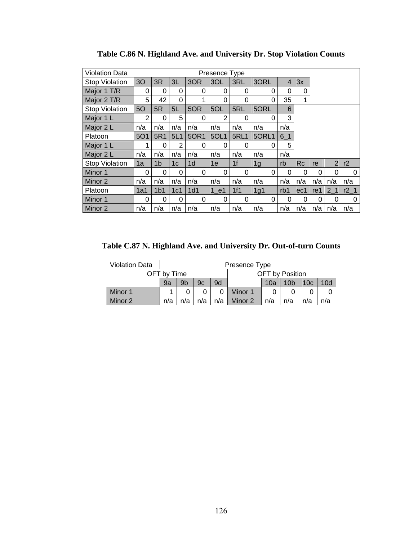| <b>Violation Data</b> | Presence Type  |                 |     |                |      |                |          |                |           |          |                |        |
|-----------------------|----------------|-----------------|-----|----------------|------|----------------|----------|----------------|-----------|----------|----------------|--------|
| <b>Stop Violation</b> | 3 <sub>O</sub> | 3R              | 3L  | 3OR            | 3OL  | 3RL            | 3ORL     | $\overline{4}$ | 3x        |          |                |        |
| Major 1 T/R           | 0              | 0               | 0   | 0              | 0    | 0              | 0        | 0              | 0         |          |                |        |
| Major 2 T/R           | 5              | 42              | 0   | 1              | 0    | 0              | 0        | 35             | 1         |          |                |        |
| <b>Stop Violation</b> | 5O             | 5R              | 5L  | 5OR            | 5OL  | 5RL            | 5ORL     | 6              |           |          |                |        |
| Major 1 L             | 2              | 0               | 5   | 0              | 2    | 0              | 0        | 3              |           |          |                |        |
| Major 2 L             | n/a            | n/a             | n/a | n/a            | n/a  | n/a            | n/a      | n/a            |           |          |                |        |
| Platoon               | <b>5O1</b>     | 5R1             | 5L1 | 50R1           | 5OL1 | <b>5RL1</b>    | 5ORL1    | $6-1$          |           |          |                |        |
| Major 1 L             | 1              | $\Omega$        | 2   | 0              | 0    | $\Omega$       | $\Omega$ | 5              |           |          |                |        |
| Major 2 L             | n/a            | n/a             | n/a | n/a            | n/a  | n/a            | n/a      | n/a            |           |          |                |        |
| <b>Stop Violation</b> | 1a             | 1 <sub>b</sub>  | 1c  | 1 <sub>d</sub> | 1e   | 1 <sup>f</sup> | 1g       | rb             | <b>Rc</b> | re       | $\overline{2}$ | r2     |
| Minor 1               | 0              | 0               | 0   | 0              | 0    | 0              | 0        | 0              | 0         | 0        | 0              | 0      |
| Minor 2               | n/a            | n/a             | n/a | n/a            | n/a  | n/a            | n/a      | n/a            | n/a       | n/a      | n/a            | n/a    |
| Platoon               | 1a1            | 1 <sub>b1</sub> | 1c1 | 1d1            | 1 e1 | 1f1            | 1g1      | rb1            | ec1       | re1      | 2 <sub>1</sub> | $r2_1$ |
| Minor 1               | 0              | 0               | 0   | 0              | 0    | 0              | 0        | 0              | $\Omega$  | $\Omega$ | 0              | 0      |
| Minor 2               | n/a            | n/a             | n/a | n/a            | n/a  | n/a            | n/a      | n/a            | n/a       | n/a      | n/a            | n/a    |

**Table C.86 N. Highland Ave. and University Dr. Stop Violation Counts** 

**Table C.87 N. Highland Ave. and University Dr. Out-of-turn Counts** 

| <b>Violation Data</b> | Presence Type |     |     |     |                 |     |                 |                 |     |  |
|-----------------------|---------------|-----|-----|-----|-----------------|-----|-----------------|-----------------|-----|--|
|                       | OFT by Time   |     |     |     | OFT by Position |     |                 |                 |     |  |
|                       | 9a            | 9b  | 9c  | 9d  |                 | 10a | 10 <sub>b</sub> | 10 <sub>c</sub> | 10d |  |
| Minor 1               |               |     |     |     | Minor 1         |     |                 |                 |     |  |
| Minor 2               | n/a           | n/a | n/a | n/a | Minor 2         | n/a | n/a             | n/a             | n/a |  |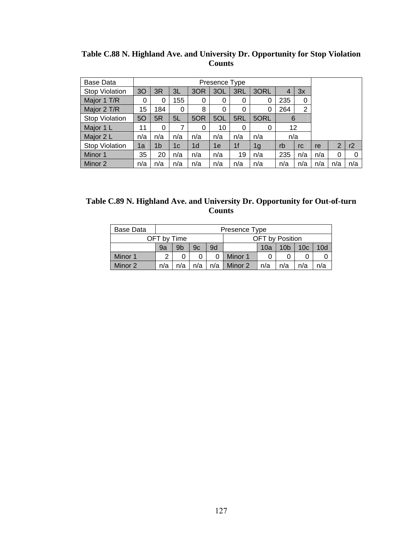| Table C.88 N. Highland Ave. and University Dr. Opportunity for Stop Violation |  |
|-------------------------------------------------------------------------------|--|
| <b>Counts</b>                                                                 |  |

| <b>Base Data</b>      |                |                |     |                |     |                |                |     |     |     |                |     |
|-----------------------|----------------|----------------|-----|----------------|-----|----------------|----------------|-----|-----|-----|----------------|-----|
| <b>Stop Violation</b> | 3 <sub>O</sub> | 3R             | ЗL  | 3OR            | 3OL | 3RL            | 3ORL           |     | 3x  |     |                |     |
| Major 1 T/R           | 0              | 0              | 155 | 0              | 0   | 0              | 0              | 235 | 0   |     |                |     |
| Major 2 T/R           | 15             | 184            | 0   | 8              | 0   | 0              | 0              | 264 | 2   |     |                |     |
| <b>Stop Violation</b> | 5O             | 5R             | 5L  | 5OR            | 5OL | 5RL            | 5ORL           | 6   |     |     |                |     |
| Major 1 L             | 11             | 0              |     | $\Omega$       | 10  | 0              | 0              | 12  |     |     |                |     |
| Major 2 L             | n/a            | n/a            | n/a | n/a            | n/a | n/a            | n/a            | n/a |     |     |                |     |
| <b>Stop Violation</b> | 1a             | 1 <sub>b</sub> | 1c  | 1 <sub>d</sub> | 1e  | 1 <sub>f</sub> | 1 <sub>g</sub> | rb  | rc  | re  | $\overline{2}$ | r2  |
| Minor 1               | 35             | 20             | n/a | n/a            | n/a | 19             | n/a            | 235 | n/a | n/a | $\Omega$       | 0   |
| Minor 2               | n/a            | n/a            | n/a | n/a            | n/a | n/a            | n/a            | n/a | n/a | n/a | n/a            | n/a |

| Table C.89 N. Highland Ave. and University Dr. Opportunity for Out-of-turn |               |  |
|----------------------------------------------------------------------------|---------------|--|
|                                                                            | <b>Counts</b> |  |

| Base Data |                                                                 | Presence Type                                                      |  |  |                 |  |  |  |  |  |  |  |
|-----------|-----------------------------------------------------------------|--------------------------------------------------------------------|--|--|-----------------|--|--|--|--|--|--|--|
|           | OFT by Time                                                     |                                                                    |  |  | OFT by Position |  |  |  |  |  |  |  |
|           | 9a                                                              | 9b<br>9d<br>10 <sub>c</sub><br>10d<br>10a<br>10 <sub>b</sub><br>9c |  |  |                 |  |  |  |  |  |  |  |
| Minor 1   | っ                                                               |                                                                    |  |  | Minor 1         |  |  |  |  |  |  |  |
| Minor 2   | n/a<br>Minor 2<br>n/a<br>n/a<br>n/a<br>n/a<br>n/a<br>n/a<br>n/a |                                                                    |  |  |                 |  |  |  |  |  |  |  |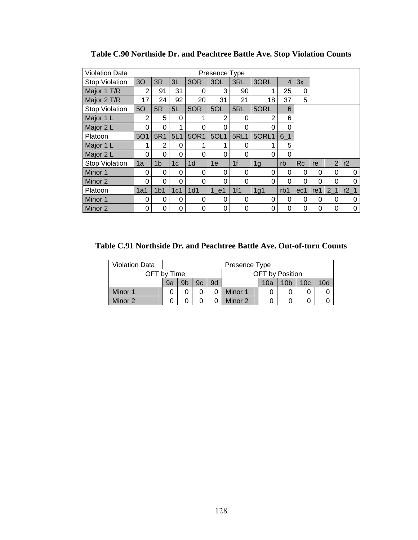| <b>Violation Data</b> |                |                 |                 |                | Presence Type |                |          |       |           |          |                |                 |
|-----------------------|----------------|-----------------|-----------------|----------------|---------------|----------------|----------|-------|-----------|----------|----------------|-----------------|
| <b>Stop Violation</b> | 3 <sub>O</sub> | 3R              | 3L              | 3OR            | 3OL           | 3RL            | 3ORL     | 4     | 3x        |          |                |                 |
| Major 1 T/R           | 2              | 91              | 31              | $\Omega$       | 3             | 90             |          | 25    | 0         |          |                |                 |
| Major 2 T/R           | 17             | 24              | 92              | 20             | 31            | 21             | 18       | 37    | 5         |          |                |                 |
| <b>Stop Violation</b> | 50             | 5R              | 5L              | 5OR            | 5OL           | 5RL            | 5ORL     | 6     |           |          |                |                 |
| Major 1 L             | $\mathfrak{p}$ | 5               | 0               | 1              | 2             | 0              | 2        | 6     |           |          |                |                 |
| Major 2 L             | 0              | 0               | 1               | 0              | 0             | 0              | 0        | 0     |           |          |                |                 |
| Platoon               | <b>5O1</b>     | 5R1             | 5L1             | 50R1           | 5OL1          | <b>5RL1</b>    | 5ORL1    | $6-1$ |           |          |                |                 |
| Major 1 L             | 1              | 2               | 0               | 4              | 1             | 0              |          | 5     |           |          |                |                 |
| Major 2 L             | 0              | 0               | 0               | 0              | 0             | 0              | 0        | 0     |           |          |                |                 |
| <b>Stop Violation</b> | 1a             | 1 <sub>b</sub>  | 1 <sub>c</sub>  | 1 <sub>d</sub> | 1e            | 1 <sup>f</sup> | 1g       | rb    | <b>Rc</b> | re       | $\overline{2}$ | r2              |
| Minor 1               | 0              | 0               | 0               | 0              | 0             | 0              | 0        | 0     | 0         | 0        | $\Omega$       | 0               |
| Minor 2               | 0              | 0               | 0               | 0              | 0             | 0              | $\Omega$ | 0     | $\Omega$  | $\Omega$ | 0              | $\Omega$        |
| Platoon               | 1a1            | 1 <sub>b1</sub> | 1c <sub>1</sub> | 1d1            | 1 e1          | 1f1            | 1g1      | rb1   | ec1       | re1      | 2 <sub>1</sub> | r2 <sub>1</sub> |
| Minor 1               | 0              | 0               | 0               | 0              | 0             | 0              | 0        | 0     | 0         | 0        | 0              | 0               |
| Minor 2               | 0              | 0               | 0               | 0              | 0             | 0              | 0        | 0     | 0         | 0        | 0              | 0               |

**Table C.90 Northside Dr. and Peachtree Battle Ave. Stop Violation Counts** 

**Table C.91 Northside Dr. and Peachtree Battle Ave. Out-of-turn Counts** 

| <b>Violation Data</b> |    | Presence Type  |    |    |                                                  |  |  |  |  |  |  |
|-----------------------|----|----------------|----|----|--------------------------------------------------|--|--|--|--|--|--|
| OFT by Time           |    |                |    |    | <b>OFT</b> by Position                           |  |  |  |  |  |  |
|                       | 9a | 9 <sub>b</sub> | 9c | 9d | 10d<br>10 <sub>c</sub><br>10 <sub>b</sub><br>10a |  |  |  |  |  |  |
| Minor 1               |    |                |    |    | Minor 1                                          |  |  |  |  |  |  |
| Minor 2               |    |                |    |    | Minor 2                                          |  |  |  |  |  |  |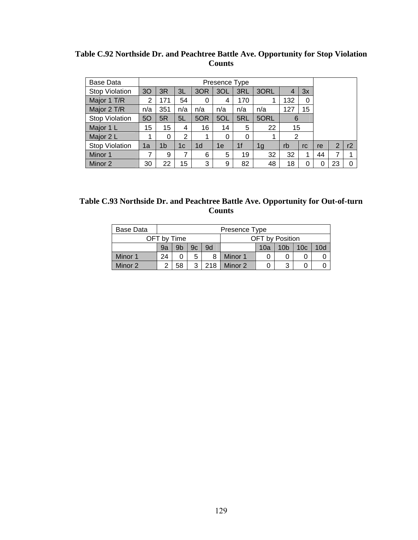| Base Data             |     |                |     |                | Presence Type |     |      |                |    |    |                |    |
|-----------------------|-----|----------------|-----|----------------|---------------|-----|------|----------------|----|----|----------------|----|
| <b>Stop Violation</b> | 30  | 3R             | 3L  | 3OR            | 3OL           | 3RL | 3ORL | $\overline{4}$ | 3x |    |                |    |
| Major 1 T/R           | 2   | 171            | 54  | 0              | 4             | 170 |      | 132            | 0  |    |                |    |
| Major 2 T/R           | n/a | 351            | n/a | n/a            | n/a           | n/a | n/a  | 127            | 15 |    |                |    |
| <b>Stop Violation</b> | 50  | 5R             | 5L  | 5OR            | 5OL           | 5RL | 5ORL | 6              |    |    |                |    |
| Major 1 L             | 15  | 15             | 4   | 16             | 14            | 5   | 22   | 15             |    |    |                |    |
| Major 2 L             |     | 0              | 2   |                | $\Omega$      | 0   | 1    | 2              |    |    |                |    |
| <b>Stop Violation</b> | 1a  | 1 <sub>b</sub> | 1с  | 1 <sub>d</sub> | 1e            | 1f  | 1g   | rb             | rc | re | $\overline{2}$ | r2 |
| Minor 1               | 7   | 9              | 7   | 6              | 5             | 19  | 32   | 32             | 4  | 44 | 7              |    |
| Minor 2               | 30  | 22             | 15  | 3              | 9             | 82  | 48   | 18             |    |    | 23             | 0  |

**Table C.92 Northside Dr. and Peachtree Battle Ave. Opportunity for Stop Violation Counts** 

| Table C.93 Northside Dr. and Peachtree Battle Ave. Opportunity for Out-of-turn |
|--------------------------------------------------------------------------------|
| <b>Counts</b>                                                                  |

| Base Data |    | Presence Type |    |     |                                                  |  |   |  |  |  |  |  |
|-----------|----|---------------|----|-----|--------------------------------------------------|--|---|--|--|--|--|--|
|           |    | OFT by Time   |    |     | <b>OFT</b> by Position                           |  |   |  |  |  |  |  |
|           | 9a | 9b            | 9c | 9d  | 10d<br>10 <sub>b</sub><br>10 <sub>c</sub><br>10a |  |   |  |  |  |  |  |
| Minor 1   | 24 |               | 5  |     | Minor 1                                          |  |   |  |  |  |  |  |
| Minor 2   | ◠  | 58            | ঽ  | 218 | Minor 2                                          |  | 3 |  |  |  |  |  |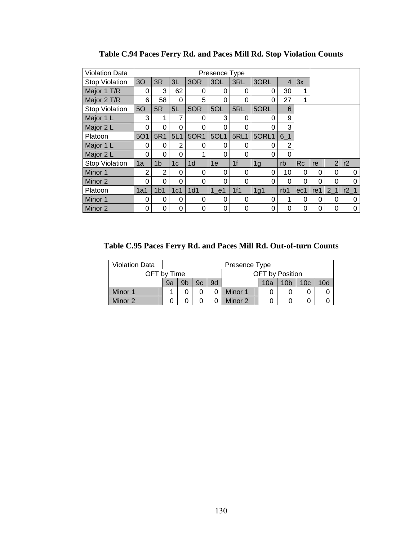| <b>Violation Data</b> |                |                 |                 |                | Presence Type |                |          |                |           |          |                |        |
|-----------------------|----------------|-----------------|-----------------|----------------|---------------|----------------|----------|----------------|-----------|----------|----------------|--------|
| <b>Stop Violation</b> | 3 <sub>O</sub> | 3R              | 3L              | 3OR            | 3OL           | 3RL            | 3ORL     | $\overline{4}$ | 3x        |          |                |        |
| Major 1 T/R           | 0              | 3               | 62              | 0              | 0             | 0              | 0        | 30             | 1         |          |                |        |
| Major 2 T/R           | 6              | 58              | 0               | 5              | 0             | 0              | 0        | 27             | 1         |          |                |        |
| <b>Stop Violation</b> | 50             | 5R              | 5L              | 5OR            | 5OL           | 5RL            | 5ORL     | 6              |           |          |                |        |
| Major 1 L             | 3              | 1               | 7               | $\Omega$       | 3             | 0              | $\Omega$ | 9              |           |          |                |        |
| Major 2 L             | 0              | 0               | 0               | 0              | 0             | 0              | 0        | 3              |           |          |                |        |
| Platoon               | <b>5O1</b>     | 5R1             | 5L1             | 50R1           | 5OL1          | <b>5RL1</b>    | 5ORL1    | $6-1$          |           |          |                |        |
| Major 1 L             | 0              | 0               | 2               | 0              | 0             | 0              | $\Omega$ | $\overline{2}$ |           |          |                |        |
| Major 2 L             | 0              | 0               | 0               | ◢              | 0             | 0              | 0        | 0              |           |          |                |        |
| <b>Stop Violation</b> | 1a             | 1 <sub>b</sub>  | 1 <sub>c</sub>  | 1 <sub>d</sub> | 1e            | 1 <sup>f</sup> | 1g       | rb             | <b>Rc</b> | re       | $\overline{2}$ | r2     |
| Minor 1               | $\overline{2}$ | $\overline{2}$  | 0               | 0              | 0             | 0              | 0        | 10             | 0         | 0        | $\Omega$       | 0      |
| Minor 2               | 0              | 0               | 0               | 0              | 0             | 0              | $\Omega$ | 0              | $\Omega$  | $\Omega$ | 0              | 0      |
| Platoon               | 1a1            | 1 <sub>b1</sub> | 1c <sub>1</sub> | 1d1            | 1 e1          | 1f1            | 1g1      | rb1            | ec1       | re1      | 2 <sub>1</sub> | $r2_1$ |
| Minor 1               | 0              | 0               | 0               | 0              | 0             | 0              | 0        | 1              | 0         | 0        | 0              | 0      |
| Minor 2               | 0              | 0               | 0               | 0              | 0             | 0              | 0        | 0              | 0         | 0        | 0              | 0      |

**Table C.94 Paces Ferry Rd. and Paces Mill Rd. Stop Violation Counts** 

**Table C.95 Paces Ferry Rd. and Paces Mill Rd. Out-of-turn Counts** 

| <b>Violation Data</b> |         | Presence Type  |    |    |                                                  |  |  |  |  |  |  |
|-----------------------|---------|----------------|----|----|--------------------------------------------------|--|--|--|--|--|--|
| OFT by Time           |         |                |    |    | OFT by Position                                  |  |  |  |  |  |  |
|                       | 9a      | 9 <sub>b</sub> | 9c | 9d | 10d<br>10 <sub>c</sub><br>10 <sub>b</sub><br>10a |  |  |  |  |  |  |
| Minor 1               |         | Minor 1        |    |    |                                                  |  |  |  |  |  |  |
| Minor 2               | Minor 2 |                |    |    |                                                  |  |  |  |  |  |  |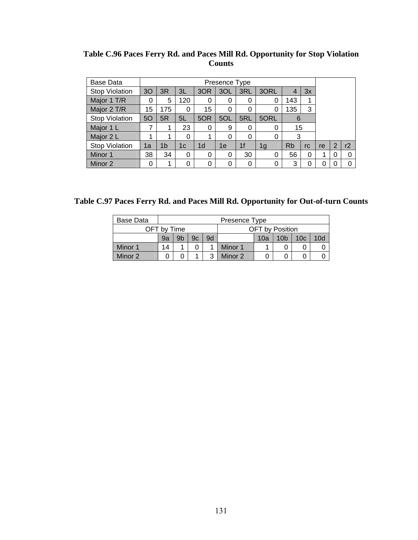**Table C.96 Paces Ferry Rd. and Paces Mill Rd. Opportunity for Stop Violation Counts** 

| Base Data             |    |     |     |                |     |                |      |           |    |    |                |          |
|-----------------------|----|-----|-----|----------------|-----|----------------|------|-----------|----|----|----------------|----------|
| <b>Stop Violation</b> | 30 | 3R  | 3L  | 3OR            | 3OL | 3RL            | 3ORL | 4         | 3x |    |                |          |
| Major 1 T/R           | 0  | 5   | 120 | 0              | 0   | 0              |      | 143       | 1  |    |                |          |
| Major 2 T/R           | 15 | 175 | 0   | 15             | 0   | 0              |      | 135       | 3  |    |                |          |
| <b>Stop Violation</b> | 50 | 5R  | 5L  | 5OR            | 5OL | 5RL            | 5ORL | 6         |    |    |                |          |
| Major 1 L             | 7  |     | 23  | 0              | 9   | 0              | 0    | 15        |    |    |                |          |
| Major 2 L             | 1  |     | 0   |                | 0   | 0              | 0    | 3         |    |    |                |          |
| <b>Stop Violation</b> | 1a | 1b  | 1c  | 1 <sub>d</sub> | 1e  | 1 <sub>f</sub> | 1g   | <b>Rb</b> | rc | re | $\overline{2}$ | r2       |
| Minor 1               | 38 | 34  | 0   | 0              | 0   | 30             | 0    | 56        | 0  | 1  | 0              | 0        |
| Minor 2               | 0  | 1   | 0   | 0              | 0   | 0              |      | 3         | 0  | 0  | 0              | $\Omega$ |

**Table C.97 Paces Ferry Rd. and Paces Mill Rd. Opportunity for Out-of-turn Counts** 

| Base Data |             |                                                                    |  |   | Presence Type |                        |  |  |  |  |
|-----------|-------------|--------------------------------------------------------------------|--|---|---------------|------------------------|--|--|--|--|
|           | OFT by Time |                                                                    |  |   |               | <b>OFT</b> by Position |  |  |  |  |
|           | 9a          | 9d<br>9b<br>10d<br>9c<br>10 <sub>b</sub><br>10 <sub>c</sub><br>10a |  |   |               |                        |  |  |  |  |
| Minor 1   | 14          |                                                                    |  |   | Minor 1       |                        |  |  |  |  |
| Minor 2   |             |                                                                    |  | າ | Minor 2       |                        |  |  |  |  |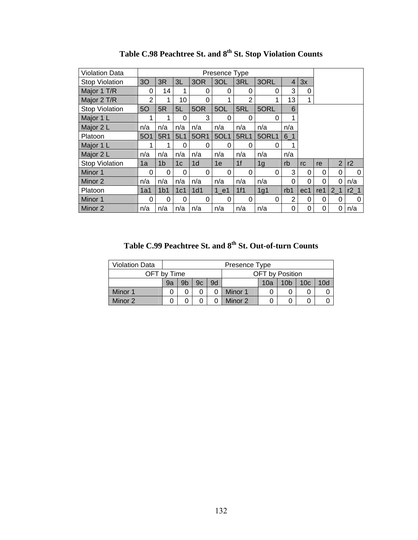| <b>Violation Data</b> |            |                 |                |                 |          |                |                |     |     |                 |                |        |
|-----------------------|------------|-----------------|----------------|-----------------|----------|----------------|----------------|-----|-----|-----------------|----------------|--------|
| <b>Stop Violation</b> | 3O         | 3R              | 3L             | 3OR             | 3OL      | 3RL            | 3ORL           | 4   | 3x  |                 |                |        |
| Major 1 T/R           | 0          | 14              | 1              | 0               | $\Omega$ | 0              | 0              | 3   | 0   |                 |                |        |
| Major 2 T/R           | 2          | 1               | 10             | 0               |          | $\overline{2}$ |                | 13  | 1   |                 |                |        |
| <b>Stop Violation</b> | 50         | 5R              | 5L             | 5OR             | 5OL      | 5RL            | 5ORL           | 6   |     |                 |                |        |
| Major 1 L             |            |                 | $\Omega$       | 3               | 0        | 0              | 0              | 1   |     |                 |                |        |
| Major 2 L             | n/a        | n/a             | n/a            | n/a             | n/a      | n/a            | n/a            | n/a |     |                 |                |        |
| Platoon               | <b>5O1</b> | 5R1             | 5L1            | 50R1            | 5OL1     | <b>5RL1</b>    | 5ORL1          | 6 1 |     |                 |                |        |
| Major 1 L             |            | 1               | $\Omega$       | $\Omega$        | $\Omega$ | 0              | 0              | 1   |     |                 |                |        |
| Major 2 L             | n/a        | n/a             | n/a            | n/a             | n/a      | n/a            | n/a            | n/a |     |                 |                |        |
| <b>Stop Violation</b> | 1a         | 1 <sub>b</sub>  | 1 <sub>c</sub> | 1 <sub>d</sub>  | 1e       | 1f             | 1 <sub>g</sub> | rb  | rc  | re              | $\overline{2}$ | r2     |
| Minor 1               | $\Omega$   | 0               | 0              | 0               | $\Omega$ | $\Omega$       | 0              | 3   | 0   | 0               | 0              | 0      |
| Minor 2               | n/a        | n/a             | n/a            | n/a             | n/a      | n/a            | n/a            | 0   | 0   | $\Omega$        | 0              | n/a    |
| Platoon               | 1a1        | 1 <sub>b1</sub> | 1c1            | 1 <sub>d1</sub> | $1$ e1   | 1f1            | 1g1            | rb1 | ec1 | re <sub>1</sub> | 2 <sub>1</sub> | $r2_1$ |
| Minor 1               | 0          | 0               | 0              | 0               | $\Omega$ | 0              | 0              | 2   | 0   | 0               | 0              | 0      |
| Minor 2               | n/a        | n/a             | n/a            | n/a             | n/a      | n/a            | n/a            | 0   | 0   | 0               | 0              | n/a    |

Table C.98 Peachtree St. and  $8^{\text{th}}$  St. Stop Violation Counts

**Table C.99 Peachtree St. and 8th St. Out-of-turn Counts** 

| <b>Violation Data</b> |         |                                                                                |  |  | Presence Type |  |                 |  |  |  |
|-----------------------|---------|--------------------------------------------------------------------------------|--|--|---------------|--|-----------------|--|--|--|
| OFT by Time           |         |                                                                                |  |  |               |  | OFT by Position |  |  |  |
|                       | 9a      | 10d<br>9 <sub>b</sub><br>10 <sub>c</sub><br>9c<br>9d<br>10 <sub>b</sub><br>10a |  |  |               |  |                 |  |  |  |
| Minor 1               |         | Minor 1                                                                        |  |  |               |  |                 |  |  |  |
| Minor 2               | Minor 2 |                                                                                |  |  |               |  |                 |  |  |  |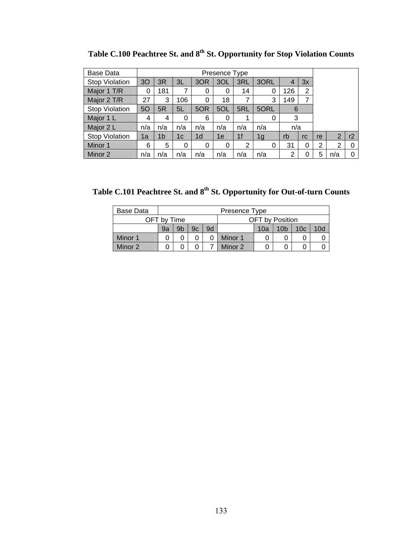| Base Data             |     |                |     |                | Presence Type |                |                |     |    |                |                |    |
|-----------------------|-----|----------------|-----|----------------|---------------|----------------|----------------|-----|----|----------------|----------------|----|
| <b>Stop Violation</b> | 3O  | 3R             | 3L  | 3OR            | 3OL           | 3RL            | 3ORL           | 4   | 3x |                |                |    |
| Major 1 T/R           | 0   | 181            | 7   | 0              | 0             | 14             | 0              | 126 | 2  |                |                |    |
| Major 2 T/R           | 27  | 3              | 106 | 0              | 18            | 7              | 3              | 149 | 7  |                |                |    |
| <b>Stop Violation</b> | 50  | 5R             | 5L  | 5OR            | 5OL           | 5RL            | 5ORL           | 6   |    |                |                |    |
| Major 1 L             | 4   | 4              | 0   | 6              | 0             | 1              | 0              | 3   |    |                |                |    |
| Major 2 L             | n/a | n/a            | n/a | n/a            | n/a           | n/a            | n/a            | n/a |    |                |                |    |
| <b>Stop Violation</b> | 1a  | 1 <sub>b</sub> | 1c  | 1 <sub>d</sub> | 1e            | 1 <sub>f</sub> | 1 <sub>g</sub> | rb  | rc | re             | $\overline{2}$ | r2 |
| Minor 1               | 6   | 5              | 0   | 0              | $\Omega$      | $\overline{2}$ | 0              | 31  | 0  | $\overline{2}$ | 2              | 0  |
| Minor 2               | n/a | n/a            | n/a | n/a            | n/a           | n/a            | n/a            | 2   | 0  | 5              | n/a            | 0  |

Table C.100 Peachtree St. and  $8^{th}$  St. Opportunity for Stop Violation Counts

Table C.101 Peachtree St. and 8<sup>th</sup> St. Opportunity for Out-of-turn Counts

| Base Data |             |                |    |    | Presence Type                                                |                        |  |  |  |  |  |  |  |
|-----------|-------------|----------------|----|----|--------------------------------------------------------------|------------------------|--|--|--|--|--|--|--|
|           | OFT by Time |                |    |    |                                                              | <b>OFT</b> by Position |  |  |  |  |  |  |  |
|           | 9a          | 9 <sub>b</sub> | 9c | 9d | 10 <sub>b</sub><br>10 <sub>c</sub><br>10 <sub>d</sub><br>10a |                        |  |  |  |  |  |  |  |
| Minor 1   |             |                |    |    | Minor 1                                                      |                        |  |  |  |  |  |  |  |
| Minor 2   | Minor 2     |                |    |    |                                                              |                        |  |  |  |  |  |  |  |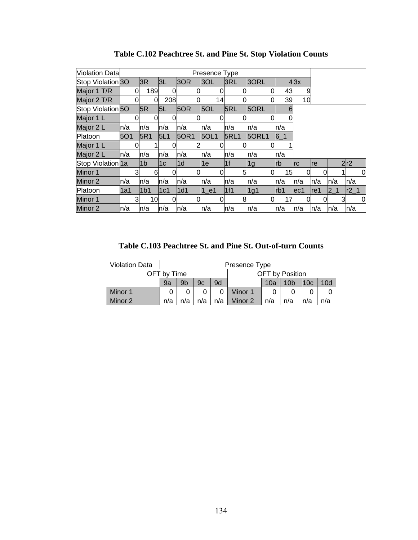| <b>Violation Data</b>        |      |   |                 |     |             | Presence Type |                |       |       |              |      |                |   |                 |
|------------------------------|------|---|-----------------|-----|-------------|---------------|----------------|-------|-------|--------------|------|----------------|---|-----------------|
| Stop Violation <sub>30</sub> |      |   | 3R              | 3L  | 3OR         | 3OL           | 3RL            | 3ORL  |       | $4 \times 3$ |      |                |   |                 |
| Major 1 T/R                  |      | 0 | 189             | 0l  |             |               |                | 0     | 43    | 9            |      |                |   |                 |
| Major 2 T/R                  |      |   | 0               | 208 |             | 14            |                | 0     | 39    | 10           |      |                |   |                 |
| Stop Violation <sub>50</sub> |      |   | 5R              | 5L  | 5OR         | 5OL           | 5RL            | 5ORL  | 6     |              |      |                |   |                 |
| Major 1 L                    |      |   |                 |     |             |               |                |       |       |              |      |                |   |                 |
| Major 2 L                    | ln/a |   | n/a             | n/a | n/a         | n/a           | n/a            | n/a   | n/a   |              |      |                |   |                 |
| Platoon                      | 5O1  |   | 5R1             | 5L1 | <b>50R1</b> | <b>5OL1</b>   | <b>5RL1</b>    | 5ORL1 | $6-1$ |              |      |                |   |                 |
| Major 1 L                    |      |   |                 |     |             |               |                |       |       |              |      |                |   |                 |
| Major 2 L                    | ln/a |   | n/a             | n/a | n/a         | n/a           | n/a            | ln/a  | n/a   |              |      |                |   |                 |
| Stop Violation 1a            |      |   | 1 <sub>b</sub>  | 1c  | l1d         | 1e            | 1 <sub>f</sub> | 1g    | lrb   | Irc          | re   |                |   | 2r2             |
| Minor 1                      |      |   | 6               |     |             |               | 5              | 0     | 15    | 0            | 0    |                |   | <sub>0</sub>    |
| Minor 2                      | ln/a |   | n/a             | n/a | n/a         | n/a           | n/a            | n/a   | n/a   | ln/a         | ln/a | n/a            |   | n/a             |
| Platoon                      | 1a1  |   | 1 <sub>b1</sub> | 1c1 | 1d1         | 1 e1          | 1f1            | 1g1   | lrb1  | ec1          | lre1 | 2 <sub>1</sub> |   | r2 <sub>1</sub> |
| Minor 1                      |      |   | 10              | 0l  |             |               | 8              | 0     | 17    | 0            |      |                | 3 | $\overline{0}$  |
| Minor 2                      | ln/a |   | n/a             | n/a | n/a         | n/a           | n/a            | n/a   | ln/a  | n/a          | n/a  | ln/a           |   | n/a             |

**Table C.102 Peachtree St. and Pine St. Stop Violation Counts** 

**Table C.103 Peachtree St. and Pine St. Out-of-turn Counts** 

| <b>Violation Data</b> |             |                                                                    |     |     | Presence Type |     |                 |     |     |  |  |
|-----------------------|-------------|--------------------------------------------------------------------|-----|-----|---------------|-----|-----------------|-----|-----|--|--|
|                       | OFT by Time |                                                                    |     |     |               |     | OFT by Position |     |     |  |  |
|                       | 9a          | 9d<br>10d<br>9b<br>10 <sub>b</sub><br>10 <sub>c</sub><br>9c<br>10a |     |     |               |     |                 |     |     |  |  |
| Minor 1               |             |                                                                    |     |     | Minor 1       |     |                 |     |     |  |  |
| Minor 2               | n/a         | n/a                                                                | n/a | n/a | Minor 2       | n/a | n/a             | n/a | n/a |  |  |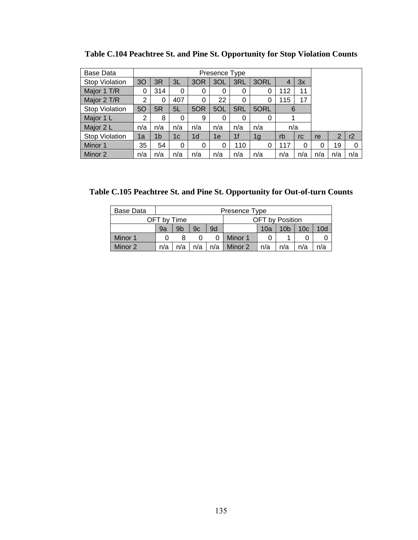| <b>Base Data</b>      |                |     |     |                | Presence Type |                |      |     |     |     |     |     |
|-----------------------|----------------|-----|-----|----------------|---------------|----------------|------|-----|-----|-----|-----|-----|
| <b>Stop Violation</b> | 30             | 3R  | 3L  | 3OR            | 3OL           | 3RL            | 3ORL |     | 3x  |     |     |     |
| Major 1 T/R           | 0              | 314 | 0   | 0              | 0             | 0              | 0    | 112 | 11  |     |     |     |
| Major 2 T/R           | 2              | 0   | 407 | 0              | 22            | $\Omega$       | 0    | 115 | 17  |     |     |     |
| <b>Stop Violation</b> | 50             | 5R  | 5L  | 5OR            | 5OL           | 5RL            | 5ORL | 6   |     |     |     |     |
| Major 1 L             | $\overline{2}$ | 8   | 0   | 9              | 0             | 0              | 0    |     |     |     |     |     |
| Major 2 L             | n/a            | n/a | n/a | n/a            | n/a           | n/a            | n/a  | n/a |     |     |     |     |
| <b>Stop Violation</b> | 1a             | 1b  | 1c  | 1 <sub>d</sub> | 1e            | 1 <sub>f</sub> | 1g   | rb  | rc  | re  | 2   | r2  |
| Minor 1               | 35             | 54  | 0   | 0              | 0             | 110            | 0    | 117 | 0   | 0   | 19  | 0   |
| Minor 2               | n/a            | n/a | n/a | n/a            | n/a           | n/a            | n/a  | n/a | n/a | n/a | n/a | n/a |

**Table C.104 Peachtree St. and Pine St. Opportunity for Stop Violation Counts** 

**Table C.105 Peachtree St. and Pine St. Opportunity for Out-of-turn Counts** 

| Base Data |             |                                                                                |     |     | Presence Type |                        |     |     |     |  |
|-----------|-------------|--------------------------------------------------------------------------------|-----|-----|---------------|------------------------|-----|-----|-----|--|
|           | OFT by Time |                                                                                |     |     |               | <b>OFT</b> by Position |     |     |     |  |
|           | 9a          | 9d<br>9 <sub>b</sub><br>10 <sub>b</sub><br>10 <sub>c</sub><br>10d<br>9c<br>10a |     |     |               |                        |     |     |     |  |
| Minor 1   |             |                                                                                |     |     | Minor 1       |                        |     |     |     |  |
| Minor 2   | n/a         | n/a                                                                            | n/a | n/a | Minor 2       | n/a                    | n/a | n/a | n/a |  |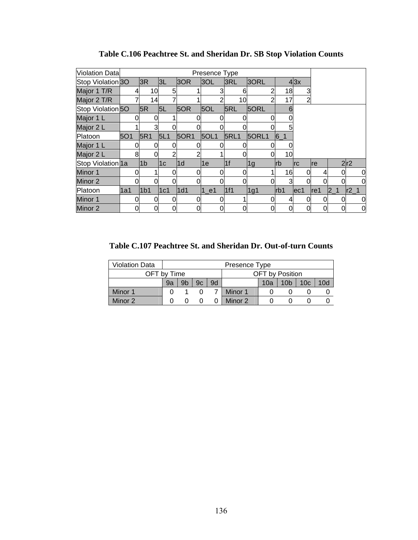| <b>Violation Data</b>        |     |                 |     |      | Presence Type |             |       |       |                |     |          |                |
|------------------------------|-----|-----------------|-----|------|---------------|-------------|-------|-------|----------------|-----|----------|----------------|
| Stop Violation <sub>30</sub> |     | 3R              | 3L  | 3OR  | 3OL           | 3RL         | 3ORL  |       | 43x            |     |          |                |
| Major 1 T/R                  |     | 10              | 5   |      |               | 6           |       | 18    |                |     |          |                |
| Major 2 T/R                  |     | 14              |     |      |               | 10          | 2     | 17    | $\overline{2}$ |     |          |                |
| Stop Violation 50            |     | 5R              | 5L  | 5OR  | 5OL           | 5RL         | 5ORL  | 6     |                |     |          |                |
| Major 1 L                    |     |                 |     |      |               |             |       |       |                |     |          |                |
| Major 2 L                    |     | 3               |     |      |               |             |       |       |                |     |          |                |
| Platoon                      | 5O1 | 5R1             | 5L1 | 50R1 | <b>5OL1</b>   | <b>5RL1</b> | 5ORL1 | $6-1$ |                |     |          |                |
| Major 1 L                    |     |                 |     |      |               |             |       |       |                |     |          |                |
| Major 2 L                    | 8   |                 | 2   | ⌒    |               |             |       | 10    |                |     |          |                |
| Stop Violation 1a            |     | 1 <sub>b</sub>  | 1c  | l1d  | 1e            | 1f          | 1g    | lrb   | Irc            | Ire |          | 2r2            |
| Minor 1                      |     |                 |     |      |               |             |       | 16    | 0l             | 4   | $\Omega$ | 0              |
| Minor 2                      |     |                 |     |      |               |             |       | 3     |                |     |          | 0              |
| Platoon                      | 1a1 | 1 <sub>b1</sub> | 1c1 | 1d1  | $1$ e1        | 1f1         | 1g1   | rb1   | ec1            | re1 | 21       | $r2_1$         |
| Minor 1                      |     |                 |     |      |               |             |       |       | 0l             | 0   | $\Omega$ | 0              |
| Minor 2                      | 0   |                 | 0   | 0    | 0             |             |       |       | 0              |     |          | $\overline{0}$ |

**Table C.106 Peachtree St. and Sheridan Dr. SB Stop Violation Counts** 

**Table C.107 Peachtree St. and Sheridan Dr. Out-of-turn Counts** 

| <b>Violation Data</b> |    |                |                                                  |  | Presence Type |                        |  |  |  |  |  |
|-----------------------|----|----------------|--------------------------------------------------|--|---------------|------------------------|--|--|--|--|--|
| OFT by Time           |    |                |                                                  |  |               | <b>OFT</b> by Position |  |  |  |  |  |
|                       | 9a | 9 <sub>b</sub> | 10c<br>10d<br>9c<br>9d<br>10 <sub>b</sub><br>10a |  |               |                        |  |  |  |  |  |
| Minor 1               |    |                |                                                  |  | Minor 1       |                        |  |  |  |  |  |
| Minor 2               |    |                |                                                  |  | Minor 2       |                        |  |  |  |  |  |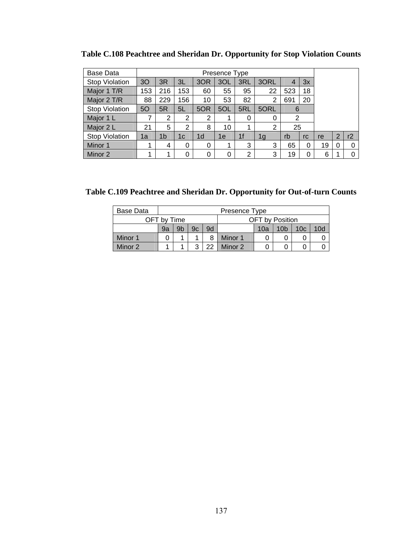| Base Data             |     |                |                |                |     |                |      |     |    |    |                |    |
|-----------------------|-----|----------------|----------------|----------------|-----|----------------|------|-----|----|----|----------------|----|
| <b>Stop Violation</b> | 30  | 3R             | 3L             | 3OR            | 3OL | 3RL            | 3ORL | 4   | 3x |    |                |    |
| Major 1 T/R           | 153 | 216            | 153            | 60             | 55  | 95             | 22   | 523 | 18 |    |                |    |
| Major 2 T/R           | 88  | 229            | 56             | 10             | 53  | 82             | 2    | 691 | 20 |    |                |    |
| <b>Stop Violation</b> | 50  | 5R             | 5L             | 5OR            | 5OL | 5RL            | 5ORL | 6   |    |    |                |    |
| Major 1 L             | 7   | $\overline{2}$ | $\overline{2}$ | 2              |     | 0              | 0    | 2   |    |    |                |    |
| Major 2 L             | 21  | 5              | 2              | 8              | 10  | 1              | 2    | 25  |    |    |                |    |
| <b>Stop Violation</b> | 1a  | 1b             | 1c             | 1 <sub>d</sub> | 1e  | 1 <sub>f</sub> | 1g   | rb  | rc | re | $\overline{2}$ | r2 |
| Minor 1               | 1   | 4              | 0              | 0              |     | 3              | 3    | 65  | 0  | 19 | $\Omega$       | 0  |
| Minor 2               | 1   | 1              | 0              | 0              | 0   | $\overline{2}$ | 3    | 19  | 0  | 6  |                | 0  |

**Table C.108 Peachtree and Sheridan Dr. Opportunity for Stop Violation Counts** 

**Table C.109 Peachtree and Sheridan Dr. Opportunity for Out-of-turn Counts** 

| Base Data |             | Presence Type |    |    |                        |     |                 |                 |                 |  |  |
|-----------|-------------|---------------|----|----|------------------------|-----|-----------------|-----------------|-----------------|--|--|
|           | OFT by Time |               |    |    | <b>OFT</b> by Position |     |                 |                 |                 |  |  |
|           | 9a          | 9b            | 9c | 9d |                        | 10a | 10 <sub>b</sub> | 10 <sub>c</sub> | 10 <sub>c</sub> |  |  |
| Minor 1   |             |               |    | 8  | Minor 1                |     |                 |                 |                 |  |  |
| Minor 2   |             |               | າ  | つつ | Minor 2                |     |                 |                 |                 |  |  |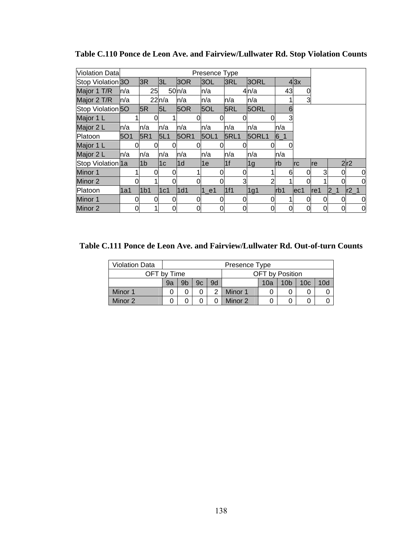| <b>Violation Data</b>        |            |                 |                |             | Presence Type |                |       |       |            |     |                |                |
|------------------------------|------------|-----------------|----------------|-------------|---------------|----------------|-------|-------|------------|-----|----------------|----------------|
| Stop Violation 30            |            | 3R              | 3L             | 3OR         | 3OL           | 3RL            | 3ORL  |       | 43x        |     |                |                |
| Major 1 T/R                  | ln/a       | 25              |                | 50n/a       | n/a           |                | 4n/a  | 43    |            |     |                |                |
| Major 2 T/R                  | ln/a       |                 | 22n/a          | ln/a        | n/a           | n/a            | n/a   |       | 3          |     |                |                |
| Stop Violation <sup>50</sup> |            | 5R              | 5L             | 5OR         | 5OL           | 5RL            | 5ORL  | 6     |            |     |                |                |
| Major 1 L                    |            |                 |                |             |               |                |       |       |            |     |                |                |
| Major 2 L                    | ln/a       | n/a             | n/a            | n/a         | n/a           | n/a            | n/a   | n/a   |            |     |                |                |
| Platoon                      | <b>5O1</b> | <b>5R1</b>      | 5L1            | <b>50R1</b> | <b>5OL1</b>   | <b>5RL1</b>    | 5ORL1 | $6-1$ |            |     |                |                |
| Major 1 L                    |            |                 |                |             |               |                | 0     |       |            |     |                |                |
| Major 2 L                    | ln/a       | n/a             | n/a            | n/a         | n/a           | n/a            | n/a   | n/a   |            |     |                |                |
| Stop Violation 1a            |            | l1b             | 1 <sub>c</sub> | l1d         | 1e            | 1 <sup>f</sup> | 1g    | Irb   | <b>Irc</b> | re  |                | 2r2            |
| Minor 1                      |            | 0               |                |             |               | 0              |       | 6     | 0          | 3   | $\Omega$       | 0              |
| Minor 2                      |            |                 |                |             |               | $\overline{3}$ | 2     |       |            |     |                | 0              |
| Platoon                      | 1a1        | 1 <sub>b1</sub> | 1c1            | 1d1         | $1$ e1        | 1f1            | 1g1   | rb1   | ec1        | re1 | 2 <sub>1</sub> | $r2_1$         |
| Minor 1                      |            | 0               |                |             |               |                | 0     |       |            | 0   | <sub>0</sub>   | 0              |
| Minor 2                      | 0          |                 | 0              |             | 0             | 0              | 0     | 0     | 0          | 0   |                | $\overline{0}$ |

**Table C.110 Ponce de Leon Ave. and Fairview/Lullwater Rd. Stop Violation Counts** 

**Table C.111 Ponce de Leon Ave. and Fairview/Lullwater Rd. Out-of-turn Counts** 

| <b>Violation Data</b> |    | Presence Type  |    |    |                 |     |                 |                 |     |  |  |
|-----------------------|----|----------------|----|----|-----------------|-----|-----------------|-----------------|-----|--|--|
| OFT by Time           |    |                |    |    | OFT by Position |     |                 |                 |     |  |  |
|                       | 9a | 9 <sub>b</sub> | 9c | 9d |                 | 10a | 10 <sub>b</sub> | 10 <sub>c</sub> | 10d |  |  |
| Minor 1               |    |                |    |    | Minor 1         |     |                 |                 |     |  |  |
| Minor 2               |    |                |    |    | Minor 2         |     |                 |                 |     |  |  |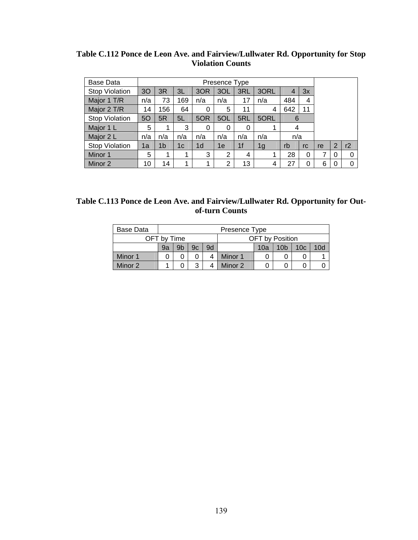| Table C.112 Ponce de Leon Ave. and Fairview/Lullwater Rd. Opportunity for Stop |
|--------------------------------------------------------------------------------|
| <b>Violation Counts</b>                                                        |

| Base Data             | Presence Type |     |     |                |     |                |                |     |          |    |                |          |
|-----------------------|---------------|-----|-----|----------------|-----|----------------|----------------|-----|----------|----|----------------|----------|
| <b>Stop Violation</b> | 3O            | 3R  | 3L  | 3OR            | 3OL | 3RL            | 3ORL           |     | 3x       |    |                |          |
| Major 1 T/R           | n/a           | 73  | 169 | n/a            | n/a | 17             | n/a            | 484 | 4        |    |                |          |
| Major 2 T/R           | 14            | 156 | 64  | 0              | 5   | 11             | 4              | 642 | 11       |    |                |          |
| <b>Stop Violation</b> | 50            | 5R  | 5L  | 5OR            | 5OL | 5RL            | 5ORL           | 6   |          |    |                |          |
| Major 1 L             | 5             | 1   | 3   | 0              | 0   | 0              | 1              | 4   |          |    |                |          |
| Major 2 L             | n/a           | n/a | n/a | n/a            | n/a | n/a            | n/a            | n/a |          |    |                |          |
| <b>Stop Violation</b> | 1a            | 1b  | 1c  | 1 <sub>d</sub> | 1e  | 1 <sup>f</sup> | 1 <sub>g</sub> | rb  | rc       | re | $\overline{2}$ | r2       |
| Minor 1               | 5             | 1   | 1   | 3              | 2   | 4              |                | 28  | 0        |    | 0              | 0        |
| Minor 2               | 10            | 14  | 1   | 1              | 2   | 13             | 4              | 27  | $\Omega$ | 6  |                | $\Omega$ |

| Table C.113 Ponce de Leon Ave. and Fairview/Lullwater Rd. Opportunity for Out- |  |
|--------------------------------------------------------------------------------|--|
| of-turn Counts                                                                 |  |

| Base Data |             | Presence Type |    |    |         |                 |                 |                 |     |  |  |
|-----------|-------------|---------------|----|----|---------|-----------------|-----------------|-----------------|-----|--|--|
|           | OFT by Time |               |    |    |         | OFT by Position |                 |                 |     |  |  |
|           | 9a          | 9b            | 9с | 9d |         | 10a             | 10 <sub>b</sub> | 10 <sub>c</sub> | 10d |  |  |
| Minor 1   |             |               |    |    | Minor 1 |                 |                 |                 |     |  |  |
| Minor 2   |             |               | 3  |    | Minor 2 |                 |                 |                 | U   |  |  |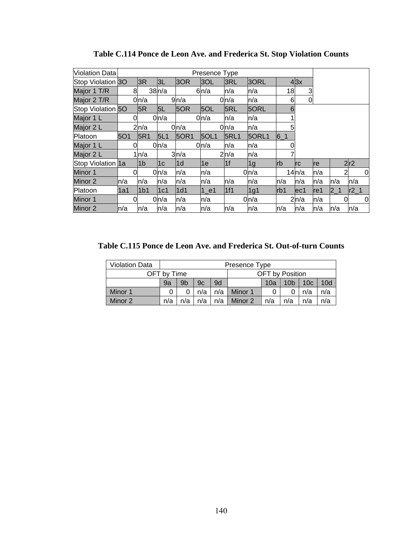| Violation Data    |            |                 |                |      | Presence Type |             |              |            |                |      |         |                     |
|-------------------|------------|-----------------|----------------|------|---------------|-------------|--------------|------------|----------------|------|---------|---------------------|
| Stop Violation 3O |            | 3R              | 3L             | 3OR  | 3OL           | 3RL         | 3ORL         |            | 43x            |      |         |                     |
| Major 1 T/R       | 8          |                 | 38n/a          |      | 6n/a          | n/a         | n/a          | 18         | 3              |      |         |                     |
| Major 2 T/R       |            | 0n/a            |                | 9n/a |               | 0n/a        | n/a          | 6          | $\overline{0}$ |      |         |                     |
| Stop Violation 50 |            | 5R              | 5L             | 5OR  | 5OL           | 5RL         | 5ORL         | 6          |                |      |         |                     |
| Major 1 L         | 0          |                 | 0n/a           |      | 0n/a          | n/a         | n/a          |            |                |      |         |                     |
| Major 2 L         |            | 2n/a            |                | 0n/a |               | 0n/a        | n/a          | 5          |                |      |         |                     |
| Platoon           | <b>5O1</b> | 5R1             | 5L1            | 50R1 | 50L1          | <b>5RL1</b> | <b>50RL1</b> | $6 - 1$    |                |      |         |                     |
| Major 1 L         | 0          |                 | 0n/a           |      | 0n/a          | n/a         | n/a          |            |                |      |         |                     |
| Major 2 L         |            | 1n/a            |                | 3n/a |               | 2n/a        | n/a          |            |                |      |         |                     |
| Stop Violation 1a |            | l1b             | 1 <sub>c</sub> | l1d  | 1e            | 1f          | 1g           | <b>lrb</b> | <b>Irc</b>     | Ire  |         | 2r2                 |
| Minor 1           | $\Omega$   |                 | 0ln/a          | n/a  | n/a           |             | 0n/a         |            | 14n/a          | n/a  |         | $\overline{c}$<br>0 |
| Minor 2           | ln/a       | n/a             | n/a            | n/a  | n/a           | n/a         | n/a          | ln/a       | n/a            | ln/a | n/a     | n/a                 |
| Platoon           | l1a1       | 1 <sub>b1</sub> | 1c1            | 1d1  | 1 e1          | 1f1         | 1g1          | Irb1       | lec1           | re1  | $2 - 1$ | $r2_1$              |
| Minor 1           | 0          |                 | 0n/a           | n/a  | n/a           |             | 0n/a         |            | 2n/a           | n/a  |         | 0<br>0              |
| Minor 2           | ln/a       | n/a             | n/a            | n/a  | n/a           | n/a         | n/a          | ln/a       | ln/a           | n/a  | ln/a    | n/a                 |

**Table C.114 Ponce de Leon Ave. and Frederica St. Stop Violation Counts** 

**Table C.115 Ponce de Leon Ave. and Frederica St. Out-of-turn Counts** 

| <b>Violation Data</b> |             | Presence Type |     |     |                                                  |     |     |     |     |  |  |
|-----------------------|-------------|---------------|-----|-----|--------------------------------------------------|-----|-----|-----|-----|--|--|
|                       | OFT by Time |               |     |     | OFT by Position                                  |     |     |     |     |  |  |
|                       | 9a          | 9b            | 9c  | 9d  | 10 <sub>b</sub><br>10d<br>10a<br>10 <sub>c</sub> |     |     |     |     |  |  |
| Minor 1               |             |               | n/a | n/a | n/a<br>Minor 1<br>n/a                            |     |     |     |     |  |  |
| Minor 2               | n/a         | n/a           | n/a | n/a | Minor 2                                          | n/a | n/a | n/a | n/a |  |  |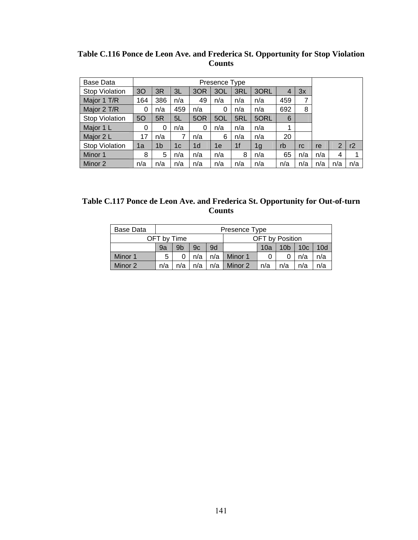| Table C.116 Ponce de Leon Ave. and Frederica St. Opportunity for Stop Violation |
|---------------------------------------------------------------------------------|
| Counts                                                                          |

| Base Data             |     |                |     |                | Presence Type |                |      |     |     |     |                |     |
|-----------------------|-----|----------------|-----|----------------|---------------|----------------|------|-----|-----|-----|----------------|-----|
| <b>Stop Violation</b> | 30  | 3R             | 3L  | 3OR            | 3OL           | 3RL            | 3ORL | 4   | 3x  |     |                |     |
| Major 1 T/R           | 164 | 386            | n/a | 49             | n/a           | n/a            | n/a  | 459 | 7   |     |                |     |
| Major 2 T/R           | 0   | n/a            | 459 | n/a            | 0             | n/a            | n/a  | 692 | 8   |     |                |     |
| <b>Stop Violation</b> | 50  | 5R             | 5L  | 5OR            | 5OL           | 5RL            | 5ORL | 6   |     |     |                |     |
| Major 1 L             | 0   | 0              | n/a | 0              | n/a           | n/a            | n/a  |     |     |     |                |     |
| Major 2 L             | 17  | n/a            | 7   | n/a            | 6             | n/a            | n/a  | 20  |     |     |                |     |
| <b>Stop Violation</b> | 1a  | 1 <sub>b</sub> | 1c  | 1 <sub>d</sub> | 1e            | 1 <sub>f</sub> | 1g   | rb  | rc  | re  | $\overline{2}$ | r2  |
| Minor 1               | 8   | 5              | n/a | n/a            | n/a           | 8              | n/a  | 65  | n/a | n/a | 4              |     |
| Minor 2               | n/a | n/a            | n/a | n/a            | n/a           | n/a            | n/a  | n/a | n/a | n/a | n/a            | n/a |

| Table C.117 Ponce de Leon Ave. and Frederica St. Opportunity for Out-of-turn |
|------------------------------------------------------------------------------|
| <b>Counts</b>                                                                |

| <b>Base Data</b> |     |                                                                    |     |     | Presence Type         |   |  |     |     |  |  |
|------------------|-----|--------------------------------------------------------------------|-----|-----|-----------------------|---|--|-----|-----|--|--|
|                  |     | OFT by Position<br>OFT by Time                                     |     |     |                       |   |  |     |     |  |  |
|                  | 9a  | 9b<br>9d<br>10a<br>10 <sub>c</sub><br>10d<br>9c<br>10 <sub>b</sub> |     |     |                       |   |  |     |     |  |  |
| Minor 1          | 5   |                                                                    | n/a | n/a | Minor 1               | 0 |  | n/a | n/a |  |  |
| Minor 2          | n/a | n/a                                                                | n/a | n/a | Minor 2<br>n/a<br>n/a |   |  | n/a | n/a |  |  |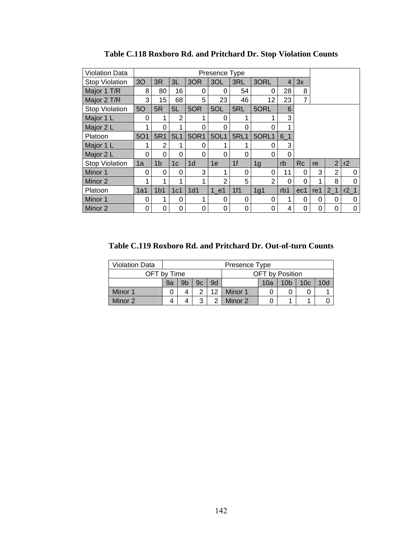| <b>Violation Data</b> |            |                 |                |                 | Presence Type  |                |                |                |           |     |                |        |
|-----------------------|------------|-----------------|----------------|-----------------|----------------|----------------|----------------|----------------|-----------|-----|----------------|--------|
| <b>Stop Violation</b> | 3O         | 3R              | 3L             | 3OR             | 3OL            | 3RL            | 3ORL           | $\overline{4}$ | 3x        |     |                |        |
| Major 1 T/R           | 8          | 80              | 16             | 0               | 0              | 54             | 0              | 28             | 8         |     |                |        |
| Major 2 T/R           | 3          | 15              | 68             | 5               | 23             | 46             | 12             | 23             | 7         |     |                |        |
| <b>Stop Violation</b> | 50         | 5R              | 5L             | 5OR             | 5OL            | 5RL            | 5ORL           | 6              |           |     |                |        |
| Major 1 L             | 0          |                 | 2              |                 | 0              | 1              |                | 3              |           |     |                |        |
| Major 2 L             |            | 0               | 1              | 0               | 0              | 0              | 0              | 1              |           |     |                |        |
| Platoon               | <b>5O1</b> | 5R1             | 5L1            | 50R1            | 5OL1           | <b>5RL1</b>    | 5ORL1          | $6-1$          |           |     |                |        |
| Major 1 L             | 1          | $\overline{2}$  | 1              | $\Omega$        | 1              | 1              | $\Omega$       | 3              |           |     |                |        |
| Major 2 L             | 0          | 0               | 0              | 0               | 0              | 0              | 0              | 0              |           |     |                |        |
| <b>Stop Violation</b> | 1a         | 1 <sub>b</sub>  | 1 <sub>c</sub> | 1 <sub>d</sub>  | 1e             | 1 <sup>f</sup> | 1 <sub>g</sub> | rb             | <b>Rc</b> | re  | $\overline{2}$ | r2     |
| Minor 1               | 0          | 0               | 0              | 3               | 1              | 0              | $\Omega$       | 11             | 0         | 3   | $\overline{2}$ | 0      |
| Minor 2               | 4          | 1               | 1              | ◢               | $\overline{2}$ | 5              | $\overline{2}$ | 0              | $\Omega$  | 4   | 8              | 0      |
| Platoon               | 1a1        | 1 <sub>b1</sub> | 1c1            | 1 <sub>d1</sub> | $1$ e1         | 1f1            | 1g1            | rb1            | ec1       | re1 | 2 <sub>1</sub> | $r2_1$ |
| Minor 1               | 0          | 1               | 0              | 1               | 0              | 0              | 0              | 1              | 0         | 0   | 0              | 0      |
| Minor 2               | 0          | 0               | 0              | 0               | 0              | 0              | 0              | 4              | 0         | 0   | 0              | 0      |

**Table C.118 Roxboro Rd. and Pritchard Dr. Stop Violation Counts** 

**Table C.119 Roxboro Rd. and Pritchard Dr. Out-of-turn Counts** 

| <b>Violation Data</b> |                        |                                                                    |  |  | Presence Type |                 |  |  |  |  |
|-----------------------|------------------------|--------------------------------------------------------------------|--|--|---------------|-----------------|--|--|--|--|
| OFT by Time           |                        |                                                                    |  |  |               | OFT by Position |  |  |  |  |
|                       | 9a                     | 9c<br>10d<br>9b<br>10 <sub>c</sub><br>10 <sub>b</sub><br>9d<br>10a |  |  |               |                 |  |  |  |  |
| Minor 1               |                        | 12<br>Minor 1<br>ົ<br>4                                            |  |  |               |                 |  |  |  |  |
| Minor 2               | າ<br>⌒<br>Minor 2<br>4 |                                                                    |  |  |               |                 |  |  |  |  |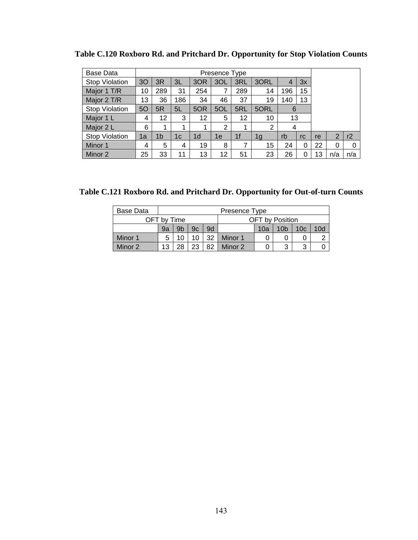| Base Data             |    |                |     |                | Presence Type  |     |      |                |    |    |                |     |
|-----------------------|----|----------------|-----|----------------|----------------|-----|------|----------------|----|----|----------------|-----|
| <b>Stop Violation</b> | 30 | 3R             | 3L  | 3OR            | 3OL            | 3RL | 3ORL | $\overline{4}$ | 3x |    |                |     |
| Major 1 T/R           | 10 | 289            | 31  | 254            | 7              | 289 | 14   | 196            | 15 |    |                |     |
| Major 2 T/R           | 13 | 36             | 186 | 34             | 46             | 37  | 19   | 140            | 13 |    |                |     |
| <b>Stop Violation</b> | 50 | 5R             | 5L  | 5OR            | 5OL            | 5RL | 5ORL | 6              |    |    |                |     |
| Major 1 L             | 4  | 12             | 3   | 12             | 5              | 12  | 10   | 13             |    |    |                |     |
| Major 2 L             | 6  |                |     |                | $\overline{2}$ | 1   | 2    | 4              |    |    |                |     |
| <b>Stop Violation</b> | 1a | 1 <sub>b</sub> | 1c  | 1 <sub>d</sub> | 1e             | 1f  | 1g   | rb             | rc | re | $\overline{2}$ | r2  |
| Minor 1               | 4  | 5              | 4   | 19             | 8              | 7   | 15   | 24             | 0  | 22 | $\Omega$       | 0   |
| Minor 2               | 25 | 33             | 11  | 13             | 12             | 51  | 23   | 26             | 0  | 13 | n/a            | n/a |

**Table C.120 Roxboro Rd. and Pritchard Dr. Opportunity for Stop Violation Counts** 

**Table C.121 Roxboro Rd. and Pritchard Dr. Opportunity for Out-of-turn Counts** 

| Base Data |             |                                                                                |  |    | Presence Type |                        |  |  |  |  |
|-----------|-------------|--------------------------------------------------------------------------------|--|----|---------------|------------------------|--|--|--|--|
|           | OFT by Time |                                                                                |  |    |               | <b>OFT</b> by Position |  |  |  |  |
|           | 9a          | 9d<br>9 <sub>b</sub><br>9c<br>10 <sub>b</sub><br>10d<br>10a<br>10 <sub>c</sub> |  |    |               |                        |  |  |  |  |
| Minor 1   | 5           |                                                                                |  | 32 | Minor 1       |                        |  |  |  |  |
| Minor 2   | 13          | つつ<br>82<br>Minor 2<br>3<br>28<br>3                                            |  |    |               |                        |  |  |  |  |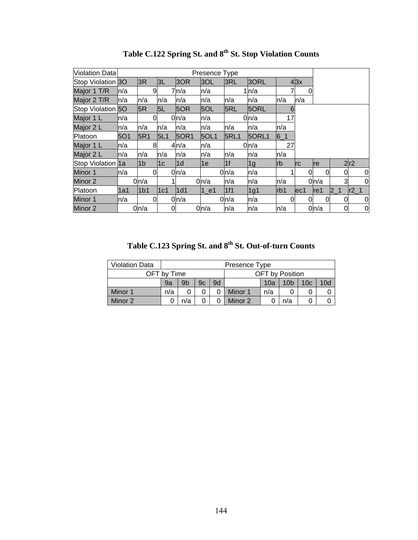| Violation Data        |           |                 |              |             | Presence Type     |             |                  |            |            |      |         |        |
|-----------------------|-----------|-----------------|--------------|-------------|-------------------|-------------|------------------|------------|------------|------|---------|--------|
| Stop Violation 30     |           | 3R              | 3L           | 3OR         | 3OL               | 3RL         | 3ORL             |            | 43x        |      |         |        |
| Major 1 T/R           | ln/a      | 9               |              | 7n/a        | n/a               |             | 1n/a             |            | 0          |      |         |        |
| Major 2 T/R           | ln/a      | n/a             | n/a          | n/a         | n/a               | n/a         | n/a              | n/a        | n/a        |      |         |        |
| <b>Stop Violation</b> | <b>50</b> | 5R              | 5L           | 5OR         | 5OL               | 5RL         | 5ORL             | 6          |            |      |         |        |
| Major 1 L             | ln/a      | Ω               |              | 0n/a        | n/a               |             | 0 <sub>n/a</sub> | 17         |            |      |         |        |
| Major 2 L             | ln/a      | n/a             | n/a          | n/a         | n/a               | n/a         | n/a              | n/a        |            |      |         |        |
| Platoon               | 5O1       | 5R1             | 5L1          | <b>50R1</b> | 5OL1              | <b>5RL1</b> | 50RL1            | $6 - 1$    |            |      |         |        |
| Major 1 L             | ln/a      | 8               |              | 4n/a        | n/a               |             | 0n/a             | 27         |            |      |         |        |
| Major 2 L             | ln/a      | n/a             | n/a          | n/a         | n/a               | n/a         | n/a              | n/a        |            |      |         |        |
| Stop Violation 1a     |           | l1b             | 1c           | l1d         | 1e                | 1f          | 1g               | <b>Irb</b> | <b>Irc</b> | Ire  |         | 2r2    |
| Minor 1               | ln/a      | 0               |              | 0n/a        |                   | 0n/a        | n/a              |            | 0          |      | 0       | 0      |
| Minor 2               |           | 0n/a            |              |             | 0n/a              | n/a         | n/a              | n/a        |            | 0n/a | 3       | 0      |
| Platoon               | 1a1       | 1 <sub>b1</sub> | 1c1          | 1d1         | $1$ <sup>e1</sup> | 1f1         | 1g1              | Irb1       | lec1       | lref | $2 - 1$ | $r2_1$ |
| Minor 1               | ln/a      | 0               |              | 0 n/a       |                   | 0n/a        | n/a              | 0          | 0          |      | 0       | 0      |
| Minor 2               |           | 0n/a            | <sub>0</sub> |             | 0 n/a             | n/a         | n/a              | n/a        |            | 0n/a | 0       | 0      |

Table C.122 Spring St. and  $8^{th}$  St. Stop Violation Counts

**Table C.123 Spring St. and 8th St. Out-of-turn Counts** 

| <b>Violation Data</b> |             |                                                                    |  |  | Presence Type |                 |  |  |  |  |
|-----------------------|-------------|--------------------------------------------------------------------|--|--|---------------|-----------------|--|--|--|--|
|                       | OFT bv Time |                                                                    |  |  |               | OFT by Position |  |  |  |  |
|                       | 9a          | 9b<br>9d<br>10d<br>10 <sub>b</sub><br>10 <sub>c</sub><br>10a<br>9c |  |  |               |                 |  |  |  |  |
| Minor 1               | n/a         | Minor 1<br>n/a                                                     |  |  |               |                 |  |  |  |  |
| Minor 2               |             | Minor 2<br>n/a<br>n/a                                              |  |  |               |                 |  |  |  |  |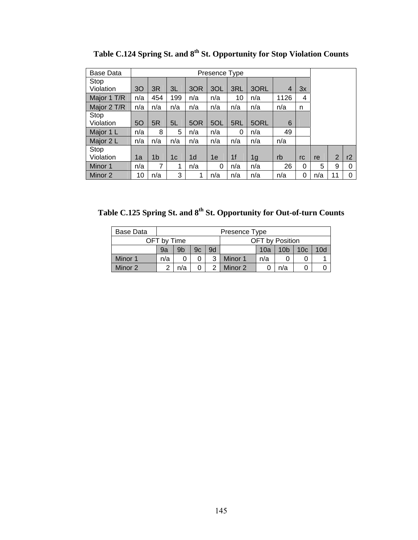| <b>Base Data</b> |                |                |     |                | Presence Type |     |      |      |    |     |                |    |
|------------------|----------------|----------------|-----|----------------|---------------|-----|------|------|----|-----|----------------|----|
| Stop             |                |                |     |                |               |     |      |      |    |     |                |    |
| Violation        | 3 <sub>O</sub> | 3R             | 3L  | 3OR            | 3OL           | 3RL | 3ORL | 4    | 3x |     |                |    |
| Major 1 T/R      | n/a            | 454            | 199 | n/a            | n/a           | 10  | n/a  | 1126 | 4  |     |                |    |
| Major 2 T/R      | n/a            | n/a            | n/a | n/a            | n/a           | n/a | n/a  | n/a  | n  |     |                |    |
| Stop             |                |                |     |                |               |     |      |      |    |     |                |    |
| Violation        | 50             | 5R             | 5L  | 5OR            | 5OL           | 5RL | 5ORL | 6    |    |     |                |    |
| Major 1 L        | n/a            | 8              | 5   | n/a            | n/a           | 0   | n/a  | 49   |    |     |                |    |
| Major 2 L        | n/a            | n/a            | n/a | n/a            | n/a           | n/a | n/a  | n/a  |    |     |                |    |
| Stop             |                |                |     |                |               |     |      |      |    |     |                |    |
| Violation        | 1a             | 1 <sub>b</sub> | 1с  | 1 <sub>d</sub> | 1e            | 1f  | 1g   | rb   | rc | re  | $\overline{2}$ | r2 |
| Minor 1          | n/a            | 7              | 1   | n/a            | 0             | n/a | n/a  | 26   | 0  | 5   | 9              | 0  |
| Minor 2          | 10             | n/a            | 3   |                | n/a           | n/a | n/a  | n/a  | 0  | n/a | 11             | 0  |

Table C.124 Spring St. and 8<sup>th</sup> St. Opportunity for Stop Violation Counts

Table C.125 Spring St. and  $8^{th}$  St. Opportunity for Out-of-turn Counts

| Base Data |             |     |    |    | Presence Type                                    |  |                 |  |  |  |  |  |
|-----------|-------------|-----|----|----|--------------------------------------------------|--|-----------------|--|--|--|--|--|
|           | OFT bv Time |     |    |    |                                                  |  | OFT by Position |  |  |  |  |  |
|           | 9a          | 9b  | 9c | 9d | 10d<br>10 <sub>b</sub><br>10 <sub>c</sub><br>10a |  |                 |  |  |  |  |  |
| Minor 1   | n/a         |     |    | ર  | Minor 1<br>n/a                                   |  |                 |  |  |  |  |  |
| Minor 2   |             | n/a |    |    | Minor 2<br>n/a                                   |  |                 |  |  |  |  |  |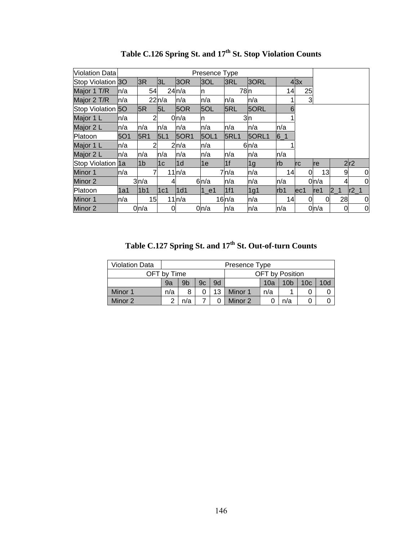| Violation Data    |      |                 |       |                  | Presence Type |                  |       |           |                  |           |                |              |
|-------------------|------|-----------------|-------|------------------|---------------|------------------|-------|-----------|------------------|-----------|----------------|--------------|
| Stop Violation 3O |      | 3R              | 3L    | 3OR              | 3OL           | 3RL              | 3ORL  |           | 43x              |           |                |              |
| Major 1 T/R       | ln/a | 54              |       | 24n/a            | In            | 78 <sub>ln</sub> |       | 14        | 25               |           |                |              |
| Major 2 T/R       | ln/a |                 | 22n/a | n/a              | n/a           | n/a              | n/a   |           | 3                |           |                |              |
| Stop Violation    | 5O   | 5R              | 5L    | 5OR              | 5OL           | 5RL              | 5ORL  | 6         |                  |           |                |              |
| Major 1 L         | ln/a | 2               |       | 0 <sub>n/a</sub> | In            |                  | 3n    |           |                  |           |                |              |
| Major 2 L         | ln/a | n/a             | n/a   | n/a              | n/a           | n/a              | n/a   | n/a       |                  |           |                |              |
| Platoon           | 501  | 5R1             | 5L1   | <b>50R1</b>      | 50L1          | <b>5RL1</b>      | 5ORL1 | $6 - 1$   |                  |           |                |              |
| Major 1 L         | ln/a | 2               |       | 2n/a             | n/a           |                  | 6n/a  |           |                  |           |                |              |
| Major 2 L         | ln/a | n/a             | n/a   | n/a              | n/a           | n/a              | n/a   | n/a       |                  |           |                |              |
| Stop Violation 1a |      | l1b             | 1c    | l1d              | l1e           | 1f               | 1g    | <b>rb</b> | Irc              | <b>re</b> |                | 2r2          |
| Minor 1           | ln/a | 7               |       | 11n/a            |               | 7n/a             | n/a   | 14        | 0                | 13        | 9              | 0            |
| Minor 2           |      | 3n/a            |       |                  | 6n/a          | n/a              | n/a   | n/a       |                  | 0n/a      | 4              | $\mathbf{0}$ |
| Platoon           | 1a1  | 1 <sub>b1</sub> | 1c1   | 1d1              | $1$ e1        | 1f1              | 1g1   | lrb1      | lec <sub>1</sub> | lref      | 2 <sub>1</sub> | $r2_1$       |
| Minor 1           | ln/a | 15              |       | 11n/a            |               | 16n/a            | n/a   | 14        | 0                | 0         | 28             | $\mathbf 0$  |
| Minor 2           |      | 0n/a            | 0     |                  | 0n/a          | n/a              | n/a   | n/a       |                  | 0n/a      | 0              | 0            |

Table C.126 Spring St. and 17<sup>th</sup> St. Stop Violation Counts

Table C.127 Spring St. and 17<sup>th</sup> St. Out-of-turn Counts

| <b>Violation Data</b> |             |                                                                                |                      |  | Presence Type |  |                 |  |  |  |
|-----------------------|-------------|--------------------------------------------------------------------------------|----------------------|--|---------------|--|-----------------|--|--|--|
|                       | OFT bv Time |                                                                                |                      |  |               |  | OFT by Position |  |  |  |
|                       | 9a          | 9d<br>9 <sub>b</sub><br>10 <sub>b</sub><br>10 <sub>c</sub><br>10d<br>10a<br>9c |                      |  |               |  |                 |  |  |  |
| Minor 1               | n/a         |                                                                                | 13<br>Minor 1<br>n/a |  |               |  |                 |  |  |  |
| Minor 2               |             | Minor 2<br>n/a<br>n/a                                                          |                      |  |               |  |                 |  |  |  |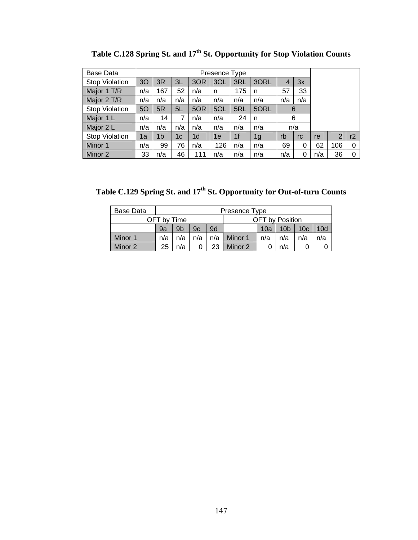| Base Data             |     |                |     |     | Presence Type |     |                |     |     |     |     |    |
|-----------------------|-----|----------------|-----|-----|---------------|-----|----------------|-----|-----|-----|-----|----|
| <b>Stop Violation</b> | 30  | 3R             | ЗL  | 3OR | 3OL           | 3RL | 3ORL           | 4   | 3x  |     |     |    |
| Major 1 T/R           | n/a | 167            | 52  | n/a | n             | 175 | n              | 57  | 33  |     |     |    |
| Major 2 T/R           | n/a | n/a            | n/a | n/a | n/a           | n/a | n/a            | n/a | n/a |     |     |    |
| <b>Stop Violation</b> | 50  | 5R             | 5L  | 5OR | 5OL           | 5RL | 5ORL           |     | 6   |     |     |    |
| Major 1 L             | n/a | 14             | 7   | n/a | n/a           | 24  | n              |     | 6   |     |     |    |
| Major 2 L             | n/a | n/a            | n/a | n/a | n/a           | n/a | n/a            |     | n/a |     |     |    |
| <b>Stop Violation</b> | 1a  | 1 <sub>b</sub> | 1c  | 1d  | 1e            | 1f  | 1 <sub>g</sub> | rb  | rc  | re  | 2   | r2 |
| Minor 1               | n/a | 99             | 76  | n/a | 126           | n/a | n/a            | 69  | 0   | 62  | 106 | 0  |
| Minor 2               | 33  | n/a            | 46  | 111 | n/a           | n/a | n/a            | n/a | 0   | n/a | 36  | 0  |

Table C.128 Spring St. and 17<sup>th</sup> St. Opportunity for Stop Violation Counts

Table C.129 Spring St. and 17<sup>th</sup> St. Opportunity for Out-of-turn Counts

| Base Data |     | Presence Type                         |     |       |                                      |     |     |     |     |  |  |  |
|-----------|-----|---------------------------------------|-----|-------|--------------------------------------|-----|-----|-----|-----|--|--|--|
|           |     | OFT by Time<br><b>OFT</b> by Position |     |       |                                      |     |     |     |     |  |  |  |
|           | 9a  | 9 <sub>b</sub>                        | 9c  | 9d    | 10 <sub>b</sub><br>10c<br>10d<br>10a |     |     |     |     |  |  |  |
| Minor 1   | n/a | n/a                                   | n/a | $n/a$ | Minor 1                              | n/a | n/a | n/a | n/a |  |  |  |
| Minor 2   | 25  | n/a                                   |     | 23    | Minor 2                              |     | n/a |     |     |  |  |  |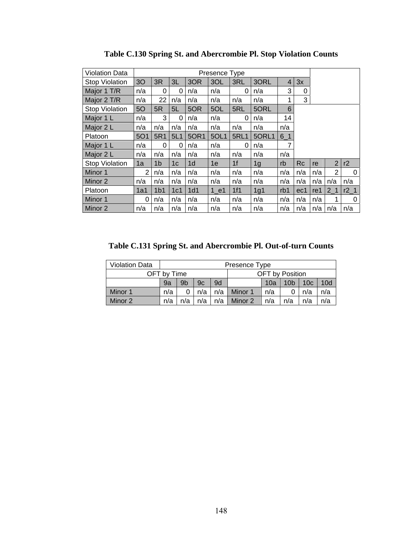| Violation Data        |                |                 |                |                | Presence Type     |                |                |                |           |     |                |        |
|-----------------------|----------------|-----------------|----------------|----------------|-------------------|----------------|----------------|----------------|-----------|-----|----------------|--------|
| Stop Violation        | 3 <sub>O</sub> | 3R              | 3L             | 3OR            | 3OL               | 3RL            | 3ORL           | $\overline{4}$ | 3x        |     |                |        |
| Major 1 T/R           | n/a            | 0               | 0              | n/a            | n/a               | 0              | n/a            | 3              | 0         |     |                |        |
| Major 2 T/R           | n/a            | 22              | n/a            | n/a            | n/a               | n/a            | n/a            | 1              | 3         |     |                |        |
| <b>Stop Violation</b> | 5O             | 5R              | 5L             | 5OR            | 5OL               | 5RL            | 5ORL           | 6              |           |     |                |        |
| Major 1 L             | n/a            | 3               | 0              | n/a            | n/a               | 0              | n/a            | 14             |           |     |                |        |
| Major 2 L             | n/a            | n/a             | n/a            | n/a            | n/a               | n/a            | n/a            | n/a            |           |     |                |        |
| Platoon               | <b>5O1</b>     | 5R1             | 5L1            | 50R1           | 5OL1              | <b>5RL1</b>    | 5ORL1          | $6 - 1$        |           |     |                |        |
| Major 1 L             | n/a            | $\Omega$        | 0              | n/a            | n/a               | 0              | n/a            | 7              |           |     |                |        |
| Major 2 L             | n/a            | n/a             | n/a            | n/a            | n/a               | n/a            | n/a            | n/a            |           |     |                |        |
| <b>Stop Violation</b> | 1a             | 1 <sub>b</sub>  | 1 <sub>c</sub> | 1 <sub>d</sub> | 1e                | 1 <sub>f</sub> | 1 <sub>g</sub> | rb             | <b>Rc</b> | re  | $\overline{2}$ | r2     |
| Minor 1               | $\overline{2}$ | n/a             | n/a            | n/a            | n/a               | n/a            | n/a            | n/a            | n/a       | n/a | $\overline{2}$ | 0      |
| Minor 2               | n/a            | n/a             | n/a            | n/a            | n/a               | n/a            | n/a            | n/a            | n/a       | n/a | n/a            | n/a    |
| Platoon               | 1a1            | 1 <sub>b1</sub> | 1c1            | 1d1            | $1$ <sup>e1</sup> | 1f1            | 1g1            | rb1            | ec1       | re1 | $2-1$          | $r2_1$ |
| Minor 1               | 0              | n/a             | n/a            | n/a            | n/a               | n/a            | n/a            | n/a            | n/a       | n/a | 1              | 0      |
| Minor 2               | n/a            | n/a             | n/a            | n/a            | n/a               | n/a            | n/a            | n/a            | n/a       | n/a | n/a            | n/a    |

**Table C.130 Spring St. and Abercrombie Pl. Stop Violation Counts** 

**Table C.131 Spring St. and Abercrombie Pl. Out-of-turn Counts** 

| <b>Violation Data</b> |     | Presence Type                                            |     |     |                                                  |     |  |     |     |  |  |  |
|-----------------------|-----|----------------------------------------------------------|-----|-----|--------------------------------------------------|-----|--|-----|-----|--|--|--|
|                       |     | OFT by Position<br>OFT bv Time                           |     |     |                                                  |     |  |     |     |  |  |  |
|                       | 9a  | 9b                                                       | 9c  | 9d  | 10d<br>10 <sub>b</sub><br>10a<br>10 <sub>c</sub> |     |  |     |     |  |  |  |
| Minor 1               | n/a |                                                          | n/a | n/a | Minor 1                                          | n/a |  | n/a | n/a |  |  |  |
| Minor 2               | n/a | n/a<br>n/a<br>Minor 2<br>n/a<br>n/a<br>n/a<br>n/a<br>n/a |     |     |                                                  |     |  |     |     |  |  |  |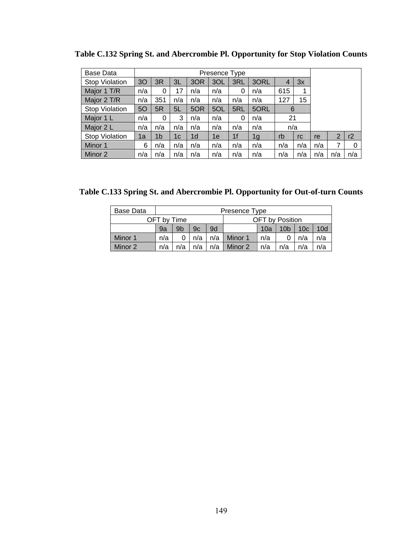| <b>Base Data</b>      |     |                |     |                | Presence Type |                |      |     |     |     |     |     |
|-----------------------|-----|----------------|-----|----------------|---------------|----------------|------|-----|-----|-----|-----|-----|
| <b>Stop Violation</b> | 30  | 3R             | 3L  | 3OR            | 3OL           | 3RL            | 3ORL | 4   | 3x  |     |     |     |
| Major 1 T/R           | n/a | 0              | 17  | n/a            | n/a           | 0              | n/a  | 615 | 1   |     |     |     |
| Major 2 T/R           | n/a | 351            | n/a | n/a            | n/a           | n/a            | n/a  | 127 | 15  |     |     |     |
| <b>Stop Violation</b> | 5O  | 5R             | 5L  | 5OR            | 5OL           | 5RL            | 5ORL | 6   |     |     |     |     |
| Major 1 L             | n/a | 0              | 3   | n/a            | n/a           | 0              | n/a  | 21  |     |     |     |     |
| Major 2 L             | n/a | n/a            | n/a | n/a            | n/a           | n/a            | n/a  | n/a |     |     |     |     |
| <b>Stop Violation</b> | 1a  | 1 <sub>b</sub> | 1c  | 1 <sub>d</sub> | 1е            | 1 <sub>f</sub> | 1g   | rb  | rc  | re  | 2   | r2  |
| Minor 1               | 6   | n/a            | n/a | n/a            | n/a           | n/a            | n/a  | n/a | n/a | n/a | 7   | 0   |
| Minor 2               | n/a | n/a            | n/a | n/a            | n/a           | n/a            | n/a  | n/a | n/a | n/a | n/a | n/a |

**Table C.132 Spring St. and Abercrombie Pl. Opportunity for Stop Violation Counts** 

**Table C.133 Spring St. and Abercrombie Pl. Opportunity for Out-of-turn Counts** 

| Base Data |     | Presence Type                         |     |     |         |     |                 |                 |                 |  |  |  |
|-----------|-----|---------------------------------------|-----|-----|---------|-----|-----------------|-----------------|-----------------|--|--|--|
|           |     | OFT by Time<br><b>OFT</b> by Position |     |     |         |     |                 |                 |                 |  |  |  |
|           | 9a  | 9 <sub>b</sub>                        | 9c  | 9d  |         | 10a | 10 <sub>b</sub> | 10 <sub>c</sub> | 10 <sub>d</sub> |  |  |  |
| Minor 1   | n/a |                                       | n/a | n/a | Minor 1 | n/a |                 | n/a             | n/a             |  |  |  |
| Minor 2   | n/a | n/a                                   | n/a | n/a | Minor 2 | n/a | n/a             | n/a             | n/a             |  |  |  |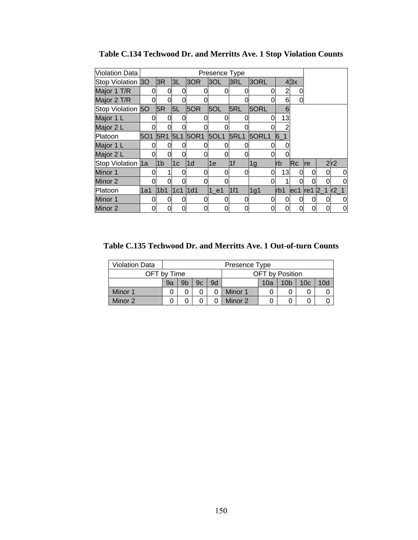| <b>Violation Data</b> |     |                 |              |      | Presence Type |             |       |       |      |            |                 |             |
|-----------------------|-----|-----------------|--------------|------|---------------|-------------|-------|-------|------|------------|-----------------|-------------|
| Stop Violation 30     |     | 3R              | 3L           | 3OR  | 3OL           | 3RL         | 3ORL  |       | 43x  |            |                 |             |
| Major 1 T/R           |     | 0               | 0            |      |               |             | 0     |       |      |            |                 |             |
| Major 2 T/R           |     | 0               | <sub>0</sub> |      |               |             |       | 6     | O    |            |                 |             |
| Stop Violation 50     |     | 5R              | 5L           | 5OR  | 5OL           | 5RL         | 5ORL  | 6     |      |            |                 |             |
| Major 1 L             |     | 0               | 0            |      |               |             | 0     | 13    |      |            |                 |             |
| Major 2 L             |     |                 | 0l           |      |               |             |       |       |      |            |                 |             |
| Platoon               | 5O1 | 5R1             | 5L1          | 50R1 | 5OL1          | <b>5RL1</b> | 5ORL1 | $6-1$ |      |            |                 |             |
| Major 1 L             |     |                 | 0            |      |               |             | 0     |       |      |            |                 |             |
| Major 2 L             |     | O               | O            |      |               |             |       |       |      |            |                 |             |
| Stop Violation 1a     |     | 1 <sub>b</sub>  | 1c           | 1d   | 1e            | 1f          | 1g    | lrb   | lRc. | <b>Ire</b> |                 | 2r2         |
| Minor 1               |     |                 | 0            |      |               | 0           | 0     | 13    |      | 0          |                 | 0           |
| Minor 2               |     |                 | $\Omega$     |      |               |             |       |       |      |            |                 | 0           |
| Platoon               | 1a1 | 1 <sub>b1</sub> | l1c1         | 1d1  | 1 e1          | 1f1         | 1g1   | lrb1  | ec1  | lref       | $\vert 2 \vert$ | $1  r2_1$   |
| Minor 1               |     | 0               | <sub>0</sub> |      |               |             | 0     | 0     |      | 0          |                 | $\mathbf 0$ |
| Minor 2               |     | 0               | 0            |      |               |             |       | 0     |      | 0          |                 | 0           |

**Table C.134 Techwood Dr. and Merritts Ave. 1 Stop Violation Counts** 

**Table C.135 Techwood Dr. and Merritts Ave. 1 Out-of-turn Counts** 

| <b>Violation Data</b> |    | Presence Type                                                      |  |  |         |   |  |  |  |  |  |
|-----------------------|----|--------------------------------------------------------------------|--|--|---------|---|--|--|--|--|--|
| OFT by Time           |    | <b>OFT</b> by Position                                             |  |  |         |   |  |  |  |  |  |
|                       | 9a | 10d<br>9b<br>9d<br>9c<br>10 <sub>c</sub><br>10 <sub>b</sub><br>10a |  |  |         |   |  |  |  |  |  |
| Minor 1               |    |                                                                    |  |  | Minor 1 | 0 |  |  |  |  |  |
| Minor 2               |    |                                                                    |  |  | Minor 2 | 0 |  |  |  |  |  |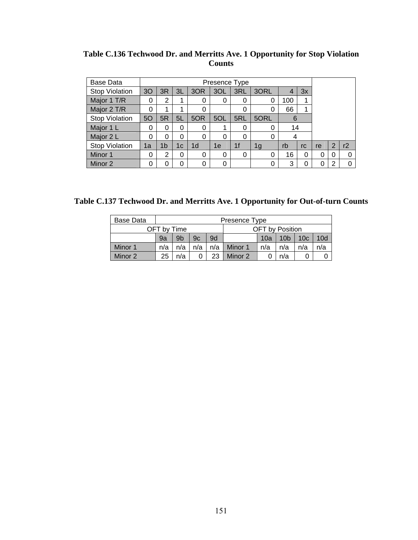| Base Data             |    |                |          |                | Presence Type |                |      |     |          |    |                |    |
|-----------------------|----|----------------|----------|----------------|---------------|----------------|------|-----|----------|----|----------------|----|
| <b>Stop Violation</b> | 30 | 3R             | 3L       | 3OR            | 3OL           | 3RL            | 3ORL |     | 3x       |    |                |    |
| Major 1 T/R           | 0  | $\overline{2}$ |          | 0              | 0             | 0              | 0    | 100 |          |    |                |    |
| Major 2 T/R           | 0  | 1              | 4        | 0              |               | 0              | 0    | 66  |          |    |                |    |
| <b>Stop Violation</b> | 50 | 5R             | 5L       | 5OR            | 5OL           | 5RL            | 5ORL | 6   |          |    |                |    |
| Major 1 L             | 0  | 0              | 0        | 0              |               | 0              | 0    | 14  |          |    |                |    |
| Major 2 L             | 0  | 0              | $\Omega$ | $\Omega$       | 0             | 0              | 0    | 4   |          |    |                |    |
| <b>Stop Violation</b> | 1a | 1b             | 1c       | 1 <sub>d</sub> | 1e            | 1 <sub>f</sub> | 1g   | rb  | rc       | re | $\overline{2}$ | r2 |
| Minor 1               | 0  | 2              | 0        | 0              | 0             | 0              | 0    | 16  | $\Omega$ | 0  |                | 0  |
| Minor 2               | 0  | 0              | 0        | 0              | 0             |                | 0    | 3   |          | 0  |                |    |

**Table C.136 Techwood Dr. and Merritts Ave. 1 Opportunity for Stop Violation Counts** 

**Table C.137 Techwood Dr. and Merritts Ave. 1 Opportunity for Out-of-turn Counts** 

| Base Data |     | Presence Type                         |     |    |                 |     |                 |     |                 |  |  |  |
|-----------|-----|---------------------------------------|-----|----|-----------------|-----|-----------------|-----|-----------------|--|--|--|
|           |     | OFT by Time<br><b>OFT</b> by Position |     |    |                 |     |                 |     |                 |  |  |  |
|           | 9a  | 9 <sub>b</sub>                        | 9c  | 9d |                 | 10a | 10 <sub>b</sub> | 10c | 10 <sub>d</sub> |  |  |  |
| Minor 1   | n/a | n/a                                   | n/a |    | $n/a$   Minor 1 | n/a | n/a             | n/a | n/a             |  |  |  |
| Minor 2   | 25  | n/a                                   |     | 23 | Minor 2         |     | n/a             |     |                 |  |  |  |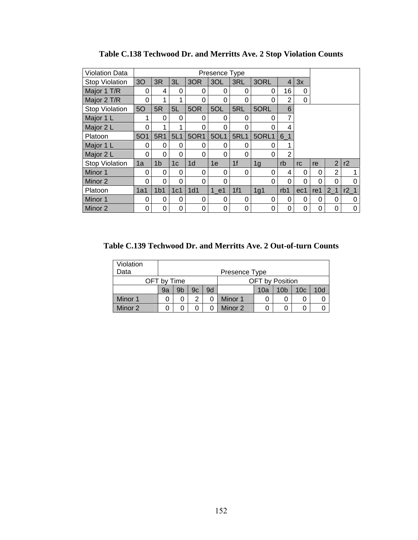| <b>Violation Data</b> |                |                 |                |                | Presence Type |                |                |                |          |          |                |          |
|-----------------------|----------------|-----------------|----------------|----------------|---------------|----------------|----------------|----------------|----------|----------|----------------|----------|
| <b>Stop Violation</b> | 3 <sub>O</sub> | 3R              | 3L             | 3OR            | 3OL           | 3RL            | 3ORL           | $\overline{4}$ | 3x       |          |                |          |
| Major 1 T/R           | 0              | 4               | 0              | 0              | 0             | 0              | 0              | 16             | 0        |          |                |          |
| Major 2 T/R           | 0              | 1               | 1              | 0              | 0             | 0              | 0              | $\overline{2}$ | 0        |          |                |          |
| <b>Stop Violation</b> | 50             | 5R              | 5L             | 5OR            | 5OL           | 5RL            | 5ORL           | 6              |          |          |                |          |
| Major 1 L             | 1              | 0               | 0              | 0              | $\Omega$      | 0              | 0              | 7              |          |          |                |          |
| Major 2 L             | 0              | 1               | 1              | 0              | 0             | 0              | 0              | 4              |          |          |                |          |
| Platoon               | <b>5O1</b>     | 5R1             | 5L1            | 50R1           | 5OL1          | <b>5RL1</b>    | 5ORL1          | $6-1$          |          |          |                |          |
| Major 1 L             | 0              | 0               | $\Omega$       | 0              | 0             | $\Omega$       | 0              |                |          |          |                |          |
| Major 2 L             | 0              | 0               | 0              | 0              | 0             | 0              | 0              | 2              |          |          |                |          |
| <b>Stop Violation</b> | 1a             | 1 <sub>b</sub>  | 1 <sub>c</sub> | 1 <sub>d</sub> | 1e            | 1 <sup>f</sup> | 1 <sub>g</sub> | rb             | rc       | re       | $\overline{2}$ | r2       |
| Minor 1               | 0              | 0               | 0              | 0              | 0             | 0              | 0              | 4              | 0        | 0        | $\overline{2}$ |          |
| Minor 2               | 0              | 0               | 0              | 0              | 0             |                | 0              | 0              | $\Omega$ | $\Omega$ | 0              | ი        |
| Platoon               | 1a1            | 1 <sub>b1</sub> | 1c1            | 1d1            | 1 e1          | 1f1            | 1g1            | rb1            | ec1      | re1      | 2 <sub>1</sub> | $r2_1$   |
| Minor 1               | 0              | 0               | 0              | 0              | $\Omega$      | 0              | 0              | 0              | 0        | 0        | 0              | $\Omega$ |
| Minor 2               | 0              | 0               | 0              | 0              | 0             | 0              | 0              | 0              | 0        | 0        | 0              | 0        |

**Table C.138 Techwood Dr. and Merritts Ave. 2 Stop Violation Counts** 

**Table C.139 Techwood Dr. and Merritts Ave. 2 Out-of-turn Counts** 

| Violation |    |                                       |    |    |               |     |                 |                 |     |  |  |
|-----------|----|---------------------------------------|----|----|---------------|-----|-----------------|-----------------|-----|--|--|
| Data      |    |                                       |    |    | Presence Type |     |                 |                 |     |  |  |
|           |    | <b>OFT</b> by Position<br>OFT by Time |    |    |               |     |                 |                 |     |  |  |
|           | 9a | 9b                                    | 9c | 9d |               | 10a | 10 <sub>b</sub> | 10 <sub>c</sub> | 10d |  |  |
| Minor 1   |    | 0                                     | ာ  | 0  | Minor 1       |     |                 | 0               |     |  |  |
| Minor 2   |    |                                       |    |    | Minor 2       |     | Ω               | 0               |     |  |  |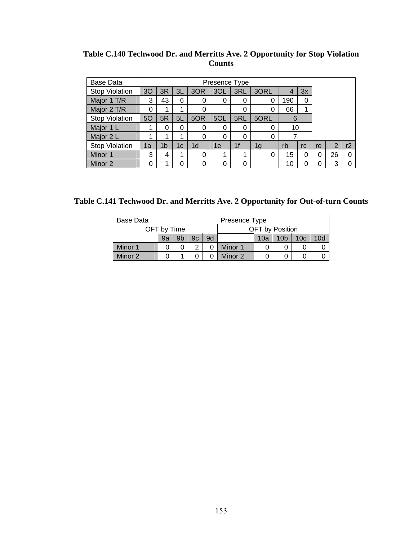| Table C.140 Techwood Dr. and Merritts Ave. 2 Opportunity for Stop Violation |  |
|-----------------------------------------------------------------------------|--|
| <b>Counts</b>                                                               |  |

| Base Data             |    |    |    |                | Presence Type |                |      |     |    |    |                |    |
|-----------------------|----|----|----|----------------|---------------|----------------|------|-----|----|----|----------------|----|
| <b>Stop Violation</b> | 30 | 3R | 3L | 3OR            | 3OL           | 3RL            | 3ORL |     | 3x |    |                |    |
| Major 1 T/R           | 3  | 43 | 6  | 0              | 0             | 0              | 0    | 190 | 0  |    |                |    |
| Major 2 T/R           | 0  | 1  | 1  |                |               | 0              | 0    | 66  |    |    |                |    |
| <b>Stop Violation</b> | 5O | 5R | 5L | 5OR            | 5OL           | 5RL            | 5ORL | 6   |    |    |                |    |
| Major 1 L             | 1  | 0  | 0  | 0              | 0             | 0              | 0    | 10  |    |    |                |    |
| Major 2 L             | 1  | 1  | 1  | $\Omega$       | 0             | 0              | 0    |     |    |    |                |    |
| <b>Stop Violation</b> | 1a | 1b | 1c | 1 <sub>d</sub> | 1e            | 1 <sub>f</sub> | 1g   | rb  | rc | re | $\overline{2}$ | r2 |
| Minor 1               | 3  | 4  | 1  | 0              | 4             | 1              | 0    | 15  | 0  | 0  | 26             |    |
| Minor 2               | 0  | 1  | 0  | 0              | 0             | 0              |      | 10  |    |    | 3              |    |

**Table C.141 Techwood Dr. and Merritts Ave. 2 Opportunity for Out-of-turn Counts** 

| Base Data |             |                                                                    |  |  | Presence Type |                 |  |  |  |  |  |
|-----------|-------------|--------------------------------------------------------------------|--|--|---------------|-----------------|--|--|--|--|--|
|           | OFT by Time |                                                                    |  |  |               | OFT by Position |  |  |  |  |  |
|           | 9a          | 9b<br>9d<br>10 <sub>b</sub><br>10d<br>9c<br>10 <sub>c</sub><br>10a |  |  |               |                 |  |  |  |  |  |
| Minor 1   |             |                                                                    |  |  | Minor 1       |                 |  |  |  |  |  |
| Minor 2   |             | Minor 2                                                            |  |  |               |                 |  |  |  |  |  |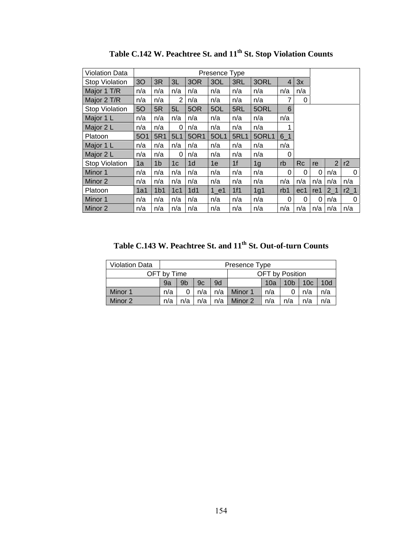| <b>Violation Data</b> |                |                 |                |                 | Presence Type |             |                |         |           |     |                |                 |
|-----------------------|----------------|-----------------|----------------|-----------------|---------------|-------------|----------------|---------|-----------|-----|----------------|-----------------|
| <b>Stop Violation</b> | 3 <sub>O</sub> | 3R              | 3L             | 3OR             | 3OL           | 3RL         | 3ORL           | 4       | 3x        |     |                |                 |
| Major 1 T/R           | n/a            | n/a             | n/a            | n/a             | n/a           | n/a         | n/a            | n/a     | n/a       |     |                |                 |
| Major 2 T/R           | n/a            | n/a             | 2              | n/a             | n/a           | n/a         | n/a            | 7       | 0         |     |                |                 |
| <b>Stop Violation</b> | 50             | 5R              | 5L             | 5OR             | 5OL           | 5RL         | 5ORL           | 6       |           |     |                |                 |
| Major 1 L             | n/a            | n/a             | n/a            | n/a             | n/a           | n/a         | n/a            | n/a     |           |     |                |                 |
| Major 2 L             | n/a            | n/a             | 0              | n/a             | n/a           | n/a         | n/a            |         |           |     |                |                 |
| Platoon               | <b>5O1</b>     | 5R1             | 5L1            | 50R1            | 5OL1          | <b>5RL1</b> | 5ORL1          | $6 - 1$ |           |     |                |                 |
| Major 1 L             | n/a            | n/a             | n/a            | n/a             | n/a           | n/a         | n/a            | n/a     |           |     |                |                 |
| Major 2 L             | n/a            | n/a             | 0              | n/a             | n/a           | n/a         | n/a            | 0       |           |     |                |                 |
| <b>Stop Violation</b> | 1a             | 1 <sub>b</sub>  | 1 <sub>c</sub> | 1d              | 1e            | 1f          | 1 <sub>g</sub> | rb      | <b>Rc</b> | re  | $\overline{2}$ | r2              |
| Minor 1               | n/a            | n/a             | n/a            | n/a             | n/a           | n/a         | n/a            | 0       | $\Omega$  | 0   | n/a            | 0               |
| Minor 2               | n/a            | n/a             | n/a            | n/a             | n/a           | n/a         | n/a            | n/a     | n/a       | n/a | n/a            | n/a             |
| Platoon               | 1a1            | 1 <sub>b1</sub> | 1c1            | 1d <sub>1</sub> | 1 e1          | 1f1         | 1g1            | rb1     | ec1       | re1 | 2 <sub>1</sub> | r2 <sub>1</sub> |
| Minor 1               | n/a            | n/a             | n/a            | n/a             | n/a           | n/a         | n/a            | 0       | 0         | 0   | n/a            | 0               |
| Minor 2               | n/a            | n/a             | n/a            | n/a             | n/a           | n/a         | n/a            | n/a     | n/a       | n/a | n/a            | n/a             |

Table C.142 W. Peachtree St. and  $11<sup>th</sup>$  St. Stop Violation Counts

**Table C.143 W. Peachtree St. and 11th St. Out-of-turn Counts** 

| <b>Violation Data</b> |                                                                 |                                                                                |                                            |  | Presence Type |  |                 |  |  |  |  |
|-----------------------|-----------------------------------------------------------------|--------------------------------------------------------------------------------|--------------------------------------------|--|---------------|--|-----------------|--|--|--|--|
|                       | OFT by Time                                                     |                                                                                |                                            |  |               |  | OFT by Position |  |  |  |  |
|                       | 9a                                                              | 9 <sub>b</sub><br>9d<br>10d<br>10 <sub>b</sub><br>10 <sub>c</sub><br>9c<br>10a |                                            |  |               |  |                 |  |  |  |  |
| Minor 1               | n/a                                                             |                                                                                | n/a<br>Minor 1<br>n/a<br>n/a<br>n/a<br>n/a |  |               |  |                 |  |  |  |  |
| Minor 2               | n/a<br>n/a<br>n/a<br>Minor 2<br>n/a<br>n/a<br>n/a<br>n/a<br>n/a |                                                                                |                                            |  |               |  |                 |  |  |  |  |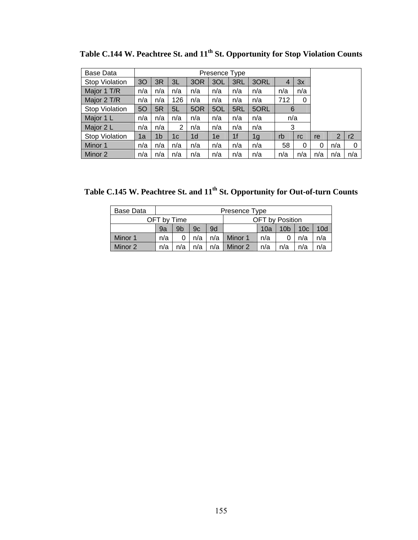| <b>Base Data</b>      |     |                |     |                | Presence Type |     |      |     |     |     |     |     |
|-----------------------|-----|----------------|-----|----------------|---------------|-----|------|-----|-----|-----|-----|-----|
| <b>Stop Violation</b> | 30  | 3R             | 3L  | 3OR            | 3OL           | 3RL | 3ORL | 4   | 3x  |     |     |     |
| Major 1 T/R           | n/a | n/a            | n/a | n/a            | n/a           | n/a | n/a  | n/a | n/a |     |     |     |
| Major 2 T/R           | n/a | n/a            | 126 | n/a            | n/a           | n/a | n/a  | 712 | 0   |     |     |     |
| <b>Stop Violation</b> | 50  | 5R             | 5L  | 5OR            | 5OL           | 5RL | 5ORL | 6   |     |     |     |     |
| Major 1 L             | n/a | n/a            | n/a | n/a            | n/a           | n/a | n/a  | n/a |     |     |     |     |
| Major 2 L             | n/a | n/a            | 2   | n/a            | n/a           | n/a | n/a  | 3   |     |     |     |     |
| <b>Stop Violation</b> | 1a  | 1 <sub>b</sub> | 1c  | 1 <sub>d</sub> | 1e            | 1f  | 1g   | rb  | rc  | re  | 2   | r2  |
| Minor 1               | n/a | n/a            | n/a | n/a            | n/a           | n/a | n/a  | 58  | 0   | 0   | n/a | 0   |
| Minor 2               | n/a | n/a            | n/a | n/a            | n/a           | n/a | n/a  | n/a | n/a | n/a | n/a | n/a |

Table C.144 W. Peachtree St. and  $11^{\text{th}}$  St. Opportunity for Stop Violation Counts

Table C.145 W. Peachtree St. and  $11<sup>th</sup>$  St. Opportunity for Out-of-turn Counts

| <b>Base Data</b> |             |                                                                       |     |  | Presence Type   |     |                        |     |     |  |  |
|------------------|-------------|-----------------------------------------------------------------------|-----|--|-----------------|-----|------------------------|-----|-----|--|--|
|                  | OFT by Time |                                                                       |     |  |                 |     | <b>OFT</b> by Position |     |     |  |  |
|                  | 9a          | $\vert$ 10 $\vert$<br>10 <sub>b</sub><br>9b<br>9d<br>10d<br>9c<br>10a |     |  |                 |     |                        |     |     |  |  |
| Minor 1          | n/a         |                                                                       | n/a |  | $n/a$   Minor 1 | n/a |                        | n/a | n/a |  |  |
| Minor 2          | n/a         | n/a<br>n/a<br>Minor 2<br>n/a<br>n/a<br>n/a<br>n/a<br>n/a              |     |  |                 |     |                        |     |     |  |  |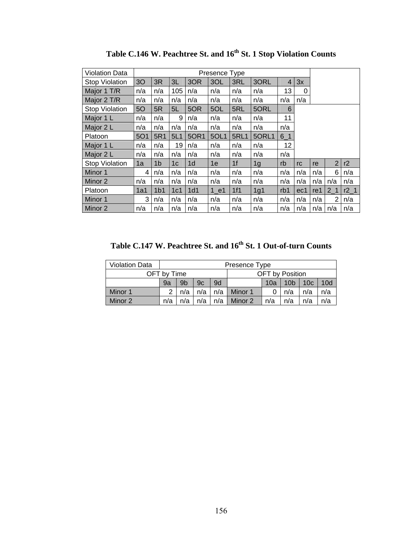| <b>Violation Data</b> |            |                 |                |                | Presence Type |                |                |                |     |                |                |        |
|-----------------------|------------|-----------------|----------------|----------------|---------------|----------------|----------------|----------------|-----|----------------|----------------|--------|
| Stop Violation        | 3O         | 3R              | 3L             | 3OR            | 3OL           | 3RL            | 3ORL           | $\overline{4}$ | 3x  |                |                |        |
| Major 1 T/R           | n/a        | n/a             | 105            | n/a            | n/a           | n/a            | n/a            | 13             | 0   |                |                |        |
| Major 2 T/R           | n/a        | n/a             | n/a            | n/a            | n/a           | n/a            | n/a            | n/a            | n/a |                |                |        |
| Stop Violation        | 50         | 5R              | 5L             | 5OR            | 5OL           | 5RL            | 5ORL           | 6              |     |                |                |        |
| Major 1 L             | n/a        | n/a             | 9              | n/a            | n/a           | n/a            | n/a            | 11             |     |                |                |        |
| Major 2 L             | n/a        | n/a             | n/a            | n/a            | n/a           | n/a            | n/a            | n/a            |     |                |                |        |
| Platoon               | <b>5O1</b> | 5R1             | 5L1            | 50R1           | 5OL1          | <b>5RL1</b>    | 5ORL1          | $6-1$          |     |                |                |        |
| Major 1 L             | n/a        | n/a             | 19             | n/a            | n/a           | n/a            | n/a            | 12             |     |                |                |        |
| Major 2 L             | n/a        | n/a             | n/a            | n/a            | n/a           | n/a            | n/a            | n/a            |     |                |                |        |
| <b>Stop Violation</b> | 1a         | 1 <sub>b</sub>  | 1 <sub>c</sub> | 1 <sub>d</sub> | 1e            | 1 <sup>f</sup> | 1 <sub>g</sub> | rb             | rc  | re             | $\overline{2}$ | r2     |
| Minor 1               | 4          | n/a             | n/a            | n/a            | n/a           | n/a            | n/a            | n/a            | n/a | n/a            | 6              | n/a    |
| Minor 2               | n/a        | n/a             | n/a            | n/a            | n/a           | n/a            | n/a            | n/a            | n/a | n/a            | n/a            | n/a    |
| Platoon               | 1a1        | 1 <sub>b1</sub> | 1c1            | 1d1            | 1 e1          | 1f1            | 1g1            | rb1            | ec1 | re1            | 2 <sub>1</sub> | $r2_1$ |
| Minor 1               | 3          | n/a             | n/a            | n/a            | n/a           | n/a            | n/a            | n/a            | n/a | n/a            | $\overline{2}$ | n/a    |
| Minor 2               | n/a        | n/a             | n/a            | n/a            | n/a           | n/a            | n/a            | n/a            | n/a | $n/a \mid n/a$ |                | n/a    |

Table C.146 W. Peachtree St. and 16<sup>th</sup> St. 1 Stop Violation Counts

Table C.147 W. Peachtree St. and 16<sup>th</sup> St. 1 Out-of-turn Counts

| <b>Violation Data</b> |                                                                 |                                                                                |  |  | Presence Type |                 |  |  |  |  |  |
|-----------------------|-----------------------------------------------------------------|--------------------------------------------------------------------------------|--|--|---------------|-----------------|--|--|--|--|--|
|                       | OFT by Time                                                     |                                                                                |  |  |               | OFT by Position |  |  |  |  |  |
|                       | 9a                                                              | 10d<br>9 <sub>b</sub><br>9d<br>9c<br>10 <sub>c</sub><br>10 <sub>b</sub><br>10a |  |  |               |                 |  |  |  |  |  |
| Minor 1               |                                                                 | n/a<br>Minor 1<br>n/a<br>n/a<br>n/a<br>n/a<br>n/a                              |  |  |               |                 |  |  |  |  |  |
| Minor 2               | n/a<br>Minor 2<br>n/a<br>n/a<br>n/a<br>n/a<br>n/a<br>n/a<br>n/a |                                                                                |  |  |               |                 |  |  |  |  |  |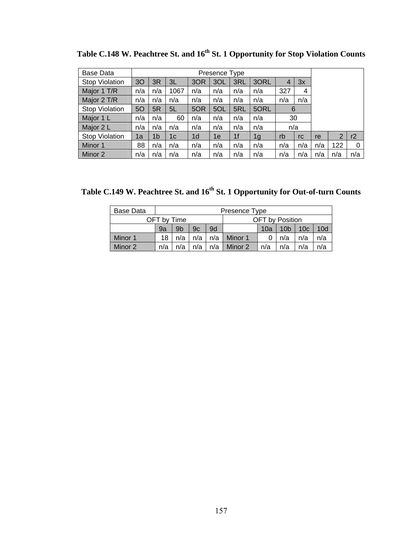| Base Data             |                |                |      |                | Presence Type |                |      |     |     |     |                |     |
|-----------------------|----------------|----------------|------|----------------|---------------|----------------|------|-----|-----|-----|----------------|-----|
| Stop Violation        | 3 <sub>O</sub> | 3R             | 3L   | 3OR            | 3OL           | 3RL            | 3ORL | 4   | 3x  |     |                |     |
| Major 1 T/R           | n/a            | n/a            | 1067 | n/a            | n/a           | n/a            | n/a  | 327 | 4   |     |                |     |
| Major 2 T/R           | n/a            | n/a            | n/a  | n/a            | n/a           | n/a            | n/a  | n/a | n/a |     |                |     |
| <b>Stop Violation</b> | 5O             | 5R             | 5L   | 5OR            | 5OL           | 5RL            | 5ORL | 6   |     |     |                |     |
| Major 1 L             | n/a            | n/a            | 60   | n/a            | n/a           | n/a            | n/a  | 30  |     |     |                |     |
| Major 2 L             | n/a            | n/a            | n/a  | n/a            | n/a           | n/a            | n/a  | n/a |     |     |                |     |
| Stop Violation        | 1a             | 1 <sub>b</sub> | 1c   | 1 <sub>d</sub> | 1e            | 1 <sub>f</sub> | 1g   | rb  | rc  | re  | $\overline{2}$ | r2  |
| Minor 1               | 88             | n/a            | n/a  | n/a            | n/a           | n/a            | n/a  | n/a | n/a | n/a | 122            | 0   |
| Minor 2               | n/a            | n/a            | n/a  | n/a            | n/a           | n/a            | n/a  | n/a | n/a | n/a | n/a            | n/a |

Table C.148 W. Peachtree St. and 16<sup>th</sup> St. 1 Opportunity for Stop Violation Counts

Table C.149 W. Peachtree St. and  $16^{\text{th}}$  St. 1 Opportunity for Out-of-turn Counts

| Base Data |             |                                                                    |     |     | Presence Type |                        |     |     |     |  |  |
|-----------|-------------|--------------------------------------------------------------------|-----|-----|---------------|------------------------|-----|-----|-----|--|--|
|           | OFT by Time |                                                                    |     |     |               | <b>OFT</b> by Position |     |     |     |  |  |
|           | 9a          | 9b<br>9d<br>10 <sub>b</sub><br>10 <sub>c</sub><br>9c<br>10a<br>10d |     |     |               |                        |     |     |     |  |  |
| Minor 1   | 18          | n/a                                                                | n/a | n/a | Minor 1       |                        | n/a | n/a | n/a |  |  |
| Minor 2   | n/a         | n/a<br>n/a<br>Minor 2<br>n/a<br>n/a<br>n/a<br>n/a<br>n/a           |     |     |               |                        |     |     |     |  |  |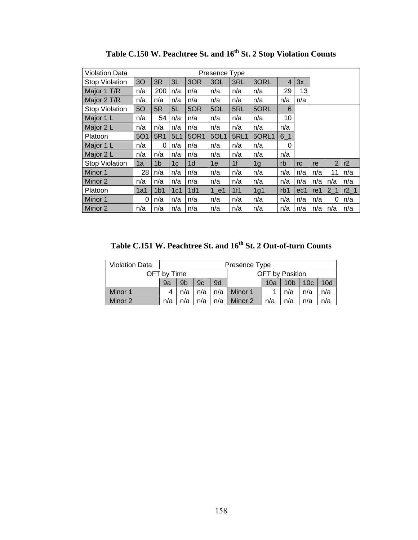| Violation Data        |                |                 |                |                | Presence Type |                |                |                |     |                 |                |        |
|-----------------------|----------------|-----------------|----------------|----------------|---------------|----------------|----------------|----------------|-----|-----------------|----------------|--------|
| Stop Violation        | 3 <sub>O</sub> | 3R              | 3L             | 3OR            | 3OL           | 3RL            | 3ORL           | $\overline{4}$ | 3x  |                 |                |        |
| Major 1 T/R           | n/a            | 200             | n/a            | n/a            | n/a           | n/a            | n/a            | 29             | 13  |                 |                |        |
| Major 2 T/R           | n/a            | n/a             | n/a            | n/a            | n/a           | n/a            | n/a            | n/a            | n/a |                 |                |        |
| Stop Violation        | 50             | 5R              | 5L             | 5OR            | 5OL           | 5RL            | 5ORL           | 6              |     |                 |                |        |
| Major 1 L             | n/a            | 54              | n/a            | n/a            | n/a           | n/a            | n/a            | 10             |     |                 |                |        |
| Major 2 L             | n/a            | n/a             | n/a            | n/a            | n/a           | n/a            | n/a            | n/a            |     |                 |                |        |
| Platoon               | <b>5O1</b>     | 5R1             | 5L1            | 50R1           | 5OL1          | <b>5RL1</b>    | 5ORL1          | $6_1$          |     |                 |                |        |
| Major 1 L             | n/a            | 0               | n/a            | n/a            | n/a           | n/a            | n/a            | 0              |     |                 |                |        |
| Major 2 L             | n/a            | n/a             | n/a            | n/a            | n/a           | n/a            | n/a            | n/a            |     |                 |                |        |
| <b>Stop Violation</b> | 1a             | 1 <sub>b</sub>  | 1 <sub>c</sub> | 1 <sub>d</sub> | 1e            | 1 <sup>f</sup> | 1 <sub>g</sub> | rb             | rc  | re              | $\overline{2}$ | r2     |
| Minor 1               | 28             | n/a             | n/a            | n/a            | n/a           | n/a            | n/a            | n/a            | n/a | n/a             | 11             | n/a    |
| Minor 2               | n/a            | n/a             | n/a            | n/a            | n/a           | n/a            | n/a            | n/a            | n/a | n/a             | n/a            | n/a    |
| Platoon               | 1a1            | 1 <sub>b1</sub> | 1c1            | 1d1            | 1 e1          | 1f1            | 1g1            | rb1            | ec1 | re <sub>1</sub> | 2 <sub>1</sub> | $r2_1$ |
| Minor 1               | 0              | n/a             | n/a            | n/a            | n/a           | n/a            | n/a            | n/a            | n/a | n/a             | 0              | n/a    |
| Minor 2               | n/a            | n/a             | n/a            | n/a            | n/a           | n/a            | n/a            | n/a            | n/a | $n/a \mid n/a$  |                | n/a    |

Table C.150 W. Peachtree St. and  $16^{th}$  St. 2 Stop Violation Counts

Table C.151 W. Peachtree St. and  $16^{\text{th}}$  St. 2 Out-of-turn Counts

| <b>Violation Data</b> |             |                                                                                |     |                                     | Presence Type |                 |  |  |  |  |  |
|-----------------------|-------------|--------------------------------------------------------------------------------|-----|-------------------------------------|---------------|-----------------|--|--|--|--|--|
|                       | OFT by Time |                                                                                |     |                                     |               | OFT by Position |  |  |  |  |  |
|                       | 9a          | 10d<br>9 <sub>b</sub><br>9d<br>9c<br>10 <sub>c</sub><br>10 <sub>b</sub><br>10a |     |                                     |               |                 |  |  |  |  |  |
| Minor 1               |             | n/a                                                                            | n/a | n/a<br>Minor 1<br>n/a<br>n/a<br>n/a |               |                 |  |  |  |  |  |
| Minor 2               | n/a         | n/a<br>Minor 2<br>n/a<br>n/a<br>n/a<br>n/a<br>n/a<br>n/a                       |     |                                     |               |                 |  |  |  |  |  |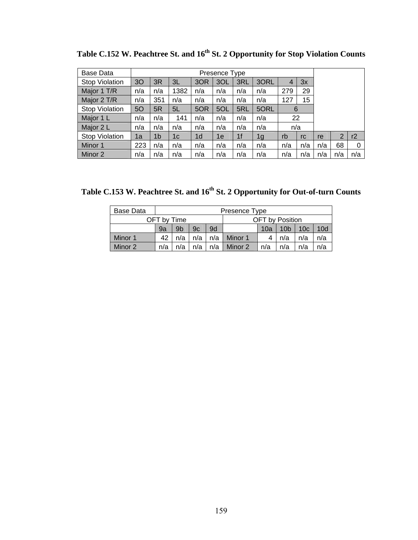| Base Data             |                | Presence Type  |      |                |     |                |                |     |     |     |     |     |
|-----------------------|----------------|----------------|------|----------------|-----|----------------|----------------|-----|-----|-----|-----|-----|
| <b>Stop Violation</b> | 3 <sub>O</sub> | 3R             | 3L   | 3OR            | 3OL | 3RL            | 3ORL           | 4   | 3x  |     |     |     |
| Major 1 T/R           | n/a            | n/a            | 1382 | n/a            | n/a | n/a            | n/a            | 279 | 29  |     |     |     |
| Major 2 T/R           | n/a            | 351            | n/a  | n/a            | n/a | n/a            | n/a            | 127 | 15  |     |     |     |
| <b>Stop Violation</b> | <b>50</b>      | 5R             | 5L   | 5OR            | 5OL | 5RL            | 5ORL           | 6   |     |     |     |     |
| Major 1 L             | n/a            | n/a            | 141  | n/a            | n/a | n/a            | n/a            | 22  |     |     |     |     |
| Major 2 L             | n/a            | n/a            | n/a  | n/a            | n/a | n/a            | n/a            | n/a |     |     |     |     |
| <b>Stop Violation</b> | 1a             | 1 <sub>b</sub> | 1c   | 1 <sub>d</sub> | 1e  | 1 <sub>f</sub> | 1 <sub>g</sub> | rb  | rc  | re  | 2   | r2  |
| Minor 1               | 223            | n/a            | n/a  | n/a            | n/a | n/a            | n/a            | n/a | n/a | n/a | 68  | 0   |
| Minor 2               | n/a            | n/a            | n/a  | n/a            | n/a | n/a            | n/a            | n/a | n/a | n/a | n/a | n/a |

Table C.152 W. Peachtree St. and 16<sup>th</sup> St. 2 Opportunity for Stop Violation Counts

Table C.153 W. Peachtree St. and  $16^{\text{th}}$  St. 2 Opportunity for Out-of-turn Counts

| Base Data |             | Presence Type |     |     |                 |     |                 |                 |     |  |  |  |  |
|-----------|-------------|---------------|-----|-----|-----------------|-----|-----------------|-----------------|-----|--|--|--|--|
|           | OFT by Time |               |     |     | OFT by Position |     |                 |                 |     |  |  |  |  |
|           | 9a          | 9b            | 9c  | 9d  |                 | 10a | 10 <sub>b</sub> | 10 <sub>c</sub> | 10d |  |  |  |  |
| Minor 1   | 42          | n/a           | n/a | n/a | Minor 1         |     | n/a             | n/a             | n/a |  |  |  |  |
| Minor 2   | n/a         | n/a           | n/a | n/a | Minor 2         | n/a | n/a             | n/a             | n/a |  |  |  |  |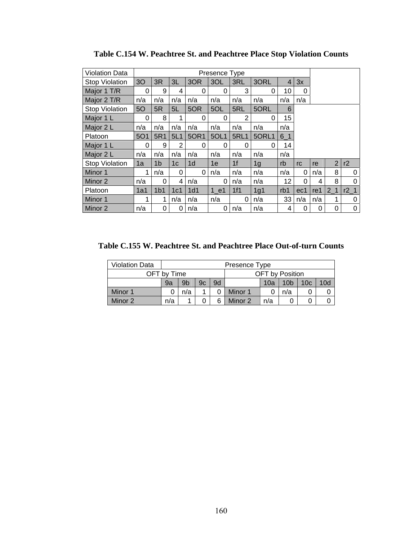| <b>Violation Data</b> |                |                 |                |                |          |                |       |                |          |     |                |        |
|-----------------------|----------------|-----------------|----------------|----------------|----------|----------------|-------|----------------|----------|-----|----------------|--------|
| <b>Stop Violation</b> | 3 <sub>O</sub> | 3R              | 3L             | 3OR            | 3OL      | 3RL            | 3ORL  | $\overline{4}$ | 3x       |     |                |        |
| Major 1 T/R           | 0              | 9               | 4              | 0              | 0        | 3              | 0     | 10             | 0        |     |                |        |
| Major 2 T/R           | n/a            | n/a             | n/a            | n/a            | n/a      | n/a            | n/a   | n/a            | n/a      |     |                |        |
| <b>Stop Violation</b> | 5O             | 5R              | 5L             | 5OR            | 5OL      | 5RL            | 5ORL  | 6              |          |     |                |        |
| Major 1 L             | $\Omega$       | 8               | 1              | 0              | 0        | $\overline{2}$ | 0     | 15             |          |     |                |        |
| Major 2 L             | n/a            | n/a             | n/a            | n/a            | n/a      | n/a            | n/a   | n/a            |          |     |                |        |
| Platoon               | <b>5O1</b>     | 5R1             | 5L1            | 50R1           | 5OL1     | <b>5RL1</b>    | 5ORL1 | $6-1$          |          |     |                |        |
| Major 1 L             | $\Omega$       | 9               | $\overline{2}$ | 0              | $\Omega$ | 0              | 0     | 14             |          |     |                |        |
| Major 2 L             | n/a            | n/a             | n/a            | n/a            | n/a      | n/a            | n/a   | n/a            |          |     |                |        |
| <b>Stop Violation</b> | 1a             | 1b              | 1 <sub>c</sub> | 1 <sub>d</sub> | 1e       | 1 <sub>f</sub> | 1g    | rb             | rc       | re  | $\overline{2}$ | r2     |
| Minor 1               | 1              | n/a             | 0              | 0              | n/a      | n/a            | n/a   | n/a            | 0        | n/a | 8              | 0      |
| Minor 2               | n/a            | 0               | 4              | n/a            | 0        | n/a            | n/a   | 12             | $\Omega$ | 4   | 8              | 0      |
| Platoon               | 1a1            | 1 <sub>b1</sub> | 1c1            | 1d1            | 1 e1     | 1f1            | 1g1   | rb1            | ec1      | re1 | 2 <sub>1</sub> | $r2_1$ |
| Minor 1               | 1              | 1               | n/a            | n/a            | n/a      | $\Omega$       | n/a   | 33             | n/a      | n/a | 1              | 0      |
| Minor 2               | n/a            | 0               | 0              | n/a            | 0        | n/a            | n/a   | 4              | 0        | 0   | 0              | 0      |

**Table C.154 W. Peachtree St. and Peachtree Place Stop Violation Counts** 

**Table C.155 W. Peachtree St. and Peachtree Place Out-of-turn Counts** 

| <b>Violation Data</b> |             | Presence Type  |    |    |                        |     |     |  |  |  |  |  |  |
|-----------------------|-------------|----------------|----|----|------------------------|-----|-----|--|--|--|--|--|--|
|                       | OFT by Time |                |    |    | <b>OFT</b> by Position |     |     |  |  |  |  |  |  |
|                       | 9a          | 9 <sub>b</sub> | 9c | 9d |                        | 10d |     |  |  |  |  |  |  |
| Minor 1               |             | n/a            |    |    | Minor 1                |     | n/a |  |  |  |  |  |  |
| Minor 2               | n/a         |                |    |    | Minor 2                | n/a |     |  |  |  |  |  |  |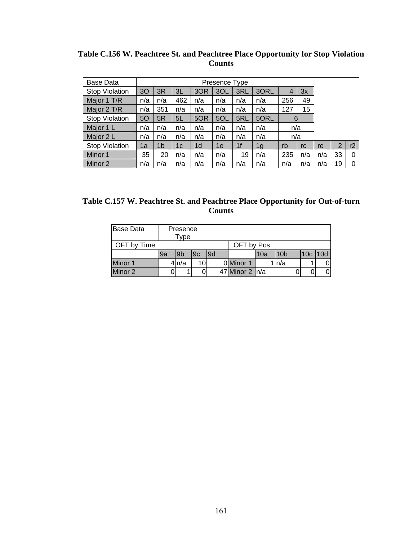| Table C.156 W. Peachtree St. and Peachtree Place Opportunity for Stop Violation |  |
|---------------------------------------------------------------------------------|--|
| <b>Counts</b>                                                                   |  |

| Base Data      |     | Presence Type  |     |                |     |     |      |     |     |     |                |    |
|----------------|-----|----------------|-----|----------------|-----|-----|------|-----|-----|-----|----------------|----|
| Stop Violation | 30  | 3R             | 3L  | 3OR            | 3OL | 3RL | 3ORL | 4   | 3x  |     |                |    |
| Major 1 T/R    | n/a | n/a            | 462 | n/a            | n/a | n/a | n/a  | 256 | 49  |     |                |    |
| Major 2 T/R    | n/a | 351            | n/a | n/a            | n/a | n/a | n/a  | 127 | 15  |     |                |    |
| Stop Violation | 50  | 5R             | 5L  | 5OR            | 5OL | 5RL | 5ORL | 6   |     |     |                |    |
| Major 1 L      | n/a | n/a            | n/a | n/a            | n/a | n/a | n/a  | n/a |     |     |                |    |
| Major 2 L      | n/a | n/a            | n/a | n/a            | n/a | n/a | n/a  | n/a |     |     |                |    |
| Stop Violation | 1a  | 1 <sub>b</sub> | 1c  | 1 <sub>d</sub> | 1e  | 1f  | 1g   | rb  | rc  | re  | $\overline{2}$ | r2 |
| Minor 1        | 35  | 20             | n/a | n/a            | n/a | 19  | n/a  | 235 | n/a | n/a | 33             | 0  |
| Minor 2        | n/a | n/a            | n/a | n/a            | n/a | n/a | n/a  | n/a | n/a | n/a | 19             | 0  |

| Table C.157 W. Peachtree St. and Peachtree Place Opportunity for Out-of-turn |
|------------------------------------------------------------------------------|
| <b>Counts</b>                                                                |

| <b>Base Data</b> |    | Presence<br>Type |    |     |                  |      |                 |           |   |
|------------------|----|------------------|----|-----|------------------|------|-----------------|-----------|---|
| OFT by Time      |    |                  |    |     | OFT by Pos       |      |                 |           |   |
|                  | 9a | 9b               | 9c | l9d |                  | l10a | 10 <sub>b</sub> | 10c   10d |   |
| Minor 1          |    | 4 n/a            | 10 |     | 0 Minor 1        |      | n/a             |           |   |
| Minor 2          |    |                  |    |     | 47 Minor 2   n/a |      |                 |           | 0 |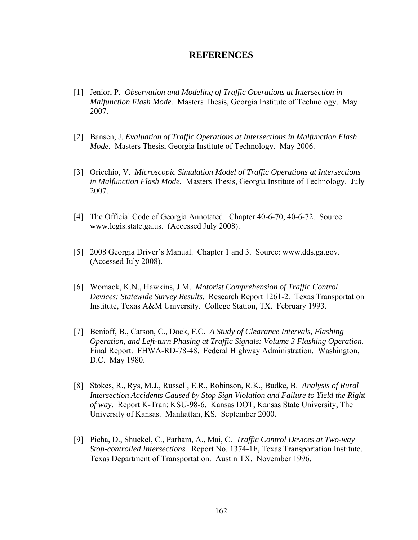## **REFERENCES**

- [1] Jenior, P. *Observation and Modeling of Traffic Operations at Intersection in Malfunction Flash Mode.* Masters Thesis, Georgia Institute of Technology. May 2007.
- [2] Bansen, J. *Evaluation of Traffic Operations at Intersections in Malfunction Flash Mode.* Masters Thesis, Georgia Institute of Technology. May 2006.
- [3] Oricchio, V. *Microscopic Simulation Model of Traffic Operations at Intersections in Malfunction Flash Mode.* Masters Thesis, Georgia Institute of Technology. July 2007.
- [4] The Official Code of Georgia Annotated. Chapter 40-6-70, 40-6-72. Source: [www.legis.state.ga.us](http://www.legis.state.ga.us/). (Accessed July 2008).
- [5] 2008 Georgia Driver's Manual. Chapter 1 and 3. Source: [www.dds.ga.gov.](http://www.dds.ga.gov/) (Accessed July 2008).
- [6] Womack, K.N., Hawkins, J.M. *Motorist Comprehension of Traffic Control Devices: Statewide Survey Results.* Research Report 1261-2. Texas Transportation Institute, Texas A&M University. College Station, TX. February 1993.
- [7] Benioff, B., Carson, C., Dock, F.C. *A Study of Clearance Intervals, Flashing Operation, and Left-turn Phasing at Traffic Signals: Volume 3 Flashing Operation.*  Final Report. FHWA-RD-78-48. Federal Highway Administration. Washington, D.C. May 1980.
- [8] Stokes, R., Rys, M.J., Russell, E.R., Robinson, R.K., Budke, B. *Analysis of Rural Intersection Accidents Caused by Stop Sign Violation and Failure to Yield the Right of way.* Report K-Tran: KSU-98-6. Kansas DOT, Kansas State University, The University of Kansas. Manhattan, KS. September 2000.
- [9] Picha, D., Shuckel, C., Parham, A., Mai, C. *Traffic Control Devices at Two-way Stop-controlled Intersections.* Report No. 1374-1F, Texas Transportation Institute. Texas Department of Transportation. Austin TX. November 1996.